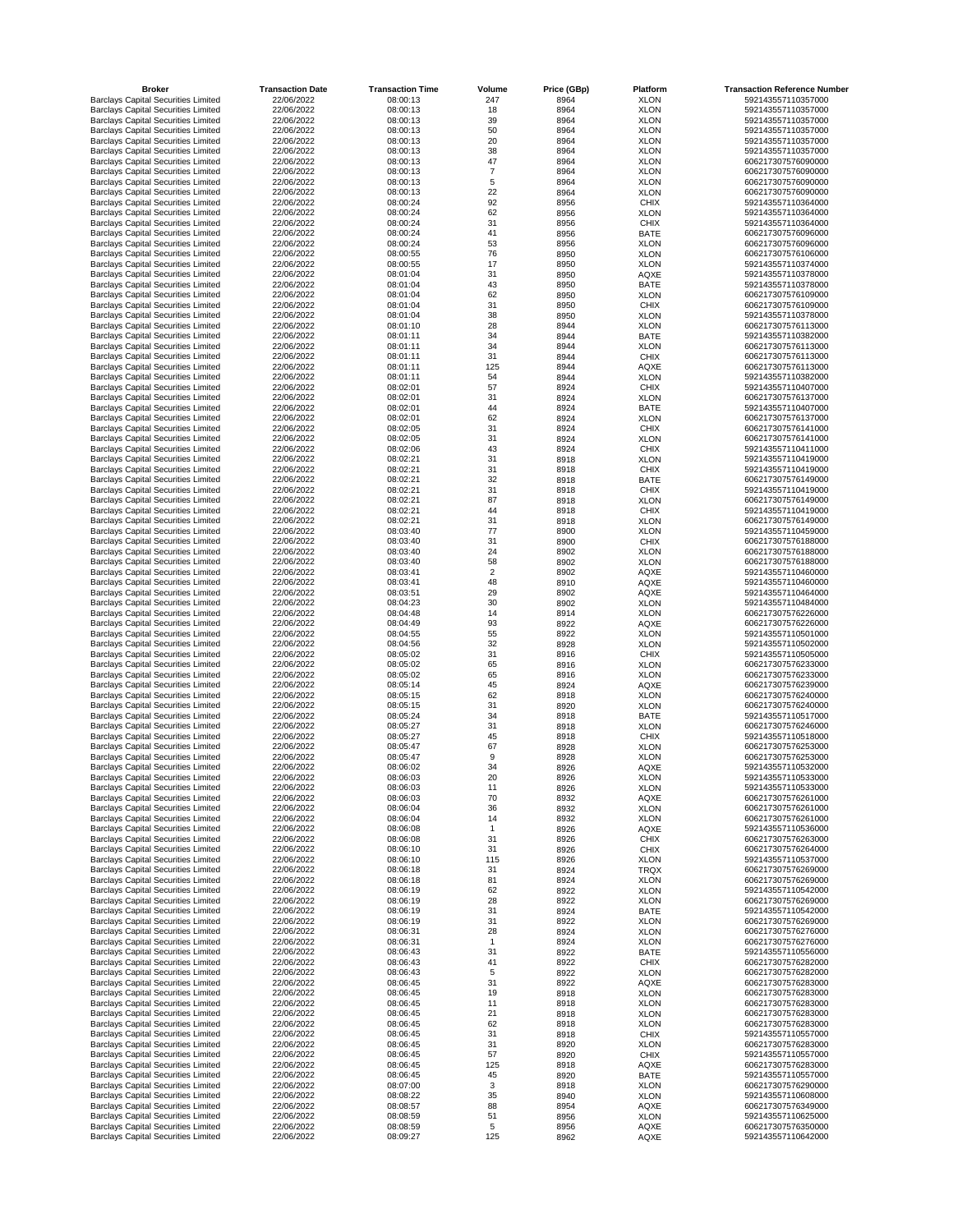| <b>Broker</b>                                                                            | <b>Transaction Date</b>  | <b>Transaction Time</b> | <b>Volume</b>  | Price (GBp)  | <b>Platform</b>            | <b>Transaction Reference Number</b>      |
|------------------------------------------------------------------------------------------|--------------------------|-------------------------|----------------|--------------|----------------------------|------------------------------------------|
| <b>Barclays Capital Securities Limited</b>                                               | 22/06/2022<br>22/06/2022 | 08:00:13<br>08:00:13    | 247            | 8964<br>8964 | <b>XLON</b><br><b>XLON</b> | 592143557110357000<br>592143557110357000 |
| <b>Barclays Capital Securities Limited</b><br><b>Barclays Capital Securities Limited</b> | 22/06/2022               | 08:00:13                | 18<br>39       | 8964         | <b>XLON</b>                | 592143557110357000                       |
| <b>Barclays Capital Securities Limited</b>                                               | 22/06/2022               | 08:00:13                | 50             | 8964         | <b>XLON</b>                | 592143557110357000                       |
| <b>Barclays Capital Securities Limited</b>                                               | 22/06/2022               | 08:00:13                | 20             | 8964         | <b>XLON</b>                | 592143557110357000                       |
| <b>Barclays Capital Securities Limited</b>                                               | 22/06/2022               | 08:00:13                | 38             | 8964         | <b>XLON</b>                | 592143557110357000                       |
| <b>Barclays Capital Securities Limited</b><br><b>Barclays Capital Securities Limited</b> | 22/06/2022<br>22/06/2022 | 08:00:13<br>08:00:13    | 47             | 8964<br>8964 | <b>XLON</b><br><b>XLON</b> | 606217307576090000<br>606217307576090000 |
| <b>Barclays Capital Securities Limited</b>                                               | 22/06/2022               | 08:00:13                | 5              | 8964         | <b>XLON</b>                | 606217307576090000                       |
| <b>Barclays Capital Securities Limited</b>                                               | 22/06/2022               | 08:00:13                | 22             | 8964         | <b>XLON</b>                | 606217307576090000                       |
| <b>Barclays Capital Securities Limited</b>                                               | 22/06/2022               | 08:00:24                | 92             | 8956         | <b>CHIX</b>                | 592143557110364000                       |
| <b>Barclays Capital Securities Limited</b>                                               | 22/06/2022               | 08:00:24                | 62             | 8956         | <b>XLON</b>                | 592143557110364000                       |
| <b>Barclays Capital Securities Limited</b><br><b>Barclays Capital Securities Limited</b> | 22/06/2022<br>22/06/2022 | 08:00:24<br>08:00:24    | 31<br>41       | 8956<br>8956 | <b>CHIX</b><br><b>BATE</b> | 592143557110364000<br>606217307576096000 |
| <b>Barclays Capital Securities Limited</b>                                               | 22/06/2022               | 08:00:24                | 53             | 8956         | <b>XLON</b>                | 606217307576096000                       |
| <b>Barclays Capital Securities Limited</b>                                               | 22/06/2022               | 08:00:55                | 76             | 8950         | <b>XLON</b>                | 606217307576106000                       |
| <b>Barclays Capital Securities Limited</b>                                               | 22/06/2022               | 08:00:55                | 17             | 8950         | <b>XLON</b>                | 592143557110374000                       |
| <b>Barclays Capital Securities Limited</b>                                               | 22/06/2022               | 08:01:04                | 31             | 8950         | <b>AQXE</b>                | 592143557110378000                       |
| <b>Barclays Capital Securities Limited</b><br><b>Barclays Capital Securities Limited</b> | 22/06/2022<br>22/06/2022 | 08:01:04<br>08:01:04    | 43<br>62       | 8950<br>8950 | <b>BATE</b><br><b>XLON</b> | 592143557110378000<br>606217307576109000 |
| <b>Barclays Capital Securities Limited</b>                                               | 22/06/2022               | 08:01:04                | 31             | 8950         | <b>CHIX</b>                | 606217307576109000                       |
| <b>Barclays Capital Securities Limited</b>                                               | 22/06/2022               | 08:01:04                | 38             | 8950         | <b>XLON</b>                | 592143557110378000                       |
| <b>Barclays Capital Securities Limited</b>                                               | 22/06/2022               | 08:01:10                | 28             | 8944         | <b>XLON</b>                | 606217307576113000                       |
| <b>Barclays Capital Securities Limited</b>                                               | 22/06/2022               | 08:01:11                | 34             | 8944         | <b>BATE</b>                | 592143557110382000                       |
| <b>Barclays Capital Securities Limited</b><br><b>Barclays Capital Securities Limited</b> | 22/06/2022<br>22/06/2022 | 08:01:11<br>08:01:11    | 34<br>31       | 8944<br>8944 | <b>XLON</b><br><b>CHIX</b> | 606217307576113000<br>606217307576113000 |
| <b>Barclays Capital Securities Limited</b>                                               | 22/06/2022               | 08:01:11                | 125            | 8944         | AQXE                       | 606217307576113000                       |
| <b>Barclays Capital Securities Limited</b>                                               | 22/06/2022               | 08:01:11                | 54             | 8944         | <b>XLON</b>                | 592143557110382000                       |
| <b>Barclays Capital Securities Limited</b>                                               | 22/06/2022               | 08:02:01                | 57             | 8924         | <b>CHIX</b>                | 592143557110407000                       |
| <b>Barclays Capital Securities Limited</b>                                               | 22/06/2022               | 08:02:01                | 31             | 8924         | <b>XLON</b>                | 606217307576137000                       |
| <b>Barclays Capital Securities Limited</b><br><b>Barclays Capital Securities Limited</b> | 22/06/2022<br>22/06/2022 | 08:02:01<br>08:02:01    | 44<br>62       | 8924<br>8924 | <b>BATE</b><br><b>XLON</b> | 592143557110407000<br>606217307576137000 |
| <b>Barclays Capital Securities Limited</b>                                               | 22/06/2022               | 08:02:05                | 31             | 8924         | <b>CHIX</b>                | 606217307576141000                       |
| <b>Barclays Capital Securities Limited</b>                                               | 22/06/2022               | 08:02:05                | 31             | 8924         | <b>XLON</b>                | 606217307576141000                       |
| <b>Barclays Capital Securities Limited</b>                                               | 22/06/2022               | 08:02:06                | 43             | 8924         | <b>CHIX</b>                | 592143557110411000                       |
| <b>Barclays Capital Securities Limited</b>                                               | 22/06/2022               | 08:02:21                | 31             | 8918         | <b>XLON</b>                | 592143557110419000                       |
| <b>Barclays Capital Securities Limited</b><br><b>Barclays Capital Securities Limited</b> | 22/06/2022<br>22/06/2022 | 08:02:21<br>08:02:21    | 31<br>32       | 8918<br>8918 | <b>CHIX</b><br><b>BATE</b> | 592143557110419000<br>606217307576149000 |
| <b>Barclays Capital Securities Limited</b>                                               | 22/06/2022               | 08:02:21                | 31             | 8918         | <b>CHIX</b>                | 592143557110419000                       |
| <b>Barclays Capital Securities Limited</b>                                               | 22/06/2022               | 08:02:21                | 87             | 8918         | <b>XLON</b>                | 606217307576149000                       |
| <b>Barclays Capital Securities Limited</b>                                               | 22/06/2022               | 08:02:21                | 44             | 8918         | <b>CHIX</b>                | 592143557110419000                       |
| <b>Barclays Capital Securities Limited</b>                                               | 22/06/2022               | 08:02:21                | 31             | 8918         | <b>XLON</b>                | 606217307576149000                       |
| <b>Barclays Capital Securities Limited</b>                                               | 22/06/2022<br>22/06/2022 | 08:03:40<br>08:03:40    | 77<br>31       | 8900         | <b>XLON</b>                | 592143557110459000<br>606217307576188000 |
| <b>Barclays Capital Securities Limited</b><br><b>Barclays Capital Securities Limited</b> | 22/06/2022               | 08:03:40                | 24             | 8900<br>8902 | <b>CHIX</b><br><b>XLON</b> | 606217307576188000                       |
| <b>Barclays Capital Securities Limited</b>                                               | 22/06/2022               | 08:03:40                | 58             | 8902         | <b>XLON</b>                | 606217307576188000                       |
| <b>Barclays Capital Securities Limited</b>                                               | 22/06/2022               | 08:03:41                | $\overline{2}$ | 8902         | <b>AQXE</b>                | 592143557110460000                       |
| <b>Barclays Capital Securities Limited</b>                                               | 22/06/2022               | 08:03:41                | 48             | 8910         | <b>AQXE</b>                | 592143557110460000                       |
| <b>Barclays Capital Securities Limited</b><br><b>Barclays Capital Securities Limited</b> | 22/06/2022<br>22/06/2022 | 08:03:51<br>08:04:23    | 29<br>30       | 8902<br>8902 | <b>AQXE</b><br><b>XLON</b> | 592143557110464000<br>592143557110484000 |
| <b>Barclays Capital Securities Limited</b>                                               | 22/06/2022               | 08:04:48                | 14             | 8914         | <b>XLON</b>                | 606217307576226000                       |
| <b>Barclays Capital Securities Limited</b>                                               | 22/06/2022               | 08:04:49                | 93             | 8922         | <b>AQXE</b>                | 606217307576226000                       |
| <b>Barclays Capital Securities Limited</b>                                               | 22/06/2022               | 08:04:55                | 55             | 8922         | <b>XLON</b>                | 592143557110501000                       |
| <b>Barclays Capital Securities Limited</b>                                               | 22/06/2022               | 08:04:56                | 32             | 8928         | <b>XLON</b>                | 592143557110502000                       |
| <b>Barclays Capital Securities Limited</b><br><b>Barclays Capital Securities Limited</b> | 22/06/2022<br>22/06/2022 | 08:05:02<br>08:05:02    | 31<br>65       | 8916<br>8916 | <b>CHIX</b><br><b>XLON</b> | 592143557110505000<br>606217307576233000 |
| <b>Barclays Capital Securities Limited</b>                                               | 22/06/2022               | 08:05:02                | 65             | 8916         | <b>XLON</b>                | 606217307576233000                       |
| <b>Barclays Capital Securities Limited</b>                                               | 22/06/2022               | 08:05:14                | 45             | 8924         | <b>AQXE</b>                | 606217307576239000                       |
| <b>Barclays Capital Securities Limited</b>                                               | 22/06/2022               | 08:05:15                | 62             | 8918         | <b>XLON</b>                | 606217307576240000                       |
| <b>Barclays Capital Securities Limited</b>                                               | 22/06/2022               | 08:05:15                | 31             | 8920<br>8918 | <b>XLON</b><br><b>BATE</b> | 606217307576240000<br>592143557110517000 |
| <b>Barclays Capital Securities Limited</b><br><b>Barclays Capital Securities Limited</b> | 22/06/2022<br>22/06/2022 | 08:05:24<br>08:05:27    | 34<br>31       | 8918         | <b>XLON</b>                | 606217307576246000                       |
| <b>Barclays Capital Securities Limited</b>                                               | 22/06/2022               | 08:05:27                | 45             | 8918         | <b>CHIX</b>                | 592143557110518000                       |
| <b>Barclays Capital Securities Limited</b>                                               | 22/06/2022               | 08:05:47                | 67             | 8928         | <b>XLON</b>                | 606217307576253000                       |
| <b>Barclays Capital Securities Limited</b>                                               | 22/06/2022               | 08:05:47                | 9              | 8928         | <b>XLON</b>                | 606217307576253000                       |
| <b>Barclays Capital Securities Limited</b><br><b>Barclays Capital Securities Limited</b> | 22/06/2022<br>22/06/2022 | 08:06:02<br>08:06:03    | 34<br>20       | 8926<br>8926 | <b>AQXE</b><br><b>XLON</b> | 592143557110532000<br>592143557110533000 |
| <b>Barclays Capital Securities Limited</b>                                               | 22/06/2022               | 08:06:03                | 11             | 8926         | <b>XLON</b>                | 592143557110533000                       |
| <b>Barclays Capital Securities Limited</b>                                               | 22/06/2022               | 08:06:03                | 70             | 8932         | <b>AQXE</b>                | 606217307576261000                       |
| <b>Barclays Capital Securities Limited</b>                                               | 22/06/2022               | 08:06:04                | 36             | 8932         | <b>XLON</b>                | 606217307576261000                       |
| <b>Barclays Capital Securities Limited</b>                                               | 22/06/2022               | 08:06:04                | 14             | 8932         | <b>XLON</b>                | 606217307576261000                       |
| <b>Barclays Capital Securities Limited</b><br><b>Barclays Capital Securities Limited</b> | 22/06/2022<br>22/06/2022 | 08:06:08<br>08:06:08    | 31             | 8926<br>8926 | <b>AQXE</b><br><b>CHIX</b> | 592143557110536000<br>606217307576263000 |
| <b>Barclays Capital Securities Limited</b>                                               | 22/06/2022               | 08:06:10                | 31             | 8926         | <b>CHIX</b>                | 606217307576264000                       |
| <b>Barclays Capital Securities Limited</b>                                               | 22/06/2022               | 08:06:10                | 115            | 8926         | <b>XLON</b>                | 592143557110537000                       |
| <b>Barclays Capital Securities Limited</b>                                               | 22/06/2022               | 08:06:18                | 31             | 8924         | <b>TRQX</b>                | 606217307576269000                       |
| <b>Barclays Capital Securities Limited</b>                                               | 22/06/2022               | 08:06:18                | 81             | 8924         | <b>XLON</b>                | 606217307576269000                       |
| <b>Barclays Capital Securities Limited</b><br><b>Barclays Capital Securities Limited</b> | 22/06/2022<br>22/06/2022 | 08:06:19<br>08:06:19    | 62<br>28       | 8922<br>8922 | <b>XLON</b><br><b>XLON</b> | 592143557110542000<br>606217307576269000 |
| <b>Barclays Capital Securities Limited</b>                                               | 22/06/2022               | 08:06:19                | 31             | 8924         | <b>BATE</b>                | 592143557110542000                       |
| <b>Barclays Capital Securities Limited</b>                                               | 22/06/2022               | 08:06:19                | 31             | 8922         | <b>XLON</b>                | 606217307576269000                       |
| <b>Barclays Capital Securities Limited</b>                                               | 22/06/2022               | 08:06:31                | 28             | 8924         | <b>XLON</b>                | 606217307576276000                       |
| <b>Barclays Capital Securities Limited</b>                                               | 22/06/2022               | 08:06:31                |                | 8924         | <b>XLON</b>                | 606217307576276000                       |
| <b>Barclays Capital Securities Limited</b><br><b>Barclays Capital Securities Limited</b> | 22/06/2022<br>22/06/2022 | 08:06:43<br>08:06:43    | 31<br>41       | 8922<br>8922 | <b>BATE</b><br><b>CHIX</b> | 592143557110556000<br>606217307576282000 |
| <b>Barclays Capital Securities Limited</b>                                               | 22/06/2022               | 08:06:43                |                | 8922         | <b>XLON</b>                | 606217307576282000                       |
| <b>Barclays Capital Securities Limited</b>                                               | 22/06/2022               | 08:06:45                | 31             | 8922         | AQXE                       | 606217307576283000                       |
| <b>Barclays Capital Securities Limited</b>                                               | 22/06/2022               | 08:06:45                | 19             | 8918         | <b>XLON</b>                | 606217307576283000                       |
| <b>Barclays Capital Securities Limited</b>                                               | 22/06/2022               | 08:06:45                | 11             | 8918         | <b>XLON</b>                | 606217307576283000                       |
| <b>Barclays Capital Securities Limited</b><br><b>Barclays Capital Securities Limited</b> | 22/06/2022<br>22/06/2022 | 08:06:45<br>08:06:45    | 21<br>62       | 8918<br>8918 | <b>XLON</b><br><b>XLON</b> | 606217307576283000<br>606217307576283000 |
| <b>Barclays Capital Securities Limited</b>                                               | 22/06/2022               | 08:06:45                | 31             | 8918         | <b>CHIX</b>                | 592143557110557000                       |
| <b>Barclays Capital Securities Limited</b>                                               | 22/06/2022               | 08:06:45                | 31             | 8920         | <b>XLON</b>                | 606217307576283000                       |
| <b>Barclays Capital Securities Limited</b>                                               | 22/06/2022               | 08:06:45                | 57             | 8920         | <b>CHIX</b>                | 592143557110557000                       |
| <b>Barclays Capital Securities Limited</b>                                               | 22/06/2022               | 08:06:45                | 125            | 8918         | <b>AQXE</b>                | 606217307576283000                       |
| <b>Barclays Capital Securities Limited</b><br><b>Barclays Capital Securities Limited</b> | 22/06/2022<br>22/06/2022 | 08:06:45<br>08:07:00    | 45             | 8920<br>8918 | <b>BATE</b><br><b>XLON</b> | 592143557110557000<br>606217307576290000 |
| <b>Barclays Capital Securities Limited</b>                                               | 22/06/2022               | 08:08:22                | 35             | 8940         | <b>XLON</b>                | 592143557110608000                       |
| <b>Barclays Capital Securities Limited</b>                                               | 22/06/2022               | 08:08:57                | 88             | 8954         | <b>AQXE</b>                | 606217307576349000                       |
| <b>Barclays Capital Securities Limited</b>                                               | 22/06/2022               | 08:08:59                | 51             | 8956         | <b>XLON</b>                | 592143557110625000                       |
| <b>Barclays Capital Securities Limited</b>                                               | 22/06/2022               | 08:08:59                | 5              | 8956         | AQXE                       | 606217307576350000                       |
| <b>Barclays Capital Securities Limited</b>                                               | 22/06/2022               | 08:09:27                | 125            | 8962         | AQXE                       | 592143557110642000                       |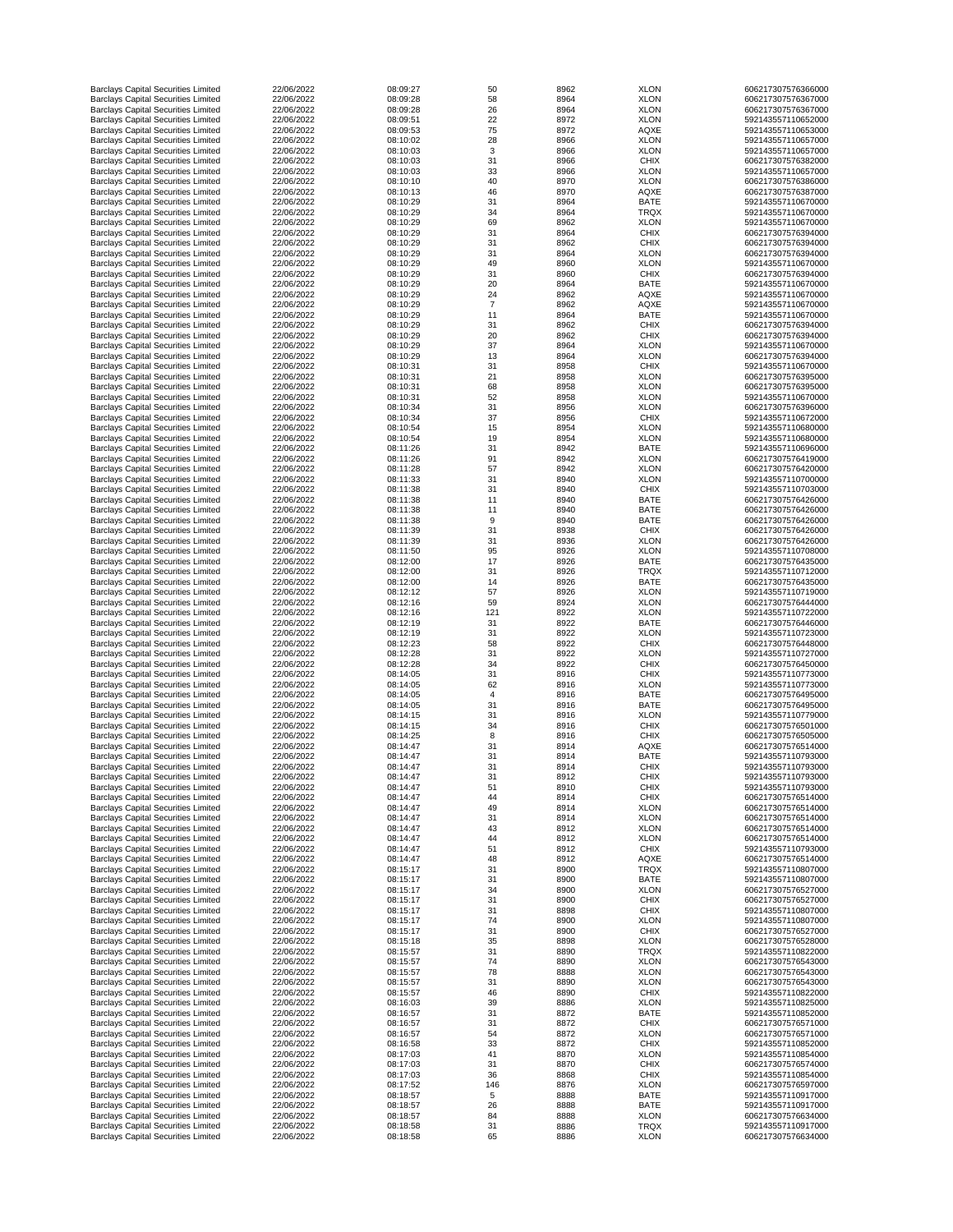| <b>Barclays Capital Securities Limited</b>                                               | 22/06/2022               | 08:09:27             | 50             | 8962         | <b>XLON</b>                | 606217307576366000                       |
|------------------------------------------------------------------------------------------|--------------------------|----------------------|----------------|--------------|----------------------------|------------------------------------------|
| <b>Barclays Capital Securities Limited</b>                                               | 22/06/2022               | 08:09:28             | 58             | 8964         | <b>XLON</b>                | 606217307576367000                       |
| <b>Barclays Capital Securities Limited</b>                                               | 22/06/2022               | 08:09:28             | 26             | 8964         | <b>XLON</b>                | 606217307576367000                       |
| <b>Barclays Capital Securities Limited</b>                                               | 22/06/2022               | 08:09:51             | 22             | 8972         | <b>XLON</b>                | 592143557110652000                       |
| <b>Barclays Capital Securities Limited</b>                                               | 22/06/2022               | 08:09:53             | 75             | 8972         | <b>AQXE</b>                | 592143557110653000                       |
| <b>Barclays Capital Securities Limited</b>                                               | 22/06/2022               | 08:10:02             | 28             | 8966         | <b>XLON</b>                | 592143557110657000                       |
| <b>Barclays Capital Securities Limited</b><br><b>Barclays Capital Securities Limited</b> | 22/06/2022<br>22/06/2022 | 08:10:03<br>08:10:03 | 3<br>31        | 8966<br>8966 | <b>XLON</b><br><b>CHIX</b> | 592143557110657000<br>606217307576382000 |
| <b>Barclays Capital Securities Limited</b>                                               | 22/06/2022               | 08:10:03             | 33             | 8966         | <b>XLON</b>                | 592143557110657000                       |
| <b>Barclays Capital Securities Limited</b>                                               | 22/06/2022               | 08:10:10             | 40             | 8970         | <b>XLON</b>                | 606217307576386000                       |
| <b>Barclays Capital Securities Limited</b>                                               | 22/06/2022               | 08:10:13             | 46             | 8970         | <b>AQXE</b>                | 606217307576387000                       |
| <b>Barclays Capital Securities Limited</b>                                               | 22/06/2022               | 08:10:29             | 31             | 8964         | <b>BATE</b>                | 592143557110670000                       |
| <b>Barclays Capital Securities Limited</b>                                               | 22/06/2022               | 08:10:29             | 34             | 8964         | <b>TRQX</b>                | 592143557110670000                       |
| <b>Barclays Capital Securities Limited</b>                                               | 22/06/2022               | 08:10:29             | 69             | 8962         | <b>XLON</b>                | 592143557110670000                       |
| <b>Barclays Capital Securities Limited</b>                                               | 22/06/2022               | 08:10:29             | 31             | 8964         | <b>CHIX</b>                | 606217307576394000                       |
| <b>Barclays Capital Securities Limited</b>                                               | 22/06/2022               | 08:10:29             | 31             | 8962         | <b>CHIX</b>                | 606217307576394000                       |
| <b>Barclays Capital Securities Limited</b>                                               | 22/06/2022               | 08:10:29             | 31             | 8964         | <b>XLON</b>                | 606217307576394000                       |
| <b>Barclays Capital Securities Limited</b>                                               | 22/06/2022               | 08:10:29             | 49             | 8960         | <b>XLON</b>                | 592143557110670000                       |
| <b>Barclays Capital Securities Limited</b>                                               | 22/06/2022               | 08:10:29             | 31             | 8960         | <b>CHIX</b>                | 606217307576394000                       |
| <b>Barclays Capital Securities Limited</b>                                               | 22/06/2022               | 08:10:29             | 20             | 8964         | <b>BATE</b>                | 592143557110670000                       |
| <b>Barclays Capital Securities Limited</b>                                               | 22/06/2022               | 08:10:29             | 24             | 8962         | <b>AQXE</b>                | 592143557110670000                       |
| <b>Barclays Capital Securities Limited</b>                                               | 22/06/2022               | 08:10:29             | $\overline{7}$ | 8962         | <b>AQXE</b>                | 592143557110670000                       |
| <b>Barclays Capital Securities Limited</b><br><b>Barclays Capital Securities Limited</b> | 22/06/2022<br>22/06/2022 | 08:10:29<br>08:10:29 | 11<br>31       | 8964<br>8962 | <b>BATE</b><br><b>CHIX</b> | 592143557110670000<br>606217307576394000 |
| <b>Barclays Capital Securities Limited</b>                                               | 22/06/2022               | 08:10:29             | 20             | 8962         | <b>CHIX</b>                | 606217307576394000                       |
| <b>Barclays Capital Securities Limited</b>                                               | 22/06/2022               | 08:10:29             | 37             | 8964         | <b>XLON</b>                | 592143557110670000                       |
| <b>Barclays Capital Securities Limited</b>                                               | 22/06/2022               | 08:10:29             | 13             | 8964         | <b>XLON</b>                | 606217307576394000                       |
| <b>Barclays Capital Securities Limited</b>                                               | 22/06/2022               | 08:10:31             | 31             | 8958         | <b>CHIX</b>                | 592143557110670000                       |
| <b>Barclays Capital Securities Limited</b>                                               | 22/06/2022               | 08:10:31             | 21             | 8958         | <b>XLON</b>                | 606217307576395000                       |
| <b>Barclays Capital Securities Limited</b>                                               | 22/06/2022               | 08:10:31             | 68             | 8958         | <b>XLON</b>                | 606217307576395000                       |
| <b>Barclays Capital Securities Limited</b>                                               | 22/06/2022               | 08:10:31             | 52             | 8958         | <b>XLON</b>                | 592143557110670000                       |
| <b>Barclays Capital Securities Limited</b>                                               | 22/06/2022               | 08:10:34             | 31             | 8956         | <b>XLON</b>                | 606217307576396000                       |
| <b>Barclays Capital Securities Limited</b>                                               | 22/06/2022               | 08:10:34             | 37             | 8956         | <b>CHIX</b>                | 592143557110672000                       |
| <b>Barclays Capital Securities Limited</b>                                               | 22/06/2022               | 08:10:54             | 15             | 8954         | <b>XLON</b>                | 592143557110680000                       |
| <b>Barclays Capital Securities Limited</b>                                               | 22/06/2022               | 08:10:54             | 19             | 8954         | <b>XLON</b>                | 592143557110680000                       |
| <b>Barclays Capital Securities Limited</b>                                               | 22/06/2022               | 08:11:26             | 31             | 8942         | <b>BATE</b>                | 592143557110696000                       |
| <b>Barclays Capital Securities Limited</b>                                               | 22/06/2022               | 08:11:26             | 91             | 8942         | <b>XLON</b>                | 606217307576419000                       |
| <b>Barclays Capital Securities Limited</b>                                               | 22/06/2022               | 08:11:28             | 57             | 8942         | <b>XLON</b>                | 606217307576420000                       |
| <b>Barclays Capital Securities Limited</b>                                               | 22/06/2022               | 08:11:33             | 31             | 8940         | <b>XLON</b>                | 592143557110700000                       |
| <b>Barclays Capital Securities Limited</b>                                               | 22/06/2022               | 08:11:38             | 31             | 8940         | <b>CHIX</b>                | 592143557110703000                       |
| <b>Barclays Capital Securities Limited</b>                                               | 22/06/2022               | 08:11:38             | 11             | 8940         | <b>BATE</b>                | 606217307576426000                       |
| <b>Barclays Capital Securities Limited</b>                                               | 22/06/2022<br>22/06/2022 | 08:11:38<br>08:11:38 | 11             | 8940         | <b>BATE</b>                | 606217307576426000<br>606217307576426000 |
| <b>Barclays Capital Securities Limited</b><br><b>Barclays Capital Securities Limited</b> | 22/06/2022               | 08:11:39             | 9<br>31        | 8940<br>8938 | <b>BATE</b><br><b>CHIX</b> | 606217307576426000                       |
| <b>Barclays Capital Securities Limited</b>                                               | 22/06/2022               | 08:11:39             | 31             | 8936         | <b>XLON</b>                | 606217307576426000                       |
| <b>Barclays Capital Securities Limited</b>                                               | 22/06/2022               | 08:11:50             | 95             | 8926         | <b>XLON</b>                | 592143557110708000                       |
| <b>Barclays Capital Securities Limited</b>                                               | 22/06/2022               | 08:12:00             | 17             | 8926         | <b>BATE</b>                | 606217307576435000                       |
| <b>Barclays Capital Securities Limited</b>                                               | 22/06/2022               | 08:12:00             | 31             | 8926         | <b>TRQX</b>                | 592143557110712000                       |
| <b>Barclays Capital Securities Limited</b>                                               | 22/06/2022               | 08:12:00             | 14             | 8926         | <b>BATE</b>                | 606217307576435000                       |
| <b>Barclays Capital Securities Limited</b>                                               | 22/06/2022               | 08:12:12             | 57             | 8926         | <b>XLON</b>                | 592143557110719000                       |
| <b>Barclays Capital Securities Limited</b>                                               | 22/06/2022               | 08:12:16             | 59             | 8924         | <b>XLON</b>                | 606217307576444000                       |
| <b>Barclays Capital Securities Limited</b>                                               | 22/06/2022               | 08:12:16             | 121            | 8922         | <b>XLON</b>                | 592143557110722000                       |
| <b>Barclays Capital Securities Limited</b>                                               | 22/06/2022               | 08:12:19             | 31             | 8922         | <b>BATE</b>                | 606217307576446000                       |
| <b>Barclays Capital Securities Limited</b>                                               | 22/06/2022               | 08:12:19             | 31             | 8922         | <b>XLON</b>                | 592143557110723000                       |
| <b>Barclays Capital Securities Limited</b>                                               | 22/06/2022               | 08:12:23             | 58             | 8922         | <b>CHIX</b>                | 606217307576448000                       |
| <b>Barclays Capital Securities Limited</b>                                               | 22/06/2022               | 08:12:28             | 31             | 8922         | <b>XLON</b>                | 592143557110727000                       |
| <b>Barclays Capital Securities Limited</b>                                               | 22/06/2022               | 08:12:28             | 34             | 8922         | <b>CHIX</b>                | 606217307576450000                       |
| <b>Barclays Capital Securities Limited</b>                                               | 22/06/2022               | 08:14:05             | 31             | 8916         | <b>CHIX</b>                | 592143557110773000                       |
| <b>Barclays Capital Securities Limited</b>                                               | 22/06/2022               | 08:14:05             | 62<br>4        | 8916         | <b>XLON</b>                | 592143557110773000                       |
| <b>Barclays Capital Securities Limited</b><br><b>Barclays Capital Securities Limited</b> | 22/06/2022<br>22/06/2022 | 08:14:05<br>08:14:05 | 31             | 8916<br>8916 | <b>BATE</b><br><b>BATE</b> | 606217307576495000<br>606217307576495000 |
| <b>Barclays Capital Securities Limited</b>                                               | 22/06/2022               | 08:14:15             | 31             | 8916         | <b>XLON</b>                | 592143557110779000                       |
| <b>Barclays Capital Securities Limited</b>                                               | 22/06/2022               | 08:14:15             | 34             | 8916         | <b>CHIX</b>                | 606217307576501000                       |
| <b>Barclays Capital Securities Limited</b>                                               | 22/06/2022               | 08:14:25             | 8              | 8916         | <b>CHIX</b>                | 606217307576505000                       |
| <b>Barclays Capital Securities Limited</b>                                               | 22/06/2022               | 08:14:47             | 31             | 8914         | <b>AQXE</b>                | 606217307576514000                       |
| <b>Barclays Capital Securities Limited</b>                                               | 22/06/2022               | 08:14:47             | 31             | 8914         | <b>BATE</b>                | 592143557110793000                       |
| <b>Barclays Capital Securities Limited</b>                                               | 22/06/2022               | 08:14:47             | 31             | 8914         | <b>CHIX</b>                | 592143557110793000                       |
| <b>Barclays Capital Securities Limited</b>                                               | 22/06/2022               | 08:14:47             | 31             | 8912         | <b>CHIX</b>                | 592143557110793000                       |
| <b>Barclays Capital Securities Limited</b>                                               | 22/06/2022               | 08:14:47             | 51             | 8910         | <b>CHIX</b>                | 592143557110793000                       |
| <b>Barclays Capital Securities Limited</b>                                               | 22/06/2022               | 08:14:47             | 44             | 8914         | <b>CHIX</b>                | 606217307576514000                       |
| <b>Barclays Capital Securities Limited</b>                                               | 22/06/2022               | 08:14:47             | 49             | 8914         | <b>XLON</b>                | 606217307576514000                       |
| <b>Barclays Capital Securities Limited</b>                                               | 22/06/2022               | 08:14:47             | 31             | 8914         | <b>XLON</b>                | 606217307576514000                       |
| <b>Barclays Capital Securities Limited</b>                                               | 22/06/2022               | 08:14:47             | 43             | 8912         | <b>XLON</b>                | 606217307576514000                       |
| <b>Barclays Capital Securities Limited</b>                                               | 22/06/2022<br>22/06/2022 | 08:14:47<br>08:14:47 | 44             | 8912         | <b>XLON</b>                | 606217307576514000                       |
| <b>Barclays Capital Securities Limited</b><br><b>Barclays Capital Securities Limited</b> | 22/06/2022               | 08:14:47             | 51<br>48       | 8912<br>8912 | <b>CHIX</b><br><b>AQXE</b> | 592143557110793000<br>606217307576514000 |
| <b>Barclays Capital Securities Limited</b>                                               | 22/06/2022               | 08:15:17             | 31             | 8900         | <b>TRQX</b>                | 592143557110807000                       |
| <b>Barclays Capital Securities Limited</b>                                               | 22/06/2022               | 08:15:17             | 31             | 8900         | <b>BATE</b>                | 592143557110807000                       |
| <b>Barclays Capital Securities Limited</b>                                               | 22/06/2022               | 08:15:17             | 34             | 8900         | <b>XLON</b>                | 606217307576527000                       |
| <b>Barclays Capital Securities Limited</b>                                               | 22/06/2022               | 08:15:17             | 31             | 8900         | <b>CHIX</b>                | 606217307576527000                       |
| <b>Barclays Capital Securities Limited</b>                                               | 22/06/2022               | 08:15:17             | 31             | 8898         | <b>CHIX</b>                | 592143557110807000                       |
| <b>Barclays Capital Securities Limited</b>                                               | 22/06/2022               | 08:15:17             | 74             | 8900         | <b>XLON</b>                | 592143557110807000                       |
| <b>Barclays Capital Securities Limited</b>                                               | 22/06/2022               | 08:15:17             | 31             | 8900         | <b>CHIX</b>                | 606217307576527000                       |
| <b>Barclays Capital Securities Limited</b>                                               | 22/06/2022               | 08:15:18             | 35             | 8898         | <b>XLON</b>                | 606217307576528000                       |
| <b>Barclays Capital Securities Limited</b>                                               | 22/06/2022               | 08:15:57             | 31             | 8890         | <b>TRQX</b>                | 592143557110822000                       |
| <b>Barclays Capital Securities Limited</b>                                               | 22/06/2022               | 08:15:57             | 74             | 8890         | <b>XLON</b>                | 606217307576543000                       |
| <b>Barclays Capital Securities Limited</b>                                               | 22/06/2022               | 08:15:57             | 78             | 8888         | <b>XLON</b>                | 606217307576543000                       |
| <b>Barclays Capital Securities Limited</b>                                               | 22/06/2022               | 08:15:57             | 31             | 8890         | <b>XLON</b>                | 606217307576543000                       |
| <b>Barclays Capital Securities Limited</b>                                               | 22/06/2022               | 08:15:57             | 46             | 8890         | <b>CHIX</b>                | 592143557110822000                       |
| <b>Barclays Capital Securities Limited</b>                                               | 22/06/2022<br>22/06/2022 | 08:16:03<br>08:16:57 | 39<br>31       | 8886<br>8872 | <b>XLON</b><br><b>BATE</b> | 592143557110825000<br>592143557110852000 |
| <b>Barclays Capital Securities Limited</b><br><b>Barclays Capital Securities Limited</b> | 22/06/2022               | 08:16:57             | 31             | 8872         | <b>CHIX</b>                | 606217307576571000                       |
| <b>Barclays Capital Securities Limited</b>                                               | 22/06/2022               | 08:16:57             | 54             | 8872         | <b>XLON</b>                | 606217307576571000                       |
| <b>Barclays Capital Securities Limited</b>                                               | 22/06/2022               | 08:16:58             | 33             | 8872         | <b>CHIX</b>                | 592143557110852000                       |
| <b>Barclays Capital Securities Limited</b>                                               | 22/06/2022               | 08:17:03             | 41             | 8870         | <b>XLON</b>                | 592143557110854000                       |
| <b>Barclays Capital Securities Limited</b>                                               | 22/06/2022               | 08:17:03             | 31             | 8870         | <b>CHIX</b>                | 606217307576574000                       |
| <b>Barclays Capital Securities Limited</b>                                               | 22/06/2022               | 08:17:03             | 36             | 8868         | <b>CHIX</b>                | 592143557110854000                       |
| <b>Barclays Capital Securities Limited</b>                                               | 22/06/2022               | 08:17:52             | 146            | 8876         | <b>XLON</b>                | 606217307576597000                       |
| <b>Barclays Capital Securities Limited</b>                                               | 22/06/2022               | 08:18:57             | 5              | 8888         | <b>BATE</b>                | 592143557110917000                       |
| <b>Barclays Capital Securities Limited</b>                                               | 22/06/2022               | 08:18:57             | 26             | 8888         | <b>BATE</b>                | 592143557110917000                       |
| <b>Barclays Capital Securities Limited</b>                                               | 22/06/2022               | 08:18:57             | 84             | 8888         | <b>XLON</b>                | 606217307576634000                       |
| <b>Barclays Capital Securities Limited</b>                                               | 22/06/2022               | 08:18:58             | 31             | 8886         | <b>TRQX</b>                | 592143557110917000                       |
| <b>Barclays Capital Securities Limited</b>                                               | 22/06/2022               | 08:18:58             | 65             | 8886         | <b>XLON</b>                | 606217307576634000                       |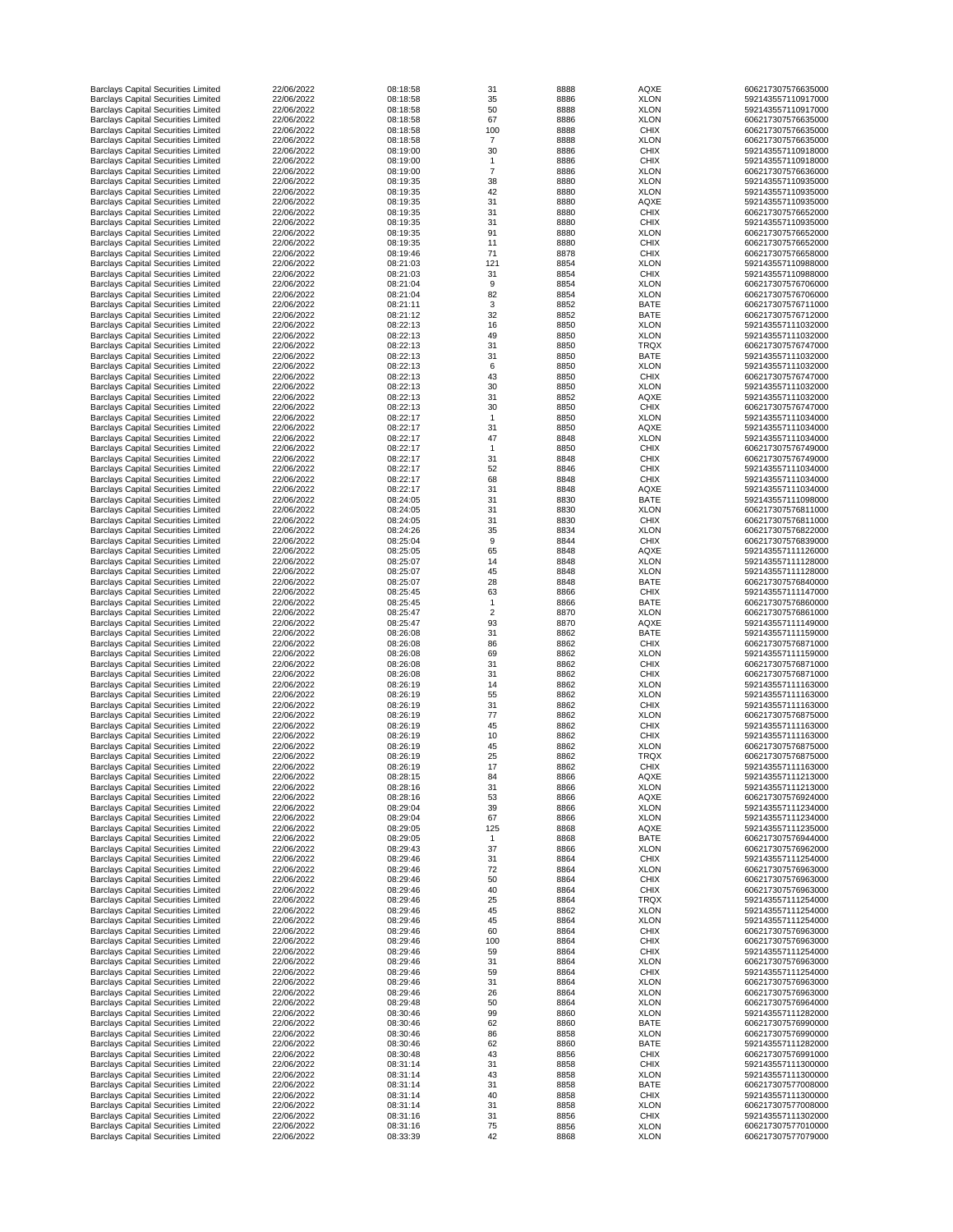| <b>Barclays Capital Securities Limited</b>                                               | 22/06/2022               | 08:18:58             | 31             | 8888         | <b>AQXE</b>                | 606217307576635000                       |
|------------------------------------------------------------------------------------------|--------------------------|----------------------|----------------|--------------|----------------------------|------------------------------------------|
| <b>Barclays Capital Securities Limited</b>                                               | 22/06/2022               | 08:18:58             | 35             | 8886         | <b>XLON</b>                | 592143557110917000                       |
| <b>Barclays Capital Securities Limited</b>                                               | 22/06/2022               | 08:18:58             | 50             | 8888         | <b>XLON</b>                | 592143557110917000                       |
| <b>Barclays Capital Securities Limited</b>                                               | 22/06/2022               | 08:18:58             | 67             | 8886         | <b>XLON</b>                | 606217307576635000                       |
| <b>Barclays Capital Securities Limited</b>                                               | 22/06/2022               | 08:18:58             | 100            | 8888         | <b>CHIX</b>                | 606217307576635000                       |
| <b>Barclays Capital Securities Limited</b>                                               | 22/06/2022               | 08:18:58             | $\overline{7}$ | 8888         | <b>XLON</b>                | 606217307576635000                       |
| <b>Barclays Capital Securities Limited</b><br><b>Barclays Capital Securities Limited</b> | 22/06/2022<br>22/06/2022 | 08:19:00<br>08:19:00 | 30             | 8886<br>8886 | <b>CHIX</b><br><b>CHIX</b> | 592143557110918000<br>592143557110918000 |
| <b>Barclays Capital Securities Limited</b>                                               | 22/06/2022               | 08:19:00             | 7              | 8886         | <b>XLON</b>                | 606217307576636000                       |
| <b>Barclays Capital Securities Limited</b>                                               | 22/06/2022               | 08:19:35             | 38             | 8880         | <b>XLON</b>                | 592143557110935000                       |
| <b>Barclays Capital Securities Limited</b>                                               | 22/06/2022               | 08:19:35             | 42             | 8880         | <b>XLON</b>                | 592143557110935000                       |
| <b>Barclays Capital Securities Limited</b>                                               | 22/06/2022               | 08:19:35             | 31             | 8880         | <b>AQXE</b>                | 592143557110935000                       |
| <b>Barclays Capital Securities Limited</b>                                               | 22/06/2022               | 08:19:35             | 31             | 8880         | <b>CHIX</b>                | 606217307576652000                       |
| <b>Barclays Capital Securities Limited</b>                                               | 22/06/2022               | 08:19:35             | 31             | 8880         | <b>CHIX</b>                | 592143557110935000                       |
| <b>Barclays Capital Securities Limited</b>                                               | 22/06/2022               | 08:19:35             | 91             | 8880         | <b>XLON</b>                | 606217307576652000                       |
| <b>Barclays Capital Securities Limited</b>                                               | 22/06/2022               | 08:19:35             | 11             | 8880         | <b>CHIX</b>                | 606217307576652000                       |
| <b>Barclays Capital Securities Limited</b>                                               | 22/06/2022               | 08:19:46             | 71             | 8878         | <b>CHIX</b>                | 606217307576658000                       |
| <b>Barclays Capital Securities Limited</b>                                               | 22/06/2022               | 08:21:03             | 121            | 8854         | <b>XLON</b>                | 592143557110988000                       |
| <b>Barclays Capital Securities Limited</b>                                               | 22/06/2022               | 08:21:03             | 31             | 8854         | <b>CHIX</b>                | 592143557110988000                       |
| <b>Barclays Capital Securities Limited</b>                                               | 22/06/2022               | 08:21:04             | 9              | 8854         | <b>XLON</b>                | 606217307576706000                       |
| <b>Barclays Capital Securities Limited</b>                                               | 22/06/2022               | 08:21:04             | 82             | 8854         | <b>XLON</b>                | 606217307576706000                       |
| <b>Barclays Capital Securities Limited</b>                                               | 22/06/2022               | 08:21:11             | 3              | 8852         | <b>BATE</b>                | 606217307576711000                       |
| <b>Barclays Capital Securities Limited</b><br><b>Barclays Capital Securities Limited</b> | 22/06/2022<br>22/06/2022 | 08:21:12<br>08:22:13 | 32<br>16       | 8852<br>8850 | <b>BATE</b><br><b>XLON</b> | 606217307576712000<br>592143557111032000 |
| <b>Barclays Capital Securities Limited</b>                                               | 22/06/2022               | 08:22:13             | 49             | 8850         | <b>XLON</b>                | 592143557111032000                       |
| <b>Barclays Capital Securities Limited</b>                                               | 22/06/2022               | 08:22:13             | 31             | 8850         | <b>TRQX</b>                | 606217307576747000                       |
| <b>Barclays Capital Securities Limited</b>                                               | 22/06/2022               | 08:22:13             | 31             | 8850         | <b>BATE</b>                | 592143557111032000                       |
| <b>Barclays Capital Securities Limited</b>                                               | 22/06/2022               | 08:22:13             | 6              | 8850         | <b>XLON</b>                | 592143557111032000                       |
| <b>Barclays Capital Securities Limited</b>                                               | 22/06/2022               | 08:22:13             | 43             | 8850         | <b>CHIX</b>                | 606217307576747000                       |
| <b>Barclays Capital Securities Limited</b>                                               | 22/06/2022               | 08:22:13             | 30             | 8850         | <b>XLON</b>                | 592143557111032000                       |
| <b>Barclays Capital Securities Limited</b>                                               | 22/06/2022               | 08:22:13             | 31             | 8852         | <b>AQXE</b>                | 592143557111032000                       |
| <b>Barclays Capital Securities Limited</b>                                               | 22/06/2022               | 08:22:13             | 30             | 8850         | <b>CHIX</b>                | 606217307576747000                       |
| <b>Barclays Capital Securities Limited</b>                                               | 22/06/2022               | 08:22:17             |                | 8850         | <b>XLON</b>                | 592143557111034000                       |
| <b>Barclays Capital Securities Limited</b>                                               | 22/06/2022               | 08:22:17             | 31             | 8850         | <b>AQXE</b>                | 592143557111034000                       |
| <b>Barclays Capital Securities Limited</b>                                               | 22/06/2022               | 08:22:17             | 47             | 8848         | <b>XLON</b>                | 592143557111034000                       |
| <b>Barclays Capital Securities Limited</b>                                               | 22/06/2022               | 08:22:17             |                | 8850         | <b>CHIX</b>                | 606217307576749000                       |
| <b>Barclays Capital Securities Limited</b>                                               | 22/06/2022               | 08:22:17             | 31             | 8848         | <b>CHIX</b>                | 606217307576749000                       |
| <b>Barclays Capital Securities Limited</b>                                               | 22/06/2022               | 08:22:17             | 52             | 8846         | <b>CHIX</b>                | 592143557111034000                       |
| <b>Barclays Capital Securities Limited</b>                                               | 22/06/2022               | 08:22:17             | 68             | 8848         | <b>CHIX</b>                | 592143557111034000                       |
| <b>Barclays Capital Securities Limited</b>                                               | 22/06/2022               | 08:22:17             | 31             | 8848         | <b>AQXE</b>                | 592143557111034000                       |
| <b>Barclays Capital Securities Limited</b>                                               | 22/06/2022               | 08:24:05             | 31             | 8830         | <b>BATE</b>                | 592143557111098000                       |
| <b>Barclays Capital Securities Limited</b>                                               | 22/06/2022<br>22/06/2022 | 08:24:05<br>08:24:05 | 31<br>31       | 8830         | <b>XLON</b><br><b>CHIX</b> | 606217307576811000<br>606217307576811000 |
| <b>Barclays Capital Securities Limited</b><br><b>Barclays Capital Securities Limited</b> | 22/06/2022               | 08:24:26             | 35             | 8830<br>8834 | <b>XLON</b>                | 606217307576822000                       |
| <b>Barclays Capital Securities Limited</b>                                               | 22/06/2022               | 08:25:04             | 9              | 8844         | <b>CHIX</b>                | 606217307576839000                       |
| <b>Barclays Capital Securities Limited</b>                                               | 22/06/2022               | 08:25:05             | 65             | 8848         | <b>AQXE</b>                | 592143557111126000                       |
| <b>Barclays Capital Securities Limited</b>                                               | 22/06/2022               | 08:25:07             | 14             | 8848         | <b>XLON</b>                | 592143557111128000                       |
| <b>Barclays Capital Securities Limited</b>                                               | 22/06/2022               | 08:25:07             | 45             | 8848         | <b>XLON</b>                | 592143557111128000                       |
| <b>Barclays Capital Securities Limited</b>                                               | 22/06/2022               | 08:25:07             | 28             | 8848         | <b>BATE</b>                | 606217307576840000                       |
| <b>Barclays Capital Securities Limited</b>                                               | 22/06/2022               | 08:25:45             | 63             | 8866         | <b>CHIX</b>                | 592143557111147000                       |
| <b>Barclays Capital Securities Limited</b>                                               | 22/06/2022               | 08:25:45             |                | 8866         | <b>BATE</b>                | 606217307576860000                       |
| <b>Barclays Capital Securities Limited</b>                                               | 22/06/2022               | 08:25:47             | $\overline{2}$ | 8870         | <b>XLON</b>                | 606217307576861000                       |
| <b>Barclays Capital Securities Limited</b>                                               | 22/06/2022               | 08:25:47             | 93             | 8870         | <b>AQXE</b>                | 592143557111149000                       |
| <b>Barclays Capital Securities Limited</b>                                               | 22/06/2022               | 08:26:08             | 31             | 8862         | <b>BATE</b>                | 592143557111159000                       |
| <b>Barclays Capital Securities Limited</b>                                               | 22/06/2022               | 08:26:08             | 86             | 8862         | <b>CHIX</b>                | 606217307576871000                       |
| <b>Barclays Capital Securities Limited</b>                                               | 22/06/2022               | 08:26:08             | 69             | 8862         | <b>XLON</b>                | 592143557111159000                       |
| <b>Barclays Capital Securities Limited</b>                                               | 22/06/2022               | 08:26:08             | 31             | 8862         | <b>CHIX</b>                | 606217307576871000                       |
| <b>Barclays Capital Securities Limited</b>                                               | 22/06/2022               | 08:26:08             | 31             | 8862         | <b>CHIX</b>                | 606217307576871000                       |
| <b>Barclays Capital Securities Limited</b><br><b>Barclays Capital Securities Limited</b> | 22/06/2022<br>22/06/2022 | 08:26:19             | 14             | 8862         | <b>XLON</b>                | 592143557111163000<br>592143557111163000 |
| <b>Barclays Capital Securities Limited</b>                                               | 22/06/2022               | 08:26:19<br>08:26:19 | 55<br>31       | 8862<br>8862 | <b>XLON</b><br><b>CHIX</b> | 592143557111163000                       |
| <b>Barclays Capital Securities Limited</b>                                               | 22/06/2022               | 08:26:19             | 77             | 8862         | <b>XLON</b>                | 606217307576875000                       |
| <b>Barclays Capital Securities Limited</b>                                               | 22/06/2022               | 08:26:19             | 45             | 8862         | <b>CHIX</b>                | 592143557111163000                       |
| <b>Barclays Capital Securities Limited</b>                                               | 22/06/2022               | 08:26:19             | 10             | 8862         | <b>CHIX</b>                | 592143557111163000                       |
| <b>Barclays Capital Securities Limited</b>                                               | 22/06/2022               | 08:26:19             | 45             | 8862         | <b>XLON</b>                | 606217307576875000                       |
| <b>Barclays Capital Securities Limited</b>                                               | 22/06/2022               | 08:26:19             | 25             | 8862         | <b>TRQX</b>                | 606217307576875000                       |
| <b>Barclays Capital Securities Limited</b>                                               | 22/06/2022               | 08:26:19             | 17             | 8862         | <b>CHIX</b>                | 592143557111163000                       |
| <b>Barclays Capital Securities Limited</b>                                               | 22/06/2022               | 08:28:15             | 84             | 8866         | <b>AQXE</b>                | 592143557111213000                       |
| <b>Barclays Capital Securities Limited</b>                                               | 22/06/2022               | 08:28:16             | 31             | 8866         | <b>XLON</b>                | 592143557111213000                       |
| <b>Barclays Capital Securities Limited</b>                                               | 22/06/2022               | 08:28:16             | 53             | 8866         | <b>AQXE</b>                | 606217307576924000                       |
| <b>Barclays Capital Securities Limited</b>                                               | 22/06/2022               | 08:29:04             | 39             | 8866         | <b>XLON</b>                | 592143557111234000                       |
| <b>Barclays Capital Securities Limited</b>                                               | 22/06/2022               | 08:29:04             | 67             | 8866         | <b>XLON</b>                | 592143557111234000                       |
| <b>Barclays Capital Securities Limited</b>                                               | 22/06/2022               | 08:29:05             | 125            | 8868         | <b>AQXE</b>                | 592143557111235000                       |
| <b>Barclays Capital Securities Limited</b>                                               | 22/06/2022               | 08:29:05             |                | 8868         | <b>BATE</b>                | 606217307576944000                       |
| <b>Barclays Capital Securities Limited</b><br><b>Barclays Capital Securities Limited</b> | 22/06/2022<br>22/06/2022 | 08:29:43<br>08:29:46 | 37<br>31       | 8866<br>8864 | <b>XLON</b><br><b>CHIX</b> | 606217307576962000<br>592143557111254000 |
| <b>Barclays Capital Securities Limited</b>                                               | 22/06/2022               | 08:29:46             | 72             | 8864         | <b>XLON</b>                | 606217307576963000                       |
| <b>Barclays Capital Securities Limited</b>                                               | 22/06/2022               | 08:29:46             | 50             | 8864         | <b>CHIX</b>                | 606217307576963000                       |
| <b>Barclays Capital Securities Limited</b>                                               | 22/06/2022               | 08:29:46             | 40             | 8864         | <b>CHIX</b>                | 606217307576963000                       |
| <b>Barclays Capital Securities Limited</b>                                               | 22/06/2022               | 08:29:46             | 25             | 8864         | <b>TRQX</b>                | 592143557111254000                       |
| <b>Barclays Capital Securities Limited</b>                                               | 22/06/2022               | 08:29:46             | 45             | 8862         | <b>XLON</b>                | 592143557111254000                       |
| <b>Barclays Capital Securities Limited</b>                                               | 22/06/2022               | 08:29:46             | 45             | 8864         | <b>XLON</b>                | 592143557111254000                       |
| <b>Barclays Capital Securities Limited</b>                                               | 22/06/2022               | 08:29:46             | 60             | 8864         | <b>CHIX</b>                | 606217307576963000                       |
| <b>Barclays Capital Securities Limited</b>                                               | 22/06/2022               | 08:29:46             | 100            | 8864         | <b>CHIX</b>                | 606217307576963000                       |
| <b>Barclays Capital Securities Limited</b>                                               | 22/06/2022               | 08:29:46             | 59             | 8864         | <b>CHIX</b>                | 592143557111254000                       |
| <b>Barclays Capital Securities Limited</b>                                               | 22/06/2022               | 08:29:46             | 31             | 8864         | <b>XLON</b>                | 606217307576963000                       |
| <b>Barclays Capital Securities Limited</b>                                               | 22/06/2022               | 08:29:46             | 59             | 8864         | <b>CHIX</b>                | 592143557111254000                       |
| <b>Barclays Capital Securities Limited</b>                                               | 22/06/2022               | 08:29:46             | 31             | 8864         | <b>XLON</b>                | 606217307576963000                       |
| <b>Barclays Capital Securities Limited</b>                                               | 22/06/2022               | 08:29:46             | 26             | 8864         | <b>XLON</b>                | 606217307576963000                       |
| <b>Barclays Capital Securities Limited</b>                                               | 22/06/2022               | 08:29:48             | 50             | 8864         | <b>XLON</b>                | 606217307576964000                       |
| <b>Barclays Capital Securities Limited</b><br><b>Barclays Capital Securities Limited</b> | 22/06/2022<br>22/06/2022 | 08:30:46<br>08:30:46 | 99<br>62       | 8860<br>8860 | <b>XLON</b><br><b>BATE</b> | 592143557111282000<br>606217307576990000 |
| <b>Barclays Capital Securities Limited</b>                                               | 22/06/2022               | 08:30:46             | 86             | 8858         | <b>XLON</b>                | 606217307576990000                       |
| <b>Barclays Capital Securities Limited</b>                                               | 22/06/2022               | 08:30:46             | 62             | 8860         | <b>BATE</b>                | 592143557111282000                       |
| <b>Barclays Capital Securities Limited</b>                                               | 22/06/2022               | 08:30:48             | 43             | 8856         | <b>CHIX</b>                | 606217307576991000                       |
| <b>Barclays Capital Securities Limited</b>                                               | 22/06/2022               | 08:31:14             | 31             | 8858         | <b>CHIX</b>                | 592143557111300000                       |
| <b>Barclays Capital Securities Limited</b>                                               | 22/06/2022               | 08:31:14             | 43             | 8858         | <b>XLON</b>                | 592143557111300000                       |
| <b>Barclays Capital Securities Limited</b>                                               | 22/06/2022               | 08:31:14             | 31             | 8858         | <b>BATE</b>                | 606217307577008000                       |
| <b>Barclays Capital Securities Limited</b>                                               | 22/06/2022               | 08:31:14             | 40             | 8858         | <b>CHIX</b>                | 592143557111300000                       |
| <b>Barclays Capital Securities Limited</b>                                               | 22/06/2022               | 08:31:14             | 31             | 8858         | <b>XLON</b>                | 606217307577008000                       |
|                                                                                          |                          |                      |                |              |                            |                                          |
| <b>Barclays Capital Securities Limited</b>                                               | 22/06/2022               | 08:31:16             | 31             | 8856         | <b>CHIX</b>                | 592143557111302000                       |
| <b>Barclays Capital Securities Limited</b><br><b>Barclays Capital Securities Limited</b> | 22/06/2022<br>22/06/2022 | 08:31:16<br>08:33:39 | 75<br>42       | 8856<br>8868 | <b>XLON</b><br><b>XLON</b> | 606217307577010000<br>606217307577079000 |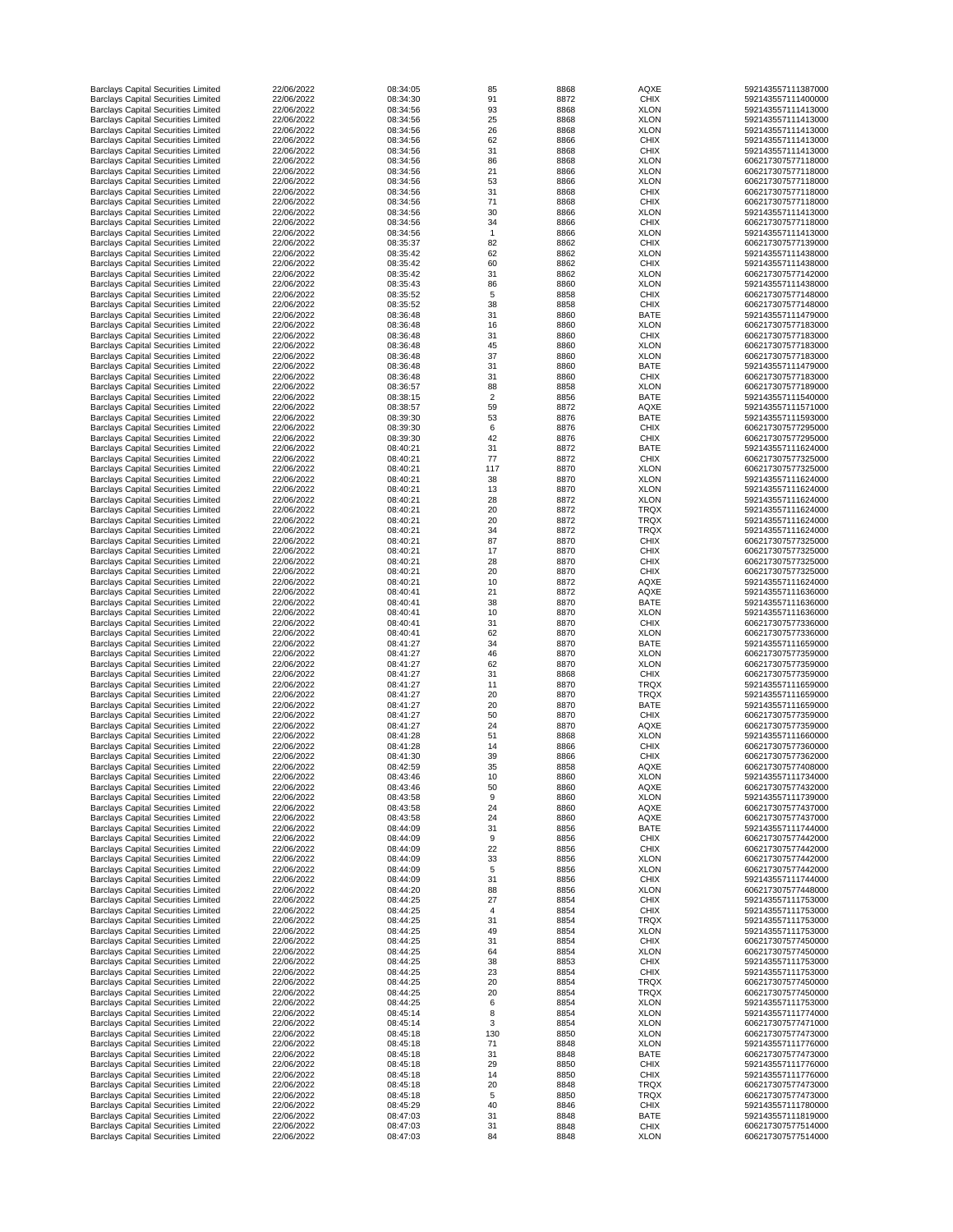| <b>Barclays Capital Securities Limited</b>                                               | 22/06/2022               | 08:34:05             | 85             | 8868         | <b>AQXE</b>                | 592143557111387000                       |
|------------------------------------------------------------------------------------------|--------------------------|----------------------|----------------|--------------|----------------------------|------------------------------------------|
| <b>Barclays Capital Securities Limited</b>                                               | 22/06/2022               | 08:34:30             | 91             | 8872         | <b>CHIX</b>                | 592143557111400000                       |
| <b>Barclays Capital Securities Limited</b>                                               | 22/06/2022               | 08:34:56             | 93             | 8868         | <b>XLON</b>                | 592143557111413000                       |
| <b>Barclays Capital Securities Limited</b>                                               | 22/06/2022               | 08:34:56             | 25             | 8868         | <b>XLON</b>                | 592143557111413000                       |
| <b>Barclays Capital Securities Limited</b>                                               | 22/06/2022               | 08:34:56             | 26             | 8868         | <b>XLON</b>                | 592143557111413000                       |
| <b>Barclays Capital Securities Limited</b><br><b>Barclays Capital Securities Limited</b> | 22/06/2022<br>22/06/2022 | 08:34:56<br>08:34:56 | 62<br>31       | 8866<br>8868 | <b>CHIX</b><br><b>CHIX</b> | 592143557111413000<br>592143557111413000 |
| <b>Barclays Capital Securities Limited</b>                                               | 22/06/2022               | 08:34:56             | 86             | 8868         | <b>XLON</b>                | 606217307577118000                       |
| <b>Barclays Capital Securities Limited</b>                                               | 22/06/2022               | 08:34:56             | 21             | 8866         | <b>XLON</b>                | 606217307577118000                       |
| <b>Barclays Capital Securities Limited</b>                                               | 22/06/2022               | 08:34:56             | 53             | 8866         | <b>XLON</b>                | 606217307577118000                       |
| <b>Barclays Capital Securities Limited</b>                                               | 22/06/2022               | 08:34:56             | 31             | 8868         | <b>CHIX</b>                | 606217307577118000                       |
| <b>Barclays Capital Securities Limited</b>                                               | 22/06/2022               | 08:34:56             | 71             | 8868         | <b>CHIX</b>                | 606217307577118000                       |
| <b>Barclays Capital Securities Limited</b>                                               | 22/06/2022               | 08:34:56             | 30             | 8866         | <b>XLON</b>                | 592143557111413000                       |
| <b>Barclays Capital Securities Limited</b>                                               | 22/06/2022               | 08:34:56             | 34             | 8866         | <b>CHIX</b>                | 606217307577118000                       |
| <b>Barclays Capital Securities Limited</b>                                               | 22/06/2022               | 08:34:56             |                | 8866         | <b>XLON</b>                | 592143557111413000                       |
| <b>Barclays Capital Securities Limited</b><br><b>Barclays Capital Securities Limited</b> | 22/06/2022<br>22/06/2022 | 08:35:37<br>08:35:42 | 82<br>62       | 8862<br>8862 | <b>CHIX</b><br><b>XLON</b> | 606217307577139000<br>592143557111438000 |
| <b>Barclays Capital Securities Limited</b>                                               | 22/06/2022               | 08:35:42             | 60             | 8862         | <b>CHIX</b>                | 592143557111438000                       |
| <b>Barclays Capital Securities Limited</b>                                               | 22/06/2022               | 08:35:42             | 31             | 8862         | <b>XLON</b>                | 606217307577142000                       |
| <b>Barclays Capital Securities Limited</b>                                               | 22/06/2022               | 08:35:43             | 86             | 8860         | <b>XLON</b>                | 592143557111438000                       |
| <b>Barclays Capital Securities Limited</b>                                               | 22/06/2022               | 08:35:52             | 5              | 8858         | <b>CHIX</b>                | 606217307577148000                       |
| <b>Barclays Capital Securities Limited</b>                                               | 22/06/2022               | 08:35:52             | 38             | 8858         | <b>CHIX</b>                | 606217307577148000                       |
| <b>Barclays Capital Securities Limited</b>                                               | 22/06/2022               | 08:36:48             | 31             | 8860         | <b>BATE</b>                | 592143557111479000                       |
| <b>Barclays Capital Securities Limited</b>                                               | 22/06/2022               | 08:36:48             | 16             | 8860         | <b>XLON</b>                | 606217307577183000                       |
| <b>Barclays Capital Securities Limited</b>                                               | 22/06/2022               | 08:36:48             | 31             | 8860         | <b>CHIX</b>                | 606217307577183000                       |
| <b>Barclays Capital Securities Limited</b><br><b>Barclays Capital Securities Limited</b> | 22/06/2022<br>22/06/2022 | 08:36:48<br>08:36:48 | 45<br>37       | 8860<br>8860 | <b>XLON</b><br><b>XLON</b> | 606217307577183000<br>606217307577183000 |
| <b>Barclays Capital Securities Limited</b>                                               | 22/06/2022               | 08:36:48             | 31             | 8860         | <b>BATE</b>                | 592143557111479000                       |
| <b>Barclays Capital Securities Limited</b>                                               | 22/06/2022               | 08:36:48             | 31             | 8860         | <b>CHIX</b>                | 606217307577183000                       |
| <b>Barclays Capital Securities Limited</b>                                               | 22/06/2022               | 08:36:57             | 88             | 8858         | <b>XLON</b>                | 606217307577189000                       |
| <b>Barclays Capital Securities Limited</b>                                               | 22/06/2022               | 08:38:15             | $\overline{2}$ | 8856         | <b>BATE</b>                | 592143557111540000                       |
| <b>Barclays Capital Securities Limited</b>                                               | 22/06/2022               | 08:38:57             | 59             | 8872         | <b>AQXE</b>                | 592143557111571000                       |
| <b>Barclays Capital Securities Limited</b>                                               | 22/06/2022               | 08:39:30             | 53             | 8876         | <b>BATE</b>                | 592143557111593000                       |
| <b>Barclays Capital Securities Limited</b>                                               | 22/06/2022               | 08:39:30             | 6              | 8876         | <b>CHIX</b>                | 606217307577295000                       |
| <b>Barclays Capital Securities Limited</b>                                               | 22/06/2022               | 08:39:30             | 42             | 8876         | <b>CHIX</b>                | 606217307577295000                       |
| <b>Barclays Capital Securities Limited</b>                                               | 22/06/2022               | 08:40:21             | 31             | 8872         | <b>BATE</b>                | 592143557111624000                       |
| <b>Barclays Capital Securities Limited</b><br><b>Barclays Capital Securities Limited</b> | 22/06/2022<br>22/06/2022 | 08:40:21<br>08:40:21 | 77<br>117      | 8872<br>8870 | <b>CHIX</b><br><b>XLON</b> | 606217307577325000<br>606217307577325000 |
| <b>Barclays Capital Securities Limited</b>                                               | 22/06/2022               | 08:40:21             | 38             | 8870         | <b>XLON</b>                | 592143557111624000                       |
| <b>Barclays Capital Securities Limited</b>                                               | 22/06/2022               | 08:40:21             | 13             | 8870         | <b>XLON</b>                | 592143557111624000                       |
| <b>Barclays Capital Securities Limited</b>                                               | 22/06/2022               | 08:40:21             | 28             | 8872         | <b>XLON</b>                | 592143557111624000                       |
| <b>Barclays Capital Securities Limited</b>                                               | 22/06/2022               | 08:40:21             | 20             | 8872         | <b>TRQX</b>                | 592143557111624000                       |
| <b>Barclays Capital Securities Limited</b>                                               | 22/06/2022               | 08:40:21             | 20             | 8872         | <b>TRQX</b>                | 592143557111624000                       |
| <b>Barclays Capital Securities Limited</b>                                               | 22/06/2022               | 08:40:21             | 34             | 8872         | <b>TRQX</b>                | 592143557111624000                       |
| <b>Barclays Capital Securities Limited</b>                                               | 22/06/2022               | 08:40:21             | 87             | 8870         | <b>CHIX</b>                | 606217307577325000                       |
| <b>Barclays Capital Securities Limited</b>                                               | 22/06/2022<br>22/06/2022 | 08:40:21<br>08:40:21 | 17             | 8870         | <b>CHIX</b>                | 606217307577325000<br>606217307577325000 |
| <b>Barclays Capital Securities Limited</b><br><b>Barclays Capital Securities Limited</b> | 22/06/2022               | 08:40:21             | 28<br>20       | 8870<br>8870 | <b>CHIX</b><br><b>CHIX</b> | 606217307577325000                       |
| <b>Barclays Capital Securities Limited</b>                                               | 22/06/2022               | 08:40:21             | 10             | 8872         | <b>AQXE</b>                | 592143557111624000                       |
| <b>Barclays Capital Securities Limited</b>                                               | 22/06/2022               | 08:40:41             | 21             | 8872         | <b>AQXE</b>                | 592143557111636000                       |
| <b>Barclays Capital Securities Limited</b>                                               | 22/06/2022               | 08:40:41             | 38             | 8870         | <b>BATE</b>                | 592143557111636000                       |
| <b>Barclays Capital Securities Limited</b>                                               | 22/06/2022               | 08:40:41             | 10             | 8870         | <b>XLON</b>                | 592143557111636000                       |
| <b>Barclays Capital Securities Limited</b>                                               | 22/06/2022               | 08:40:41             | 31             | 8870         | <b>CHIX</b>                | 606217307577336000                       |
| <b>Barclays Capital Securities Limited</b>                                               | 22/06/2022               | 08:40:41             | 62             | 8870         | <b>XLON</b>                | 606217307577336000                       |
| <b>Barclays Capital Securities Limited</b>                                               | 22/06/2022               | 08:41:27             | 34             | 8870         | <b>BATE</b>                | 592143557111659000                       |
| <b>Barclays Capital Securities Limited</b>                                               | 22/06/2022<br>22/06/2022 | 08:41:27<br>08:41:27 | 46             | 8870         | <b>XLON</b>                | 606217307577359000                       |
| <b>Barclays Capital Securities Limited</b><br><b>Barclays Capital Securities Limited</b> | 22/06/2022               | 08:41:27             | 62<br>31       | 8870<br>8868 | <b>XLON</b><br><b>CHIX</b> | 606217307577359000<br>606217307577359000 |
| <b>Barclays Capital Securities Limited</b>                                               | 22/06/2022               | 08:41:27             | 11             | 8870         | <b>TRQX</b>                | 592143557111659000                       |
| <b>Barclays Capital Securities Limited</b>                                               | 22/06/2022               | 08:41:27             | 20             | 8870         | <b>TRQX</b>                | 592143557111659000                       |
| <b>Barclays Capital Securities Limited</b>                                               | 22/06/2022               | 08:41:27             | 20             | 8870         | <b>BATE</b>                | 592143557111659000                       |
| <b>Barclays Capital Securities Limited</b>                                               | 22/06/2022               | 08:41:27             | 50             | 8870         | <b>CHIX</b>                | 606217307577359000                       |
| <b>Barclays Capital Securities Limited</b>                                               | 22/06/2022               | 08:41:27             | 24             | 8870         | <b>AQXE</b>                | 606217307577359000                       |
| <b>Barclays Capital Securities Limited</b>                                               | 22/06/2022               | 08:41:28             | 51             | 8868         | <b>XLON</b>                | 592143557111660000                       |
| <b>Barclays Capital Securities Limited</b>                                               | 22/06/2022               | 08:41:28             | 14             | 8866         | <b>CHIX</b>                | 606217307577360000                       |
| <b>Barclays Capital Securities Limited</b>                                               | 22/06/2022               | 08:41:30             | 39             | 8866         | <b>CHIX</b>                | 606217307577362000                       |
| <b>Barclays Capital Securities Limited</b><br><b>Barclays Capital Securities Limited</b> | 22/06/2022<br>22/06/2022 | 08:42:59<br>08:43:46 | 35<br>10       | 8858<br>8860 | <b>AQXE</b><br><b>XLON</b> | 606217307577408000<br>592143557111734000 |
| <b>Barclays Capital Securities Limited</b>                                               | 22/06/2022               | 08:43:46             | 50             | 8860         | <b>AQXE</b>                | 606217307577432000                       |
| <b>Barclays Capital Securities Limited</b>                                               | 22/06/2022               | 08:43:58             | 9              | 8860         | <b>XLON</b>                | 592143557111739000                       |
| <b>Barclays Capital Securities Limited</b>                                               | 22/06/2022               | 08:43:58             | 24             | 8860         | <b>AQXE</b>                | 606217307577437000                       |
| <b>Barclays Capital Securities Limited</b>                                               | 22/06/2022               | 08:43:58             | 24             | 8860         | <b>AQXE</b>                | 606217307577437000                       |
| <b>Barclays Capital Securities Limited</b>                                               | 22/06/2022               | 08:44:09             | 31             | 8856         | <b>BATE</b>                | 592143557111744000                       |
| <b>Barclays Capital Securities Limited</b>                                               | 22/06/2022               | 08:44:09             | 9              | 8856         | <b>CHIX</b>                | 606217307577442000                       |
| <b>Barclays Capital Securities Limited</b><br><b>Barclays Capital Securities Limited</b> | 22/06/2022<br>22/06/2022 | 08:44:09<br>08:44:09 | 22             | 8856         | <b>CHIX</b>                | 606217307577442000<br>606217307577442000 |
| <b>Barclays Capital Securities Limited</b>                                               | 22/06/2022               | 08:44:09             | 33<br>5        | 8856<br>8856 | <b>XLON</b><br><b>XLON</b> | 606217307577442000                       |
| <b>Barclays Capital Securities Limited</b>                                               | 22/06/2022               | 08:44:09             | 31             | 8856         | <b>CHIX</b>                | 592143557111744000                       |
| <b>Barclays Capital Securities Limited</b>                                               | 22/06/2022               | 08:44:20             | 88             | 8856         | <b>XLON</b>                | 606217307577448000                       |
| <b>Barclays Capital Securities Limited</b>                                               | 22/06/2022               | 08:44:25             | 27             | 8854         | <b>CHIX</b>                | 592143557111753000                       |
| <b>Barclays Capital Securities Limited</b>                                               | 22/06/2022               | 08:44:25             | 4              | 8854         | <b>CHIX</b>                | 592143557111753000                       |
| <b>Barclays Capital Securities Limited</b>                                               | 22/06/2022               | 08:44:25             | 31             | 8854         | <b>TRQX</b>                | 592143557111753000                       |
| <b>Barclays Capital Securities Limited</b>                                               | 22/06/2022               | 08:44:25             | 49             | 8854         | <b>XLON</b>                | 592143557111753000                       |
| <b>Barclays Capital Securities Limited</b>                                               | 22/06/2022               | 08:44:25             | 31             | 8854         | <b>CHIX</b>                | 606217307577450000                       |
| <b>Barclays Capital Securities Limited</b>                                               | 22/06/2022               | 08:44:25             | 64             | 8854         | <b>XLON</b>                | 606217307577450000                       |
| <b>Barclays Capital Securities Limited</b><br><b>Barclays Capital Securities Limited</b> | 22/06/2022<br>22/06/2022 | 08:44:25<br>08:44:25 | 38<br>23       | 8853<br>8854 | <b>CHIX</b><br><b>CHIX</b> | 592143557111753000<br>592143557111753000 |
| <b>Barclays Capital Securities Limited</b>                                               | 22/06/2022               | 08:44:25             | 20             | 8854         | <b>TRQX</b>                | 606217307577450000                       |
| <b>Barclays Capital Securities Limited</b>                                               | 22/06/2022               | 08:44:25             | 20             | 8854         | <b>TRQX</b>                | 606217307577450000                       |
| <b>Barclays Capital Securities Limited</b>                                               | 22/06/2022               | 08:44:25             | 6              | 8854         | <b>XLON</b>                | 592143557111753000                       |
| <b>Barclays Capital Securities Limited</b>                                               | 22/06/2022               | 08:45:14             |                | 8854         | <b>XLON</b>                | 592143557111774000                       |
| <b>Barclays Capital Securities Limited</b>                                               | 22/06/2022               | 08:45:14             | 3              | 8854         | <b>XLON</b>                | 606217307577471000                       |
| <b>Barclays Capital Securities Limited</b>                                               | 22/06/2022               | 08:45:18             | 130            | 8850         | <b>XLON</b>                | 606217307577473000                       |
| <b>Barclays Capital Securities Limited</b>                                               | 22/06/2022               | 08:45:18             | 71             | 8848         | <b>XLON</b>                | 592143557111776000                       |
| <b>Barclays Capital Securities Limited</b>                                               | 22/06/2022               | 08:45:18             | 31             | 8848         | <b>BATE</b>                | 606217307577473000                       |
| <b>Barclays Capital Securities Limited</b><br><b>Barclays Capital Securities Limited</b> | 22/06/2022<br>22/06/2022 | 08:45:18<br>08:45:18 | 29<br>14       | 8850<br>8850 | <b>CHIX</b><br><b>CHIX</b> | 592143557111776000<br>592143557111776000 |
| <b>Barclays Capital Securities Limited</b>                                               | 22/06/2022               | 08:45:18             | 20             | 8848         | <b>TRQX</b>                | 606217307577473000                       |
| <b>Barclays Capital Securities Limited</b>                                               | 22/06/2022               | 08:45:18             | 5              | 8850         | <b>TRQX</b>                | 606217307577473000                       |
| <b>Barclays Capital Securities Limited</b>                                               | 22/06/2022               | 08:45:29             | 40             | 8846         | <b>CHIX</b>                | 592143557111780000                       |
| <b>Barclays Capital Securities Limited</b>                                               | 22/06/2022               | 08:47:03             | 31             | 8848         | <b>BATE</b>                | 592143557111819000                       |
| <b>Barclays Capital Securities Limited</b>                                               | 22/06/2022               | 08:47:03             | 31             | 8848         | <b>CHIX</b>                | 606217307577514000                       |
| <b>Barclays Capital Securities Limited</b>                                               | 22/06/2022               | 08:47:03             | 84             | 8848         | <b>XLON</b>                | 606217307577514000                       |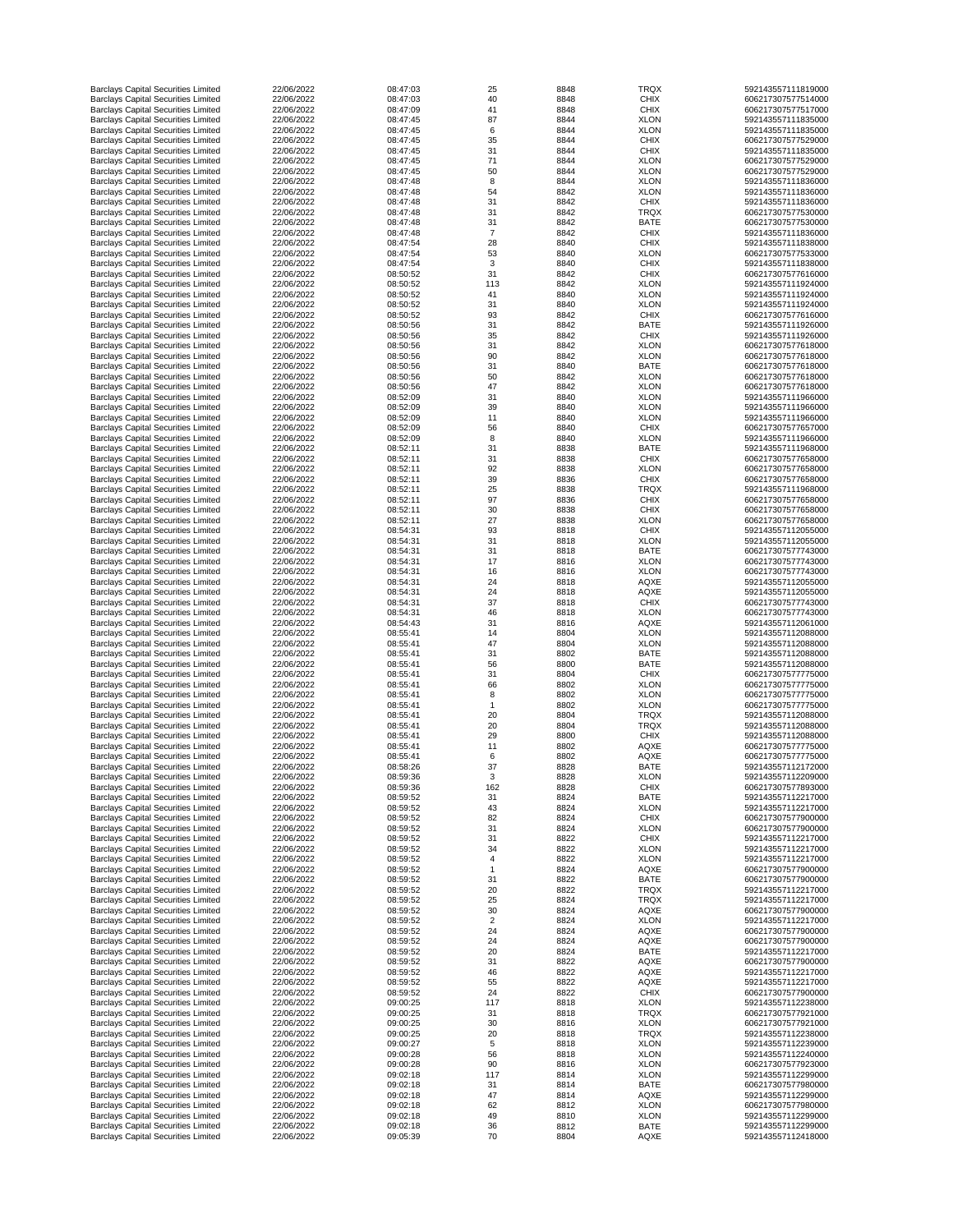| <b>Barclays Capital Securities Limited</b> | 22/06/2022 | 08:47:03 | 25             | 8848 | <b>TRQX</b> | 592143557111819000 |
|--------------------------------------------|------------|----------|----------------|------|-------------|--------------------|
| <b>Barclays Capital Securities Limited</b> | 22/06/2022 | 08:47:03 | 40             | 8848 | <b>CHIX</b> | 606217307577514000 |
| <b>Barclays Capital Securities Limited</b> | 22/06/2022 | 08:47:09 | 41             | 8848 | <b>CHIX</b> | 606217307577517000 |
| <b>Barclays Capital Securities Limited</b> | 22/06/2022 | 08:47:45 | 87             | 8844 | <b>XLON</b> | 592143557111835000 |
| <b>Barclays Capital Securities Limited</b> | 22/06/2022 | 08:47:45 | 6              | 8844 | <b>XLON</b> | 592143557111835000 |
|                                            |            |          |                |      |             |                    |
| <b>Barclays Capital Securities Limited</b> | 22/06/2022 | 08:47:45 | 35             | 8844 | <b>CHIX</b> | 606217307577529000 |
| <b>Barclays Capital Securities Limited</b> | 22/06/2022 | 08:47:45 | 31             | 8844 | <b>CHIX</b> | 592143557111835000 |
| <b>Barclays Capital Securities Limited</b> | 22/06/2022 | 08:47:45 | 71             | 8844 | <b>XLON</b> | 606217307577529000 |
| <b>Barclays Capital Securities Limited</b> | 22/06/2022 | 08:47:45 | 50             | 8844 | <b>XLON</b> | 606217307577529000 |
| <b>Barclays Capital Securities Limited</b> | 22/06/2022 | 08:47:48 | 8              | 8844 | <b>XLON</b> | 592143557111836000 |
| <b>Barclays Capital Securities Limited</b> | 22/06/2022 | 08:47:48 | 54             | 8842 | <b>XLON</b> | 592143557111836000 |
| <b>Barclays Capital Securities Limited</b> | 22/06/2022 | 08:47:48 | 31             | 8842 | <b>CHIX</b> | 592143557111836000 |
| <b>Barclays Capital Securities Limited</b> | 22/06/2022 | 08:47:48 | 31             | 8842 | <b>TRQX</b> | 606217307577530000 |
|                                            |            |          |                |      |             |                    |
| <b>Barclays Capital Securities Limited</b> | 22/06/2022 | 08:47:48 | 31             | 8842 | <b>BATE</b> | 606217307577530000 |
| <b>Barclays Capital Securities Limited</b> | 22/06/2022 | 08:47:48 | $\overline{7}$ | 8842 | <b>CHIX</b> | 592143557111836000 |
| <b>Barclays Capital Securities Limited</b> | 22/06/2022 | 08:47:54 | 28             | 8840 | <b>CHIX</b> | 592143557111838000 |
| <b>Barclays Capital Securities Limited</b> | 22/06/2022 | 08:47:54 | 53             | 8840 | <b>XLON</b> | 606217307577533000 |
| <b>Barclays Capital Securities Limited</b> | 22/06/2022 | 08:47:54 | 3              | 8840 | <b>CHIX</b> | 592143557111838000 |
| <b>Barclays Capital Securities Limited</b> | 22/06/2022 | 08:50:52 | 31             | 8842 | <b>CHIX</b> | 606217307577616000 |
|                                            |            |          |                |      |             |                    |
| <b>Barclays Capital Securities Limited</b> | 22/06/2022 | 08:50:52 | 113            | 8842 | <b>XLON</b> | 592143557111924000 |
| <b>Barclays Capital Securities Limited</b> | 22/06/2022 | 08:50:52 | 41             | 8840 | <b>XLON</b> | 592143557111924000 |
| <b>Barclays Capital Securities Limited</b> | 22/06/2022 | 08:50:52 | 31             | 8840 | <b>XLON</b> | 592143557111924000 |
| <b>Barclays Capital Securities Limited</b> | 22/06/2022 | 08:50:52 | 93             | 8842 | <b>CHIX</b> | 606217307577616000 |
| <b>Barclays Capital Securities Limited</b> | 22/06/2022 | 08:50:56 | 31             | 8842 | <b>BATE</b> | 592143557111926000 |
| <b>Barclays Capital Securities Limited</b> | 22/06/2022 | 08:50:56 | 35             | 8842 | <b>CHIX</b> | 592143557111926000 |
| <b>Barclays Capital Securities Limited</b> | 22/06/2022 | 08:50:56 | 31             | 8842 | <b>XLON</b> | 606217307577618000 |
|                                            | 22/06/2022 | 08:50:56 | 90             |      |             | 606217307577618000 |
| <b>Barclays Capital Securities Limited</b> |            |          |                | 8842 | <b>XLON</b> |                    |
| <b>Barclays Capital Securities Limited</b> | 22/06/2022 | 08:50:56 | 31             | 8840 | <b>BATE</b> | 606217307577618000 |
| <b>Barclays Capital Securities Limited</b> | 22/06/2022 | 08:50:56 | 50             | 8842 | <b>XLON</b> | 606217307577618000 |
| <b>Barclays Capital Securities Limited</b> | 22/06/2022 | 08:50:56 | 47             | 8842 | <b>XLON</b> | 606217307577618000 |
| <b>Barclays Capital Securities Limited</b> | 22/06/2022 | 08:52:09 | 31             | 8840 | <b>XLON</b> | 592143557111966000 |
| <b>Barclays Capital Securities Limited</b> | 22/06/2022 | 08:52:09 | 39             | 8840 | <b>XLON</b> | 592143557111966000 |
| <b>Barclays Capital Securities Limited</b> | 22/06/2022 | 08:52:09 | 11             | 8840 | <b>XLON</b> | 592143557111966000 |
|                                            |            |          |                |      |             |                    |
| <b>Barclays Capital Securities Limited</b> | 22/06/2022 | 08:52:09 | 56             | 8840 | <b>CHIX</b> | 606217307577657000 |
| <b>Barclays Capital Securities Limited</b> | 22/06/2022 | 08:52:09 | 8              | 8840 | <b>XLON</b> | 592143557111966000 |
| <b>Barclays Capital Securities Limited</b> | 22/06/2022 | 08:52:11 | 31             | 8838 | <b>BATE</b> | 592143557111968000 |
| <b>Barclays Capital Securities Limited</b> | 22/06/2022 | 08:52:11 | 31             | 8838 | <b>CHIX</b> | 606217307577658000 |
| <b>Barclays Capital Securities Limited</b> | 22/06/2022 | 08:52:11 | 92             | 8838 | <b>XLON</b> | 606217307577658000 |
| <b>Barclays Capital Securities Limited</b> | 22/06/2022 | 08:52:11 | 39             | 8836 | <b>CHIX</b> | 606217307577658000 |
|                                            |            |          |                |      |             |                    |
| <b>Barclays Capital Securities Limited</b> | 22/06/2022 | 08:52:11 | 25             | 8838 | <b>TRQX</b> | 592143557111968000 |
| <b>Barclays Capital Securities Limited</b> | 22/06/2022 | 08:52:11 | 97             | 8836 | <b>CHIX</b> | 606217307577658000 |
| <b>Barclays Capital Securities Limited</b> | 22/06/2022 | 08:52:11 | 30             | 8838 | <b>CHIX</b> | 606217307577658000 |
| <b>Barclays Capital Securities Limited</b> | 22/06/2022 | 08:52:11 | 27             | 8838 | <b>XLON</b> | 606217307577658000 |
| <b>Barclays Capital Securities Limited</b> | 22/06/2022 | 08:54:31 | 93             | 8818 | <b>CHIX</b> | 592143557112055000 |
| <b>Barclays Capital Securities Limited</b> | 22/06/2022 | 08:54:31 | 31             | 8818 | <b>XLON</b> | 592143557112055000 |
|                                            | 22/06/2022 |          |                |      |             |                    |
| <b>Barclays Capital Securities Limited</b> |            | 08:54:31 | 31             | 8818 | <b>BATE</b> | 606217307577743000 |
| <b>Barclays Capital Securities Limited</b> | 22/06/2022 | 08:54:31 | 17             | 8816 | <b>XLON</b> | 606217307577743000 |
| <b>Barclays Capital Securities Limited</b> | 22/06/2022 | 08:54:31 | 16             | 8816 | <b>XLON</b> | 606217307577743000 |
| <b>Barclays Capital Securities Limited</b> | 22/06/2022 | 08:54:31 | 24             | 8818 | <b>AQXE</b> | 592143557112055000 |
| <b>Barclays Capital Securities Limited</b> | 22/06/2022 | 08:54:31 | 24             | 8818 | <b>AQXE</b> | 592143557112055000 |
| <b>Barclays Capital Securities Limited</b> | 22/06/2022 | 08:54:31 | 37             | 8818 | <b>CHIX</b> | 606217307577743000 |
| <b>Barclays Capital Securities Limited</b> | 22/06/2022 | 08:54:31 | 46             | 8818 | <b>XLON</b> | 606217307577743000 |
|                                            |            |          |                |      |             |                    |
| <b>Barclays Capital Securities Limited</b> | 22/06/2022 | 08:54:43 | 31             | 8816 | <b>AQXE</b> | 592143557112061000 |
| <b>Barclays Capital Securities Limited</b> | 22/06/2022 | 08:55:41 | 14             | 8804 | <b>XLON</b> | 592143557112088000 |
| <b>Barclays Capital Securities Limited</b> | 22/06/2022 | 08:55:41 | 47             | 8804 | <b>XLON</b> | 592143557112088000 |
| <b>Barclays Capital Securities Limited</b> | 22/06/2022 | 08:55:41 | 31             | 8802 | <b>BATE</b> | 592143557112088000 |
| <b>Barclays Capital Securities Limited</b> | 22/06/2022 | 08:55:41 | 56             | 8800 | <b>BATE</b> | 592143557112088000 |
| <b>Barclays Capital Securities Limited</b> | 22/06/2022 | 08:55:41 | 31             | 8804 | <b>CHIX</b> | 606217307577775000 |
| <b>Barclays Capital Securities Limited</b> | 22/06/2022 | 08:55:41 | 66             | 8802 | <b>XLON</b> | 606217307577775000 |
|                                            |            |          |                |      |             | 606217307577775000 |
| <b>Barclays Capital Securities Limited</b> | 22/06/2022 | 08:55:41 | 8              | 8802 | <b>XLON</b> |                    |
| <b>Barclays Capital Securities Limited</b> | 22/06/2022 | 08:55:41 |                | 8802 | <b>XLON</b> | 606217307577775000 |
| <b>Barclays Capital Securities Limited</b> | 22/06/2022 | 08:55:41 | 20             | 8804 | <b>TRQX</b> | 592143557112088000 |
| <b>Barclays Capital Securities Limited</b> | 22/06/2022 | 08:55:41 | 20             | 8804 | <b>TRQX</b> | 592143557112088000 |
| <b>Barclays Capital Securities Limited</b> | 22/06/2022 | 08:55:41 | 29             | 8800 | <b>CHIX</b> | 592143557112088000 |
| <b>Barclays Capital Securities Limited</b> | 22/06/2022 | 08:55:41 | 11             | 8802 | <b>AQXE</b> | 606217307577775000 |
| <b>Barclays Capital Securities Limited</b> | 22/06/2022 | 08:55:41 | 6              | 8802 | <b>AQXE</b> | 606217307577775000 |
| <b>Barclays Capital Securities Limited</b> | 22/06/2022 | 08:58:26 | 37             | 8828 | <b>BATE</b> | 592143557112172000 |
|                                            |            |          |                |      |             |                    |
| <b>Barclays Capital Securities Limited</b> | 22/06/2022 | 08:59:36 | 3              | 8828 | <b>XLON</b> | 592143557112209000 |
| <b>Barclays Capital Securities Limited</b> | 22/06/2022 | 08:59:36 | 162            | 8828 | <b>CHIX</b> | 606217307577893000 |
| <b>Barclays Capital Securities Limited</b> | 22/06/2022 | 08:59:52 | 31             | 8824 | <b>BATE</b> | 592143557112217000 |
| <b>Barclays Capital Securities Limited</b> | 22/06/2022 | 08:59:52 | 43             | 8824 | <b>XLON</b> | 592143557112217000 |
| <b>Barclays Capital Securities Limited</b> | 22/06/2022 | 08:59:52 | 82             | 8824 | <b>CHIX</b> | 606217307577900000 |
| <b>Barclays Capital Securities Limited</b> | 22/06/2022 | 08:59:52 | 31             | 8824 | <b>XLON</b> | 606217307577900000 |
| <b>Barclays Capital Securities Limited</b> | 22/06/2022 | 08:59:52 | 31             | 8822 | <b>CHIX</b> | 592143557112217000 |
| <b>Barclays Capital Securities Limited</b> | 22/06/2022 | 08:59:52 | 34             | 8822 | <b>XLON</b> | 592143557112217000 |
|                                            |            |          |                |      |             |                    |
| <b>Barclays Capital Securities Limited</b> | 22/06/2022 | 08:59:52 |                | 8822 | <b>XLON</b> | 592143557112217000 |
| <b>Barclays Capital Securities Limited</b> | 22/06/2022 | 08:59:52 |                | 8824 | <b>AQXE</b> | 606217307577900000 |
| <b>Barclays Capital Securities Limited</b> | 22/06/2022 | 08:59:52 | 31             | 8822 | <b>BATE</b> | 606217307577900000 |
| <b>Barclays Capital Securities Limited</b> | 22/06/2022 | 08:59:52 | 20             | 8822 | <b>TRQX</b> | 592143557112217000 |
| <b>Barclays Capital Securities Limited</b> | 22/06/2022 | 08:59:52 | 25             | 8824 | <b>TRQX</b> | 592143557112217000 |
| <b>Barclays Capital Securities Limited</b> | 22/06/2022 | 08:59:52 | 30             | 8824 | <b>AQXE</b> | 606217307577900000 |
| <b>Barclays Capital Securities Limited</b> | 22/06/2022 | 08:59:52 | $\overline{2}$ |      |             | 592143557112217000 |
|                                            |            |          |                | 8824 | <b>XLON</b> |                    |
| <b>Barclays Capital Securities Limited</b> | 22/06/2022 | 08:59:52 | 24             | 8824 | <b>AQXE</b> | 606217307577900000 |
| <b>Barclays Capital Securities Limited</b> | 22/06/2022 | 08:59:52 | 24             | 8824 | <b>AQXE</b> | 606217307577900000 |
| <b>Barclays Capital Securities Limited</b> | 22/06/2022 | 08:59:52 | 20             | 8824 | <b>BATE</b> | 592143557112217000 |
| <b>Barclays Capital Securities Limited</b> | 22/06/2022 | 08:59:52 | 31             | 8822 | <b>AQXE</b> | 606217307577900000 |
| <b>Barclays Capital Securities Limited</b> | 22/06/2022 | 08:59:52 | 46             | 8822 | <b>AQXE</b> | 592143557112217000 |
| <b>Barclays Capital Securities Limited</b> | 22/06/2022 | 08:59:52 | 55             | 8822 | <b>AQXE</b> | 592143557112217000 |
| <b>Barclays Capital Securities Limited</b> | 22/06/2022 | 08:59:52 | 24             |      | <b>CHIX</b> | 606217307577900000 |
|                                            |            |          |                | 8822 |             |                    |
| <b>Barclays Capital Securities Limited</b> | 22/06/2022 | 09:00:25 | 117            | 8818 | <b>XLON</b> | 592143557112238000 |
| <b>Barclays Capital Securities Limited</b> | 22/06/2022 | 09:00:25 | 31             | 8818 | <b>TRQX</b> | 606217307577921000 |
| <b>Barclays Capital Securities Limited</b> | 22/06/2022 | 09:00:25 | 30             | 8816 | <b>XLON</b> | 606217307577921000 |
| <b>Barclays Capital Securities Limited</b> | 22/06/2022 | 09:00:25 | 20             | 8818 | <b>TRQX</b> | 592143557112238000 |
| <b>Barclays Capital Securities Limited</b> | 22/06/2022 | 09:00:27 | 5              | 8818 | <b>XLON</b> | 592143557112239000 |
| <b>Barclays Capital Securities Limited</b> | 22/06/2022 | 09:00:28 | 56             | 8818 | <b>XLON</b> | 592143557112240000 |
|                                            | 22/06/2022 | 09:00:28 | 90             | 8816 | <b>XLON</b> | 606217307577923000 |
| <b>Barclays Capital Securities Limited</b> |            |          |                |      |             |                    |
| <b>Barclays Capital Securities Limited</b> | 22/06/2022 | 09:02:18 | 117            | 8814 | <b>XLON</b> | 592143557112299000 |
| <b>Barclays Capital Securities Limited</b> | 22/06/2022 | 09:02:18 | 31             | 8814 | <b>BATE</b> | 606217307577980000 |
| <b>Barclays Capital Securities Limited</b> | 22/06/2022 | 09:02:18 | 47             | 8814 | <b>AQXE</b> | 592143557112299000 |
| <b>Barclays Capital Securities Limited</b> | 22/06/2022 | 09:02:18 | 62             | 8812 | <b>XLON</b> | 606217307577980000 |
| <b>Barclays Capital Securities Limited</b> | 22/06/2022 | 09:02:18 | 49             | 8810 | <b>XLON</b> | 592143557112299000 |
| <b>Barclays Capital Securities Limited</b> | 22/06/2022 | 09:02:18 | 36             | 8812 | <b>BATE</b> | 592143557112299000 |
| <b>Barclays Capital Securities Limited</b> | 22/06/2022 | 09:05:39 | 70             | 8804 | <b>AQXE</b> | 592143557112418000 |
|                                            |            |          |                |      |             |                    |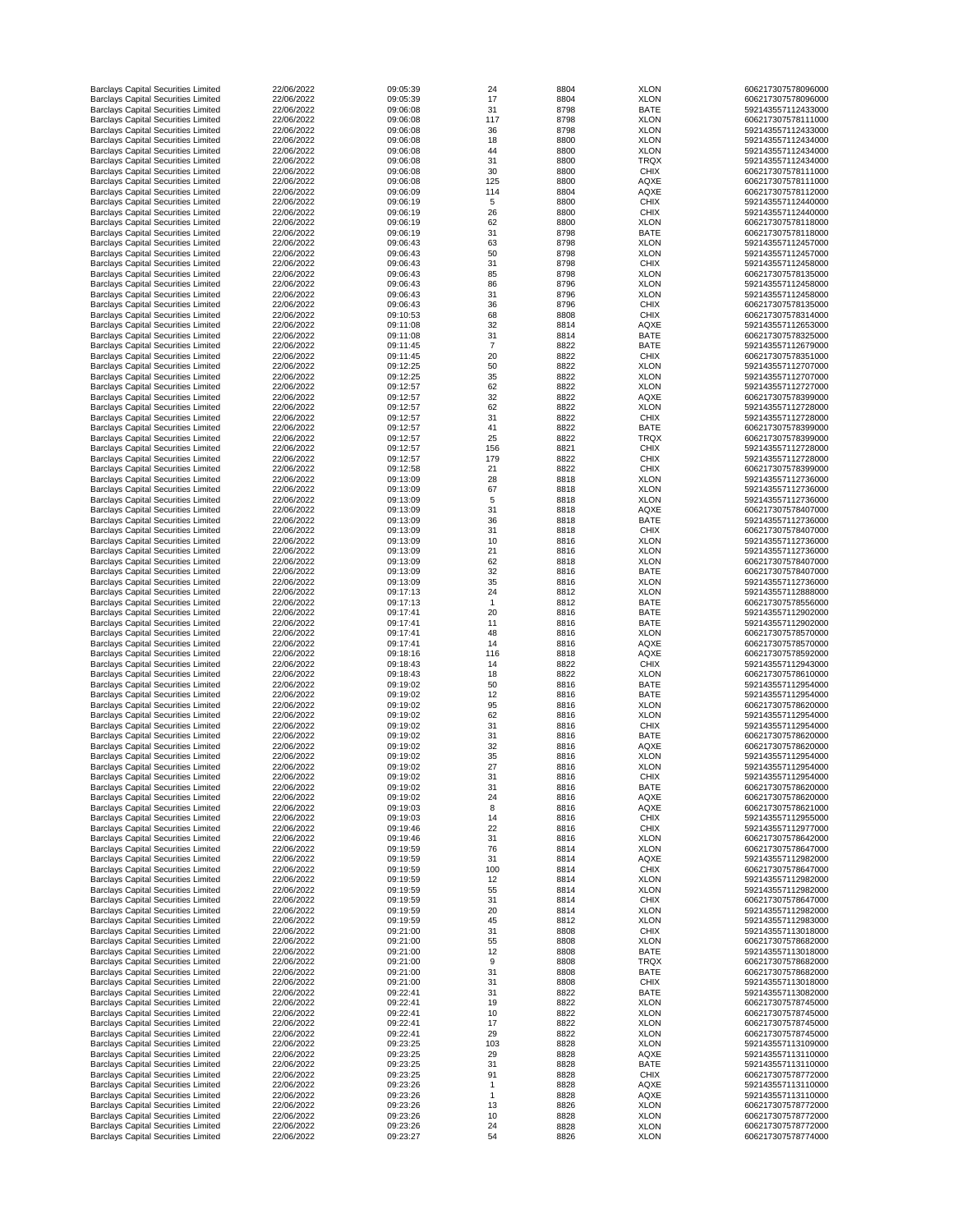| <b>Barclays Capital Securities Limited</b>                                               | 22/06/2022               | 09:05:39             | 24             | 8804         | <b>XLON</b>                | 606217307578096000                       |
|------------------------------------------------------------------------------------------|--------------------------|----------------------|----------------|--------------|----------------------------|------------------------------------------|
| <b>Barclays Capital Securities Limited</b>                                               | 22/06/2022               | 09:05:39             | 17             | 8804         | <b>XLON</b>                | 606217307578096000                       |
| <b>Barclays Capital Securities Limited</b>                                               | 22/06/2022               | 09:06:08             | 31             | 8798         | <b>BATE</b>                | 592143557112433000                       |
| <b>Barclays Capital Securities Limited</b>                                               | 22/06/2022               | 09:06:08             | 117            | 8798         | <b>XLON</b>                | 606217307578111000                       |
| <b>Barclays Capital Securities Limited</b>                                               | 22/06/2022               | 09:06:08             | 36             | 8798         | <b>XLON</b>                | 592143557112433000                       |
| <b>Barclays Capital Securities Limited</b><br><b>Barclays Capital Securities Limited</b> | 22/06/2022<br>22/06/2022 | 09:06:08<br>09:06:08 | 18<br>44       | 8800<br>8800 | <b>XLON</b><br><b>XLON</b> | 592143557112434000<br>592143557112434000 |
| <b>Barclays Capital Securities Limited</b>                                               | 22/06/2022               | 09:06:08             | 31             | 8800         | <b>TRQX</b>                | 592143557112434000                       |
| <b>Barclays Capital Securities Limited</b>                                               | 22/06/2022               | 09:06:08             | 30             | 8800         | <b>CHIX</b>                | 606217307578111000                       |
| <b>Barclays Capital Securities Limited</b>                                               | 22/06/2022               | 09:06:08             | 125            | 8800         | <b>AQXE</b>                | 606217307578111000                       |
| <b>Barclays Capital Securities Limited</b>                                               | 22/06/2022               | 09:06:09             | 114            | 8804         | <b>AQXE</b>                | 606217307578112000                       |
| <b>Barclays Capital Securities Limited</b>                                               | 22/06/2022               | 09:06:19             | 5              | 8800         | <b>CHIX</b>                | 592143557112440000                       |
| <b>Barclays Capital Securities Limited</b>                                               | 22/06/2022               | 09:06:19             | 26             | 8800         | <b>CHIX</b>                | 592143557112440000                       |
| <b>Barclays Capital Securities Limited</b>                                               | 22/06/2022               | 09:06:19             | 62             | 8800         | <b>XLON</b>                | 606217307578118000                       |
| <b>Barclays Capital Securities Limited</b>                                               | 22/06/2022               | 09:06:19             | 31             | 8798         | <b>BATE</b>                | 606217307578118000                       |
| <b>Barclays Capital Securities Limited</b>                                               | 22/06/2022               | 09:06:43             | 63             | 8798         | <b>XLON</b>                | 592143557112457000                       |
| <b>Barclays Capital Securities Limited</b>                                               | 22/06/2022               | 09:06:43             | 50             | 8798         | <b>XLON</b>                | 592143557112457000                       |
| <b>Barclays Capital Securities Limited</b>                                               | 22/06/2022               | 09:06:43             | 31             | 8798         | <b>CHIX</b>                | 592143557112458000                       |
| <b>Barclays Capital Securities Limited</b>                                               | 22/06/2022               | 09:06:43             | 85             | 8798         | <b>XLON</b>                | 606217307578135000                       |
| <b>Barclays Capital Securities Limited</b>                                               | 22/06/2022               | 09:06:43             | 86             | 8796         | <b>XLON</b>                | 592143557112458000                       |
| <b>Barclays Capital Securities Limited</b>                                               | 22/06/2022               | 09:06:43             | 31             | 8796         | <b>XLON</b>                | 592143557112458000                       |
| <b>Barclays Capital Securities Limited</b>                                               | 22/06/2022               | 09:06:43             | 36             | 8796         | <b>CHIX</b>                | 606217307578135000                       |
| <b>Barclays Capital Securities Limited</b>                                               | 22/06/2022<br>22/06/2022 | 09:10:53<br>09:11:08 | 68<br>32       | 8808<br>8814 | <b>CHIX</b><br><b>AQXE</b> | 606217307578314000<br>592143557112653000 |
| <b>Barclays Capital Securities Limited</b><br><b>Barclays Capital Securities Limited</b> | 22/06/2022               | 09:11:08             | 31             | 8814         | <b>BATE</b>                | 606217307578325000                       |
| <b>Barclays Capital Securities Limited</b>                                               | 22/06/2022               | 09:11:45             | $\overline{7}$ | 8822         | <b>BATE</b>                | 592143557112679000                       |
| <b>Barclays Capital Securities Limited</b>                                               | 22/06/2022               | 09:11:45             | 20             | 8822         | <b>CHIX</b>                | 606217307578351000                       |
| <b>Barclays Capital Securities Limited</b>                                               | 22/06/2022               | 09:12:25             | 50             | 8822         | <b>XLON</b>                | 592143557112707000                       |
| <b>Barclays Capital Securities Limited</b>                                               | 22/06/2022               | 09:12:25             | 35             | 8822         | <b>XLON</b>                | 592143557112707000                       |
| <b>Barclays Capital Securities Limited</b>                                               | 22/06/2022               | 09:12:57             | 62             | 8822         | <b>XLON</b>                | 592143557112727000                       |
| <b>Barclays Capital Securities Limited</b>                                               | 22/06/2022               | 09:12:57             | 32             | 8822         | <b>AQXE</b>                | 606217307578399000                       |
| <b>Barclays Capital Securities Limited</b>                                               | 22/06/2022               | 09:12:57             | 62             | 8822         | <b>XLON</b>                | 592143557112728000                       |
| <b>Barclays Capital Securities Limited</b>                                               | 22/06/2022               | 09:12:57             | 31             | 8822         | <b>CHIX</b>                | 592143557112728000                       |
| <b>Barclays Capital Securities Limited</b>                                               | 22/06/2022               | 09:12:57             | 41             | 8822         | <b>BATE</b>                | 606217307578399000                       |
| <b>Barclays Capital Securities Limited</b>                                               | 22/06/2022               | 09:12:57             | 25             | 8822         | <b>TRQX</b>                | 606217307578399000                       |
| <b>Barclays Capital Securities Limited</b>                                               | 22/06/2022               | 09:12:57             | 156            | 8821         | <b>CHIX</b>                | 592143557112728000                       |
| <b>Barclays Capital Securities Limited</b>                                               | 22/06/2022               | 09:12:57             | 179            | 8822         | <b>CHIX</b>                | 592143557112728000                       |
| <b>Barclays Capital Securities Limited</b>                                               | 22/06/2022               | 09:12:58             | 21             | 8822         | <b>CHIX</b>                | 606217307578399000                       |
| <b>Barclays Capital Securities Limited</b>                                               | 22/06/2022               | 09:13:09             | 28             | 8818         | <b>XLON</b>                | 592143557112736000                       |
| <b>Barclays Capital Securities Limited</b>                                               | 22/06/2022               | 09:13:09             | 67             | 8818         | <b>XLON</b>                | 592143557112736000                       |
| <b>Barclays Capital Securities Limited</b>                                               | 22/06/2022               | 09:13:09             | 5              | 8818         | <b>XLON</b>                | 592143557112736000                       |
| <b>Barclays Capital Securities Limited</b>                                               | 22/06/2022               | 09:13:09             | 31             | 8818         | <b>AQXE</b>                | 606217307578407000                       |
| <b>Barclays Capital Securities Limited</b>                                               | 22/06/2022               | 09:13:09             | 36             | 8818         | <b>BATE</b>                | 592143557112736000                       |
| <b>Barclays Capital Securities Limited</b>                                               | 22/06/2022               | 09:13:09             | 31             | 8818         | <b>CHIX</b>                | 606217307578407000                       |
| <b>Barclays Capital Securities Limited</b><br><b>Barclays Capital Securities Limited</b> | 22/06/2022<br>22/06/2022 | 09:13:09<br>09:13:09 | 10<br>21       | 8816<br>8816 | <b>XLON</b><br><b>XLON</b> | 592143557112736000<br>592143557112736000 |
| <b>Barclays Capital Securities Limited</b>                                               | 22/06/2022               | 09:13:09             | 62             | 8818         | <b>XLON</b>                | 606217307578407000                       |
| <b>Barclays Capital Securities Limited</b>                                               | 22/06/2022               | 09:13:09             | 32             | 8816         | <b>BATE</b>                | 606217307578407000                       |
| <b>Barclays Capital Securities Limited</b>                                               | 22/06/2022               | 09:13:09             | 35             | 8816         | <b>XLON</b>                | 592143557112736000                       |
| <b>Barclays Capital Securities Limited</b>                                               | 22/06/2022               | 09:17:13             | 24             | 8812         | <b>XLON</b>                | 592143557112888000                       |
| <b>Barclays Capital Securities Limited</b>                                               | 22/06/2022               | 09:17:13             |                | 8812         | <b>BATE</b>                | 606217307578556000                       |
| <b>Barclays Capital Securities Limited</b>                                               | 22/06/2022               | 09:17:41             | 20             | 8816         | <b>BATE</b>                | 592143557112902000                       |
| <b>Barclays Capital Securities Limited</b>                                               | 22/06/2022               | 09:17:41             | 11             | 8816         | <b>BATE</b>                | 592143557112902000                       |
| <b>Barclays Capital Securities Limited</b>                                               | 22/06/2022               | 09:17:41             | 48             | 8816         | <b>XLON</b>                | 606217307578570000                       |
| <b>Barclays Capital Securities Limited</b>                                               | 22/06/2022               | 09:17:41             | 14             | 8816         | <b>AQXE</b>                | 606217307578570000                       |
| <b>Barclays Capital Securities Limited</b>                                               | 22/06/2022               | 09:18:16             | 116            | 8818         | <b>AQXE</b>                | 606217307578592000                       |
| <b>Barclays Capital Securities Limited</b>                                               | 22/06/2022               | 09:18:43             | 14             | 8822         | <b>CHIX</b>                | 592143557112943000                       |
| <b>Barclays Capital Securities Limited</b>                                               | 22/06/2022               | 09:18:43             | 18             | 8822         | <b>XLON</b>                | 606217307578610000                       |
| <b>Barclays Capital Securities Limited</b>                                               | 22/06/2022               | 09:19:02             | 50             | 8816         | <b>BATE</b>                | 592143557112954000                       |
| <b>Barclays Capital Securities Limited</b>                                               | 22/06/2022               | 09:19:02             | 12             | 8816         | <b>BATE</b>                | 592143557112954000                       |
| <b>Barclays Capital Securities Limited</b>                                               | 22/06/2022               | 09:19:02             | 95             | 8816         | <b>XLON</b>                | 606217307578620000                       |
| <b>Barclays Capital Securities Limited</b>                                               | 22/06/2022               | 09:19:02             | 62             | 8816         | <b>XLON</b>                | 592143557112954000                       |
| <b>Barclays Capital Securities Limited</b>                                               | 22/06/2022<br>22/06/2022 | 09:19:02             | 31             | 8816         | <b>CHIX</b>                | 592143557112954000                       |
| <b>Barclays Capital Securities Limited</b><br><b>Barclays Capital Securities Limited</b> | 22/06/2022               | 09:19:02<br>09:19:02 | 31<br>32       | 8816<br>8816 | <b>BATE</b><br><b>AQXE</b> | 606217307578620000<br>606217307578620000 |
| <b>Barclays Capital Securities Limited</b>                                               | 22/06/2022               | 09:19:02             | 35             | 8816         | <b>XLON</b>                | 592143557112954000                       |
| <b>Barclays Capital Securities Limited</b>                                               | 22/06/2022               | 09:19:02             | 27             | 8816         | <b>XLON</b>                | 592143557112954000                       |
| <b>Barclays Capital Securities Limited</b>                                               | 22/06/2022               | 09:19:02             | 31             | 8816         | <b>CHIX</b>                | 592143557112954000                       |
| <b>Barclays Capital Securities Limited</b>                                               | 22/06/2022               | 09:19:02             | 31             | 8816         | <b>BATE</b>                | 606217307578620000                       |
| <b>Barclays Capital Securities Limited</b>                                               | 22/06/2022               | 09:19:02             | 24             | 8816         | <b>AQXE</b>                | 606217307578620000                       |
| <b>Barclays Capital Securities Limited</b>                                               | 22/06/2022               | 09:19:03             | 8              | 8816         | <b>AQXE</b>                | 606217307578621000                       |
| <b>Barclays Capital Securities Limited</b>                                               | 22/06/2022               | 09:19:03             | 14             | 8816         | <b>CHIX</b>                | 592143557112955000                       |
| <b>Barclays Capital Securities Limited</b>                                               | 22/06/2022               | 09:19:46             | 22             | 8816         | <b>CHIX</b>                | 592143557112977000                       |
| <b>Barclays Capital Securities Limited</b>                                               | 22/06/2022               | 09:19:46             | 31             | 8816         | <b>XLON</b>                | 606217307578642000                       |
| <b>Barclays Capital Securities Limited</b>                                               | 22/06/2022               | 09:19:59             | 76             | 8814         | <b>XLON</b>                | 606217307578647000                       |
| <b>Barclays Capital Securities Limited</b>                                               | 22/06/2022               | 09:19:59             | 31             | 8814         | <b>AQXE</b>                | 592143557112982000                       |
| <b>Barclays Capital Securities Limited</b>                                               | 22/06/2022               | 09:19:59             | 100            | 8814         | <b>CHIX</b>                | 606217307578647000                       |
| <b>Barclays Capital Securities Limited</b>                                               | 22/06/2022               | 09:19:59             | 12             | 8814         | <b>XLON</b>                | 592143557112982000                       |
| <b>Barclays Capital Securities Limited</b>                                               | 22/06/2022               | 09:19:59             | 55             | 8814         | <b>XLON</b>                | 592143557112982000                       |
| <b>Barclays Capital Securities Limited</b>                                               | 22/06/2022               | 09:19:59             | 31             | 8814<br>8814 | <b>CHIX</b>                | 606217307578647000                       |
| <b>Barclays Capital Securities Limited</b><br><b>Barclays Capital Securities Limited</b> | 22/06/2022<br>22/06/2022 | 09:19:59<br>09:19:59 | 20<br>45       | 8812         | <b>XLON</b><br><b>XLON</b> | 592143557112982000<br>592143557112983000 |
| <b>Barclays Capital Securities Limited</b>                                               | 22/06/2022               | 09:21:00             | 31             | 8808         | <b>CHIX</b>                | 592143557113018000                       |
| <b>Barclays Capital Securities Limited</b>                                               | 22/06/2022               | 09:21:00             | 55             | 8808         | <b>XLON</b>                | 606217307578682000                       |
| <b>Barclays Capital Securities Limited</b>                                               | 22/06/2022               | 09:21:00             | 12             | 8808         | <b>BATE</b>                | 592143557113018000                       |
| <b>Barclays Capital Securities Limited</b>                                               | 22/06/2022               | 09:21:00             | 9              | 8808         | <b>TRQX</b>                | 606217307578682000                       |
| <b>Barclays Capital Securities Limited</b>                                               | 22/06/2022               | 09:21:00             | 31             | 8808         | <b>BATE</b>                | 606217307578682000                       |
| <b>Barclays Capital Securities Limited</b>                                               | 22/06/2022               | 09:21:00             | 31             | 8808         | <b>CHIX</b>                | 592143557113018000                       |
| <b>Barclays Capital Securities Limited</b>                                               | 22/06/2022               | 09:22:41             | 31             | 8822         | <b>BATE</b>                | 592143557113082000                       |
| <b>Barclays Capital Securities Limited</b>                                               | 22/06/2022               | 09:22:41             | 19             | 8822         | <b>XLON</b>                | 606217307578745000                       |
| <b>Barclays Capital Securities Limited</b>                                               | 22/06/2022               | 09:22:41             | 10             | 8822         | <b>XLON</b>                | 606217307578745000                       |
| <b>Barclays Capital Securities Limited</b>                                               | 22/06/2022               | 09:22:41             | 17             | 8822         | <b>XLON</b>                | 606217307578745000                       |
| <b>Barclays Capital Securities Limited</b>                                               | 22/06/2022               | 09:22:41             | 29             | 8822         | <b>XLON</b>                | 606217307578745000                       |
| <b>Barclays Capital Securities Limited</b>                                               | 22/06/2022               | 09:23:25             | 103            | 8828         | <b>XLON</b>                | 592143557113109000                       |
| <b>Barclays Capital Securities Limited</b>                                               | 22/06/2022               | 09:23:25             | 29             | 8828         | <b>AQXE</b>                | 592143557113110000                       |
| <b>Barclays Capital Securities Limited</b>                                               | 22/06/2022               | 09:23:25             | 31             | 8828         | <b>BATE</b>                | 592143557113110000                       |
| <b>Barclays Capital Securities Limited</b>                                               | 22/06/2022               | 09:23:25             | 91             | 8828         | <b>CHIX</b>                | 606217307578772000                       |
| <b>Barclays Capital Securities Limited</b><br><b>Barclays Capital Securities Limited</b> | 22/06/2022<br>22/06/2022 | 09:23:26<br>09:23:26 |                | 8828<br>8828 | <b>AQXE</b><br><b>AQXE</b> | 592143557113110000<br>592143557113110000 |
| <b>Barclays Capital Securities Limited</b>                                               | 22/06/2022               | 09:23:26             | 13             | 8826         | <b>XLON</b>                | 606217307578772000                       |
| <b>Barclays Capital Securities Limited</b>                                               | 22/06/2022               | 09:23:26             | 10             | 8828         | <b>XLON</b>                | 606217307578772000                       |
| <b>Barclays Capital Securities Limited</b>                                               | 22/06/2022               | 09:23:26             | 24             | 8828         | <b>XLON</b>                | 606217307578772000                       |
| <b>Barclays Capital Securities Limited</b>                                               | 22/06/2022               | 09:23:27             | 54             | 8826         | <b>XLON</b>                | 606217307578774000                       |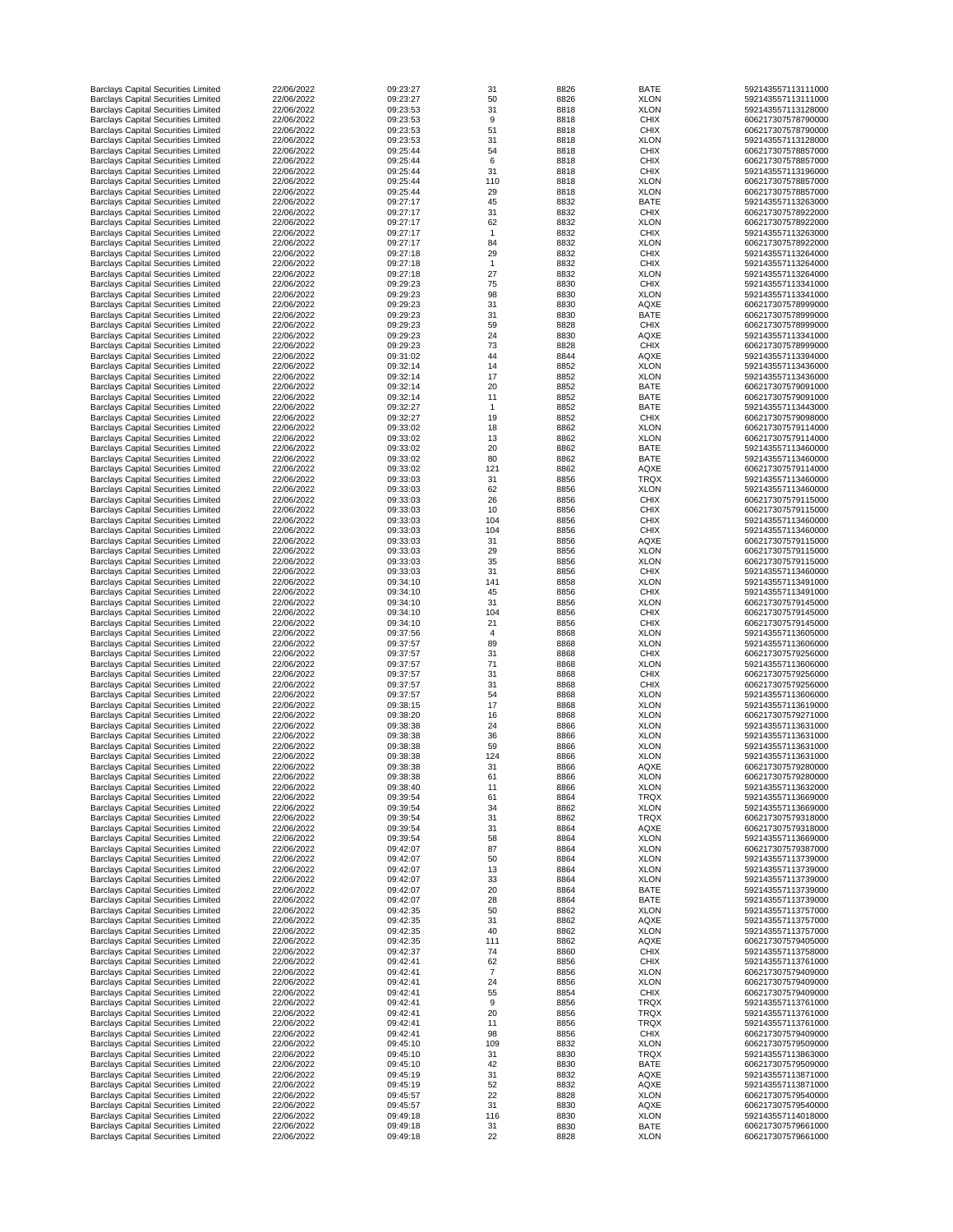| <b>Barclays Capital Securities Limited</b>                                               | 22/06/2022               | 09:23:27             | 31       | 8826         | <b>BATE</b>                | 592143557113111000                       |
|------------------------------------------------------------------------------------------|--------------------------|----------------------|----------|--------------|----------------------------|------------------------------------------|
| <b>Barclays Capital Securities Limited</b>                                               | 22/06/2022               | 09:23:27             | 50       | 8826         | <b>XLON</b>                | 592143557113111000                       |
| <b>Barclays Capital Securities Limited</b>                                               | 22/06/2022               | 09:23:53             | 31       | 8818         | <b>XLON</b>                | 592143557113128000                       |
| <b>Barclays Capital Securities Limited</b>                                               | 22/06/2022               | 09:23:53             | 9        | 8818         | <b>CHIX</b>                | 606217307578790000                       |
| <b>Barclays Capital Securities Limited</b>                                               | 22/06/2022               | 09:23:53             | 51       | 8818         | <b>CHIX</b>                | 606217307578790000                       |
|                                                                                          |                          |                      |          |              |                            |                                          |
| <b>Barclays Capital Securities Limited</b>                                               | 22/06/2022               | 09:23:53             | 31       | 8818         | <b>XLON</b>                | 592143557113128000                       |
| <b>Barclays Capital Securities Limited</b>                                               | 22/06/2022               | 09:25:44             | 54       | 8818         | <b>CHIX</b>                | 606217307578857000                       |
| <b>Barclays Capital Securities Limited</b>                                               | 22/06/2022               | 09:25:44             | 6        | 8818         | <b>CHIX</b>                | 606217307578857000                       |
| <b>Barclays Capital Securities Limited</b>                                               | 22/06/2022               | 09:25:44             | 31       | 8818         | <b>CHIX</b>                | 592143557113196000                       |
| <b>Barclays Capital Securities Limited</b>                                               | 22/06/2022               | 09:25:44             | 110      | 8818         | <b>XLON</b>                | 606217307578857000                       |
| <b>Barclays Capital Securities Limited</b>                                               | 22/06/2022               | 09:25:44             | 29       | 8818         | <b>XLON</b>                | 606217307578857000                       |
| <b>Barclays Capital Securities Limited</b>                                               | 22/06/2022               | 09:27:17             | 45       | 8832         | <b>BATE</b>                | 592143557113263000                       |
| <b>Barclays Capital Securities Limited</b>                                               | 22/06/2022               | 09:27:17             | 31       | 8832         | <b>CHIX</b>                | 606217307578922000                       |
| <b>Barclays Capital Securities Limited</b>                                               | 22/06/2022               | 09:27:17             | 62       | 8832         | <b>XLON</b>                | 606217307578922000                       |
| <b>Barclays Capital Securities Limited</b>                                               | 22/06/2022               | 09:27:17             |          | 8832         | <b>CHIX</b>                | 592143557113263000                       |
|                                                                                          |                          |                      |          |              |                            |                                          |
| <b>Barclays Capital Securities Limited</b>                                               | 22/06/2022               | 09:27:17             | 84       | 8832         | <b>XLON</b>                | 606217307578922000                       |
| <b>Barclays Capital Securities Limited</b>                                               | 22/06/2022               | 09:27:18             | 29       | 8832         | <b>CHIX</b>                | 592143557113264000                       |
| <b>Barclays Capital Securities Limited</b>                                               | 22/06/2022               | 09:27:18             |          | 8832         | <b>CHIX</b>                | 592143557113264000                       |
| <b>Barclays Capital Securities Limited</b>                                               | 22/06/2022               | 09:27:18             | 27       | 8832         | <b>XLON</b>                | 592143557113264000                       |
| <b>Barclays Capital Securities Limited</b>                                               | 22/06/2022               | 09:29:23             | 75       | 8830         | <b>CHIX</b>                | 592143557113341000                       |
| <b>Barclays Capital Securities Limited</b>                                               | 22/06/2022               | 09:29:23             | 98       | 8830         | <b>XLON</b>                | 592143557113341000                       |
| <b>Barclays Capital Securities Limited</b>                                               | 22/06/2022               | 09:29:23             | 31       | 8830         | <b>AQXE</b>                | 606217307578999000                       |
| <b>Barclays Capital Securities Limited</b>                                               | 22/06/2022               | 09:29:23             | 31       | 8830         | <b>BATE</b>                | 606217307578999000                       |
| <b>Barclays Capital Securities Limited</b>                                               | 22/06/2022               | 09:29:23             | 59       | 8828         | <b>CHIX</b>                | 606217307578999000                       |
|                                                                                          | 22/06/2022               |                      |          |              |                            |                                          |
| <b>Barclays Capital Securities Limited</b>                                               |                          | 09:29:23             | 24       | 8830         | <b>AQXE</b>                | 592143557113341000                       |
| <b>Barclays Capital Securities Limited</b>                                               | 22/06/2022               | 09:29:23             | 73       | 8828         | <b>CHIX</b>                | 606217307578999000                       |
| <b>Barclays Capital Securities Limited</b>                                               | 22/06/2022               | 09:31:02             | 44       | 8844         | <b>AQXE</b>                | 592143557113394000                       |
| <b>Barclays Capital Securities Limited</b>                                               | 22/06/2022               | 09:32:14             | 14       | 8852         | <b>XLON</b>                | 592143557113436000                       |
| <b>Barclays Capital Securities Limited</b>                                               | 22/06/2022               | 09:32:14             | 17       | 8852         | <b>XLON</b>                | 592143557113436000                       |
| <b>Barclays Capital Securities Limited</b>                                               | 22/06/2022               | 09:32:14             | 20       | 8852         | <b>BATE</b>                | 606217307579091000                       |
| <b>Barclays Capital Securities Limited</b>                                               | 22/06/2022               | 09:32:14             | 11       | 8852         | <b>BATE</b>                | 606217307579091000                       |
| <b>Barclays Capital Securities Limited</b>                                               | 22/06/2022               | 09:32:27             | -1       | 8852         | <b>BATE</b>                | 592143557113443000                       |
| <b>Barclays Capital Securities Limited</b>                                               | 22/06/2022               | 09:32:27             | 19       | 8852         | <b>CHIX</b>                | 606217307579098000                       |
| <b>Barclays Capital Securities Limited</b>                                               | 22/06/2022               | 09:33:02             | 18       | 8862         | <b>XLON</b>                | 606217307579114000                       |
|                                                                                          |                          |                      |          |              |                            |                                          |
| <b>Barclays Capital Securities Limited</b>                                               | 22/06/2022               | 09:33:02             | 13       | 8862         | <b>XLON</b>                | 606217307579114000                       |
| <b>Barclays Capital Securities Limited</b>                                               | 22/06/2022               | 09:33:02             | 20       | 8862         | <b>BATE</b>                | 592143557113460000                       |
| <b>Barclays Capital Securities Limited</b>                                               | 22/06/2022               | 09:33:02             | 80       | 8862         | <b>BATE</b>                | 592143557113460000                       |
| <b>Barclays Capital Securities Limited</b>                                               | 22/06/2022               | 09:33:02             | 121      | 8862         | <b>AQXE</b>                | 606217307579114000                       |
| <b>Barclays Capital Securities Limited</b>                                               | 22/06/2022               | 09:33:03             | 31       | 8856         | <b>TRQX</b>                | 592143557113460000                       |
| <b>Barclays Capital Securities Limited</b>                                               | 22/06/2022               | 09:33:03             | 62       | 8856         | <b>XLON</b>                | 592143557113460000                       |
| <b>Barclays Capital Securities Limited</b>                                               | 22/06/2022               | 09:33:03             | 26       |              |                            | 606217307579115000                       |
|                                                                                          |                          |                      |          | 8856         | <b>CHIX</b>                |                                          |
| <b>Barclays Capital Securities Limited</b>                                               | 22/06/2022               | 09:33:03             | 10       | 8856         | <b>CHIX</b>                | 606217307579115000                       |
| <b>Barclays Capital Securities Limited</b>                                               | 22/06/2022               | 09:33:03             | 104      | 8856         | <b>CHIX</b>                | 592143557113460000                       |
| <b>Barclays Capital Securities Limited</b>                                               | 22/06/2022               | 09:33:03             | 104      | 8856         | <b>CHIX</b>                | 592143557113460000                       |
| <b>Barclays Capital Securities Limited</b>                                               | 22/06/2022               | 09:33:03             | 31       | 8856         | <b>AQXE</b>                | 606217307579115000                       |
| <b>Barclays Capital Securities Limited</b>                                               | 22/06/2022               | 09:33:03             | 29       | 8856         | <b>XLON</b>                | 606217307579115000                       |
| <b>Barclays Capital Securities Limited</b>                                               | 22/06/2022               | 09:33:03             | 35       | 8856         | <b>XLON</b>                | 606217307579115000                       |
| <b>Barclays Capital Securities Limited</b>                                               | 22/06/2022               | 09:33:03             | 31       | 8856         | <b>CHIX</b>                | 592143557113460000                       |
|                                                                                          |                          |                      |          |              |                            |                                          |
| <b>Barclays Capital Securities Limited</b>                                               | 22/06/2022               | 09:34:10             | 141      | 8858         | <b>XLON</b>                | 592143557113491000                       |
| <b>Barclays Capital Securities Limited</b>                                               | 22/06/2022               | 09:34:10             | 45       | 8856         | <b>CHIX</b>                | 592143557113491000                       |
| <b>Barclays Capital Securities Limited</b>                                               | 22/06/2022               | 09:34:10             | 31       | 8856         | <b>XLON</b>                | 606217307579145000                       |
| <b>Barclays Capital Securities Limited</b>                                               | 22/06/2022               | 09:34:10             | 104      | 8856         | <b>CHIX</b>                | 606217307579145000                       |
| <b>Barclays Capital Securities Limited</b>                                               | 22/06/2022               | 09:34:10             | 21       | 8856         | <b>CHIX</b>                | 606217307579145000                       |
| <b>Barclays Capital Securities Limited</b>                                               | 22/06/2022               | 09:37:56             | 4        | 8868         | <b>XLON</b>                | 592143557113605000                       |
| <b>Barclays Capital Securities Limited</b>                                               | 22/06/2022               | 09:37:57             | 89       | 8868         | <b>XLON</b>                | 592143557113606000                       |
| <b>Barclays Capital Securities Limited</b>                                               | 22/06/2022               | 09:37:57             | 31       | 8868         | <b>CHIX</b>                | 606217307579256000                       |
| <b>Barclays Capital Securities Limited</b>                                               | 22/06/2022               | 09:37:57             | 71       | 8868         | <b>XLON</b>                | 592143557113606000                       |
| <b>Barclays Capital Securities Limited</b>                                               | 22/06/2022               | 09:37:57             | 31       | 8868         | <b>CHIX</b>                | 606217307579256000                       |
|                                                                                          | 22/06/2022               | 09:37:57             | 31       | 8868         |                            | 606217307579256000                       |
| <b>Barclays Capital Securities Limited</b>                                               |                          |                      |          |              | <b>CHIX</b>                |                                          |
| <b>Barclays Capital Securities Limited</b>                                               | 22/06/2022               | 09:37:57             | 54       | 8868         | <b>XLON</b>                | 592143557113606000                       |
| <b>Barclays Capital Securities Limited</b>                                               | 22/06/2022               | 09:38:15             | 17       | 8868         | <b>XLON</b>                | 592143557113619000                       |
| <b>Barclays Capital Securities Limited</b>                                               | 22/06/2022               | 09:38:20             | 16       | 8868         | <b>XLON</b>                | 606217307579271000                       |
| <b>Barclays Capital Securities Limited</b>                                               | 22/06/2022               | 09:38:38             | 24       | 8866         | <b>XLON</b>                | 592143557113631000                       |
| <b>Barclays Capital Securities Limited</b>                                               | 22/06/2022               | 09:38:38             | 36       | 8866         | <b>XLON</b>                | 592143557113631000                       |
| <b>Barclays Capital Securities Limited</b>                                               | 22/06/2022               | 09:38:38             | 59       | 8866         | <b>XLON</b>                | 592143557113631000                       |
| <b>Barclays Capital Securities Limited</b>                                               | 22/06/2022               | 09:38:38             | 124      | 8866         | <b>XLON</b>                | 592143557113631000                       |
| <b>Barclays Capital Securities Limited</b>                                               | 22/06/2022               | 09:38:38             | 31       | 8866         | <b>AQXE</b>                | 606217307579280000                       |
|                                                                                          |                          |                      |          |              |                            |                                          |
| <b>Barclays Capital Securities Limited</b>                                               | 22/06/2022               | 09:38:38             | 61       | 8866         | <b>XLON</b>                | 606217307579280000                       |
| <b>Barclays Capital Securities Limited</b>                                               | 22/06/2022               | 09:38:40             | 11       | 8866         | <b>XLON</b>                | 592143557113632000                       |
| <b>Barclays Capital Securities Limited</b>                                               | 22/06/2022               | 09:39:54             | 61       | 8864         | <b>TRQX</b>                | 592143557113669000                       |
| <b>Barclays Capital Securities Limited</b>                                               | 22/06/2022               | 09:39:54             | 34       | 8862         | <b>XLON</b>                | 592143557113669000                       |
| <b>Barclays Capital Securities Limited</b>                                               | 22/06/2022               | 09:39:54             | 31       | 8862         | <b>TRQX</b>                | 606217307579318000                       |
| <b>Barclays Capital Securities Limited</b>                                               | 22/06/2022               | 09:39:54             | 31       | 8864         | <b>AQXE</b>                | 606217307579318000                       |
| <b>Barclays Capital Securities Limited</b>                                               | 22/06/2022               | 09:39:54             | 58       | 8864         | <b>XLON</b>                | 592143557113669000                       |
| <b>Barclays Capital Securities Limited</b>                                               | 22/06/2022               | 09:42:07             | 87       | 8864         | <b>XLON</b>                | 606217307579387000                       |
| <b>Barclays Capital Securities Limited</b>                                               | 22/06/2022               | 09:42:07             | 50       | 8864         | <b>XLON</b>                | 592143557113739000                       |
|                                                                                          | 22/06/2022               | 09:42:07             | 13       | 8864         | <b>XLON</b>                | 592143557113739000                       |
| <b>Barclays Capital Securities Limited</b>                                               |                          |                      |          |              |                            |                                          |
| <b>Barclays Capital Securities Limited</b>                                               | 22/06/2022               | 09:42:07             | 33       | 8864         | <b>XLON</b>                | 592143557113739000                       |
| <b>Barclays Capital Securities Limited</b>                                               | 22/06/2022               | 09:42:07             | 20       | 8864         | <b>BATE</b>                | 592143557113739000                       |
| <b>Barclays Capital Securities Limited</b>                                               | 22/06/2022               | 09:42:07             | 28       | 8864         | <b>BATE</b>                | 592143557113739000                       |
| <b>Barclays Capital Securities Limited</b>                                               | 22/06/2022               | 09:42:35             | 50       | 8862         | <b>XLON</b>                | 592143557113757000                       |
| <b>Barclays Capital Securities Limited</b>                                               | 22/06/2022               | 09:42:35             | 31       | 8862         | <b>AQXE</b>                | 592143557113757000                       |
| <b>Barclays Capital Securities Limited</b>                                               | 22/06/2022               | 09:42:35             | 40       | 8862         | <b>XLON</b>                | 592143557113757000                       |
| <b>Barclays Capital Securities Limited</b>                                               | 22/06/2022               | 09:42:35             | 111      | 8862         | <b>AQXE</b>                | 606217307579405000                       |
| <b>Barclays Capital Securities Limited</b>                                               | 22/06/2022               | 09:42:37             | 74       | 8860         | <b>CHIX</b>                | 592143557113758000                       |
|                                                                                          |                          |                      |          |              |                            |                                          |
| <b>Barclays Capital Securities Limited</b>                                               | 22/06/2022               | 09:42:41             | 62       | 8856         | <b>CHIX</b>                | 592143557113761000                       |
| <b>Barclays Capital Securities Limited</b>                                               | 22/06/2022               | 09:42:41             | 7        | 8856         | <b>XLON</b>                | 606217307579409000                       |
| <b>Barclays Capital Securities Limited</b>                                               | 22/06/2022               | 09:42:41             | 24       | 8856         | <b>XLON</b>                | 606217307579409000                       |
| <b>Barclays Capital Securities Limited</b>                                               | 22/06/2022               | 09:42:41             | 55       | 8854         | <b>CHIX</b>                | 606217307579409000                       |
| <b>Barclays Capital Securities Limited</b>                                               | 22/06/2022               | 09:42:41             | 9        | 8856         | <b>TRQX</b>                | 592143557113761000                       |
| <b>Barclays Capital Securities Limited</b>                                               | 22/06/2022               | 09:42:41             | 20       | 8856         | <b>TRQX</b>                | 592143557113761000                       |
| <b>Barclays Capital Securities Limited</b>                                               | 22/06/2022               | 09:42:41             | 11       | 8856         | <b>TRQX</b>                | 592143557113761000                       |
|                                                                                          |                          |                      |          |              |                            |                                          |
| <b>Barclays Capital Securities Limited</b>                                               | 22/06/2022               | 09:42:41             | 98       | 8856         | <b>CHIX</b>                | 606217307579409000                       |
| <b>Barclays Capital Securities Limited</b>                                               | 22/06/2022               | 09:45:10             | 109      | 8832         | <b>XLON</b>                | 606217307579509000                       |
| <b>Barclays Capital Securities Limited</b>                                               | 22/06/2022               | 09:45:10             | 31       | 8830         | <b>TRQX</b>                | 592143557113863000                       |
| <b>Barclays Capital Securities Limited</b>                                               | 22/06/2022               | 09:45:10             | 42       | 8830         | <b>BATE</b>                | 606217307579509000                       |
| <b>Barclays Capital Securities Limited</b>                                               | 22/06/2022               | 09:45:19             | 31       | 8832         | <b>AQXE</b>                | 592143557113871000                       |
| <b>Barclays Capital Securities Limited</b>                                               |                          |                      |          | 8832         | <b>AQXE</b>                | 592143557113871000                       |
|                                                                                          | 22/06/2022               | 09:45:19             | 52       |              |                            |                                          |
|                                                                                          |                          |                      |          |              |                            |                                          |
| <b>Barclays Capital Securities Limited</b>                                               | 22/06/2022               | 09:45:57             | 22       | 8828         | <b>XLON</b>                | 606217307579540000                       |
| <b>Barclays Capital Securities Limited</b>                                               | 22/06/2022               | 09:45:57             | 31       | 8830         | <b>AQXE</b>                | 606217307579540000                       |
| <b>Barclays Capital Securities Limited</b>                                               | 22/06/2022               | 09:49:18             | 116      | 8830         | <b>XLON</b>                | 592143557114018000                       |
| <b>Barclays Capital Securities Limited</b><br><b>Barclays Capital Securities Limited</b> | 22/06/2022<br>22/06/2022 | 09:49:18<br>09:49:18 | 31<br>22 | 8830<br>8828 | <b>BATE</b><br><b>XLON</b> | 606217307579661000<br>606217307579661000 |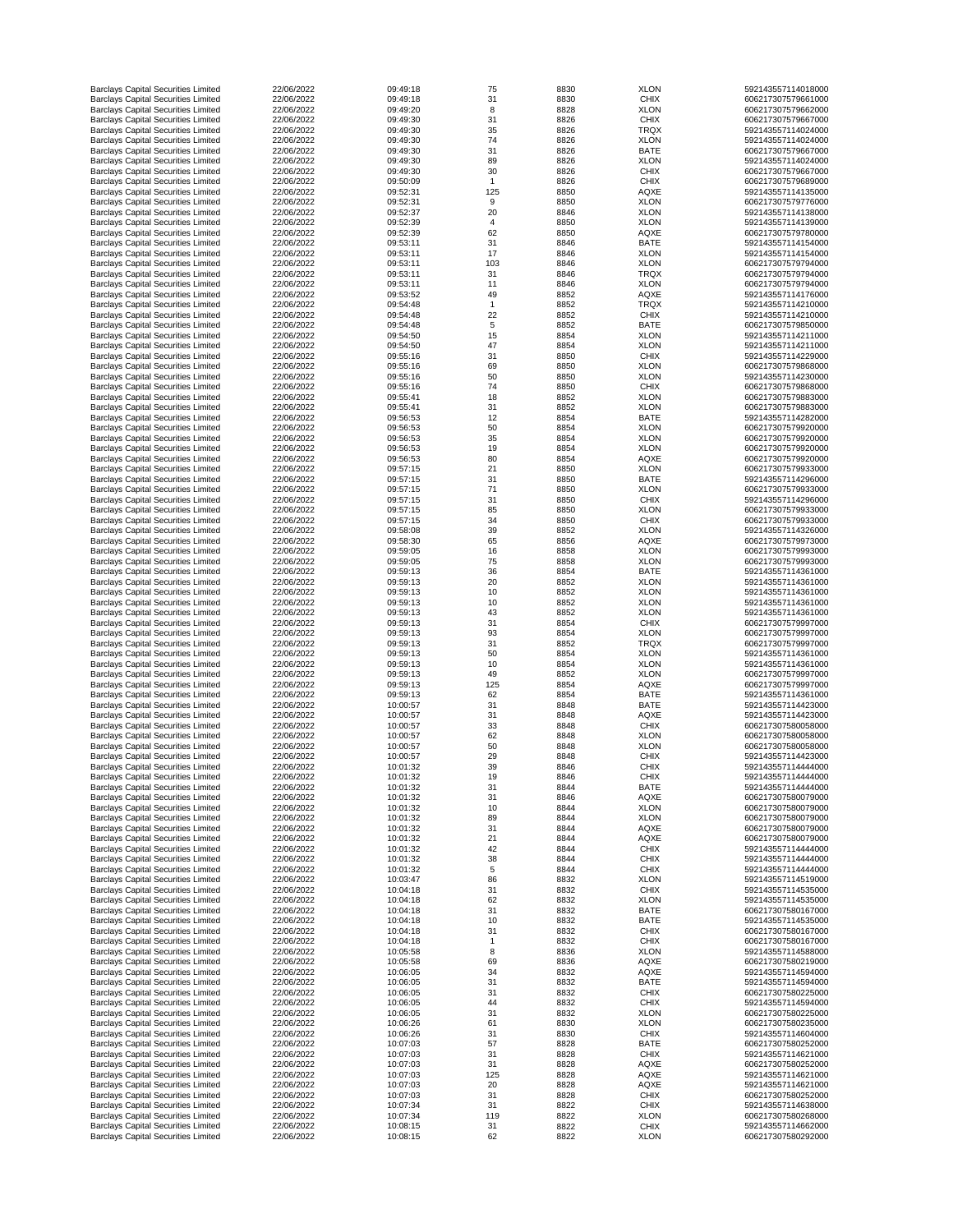| <b>Barclays Capital Securities Limited</b> | 22/06/2022 | 09:49:18 | 75             | 8830 | <b>XLON</b> | 592143557114018000 |
|--------------------------------------------|------------|----------|----------------|------|-------------|--------------------|
| <b>Barclays Capital Securities Limited</b> | 22/06/2022 | 09:49:18 | 31             | 8830 | <b>CHIX</b> | 606217307579661000 |
| <b>Barclays Capital Securities Limited</b> | 22/06/2022 | 09:49:20 | 8              | 8828 | <b>XLON</b> | 606217307579662000 |
| <b>Barclays Capital Securities Limited</b> | 22/06/2022 | 09:49:30 | 31             | 8826 | <b>CHIX</b> | 606217307579667000 |
| <b>Barclays Capital Securities Limited</b> | 22/06/2022 | 09:49:30 | 35             | 8826 | <b>TRQX</b> | 592143557114024000 |
| <b>Barclays Capital Securities Limited</b> | 22/06/2022 | 09:49:30 | 74             | 8826 | <b>XLON</b> | 592143557114024000 |
|                                            | 22/06/2022 | 09:49:30 | 31             | 8826 | <b>BATE</b> | 606217307579667000 |
| <b>Barclays Capital Securities Limited</b> |            |          |                |      |             |                    |
| <b>Barclays Capital Securities Limited</b> | 22/06/2022 | 09:49:30 | 89             | 8826 | <b>XLON</b> | 592143557114024000 |
| <b>Barclays Capital Securities Limited</b> | 22/06/2022 | 09:49:30 | 30             | 8826 | <b>CHIX</b> | 606217307579667000 |
| <b>Barclays Capital Securities Limited</b> | 22/06/2022 | 09:50:09 |                | 8826 | <b>CHIX</b> | 606217307579689000 |
| <b>Barclays Capital Securities Limited</b> | 22/06/2022 | 09:52:31 | 125            | 8850 | <b>AQXE</b> | 592143557114135000 |
| <b>Barclays Capital Securities Limited</b> | 22/06/2022 | 09:52:31 | 9              | 8850 | <b>XLON</b> | 606217307579776000 |
| <b>Barclays Capital Securities Limited</b> | 22/06/2022 | 09:52:37 | 20             | 8846 | <b>XLON</b> | 592143557114138000 |
| <b>Barclays Capital Securities Limited</b> | 22/06/2022 | 09:52:39 | $\overline{4}$ | 8850 | <b>XLON</b> | 592143557114139000 |
| <b>Barclays Capital Securities Limited</b> | 22/06/2022 | 09:52:39 | 62             | 8850 | <b>AQXE</b> | 606217307579780000 |
| <b>Barclays Capital Securities Limited</b> | 22/06/2022 | 09:53:11 | 31             | 8846 | <b>BATE</b> | 592143557114154000 |
|                                            |            |          | 17             |      |             |                    |
| <b>Barclays Capital Securities Limited</b> | 22/06/2022 | 09:53:11 |                | 8846 | <b>XLON</b> | 592143557114154000 |
| <b>Barclays Capital Securities Limited</b> | 22/06/2022 | 09:53:11 | 103            | 8846 | <b>XLON</b> | 606217307579794000 |
| <b>Barclays Capital Securities Limited</b> | 22/06/2022 | 09:53:11 | 31             | 8846 | <b>TRQX</b> | 606217307579794000 |
| <b>Barclays Capital Securities Limited</b> | 22/06/2022 | 09:53:11 | 11             | 8846 | <b>XLON</b> | 606217307579794000 |
| <b>Barclays Capital Securities Limited</b> | 22/06/2022 | 09:53:52 | 49             | 8852 | <b>AQXE</b> | 592143557114176000 |
| <b>Barclays Capital Securities Limited</b> | 22/06/2022 | 09:54:48 |                | 8852 | <b>TRQX</b> | 592143557114210000 |
| <b>Barclays Capital Securities Limited</b> | 22/06/2022 | 09:54:48 | 22             | 8852 | <b>CHIX</b> | 592143557114210000 |
| <b>Barclays Capital Securities Limited</b> | 22/06/2022 | 09:54:48 | 5              | 8852 | <b>BATE</b> | 606217307579850000 |
| <b>Barclays Capital Securities Limited</b> | 22/06/2022 | 09:54:50 | 15             | 8854 | <b>XLON</b> | 592143557114211000 |
| <b>Barclays Capital Securities Limited</b> | 22/06/2022 | 09:54:50 | 47             | 8854 | <b>XLON</b> | 592143557114211000 |
|                                            |            |          |                |      |             |                    |
| <b>Barclays Capital Securities Limited</b> | 22/06/2022 | 09:55:16 | 31             | 8850 | <b>CHIX</b> | 592143557114229000 |
| <b>Barclays Capital Securities Limited</b> | 22/06/2022 | 09:55:16 | 69             | 8850 | <b>XLON</b> | 606217307579868000 |
| <b>Barclays Capital Securities Limited</b> | 22/06/2022 | 09:55:16 | 50             | 8850 | <b>XLON</b> | 592143557114230000 |
| <b>Barclays Capital Securities Limited</b> | 22/06/2022 | 09:55:16 | 74             | 8850 | <b>CHIX</b> | 606217307579868000 |
| <b>Barclays Capital Securities Limited</b> | 22/06/2022 | 09:55:41 | 18             | 8852 | <b>XLON</b> | 606217307579883000 |
| <b>Barclays Capital Securities Limited</b> | 22/06/2022 | 09:55:41 | 31             | 8852 | <b>XLON</b> | 606217307579883000 |
| <b>Barclays Capital Securities Limited</b> | 22/06/2022 | 09:56:53 | 12             | 8854 | <b>BATE</b> | 592143557114282000 |
| <b>Barclays Capital Securities Limited</b> | 22/06/2022 | 09:56:53 | 50             | 8854 | <b>XLON</b> | 606217307579920000 |
| <b>Barclays Capital Securities Limited</b> | 22/06/2022 | 09:56:53 | 35             | 8854 | <b>XLON</b> | 606217307579920000 |
|                                            |            |          |                |      |             | 606217307579920000 |
| <b>Barclays Capital Securities Limited</b> | 22/06/2022 | 09:56:53 | 19             | 8854 | <b>XLON</b> |                    |
| <b>Barclays Capital Securities Limited</b> | 22/06/2022 | 09:56:53 | 80             | 8854 | <b>AQXE</b> | 606217307579920000 |
| <b>Barclays Capital Securities Limited</b> | 22/06/2022 | 09:57:15 | 21             | 8850 | <b>XLON</b> | 606217307579933000 |
| <b>Barclays Capital Securities Limited</b> | 22/06/2022 | 09:57:15 | 31             | 8850 | <b>BATE</b> | 592143557114296000 |
| <b>Barclays Capital Securities Limited</b> | 22/06/2022 | 09:57:15 | 71             | 8850 | <b>XLON</b> | 606217307579933000 |
| <b>Barclays Capital Securities Limited</b> | 22/06/2022 | 09:57:15 | 31             | 8850 | <b>CHIX</b> | 592143557114296000 |
| <b>Barclays Capital Securities Limited</b> | 22/06/2022 | 09:57:15 | 85             | 8850 | <b>XLON</b> | 606217307579933000 |
| <b>Barclays Capital Securities Limited</b> | 22/06/2022 | 09:57:15 | 34             | 8850 | <b>CHIX</b> | 606217307579933000 |
| <b>Barclays Capital Securities Limited</b> | 22/06/2022 | 09:58:08 | 39             | 8852 | <b>XLON</b> | 592143557114326000 |
| <b>Barclays Capital Securities Limited</b> | 22/06/2022 | 09:58:30 | 65             | 8856 | <b>AQXE</b> | 606217307579973000 |
|                                            | 22/06/2022 | 09:59:05 | 16             |      |             | 606217307579993000 |
| <b>Barclays Capital Securities Limited</b> |            |          |                | 8858 | <b>XLON</b> |                    |
| <b>Barclays Capital Securities Limited</b> | 22/06/2022 | 09:59:05 | 75             | 8858 | <b>XLON</b> | 606217307579993000 |
| <b>Barclays Capital Securities Limited</b> | 22/06/2022 | 09:59:13 | 36             | 8854 | <b>BATE</b> | 592143557114361000 |
| <b>Barclays Capital Securities Limited</b> | 22/06/2022 | 09:59:13 | 20             | 8852 | <b>XLON</b> | 592143557114361000 |
| <b>Barclays Capital Securities Limited</b> | 22/06/2022 | 09:59:13 | 10             | 8852 | <b>XLON</b> | 592143557114361000 |
| <b>Barclays Capital Securities Limited</b> | 22/06/2022 | 09:59:13 | 10             | 8852 | <b>XLON</b> | 592143557114361000 |
| <b>Barclays Capital Securities Limited</b> | 22/06/2022 | 09:59:13 | 43             | 8852 | <b>XLON</b> | 592143557114361000 |
| <b>Barclays Capital Securities Limited</b> | 22/06/2022 | 09:59:13 | 31             | 8854 | <b>CHIX</b> | 606217307579997000 |
| <b>Barclays Capital Securities Limited</b> | 22/06/2022 | 09:59:13 | 93             | 8854 | <b>XLON</b> | 606217307579997000 |
| <b>Barclays Capital Securities Limited</b> | 22/06/2022 | 09:59:13 | 31             | 8852 | <b>TRQX</b> | 606217307579997000 |
|                                            | 22/06/2022 |          |                |      |             |                    |
| <b>Barclays Capital Securities Limited</b> |            | 09:59:13 | 50             | 8854 | <b>XLON</b> | 592143557114361000 |
| <b>Barclays Capital Securities Limited</b> | 22/06/2022 | 09:59:13 | 10             | 8854 | <b>XLON</b> | 592143557114361000 |
| <b>Barclays Capital Securities Limited</b> | 22/06/2022 | 09:59:13 | 49             | 8852 | <b>XLON</b> | 606217307579997000 |
| <b>Barclays Capital Securities Limited</b> | 22/06/2022 | 09:59:13 | 125            | 8854 | <b>AQXE</b> | 606217307579997000 |
| <b>Barclays Capital Securities Limited</b> | 22/06/2022 | 09:59:13 | 62             | 8854 | <b>BATE</b> | 592143557114361000 |
| <b>Barclays Capital Securities Limited</b> | 22/06/2022 | 10:00:57 | 31             | 8848 | <b>BATE</b> | 592143557114423000 |
| <b>Barclays Capital Securities Limited</b> | 22/06/2022 | 10:00:57 | 31             | 8848 | <b>AQXE</b> | 592143557114423000 |
| <b>Barclays Capital Securities Limited</b> | 22/06/2022 | 10:00:57 | 33             | 8848 | <b>CHIX</b> | 606217307580058000 |
| <b>Barclays Capital Securities Limited</b> | 22/06/2022 | 10:00:57 | 62             | 8848 | <b>XLON</b> | 606217307580058000 |
| <b>Barclays Capital Securities Limited</b> | 22/06/2022 | 10:00:57 | 50             | 8848 | <b>XLON</b> | 606217307580058000 |
|                                            |            |          |                |      |             |                    |
| <b>Barclays Capital Securities Limited</b> | 22/06/2022 | 10:00:57 | 29             | 8848 | <b>CHIX</b> | 592143557114423000 |
| <b>Barclays Capital Securities Limited</b> | 22/06/2022 | 10:01:32 | 39             | 8846 | <b>CHIX</b> | 592143557114444000 |
| <b>Barclays Capital Securities Limited</b> | 22/06/2022 | 10:01:32 | 19             | 8846 | <b>CHIX</b> | 592143557114444000 |
| <b>Barclays Capital Securities Limited</b> | 22/06/2022 | 10:01:32 | 31             | 8844 | <b>BATE</b> | 592143557114444000 |
| <b>Barclays Capital Securities Limited</b> | 22/06/2022 | 10:01:32 | 31             | 8846 | <b>AQXE</b> | 606217307580079000 |
| <b>Barclays Capital Securities Limited</b> | 22/06/2022 | 10:01:32 | 10             | 8844 | <b>XLON</b> | 606217307580079000 |
| <b>Barclays Capital Securities Limited</b> | 22/06/2022 | 10:01:32 | 89             | 8844 | <b>XLON</b> | 606217307580079000 |
| <b>Barclays Capital Securities Limited</b> | 22/06/2022 | 10:01:32 | 31             | 8844 | <b>AQXE</b> | 606217307580079000 |
| <b>Barclays Capital Securities Limited</b> | 22/06/2022 | 10:01:32 |                |      |             | 606217307580079000 |
| <b>Barclays Capital Securities Limited</b> |            |          | 21             |      |             |                    |
| <b>Barclays Capital Securities Limited</b> |            |          |                | 8844 | <b>AQXE</b> |                    |
|                                            | 22/06/2022 | 10:01:32 | 42             | 8844 | <b>CHIX</b> | 592143557114444000 |
|                                            | 22/06/2022 | 10:01:32 | 38             | 8844 | <b>CHIX</b> | 592143557114444000 |
| <b>Barclays Capital Securities Limited</b> | 22/06/2022 | 10:01:32 | 5              | 8844 | <b>CHIX</b> | 592143557114444000 |
| <b>Barclays Capital Securities Limited</b> | 22/06/2022 | 10:03:47 | 86             | 8832 | <b>XLON</b> | 592143557114519000 |
| <b>Barclays Capital Securities Limited</b> | 22/06/2022 | 10:04:18 | 31             | 8832 | <b>CHIX</b> | 592143557114535000 |
| <b>Barclays Capital Securities Limited</b> | 22/06/2022 | 10:04:18 | 62             | 8832 | <b>XLON</b> | 592143557114535000 |
| <b>Barclays Capital Securities Limited</b> | 22/06/2022 | 10:04:18 | 31             | 8832 | <b>BATE</b> | 606217307580167000 |
| <b>Barclays Capital Securities Limited</b> | 22/06/2022 | 10:04:18 | 10             | 8832 | <b>BATE</b> | 592143557114535000 |
| <b>Barclays Capital Securities Limited</b> | 22/06/2022 | 10:04:18 | 31             | 8832 | <b>CHIX</b> | 606217307580167000 |
|                                            |            |          |                |      |             |                    |
| <b>Barclays Capital Securities Limited</b> | 22/06/2022 | 10:04:18 |                | 8832 | <b>CHIX</b> | 606217307580167000 |
| <b>Barclays Capital Securities Limited</b> | 22/06/2022 | 10:05:58 | 8              | 8836 | <b>XLON</b> | 592143557114588000 |
| <b>Barclays Capital Securities Limited</b> | 22/06/2022 | 10:05:58 | 69             | 8836 | <b>AQXE</b> | 606217307580219000 |
| <b>Barclays Capital Securities Limited</b> | 22/06/2022 | 10:06:05 | 34             | 8832 | <b>AQXE</b> | 592143557114594000 |
| <b>Barclays Capital Securities Limited</b> | 22/06/2022 | 10:06:05 | 31             | 8832 | <b>BATE</b> | 592143557114594000 |
| <b>Barclays Capital Securities Limited</b> | 22/06/2022 | 10:06:05 | 31             | 8832 | <b>CHIX</b> | 606217307580225000 |
| <b>Barclays Capital Securities Limited</b> | 22/06/2022 | 10:06:05 | 44             | 8832 | <b>CHIX</b> | 592143557114594000 |
| <b>Barclays Capital Securities Limited</b> | 22/06/2022 | 10:06:05 | 31             | 8832 | <b>XLON</b> | 606217307580225000 |
| <b>Barclays Capital Securities Limited</b> | 22/06/2022 | 10:06:26 | 61             | 8830 | <b>XLON</b> | 606217307580235000 |
|                                            | 22/06/2022 | 10:06:26 | 31             | 8830 | <b>CHIX</b> | 592143557114604000 |
| <b>Barclays Capital Securities Limited</b> |            |          |                |      |             |                    |
| <b>Barclays Capital Securities Limited</b> | 22/06/2022 | 10:07:03 | 57             | 8828 | <b>BATE</b> | 606217307580252000 |
| <b>Barclays Capital Securities Limited</b> | 22/06/2022 | 10:07:03 | 31             | 8828 | <b>CHIX</b> | 592143557114621000 |
| <b>Barclays Capital Securities Limited</b> | 22/06/2022 | 10:07:03 | 31             | 8828 | <b>AQXE</b> | 606217307580252000 |
| <b>Barclays Capital Securities Limited</b> | 22/06/2022 | 10:07:03 | 125            | 8828 | <b>AQXE</b> | 592143557114621000 |
| <b>Barclays Capital Securities Limited</b> | 22/06/2022 | 10:07:03 | 20             | 8828 | <b>AQXE</b> | 592143557114621000 |
| <b>Barclays Capital Securities Limited</b> | 22/06/2022 | 10:07:03 | 31             | 8828 | <b>CHIX</b> | 606217307580252000 |
| <b>Barclays Capital Securities Limited</b> | 22/06/2022 | 10:07:34 | 31             | 8822 | <b>CHIX</b> | 592143557114638000 |
| <b>Barclays Capital Securities Limited</b> | 22/06/2022 | 10:07:34 | 119            | 8822 | <b>XLON</b> | 606217307580268000 |
| <b>Barclays Capital Securities Limited</b> | 22/06/2022 | 10:08:15 | 31             | 8822 | <b>CHIX</b> | 592143557114662000 |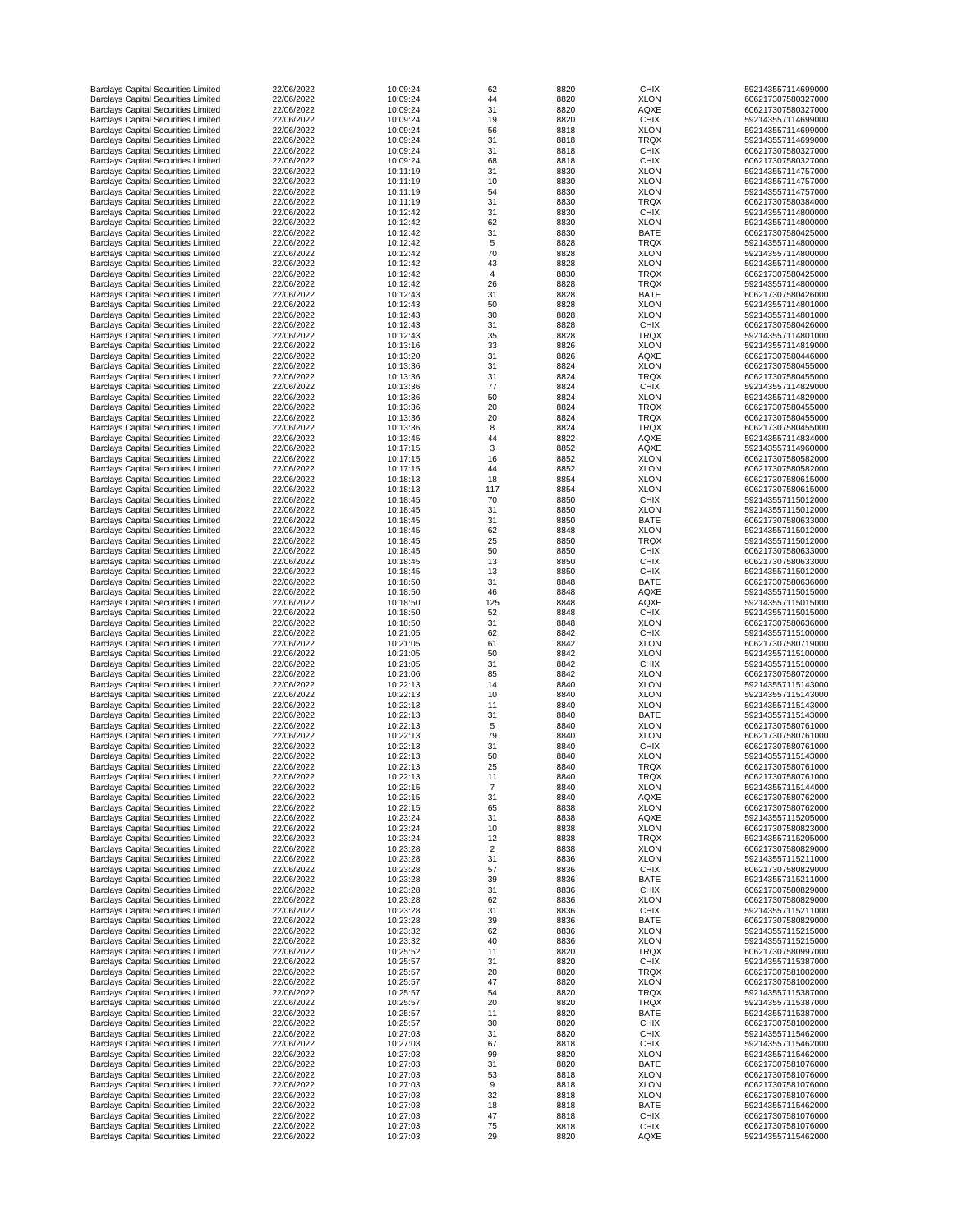| <b>Barclays Capital Securities Limited</b> | 22/06/2022 | 10:09:24 | 62  | 8820 | <b>CHIX</b> | 592143557114699000 |
|--------------------------------------------|------------|----------|-----|------|-------------|--------------------|
| <b>Barclays Capital Securities Limited</b> | 22/06/2022 | 10:09:24 | 44  | 8820 | <b>XLON</b> | 606217307580327000 |
| <b>Barclays Capital Securities Limited</b> | 22/06/2022 | 10:09:24 | 31  | 8820 | <b>AQXE</b> | 606217307580327000 |
| <b>Barclays Capital Securities Limited</b> | 22/06/2022 | 10:09:24 | 19  | 8820 | <b>CHIX</b> | 592143557114699000 |
| <b>Barclays Capital Securities Limited</b> | 22/06/2022 | 10:09:24 | 56  | 8818 | <b>XLON</b> | 592143557114699000 |
|                                            |            |          |     |      |             |                    |
| <b>Barclays Capital Securities Limited</b> | 22/06/2022 | 10:09:24 | 31  | 8818 | <b>TRQX</b> | 592143557114699000 |
| <b>Barclays Capital Securities Limited</b> | 22/06/2022 | 10:09:24 | 31  | 8818 | <b>CHIX</b> | 606217307580327000 |
| <b>Barclays Capital Securities Limited</b> | 22/06/2022 | 10:09:24 | 68  | 8818 | <b>CHIX</b> | 606217307580327000 |
| <b>Barclays Capital Securities Limited</b> | 22/06/2022 | 10:11:19 | 31  | 8830 | <b>XLON</b> | 592143557114757000 |
| <b>Barclays Capital Securities Limited</b> | 22/06/2022 | 10:11:19 | 10  | 8830 | <b>XLON</b> | 592143557114757000 |
| <b>Barclays Capital Securities Limited</b> | 22/06/2022 | 10:11:19 | 54  | 8830 | <b>XLON</b> | 592143557114757000 |
| <b>Barclays Capital Securities Limited</b> | 22/06/2022 | 10:11:19 | 31  | 8830 | <b>TRQX</b> | 606217307580384000 |
| <b>Barclays Capital Securities Limited</b> | 22/06/2022 | 10:12:42 | 31  | 8830 | <b>CHIX</b> | 592143557114800000 |
|                                            | 22/06/2022 | 10:12:42 |     |      |             | 592143557114800000 |
| <b>Barclays Capital Securities Limited</b> |            |          | 62  | 8830 | <b>XLON</b> |                    |
| <b>Barclays Capital Securities Limited</b> | 22/06/2022 | 10:12:42 | 31  | 8830 | <b>BATE</b> | 606217307580425000 |
| <b>Barclays Capital Securities Limited</b> | 22/06/2022 | 10:12:42 | 5   | 8828 | <b>TRQX</b> | 592143557114800000 |
| <b>Barclays Capital Securities Limited</b> | 22/06/2022 | 10:12:42 | 70  | 8828 | <b>XLON</b> | 592143557114800000 |
| <b>Barclays Capital Securities Limited</b> | 22/06/2022 | 10:12:42 | 43  | 8828 | <b>XLON</b> | 592143557114800000 |
| <b>Barclays Capital Securities Limited</b> | 22/06/2022 | 10:12:42 | 4   | 8830 | <b>TRQX</b> | 606217307580425000 |
|                                            | 22/06/2022 | 10:12:42 |     |      | <b>TRQX</b> |                    |
| <b>Barclays Capital Securities Limited</b> |            |          | 26  | 8828 |             | 592143557114800000 |
| <b>Barclays Capital Securities Limited</b> | 22/06/2022 | 10:12:43 | 31  | 8828 | <b>BATE</b> | 606217307580426000 |
| <b>Barclays Capital Securities Limited</b> | 22/06/2022 | 10:12:43 | 50  | 8828 | <b>XLON</b> | 592143557114801000 |
| <b>Barclays Capital Securities Limited</b> | 22/06/2022 | 10:12:43 | 30  | 8828 | <b>XLON</b> | 592143557114801000 |
| <b>Barclays Capital Securities Limited</b> | 22/06/2022 | 10:12:43 | 31  | 8828 | <b>CHIX</b> | 606217307580426000 |
| <b>Barclays Capital Securities Limited</b> | 22/06/2022 | 10:12:43 | 35  | 8828 | <b>TRQX</b> | 592143557114801000 |
| <b>Barclays Capital Securities Limited</b> | 22/06/2022 | 10:13:16 | 33  | 8826 | <b>XLON</b> | 592143557114819000 |
|                                            | 22/06/2022 | 10:13:20 |     |      |             |                    |
| <b>Barclays Capital Securities Limited</b> |            |          | 31  | 8826 | <b>AQXE</b> | 606217307580446000 |
| <b>Barclays Capital Securities Limited</b> | 22/06/2022 | 10:13:36 | 31  | 8824 | <b>XLON</b> | 606217307580455000 |
| <b>Barclays Capital Securities Limited</b> | 22/06/2022 | 10:13:36 | 31  | 8824 | <b>TRQX</b> | 606217307580455000 |
| <b>Barclays Capital Securities Limited</b> | 22/06/2022 | 10:13:36 | 77  | 8824 | <b>CHIX</b> | 592143557114829000 |
| <b>Barclays Capital Securities Limited</b> | 22/06/2022 | 10:13:36 | 50  | 8824 | <b>XLON</b> | 592143557114829000 |
| <b>Barclays Capital Securities Limited</b> | 22/06/2022 | 10:13:36 | 20  | 8824 | <b>TRQX</b> | 606217307580455000 |
| <b>Barclays Capital Securities Limited</b> | 22/06/2022 | 10:13:36 | 20  | 8824 | <b>TRQX</b> | 606217307580455000 |
|                                            |            |          |     |      |             |                    |
| <b>Barclays Capital Securities Limited</b> | 22/06/2022 | 10:13:36 | 8   | 8824 | <b>TRQX</b> | 606217307580455000 |
| <b>Barclays Capital Securities Limited</b> | 22/06/2022 | 10:13:45 | 44  | 8822 | <b>AQXE</b> | 592143557114834000 |
| <b>Barclays Capital Securities Limited</b> | 22/06/2022 | 10:17:15 | 3   | 8852 | <b>AQXE</b> | 592143557114960000 |
| <b>Barclays Capital Securities Limited</b> | 22/06/2022 | 10:17:15 | 16  | 8852 | <b>XLON</b> | 606217307580582000 |
| <b>Barclays Capital Securities Limited</b> | 22/06/2022 | 10:17:15 | 44  | 8852 | <b>XLON</b> | 606217307580582000 |
|                                            | 22/06/2022 | 10:18:13 | 18  |      |             | 606217307580615000 |
| <b>Barclays Capital Securities Limited</b> |            |          |     | 8854 | <b>XLON</b> |                    |
| <b>Barclays Capital Securities Limited</b> | 22/06/2022 | 10:18:13 | 117 | 8854 | <b>XLON</b> | 606217307580615000 |
| <b>Barclays Capital Securities Limited</b> | 22/06/2022 | 10:18:45 | 70  | 8850 | <b>CHIX</b> | 592143557115012000 |
| <b>Barclays Capital Securities Limited</b> | 22/06/2022 | 10:18:45 | 31  | 8850 | <b>XLON</b> | 592143557115012000 |
| <b>Barclays Capital Securities Limited</b> | 22/06/2022 | 10:18:45 | 31  | 8850 | <b>BATE</b> | 606217307580633000 |
| <b>Barclays Capital Securities Limited</b> | 22/06/2022 | 10:18:45 | 62  | 8848 | <b>XLON</b> | 592143557115012000 |
| <b>Barclays Capital Securities Limited</b> | 22/06/2022 | 10:18:45 | 25  | 8850 | <b>TRQX</b> | 592143557115012000 |
|                                            |            |          |     |      |             |                    |
| <b>Barclays Capital Securities Limited</b> | 22/06/2022 | 10:18:45 | 50  | 8850 | <b>CHIX</b> | 606217307580633000 |
| <b>Barclays Capital Securities Limited</b> | 22/06/2022 | 10:18:45 | 13  | 8850 | <b>CHIX</b> | 606217307580633000 |
| <b>Barclays Capital Securities Limited</b> | 22/06/2022 | 10:18:45 | 13  | 8850 | <b>CHIX</b> | 592143557115012000 |
| <b>Barclays Capital Securities Limited</b> | 22/06/2022 | 10:18:50 | 31  | 8848 | <b>BATE</b> | 606217307580636000 |
| <b>Barclays Capital Securities Limited</b> | 22/06/2022 | 10:18:50 | 46  | 8848 | <b>AQXE</b> | 592143557115015000 |
| <b>Barclays Capital Securities Limited</b> | 22/06/2022 | 10:18:50 | 125 | 8848 | <b>AQXE</b> | 592143557115015000 |
|                                            |            |          |     |      |             |                    |
| <b>Barclays Capital Securities Limited</b> | 22/06/2022 | 10:18:50 | 52  | 8848 | <b>CHIX</b> | 592143557115015000 |
| <b>Barclays Capital Securities Limited</b> | 22/06/2022 | 10:18:50 | 31  | 8848 | <b>XLON</b> | 606217307580636000 |
| <b>Barclays Capital Securities Limited</b> | 22/06/2022 | 10:21:05 | 62  | 8842 | <b>CHIX</b> | 592143557115100000 |
| <b>Barclays Capital Securities Limited</b> | 22/06/2022 | 10:21:05 | 61  | 8842 | <b>XLON</b> | 606217307580719000 |
| <b>Barclays Capital Securities Limited</b> | 22/06/2022 | 10:21:05 | 50  | 8842 | <b>XLON</b> | 592143557115100000 |
| <b>Barclays Capital Securities Limited</b> | 22/06/2022 | 10:21:05 | 31  | 8842 | <b>CHIX</b> | 592143557115100000 |
|                                            | 22/06/2022 | 10:21:06 |     |      |             |                    |
| <b>Barclays Capital Securities Limited</b> |            |          | 85  | 8842 | <b>XLON</b> | 606217307580720000 |
| <b>Barclays Capital Securities Limited</b> | 22/06/2022 | 10:22:13 | 14  | 8840 | <b>XLON</b> | 592143557115143000 |
| <b>Barclays Capital Securities Limited</b> | 22/06/2022 | 10:22:13 | 10  | 8840 | <b>XLON</b> | 592143557115143000 |
| <b>Barclays Capital Securities Limited</b> | 22/06/2022 | 10:22:13 | 11  | 8840 | <b>XLON</b> | 592143557115143000 |
| <b>Barclays Capital Securities Limited</b> | 22/06/2022 | 10:22:13 | 31  | 8840 | <b>BATE</b> | 592143557115143000 |
| <b>Barclays Capital Securities Limited</b> | 22/06/2022 | 10:22:13 | 5   | 8840 | <b>XLON</b> | 606217307580761000 |
| <b>Barclays Capital Securities Limited</b> | 22/06/2022 | 10:22:13 | 79  | 8840 | <b>XLON</b> | 606217307580761000 |
|                                            |            |          |     |      |             |                    |
| <b>Barclays Capital Securities Limited</b> | 22/06/2022 | 10:22:13 | 31  | 8840 | <b>CHIX</b> | 606217307580761000 |
| <b>Barclays Capital Securities Limited</b> | 22/06/2022 | 10:22:13 | 50  | 8840 | <b>XLON</b> | 592143557115143000 |
| <b>Barclays Capital Securities Limited</b> | 22/06/2022 | 10:22:13 | 25  | 8840 | <b>TRQX</b> | 606217307580761000 |
| <b>Barclays Capital Securities Limited</b> | 22/06/2022 | 10:22:13 | 11  | 8840 | <b>TRQX</b> | 606217307580761000 |
| <b>Barclays Capital Securities Limited</b> | 22/06/2022 | 10:22:15 |     | 8840 | <b>XLON</b> | 592143557115144000 |
| <b>Barclays Capital Securities Limited</b> | 22/06/2022 | 10:22:15 | 31  | 8840 | <b>AQXE</b> | 606217307580762000 |
| <b>Barclays Capital Securities Limited</b> | 22/06/2022 | 10:22:15 | 65  | 8838 | <b>XLON</b> | 606217307580762000 |
|                                            | 22/06/2022 | 10:23:24 | 31  |      |             | 592143557115205000 |
| <b>Barclays Capital Securities Limited</b> |            |          |     | 8838 | <b>AQXE</b> |                    |
| <b>Barclays Capital Securities Limited</b> | 22/06/2022 | 10:23:24 | 10  | 8838 | <b>XLON</b> | 606217307580823000 |
| <b>Barclays Capital Securities Limited</b> | 22/06/2022 | 10:23:24 | 12  | 8838 | <b>TRQX</b> | 592143557115205000 |
| <b>Barclays Capital Securities Limited</b> | 22/06/2022 | 10:23:28 | 2   | 8838 | <b>XLON</b> | 606217307580829000 |
| <b>Barclays Capital Securities Limited</b> | 22/06/2022 | 10:23:28 | 31  | 8836 | <b>XLON</b> | 592143557115211000 |
| <b>Barclays Capital Securities Limited</b> | 22/06/2022 | 10:23:28 | 57  | 8836 | <b>CHIX</b> | 606217307580829000 |
| <b>Barclays Capital Securities Limited</b> | 22/06/2022 | 10:23:28 | 39  | 8836 | <b>BATE</b> | 592143557115211000 |
| <b>Barclays Capital Securities Limited</b> | 22/06/2022 | 10:23:28 | 31  | 8836 | <b>CHIX</b> | 606217307580829000 |
|                                            |            |          |     |      |             |                    |
| <b>Barclays Capital Securities Limited</b> | 22/06/2022 | 10:23:28 | 62  | 8836 | <b>XLON</b> | 606217307580829000 |
| <b>Barclays Capital Securities Limited</b> | 22/06/2022 | 10:23:28 | 31  | 8836 | <b>CHIX</b> | 592143557115211000 |
| <b>Barclays Capital Securities Limited</b> | 22/06/2022 | 10:23:28 | 39  | 8836 | <b>BATE</b> | 606217307580829000 |
| <b>Barclays Capital Securities Limited</b> | 22/06/2022 | 10:23:32 | 62  | 8836 | <b>XLON</b> | 592143557115215000 |
| <b>Barclays Capital Securities Limited</b> | 22/06/2022 | 10:23:32 | 40  | 8836 | <b>XLON</b> | 592143557115215000 |
| <b>Barclays Capital Securities Limited</b> | 22/06/2022 | 10:25:52 | 11  | 8820 | <b>TRQX</b> | 606217307580997000 |
|                                            | 22/06/2022 | 10:25:57 |     |      |             | 592143557115387000 |
| <b>Barclays Capital Securities Limited</b> |            |          | 31  | 8820 | <b>CHIX</b> |                    |
| <b>Barclays Capital Securities Limited</b> | 22/06/2022 | 10:25:57 | 20  | 8820 | <b>TRQX</b> | 606217307581002000 |
| <b>Barclays Capital Securities Limited</b> | 22/06/2022 | 10:25:57 | 47  | 8820 | <b>XLON</b> | 606217307581002000 |
| <b>Barclays Capital Securities Limited</b> | 22/06/2022 | 10:25:57 | 54  | 8820 | <b>TRQX</b> | 592143557115387000 |
| <b>Barclays Capital Securities Limited</b> | 22/06/2022 | 10:25:57 | 20  | 8820 | <b>TRQX</b> | 592143557115387000 |
| <b>Barclays Capital Securities Limited</b> | 22/06/2022 | 10:25:57 | 11  | 8820 | <b>BATE</b> | 592143557115387000 |
|                                            |            |          |     |      |             |                    |
| <b>Barclays Capital Securities Limited</b> | 22/06/2022 | 10:25:57 | 30  | 8820 | <b>CHIX</b> | 606217307581002000 |
| <b>Barclays Capital Securities Limited</b> | 22/06/2022 | 10:27:03 | 31  | 8820 | <b>CHIX</b> | 592143557115462000 |
| <b>Barclays Capital Securities Limited</b> | 22/06/2022 | 10:27:03 | 67  | 8818 | <b>CHIX</b> | 592143557115462000 |
| <b>Barclays Capital Securities Limited</b> | 22/06/2022 | 10:27:03 | 99  | 8820 | <b>XLON</b> | 592143557115462000 |
| <b>Barclays Capital Securities Limited</b> | 22/06/2022 | 10:27:03 | 31  | 8820 | <b>BATE</b> | 606217307581076000 |
| <b>Barclays Capital Securities Limited</b> | 22/06/2022 | 10:27:03 | 53  | 8818 | <b>XLON</b> | 606217307581076000 |
|                                            | 22/06/2022 | 10:27:03 | 9   |      |             | 606217307581076000 |
| <b>Barclays Capital Securities Limited</b> |            |          |     | 8818 | <b>XLON</b> |                    |
| <b>Barclays Capital Securities Limited</b> | 22/06/2022 | 10:27:03 | 32  | 8818 | <b>XLON</b> | 606217307581076000 |
| <b>Barclays Capital Securities Limited</b> | 22/06/2022 | 10:27:03 | 18  | 8818 | <b>BATE</b> | 592143557115462000 |
| <b>Barclays Capital Securities Limited</b> | 22/06/2022 | 10:27:03 | 47  | 8818 | <b>CHIX</b> | 606217307581076000 |
| <b>Barclays Capital Securities Limited</b> | 22/06/2022 | 10:27:03 | 75  | 8818 | <b>CHIX</b> | 606217307581076000 |
| <b>Barclays Capital Securities Limited</b> | 22/06/2022 | 10:27:03 | 29  | 8820 | AQXE        | 592143557115462000 |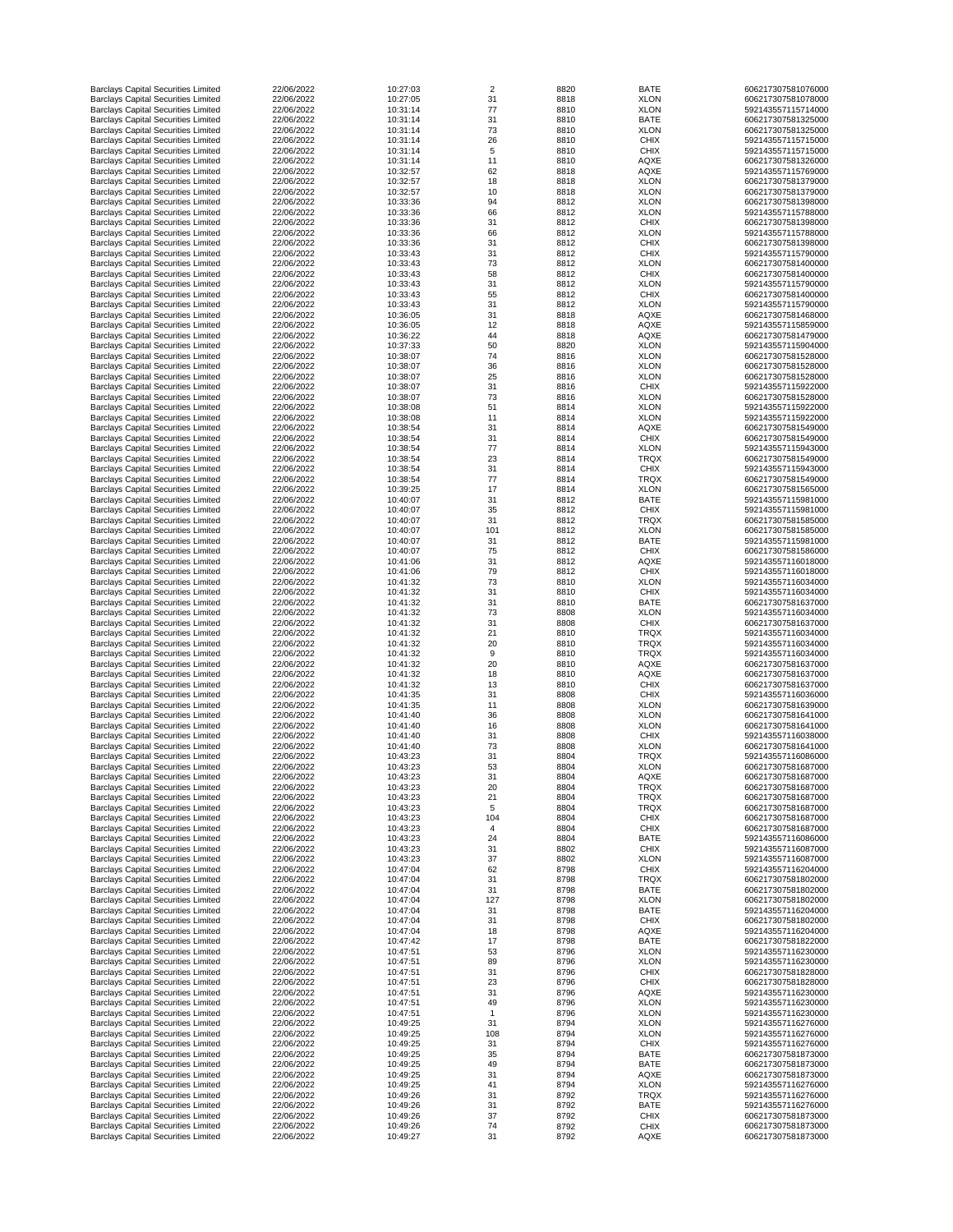| <b>Barclays Capital Securities Limited</b>                                               | 22/06/2022               | 10:27:03             | 2        | 8820         | <b>BATE</b>                | 606217307581076000                       |
|------------------------------------------------------------------------------------------|--------------------------|----------------------|----------|--------------|----------------------------|------------------------------------------|
| <b>Barclays Capital Securities Limited</b>                                               | 22/06/2022               | 10:27:05             | 31       | 8818         | <b>XLON</b>                | 606217307581078000                       |
| <b>Barclays Capital Securities Limited</b>                                               | 22/06/2022               | 10:31:14             | 77       | 8810         | <b>XLON</b>                | 592143557115714000                       |
| <b>Barclays Capital Securities Limited</b>                                               | 22/06/2022               | 10:31:14             | 31       | 8810         | <b>BATE</b>                | 606217307581325000                       |
| <b>Barclays Capital Securities Limited</b>                                               | 22/06/2022               | 10:31:14             | 73       | 8810         | <b>XLON</b>                | 606217307581325000                       |
| <b>Barclays Capital Securities Limited</b>                                               | 22/06/2022               | 10:31:14             | 26       | 8810         | <b>CHIX</b>                | 592143557115715000                       |
| <b>Barclays Capital Securities Limited</b><br><b>Barclays Capital Securities Limited</b> | 22/06/2022<br>22/06/2022 | 10:31:14<br>10:31:14 | 5<br>11  | 8810<br>8810 | <b>CHIX</b><br><b>AQXE</b> | 592143557115715000<br>606217307581326000 |
| <b>Barclays Capital Securities Limited</b>                                               | 22/06/2022               | 10:32:57             | 62       | 8818         | <b>AQXE</b>                | 592143557115769000                       |
| <b>Barclays Capital Securities Limited</b>                                               | 22/06/2022               | 10:32:57             | 18       | 8818         | <b>XLON</b>                | 606217307581379000                       |
| <b>Barclays Capital Securities Limited</b>                                               | 22/06/2022               | 10:32:57             | 10       | 8818         | <b>XLON</b>                | 606217307581379000                       |
| <b>Barclays Capital Securities Limited</b>                                               | 22/06/2022               | 10:33:36             | 94       | 8812         | <b>XLON</b>                | 606217307581398000                       |
| <b>Barclays Capital Securities Limited</b>                                               | 22/06/2022               | 10:33:36             | 66       | 8812         | <b>XLON</b>                | 592143557115788000                       |
| <b>Barclays Capital Securities Limited</b>                                               | 22/06/2022               | 10:33:36             | 31       | 8812         | <b>CHIX</b>                | 606217307581398000                       |
| <b>Barclays Capital Securities Limited</b>                                               | 22/06/2022               | 10:33:36             | 66       | 8812         | <b>XLON</b>                | 592143557115788000                       |
| <b>Barclays Capital Securities Limited</b>                                               | 22/06/2022               | 10:33:36             | 31       | 8812         | <b>CHIX</b>                | 606217307581398000                       |
| <b>Barclays Capital Securities Limited</b>                                               | 22/06/2022               | 10:33:43             | 31       | 8812         | <b>CHIX</b>                | 592143557115790000                       |
| <b>Barclays Capital Securities Limited</b>                                               | 22/06/2022               | 10:33:43             | 73       | 8812         | <b>XLON</b>                | 606217307581400000                       |
| <b>Barclays Capital Securities Limited</b>                                               | 22/06/2022               | 10:33:43             | 58       | 8812         | <b>CHIX</b>                | 606217307581400000                       |
| <b>Barclays Capital Securities Limited</b>                                               | 22/06/2022               | 10:33:43             | 31       | 8812         | <b>XLON</b>                | 592143557115790000                       |
| <b>Barclays Capital Securities Limited</b><br><b>Barclays Capital Securities Limited</b> | 22/06/2022<br>22/06/2022 | 10:33:43<br>10:33:43 | 55<br>31 | 8812<br>8812 | <b>CHIX</b><br><b>XLON</b> | 606217307581400000<br>592143557115790000 |
| <b>Barclays Capital Securities Limited</b>                                               | 22/06/2022               | 10:36:05             | 31       | 8818         | <b>AQXE</b>                | 606217307581468000                       |
| <b>Barclays Capital Securities Limited</b>                                               | 22/06/2022               | 10:36:05             | 12       | 8818         | <b>AQXE</b>                | 592143557115859000                       |
| <b>Barclays Capital Securities Limited</b>                                               | 22/06/2022               | 10:36:22             | 44       | 8818         | <b>AQXE</b>                | 606217307581479000                       |
| <b>Barclays Capital Securities Limited</b>                                               | 22/06/2022               | 10:37:33             | 50       | 8820         | <b>XLON</b>                | 592143557115904000                       |
| <b>Barclays Capital Securities Limited</b>                                               | 22/06/2022               | 10:38:07             | 74       | 8816         | <b>XLON</b>                | 606217307581528000                       |
| <b>Barclays Capital Securities Limited</b>                                               | 22/06/2022               | 10:38:07             | 36       | 8816         | <b>XLON</b>                | 606217307581528000                       |
| <b>Barclays Capital Securities Limited</b>                                               | 22/06/2022               | 10:38:07             | 25       | 8816         | <b>XLON</b>                | 606217307581528000                       |
| <b>Barclays Capital Securities Limited</b>                                               | 22/06/2022               | 10:38:07             | 31       | 8816         | <b>CHIX</b>                | 592143557115922000                       |
| <b>Barclays Capital Securities Limited</b>                                               | 22/06/2022               | 10:38:07             | 73       | 8816         | <b>XLON</b>                | 606217307581528000                       |
| <b>Barclays Capital Securities Limited</b>                                               | 22/06/2022               | 10:38:08             | 51       | 8814         | <b>XLON</b>                | 592143557115922000                       |
| <b>Barclays Capital Securities Limited</b>                                               | 22/06/2022               | 10:38:08             | 11       | 8814         | <b>XLON</b>                | 592143557115922000                       |
| <b>Barclays Capital Securities Limited</b>                                               | 22/06/2022               | 10:38:54             | 31       | 8814         | <b>AQXE</b>                | 606217307581549000                       |
| <b>Barclays Capital Securities Limited</b><br><b>Barclays Capital Securities Limited</b> | 22/06/2022<br>22/06/2022 | 10:38:54<br>10:38:54 | 31<br>77 | 8814<br>8814 | <b>CHIX</b><br><b>XLON</b> | 606217307581549000<br>592143557115943000 |
| <b>Barclays Capital Securities Limited</b>                                               | 22/06/2022               | 10:38:54             | 23       | 8814         | <b>TRQX</b>                | 606217307581549000                       |
| <b>Barclays Capital Securities Limited</b>                                               | 22/06/2022               | 10:38:54             | 31       | 8814         | <b>CHIX</b>                | 592143557115943000                       |
| <b>Barclays Capital Securities Limited</b>                                               | 22/06/2022               | 10:38:54             | 77       | 8814         | <b>TRQX</b>                | 606217307581549000                       |
| <b>Barclays Capital Securities Limited</b>                                               | 22/06/2022               | 10:39:25             | 17       | 8814         | <b>XLON</b>                | 606217307581565000                       |
| <b>Barclays Capital Securities Limited</b>                                               | 22/06/2022               | 10:40:07             | 31       | 8812         | <b>BATE</b>                | 592143557115981000                       |
| <b>Barclays Capital Securities Limited</b>                                               | 22/06/2022               | 10:40:07             | 35       | 8812         | <b>CHIX</b>                | 592143557115981000                       |
| <b>Barclays Capital Securities Limited</b>                                               | 22/06/2022               | 10:40:07             | 31       | 8812         | <b>TRQX</b>                | 606217307581585000                       |
| <b>Barclays Capital Securities Limited</b>                                               | 22/06/2022               | 10:40:07             | 101      | 8812         | <b>XLON</b>                | 606217307581585000                       |
| <b>Barclays Capital Securities Limited</b>                                               | 22/06/2022               | 10:40:07             | 31       | 8812         | <b>BATE</b>                | 592143557115981000                       |
| <b>Barclays Capital Securities Limited</b>                                               | 22/06/2022               | 10:40:07             | 75       | 8812         | <b>CHIX</b>                | 606217307581586000                       |
| <b>Barclays Capital Securities Limited</b>                                               | 22/06/2022               | 10:41:06             | 31       | 8812         | <b>AQXE</b>                | 592143557116018000                       |
| <b>Barclays Capital Securities Limited</b>                                               | 22/06/2022               | 10:41:06             | 79       | 8812         | <b>CHIX</b>                | 592143557116018000                       |
| <b>Barclays Capital Securities Limited</b>                                               | 22/06/2022               | 10:41:32             | 73       | 8810         | <b>XLON</b>                | 592143557116034000                       |
| <b>Barclays Capital Securities Limited</b><br><b>Barclays Capital Securities Limited</b> | 22/06/2022<br>22/06/2022 | 10:41:32<br>10:41:32 | 31<br>31 | 8810<br>8810 | <b>CHIX</b><br><b>BATE</b> | 592143557116034000<br>606217307581637000 |
| <b>Barclays Capital Securities Limited</b>                                               | 22/06/2022               | 10:41:32             | 73       | 8808         | <b>XLON</b>                | 592143557116034000                       |
| <b>Barclays Capital Securities Limited</b>                                               | 22/06/2022               | 10:41:32             | 31       | 8808         | <b>CHIX</b>                | 606217307581637000                       |
| <b>Barclays Capital Securities Limited</b>                                               | 22/06/2022               | 10:41:32             | 21       | 8810         | <b>TRQX</b>                | 592143557116034000                       |
| <b>Barclays Capital Securities Limited</b>                                               | 22/06/2022               | 10:41:32             | 20       | 8810         | <b>TRQX</b>                | 592143557116034000                       |
| <b>Barclays Capital Securities Limited</b>                                               | 22/06/2022               | 10:41:32             | 9        | 8810         | <b>TRQX</b>                | 592143557116034000                       |
| <b>Barclays Capital Securities Limited</b>                                               | 22/06/2022               | 10:41:32             | 20       | 8810         | <b>AQXE</b>                | 606217307581637000                       |
| <b>Barclays Capital Securities Limited</b>                                               | 22/06/2022               | 10:41:32             | 18       | 8810         | <b>AQXE</b>                | 606217307581637000                       |
| <b>Barclays Capital Securities Limited</b>                                               | 22/06/2022               | 10:41:32             | 13       | 8810         | <b>CHIX</b>                | 606217307581637000                       |
| <b>Barclays Capital Securities Limited</b>                                               | 22/06/2022               | 10:41:35             | 31       | 8808         | <b>CHIX</b>                | 592143557116036000                       |
| <b>Barclays Capital Securities Limited</b>                                               | 22/06/2022               | 10:41:35             | 11       | 8808         | <b>XLON</b>                | 606217307581639000                       |
| <b>Barclays Capital Securities Limited</b>                                               | 22/06/2022<br>22/06/2022 | 10:41:40<br>10:41:40 | 36       | 8808<br>8808 | <b>XLON</b><br><b>XLON</b> | 606217307581641000                       |
| <b>Barclays Capital Securities Limited</b><br><b>Barclays Capital Securities Limited</b> | 22/06/2022               | 10:41:40             | 16<br>31 | 8808         | <b>CHIX</b>                | 606217307581641000<br>592143557116038000 |
| <b>Barclays Capital Securities Limited</b>                                               | 22/06/2022               | 10:41:40             | 73       | 8808         | <b>XLON</b>                | 606217307581641000                       |
| <b>Barclays Capital Securities Limited</b>                                               | 22/06/2022               | 10:43:23             | 31       | 8804         | <b>TRQX</b>                | 592143557116086000                       |
| <b>Barclays Capital Securities Limited</b>                                               | 22/06/2022               | 10:43:23             | 53       | 8804         | <b>XLON</b>                | 606217307581687000                       |
| <b>Barclays Capital Securities Limited</b>                                               | 22/06/2022               | 10:43:23             | 31       | 8804         | <b>AQXE</b>                | 606217307581687000                       |
| <b>Barclays Capital Securities Limited</b>                                               | 22/06/2022               | 10:43:23             | 20       | 8804         | <b>TRQX</b>                | 606217307581687000                       |
| <b>Barclays Capital Securities Limited</b>                                               | 22/06/2022               | 10:43:23             | 21       | 8804         | <b>TRQX</b>                | 606217307581687000                       |
| <b>Barclays Capital Securities Limited</b>                                               | 22/06/2022               | 10:43:23             | 5        | 8804         | <b>TRQX</b>                | 606217307581687000                       |
| <b>Barclays Capital Securities Limited</b>                                               | 22/06/2022               | 10:43:23             | 104      | 8804         | <b>CHIX</b>                | 606217307581687000                       |
| <b>Barclays Capital Securities Limited</b>                                               | 22/06/2022               | 10:43:23             |          | 8804         | <b>CHIX</b>                | 606217307581687000                       |
| <b>Barclays Capital Securities Limited</b>                                               | 22/06/2022               | 10:43:23             | 24       | 8804         | <b>BATE</b>                | 592143557116086000                       |
| <b>Barclays Capital Securities Limited</b><br><b>Barclays Capital Securities Limited</b> | 22/06/2022<br>22/06/2022 | 10:43:23<br>10:43:23 | 31<br>37 | 8802<br>8802 | <b>CHIX</b><br><b>XLON</b> | 592143557116087000<br>592143557116087000 |
| <b>Barclays Capital Securities Limited</b>                                               | 22/06/2022               | 10:47:04             | 62       | 8798         | <b>CHIX</b>                | 592143557116204000                       |
| <b>Barclays Capital Securities Limited</b>                                               | 22/06/2022               | 10:47:04             | 31       | 8798         | <b>TRQX</b>                | 606217307581802000                       |
| <b>Barclays Capital Securities Limited</b>                                               | 22/06/2022               | 10:47:04             | 31       | 8798         | <b>BATE</b>                | 606217307581802000                       |
| <b>Barclays Capital Securities Limited</b>                                               | 22/06/2022               | 10:47:04             | 127      | 8798         | <b>XLON</b>                | 606217307581802000                       |
| <b>Barclays Capital Securities Limited</b>                                               | 22/06/2022               | 10:47:04             | 31       | 8798         | <b>BATE</b>                | 592143557116204000                       |
| <b>Barclays Capital Securities Limited</b>                                               | 22/06/2022               | 10:47:04             | 31       | 8798         | <b>CHIX</b>                | 606217307581802000                       |
| <b>Barclays Capital Securities Limited</b>                                               | 22/06/2022               | 10:47:04             | 18       | 8798         | <b>AQXE</b>                | 592143557116204000                       |
| <b>Barclays Capital Securities Limited</b>                                               | 22/06/2022               | 10:47:42             | 17       | 8798         | <b>BATE</b>                | 606217307581822000                       |
| <b>Barclays Capital Securities Limited</b>                                               | 22/06/2022               | 10:47:51             | 53       | 8796         | <b>XLON</b>                | 592143557116230000                       |
| <b>Barclays Capital Securities Limited</b>                                               | 22/06/2022<br>22/06/2022 | 10:47:51<br>10:47:51 | 89       | 8796         | <b>XLON</b>                | 592143557116230000                       |
| <b>Barclays Capital Securities Limited</b><br><b>Barclays Capital Securities Limited</b> | 22/06/2022               | 10:47:51             | 31<br>23 | 8796<br>8796 | <b>CHIX</b><br><b>CHIX</b> | 606217307581828000<br>606217307581828000 |
| <b>Barclays Capital Securities Limited</b>                                               | 22/06/2022               | 10:47:51             | 31       | 8796         | <b>AQXE</b>                | 592143557116230000                       |
| <b>Barclays Capital Securities Limited</b>                                               | 22/06/2022               | 10:47:51             | 49       | 8796         | <b>XLON</b>                | 592143557116230000                       |
| <b>Barclays Capital Securities Limited</b>                                               | 22/06/2022               | 10:47:51             |          | 8796         | <b>XLON</b>                | 592143557116230000                       |
| <b>Barclays Capital Securities Limited</b>                                               | 22/06/2022               | 10:49:25             | 31       | 8794         | <b>XLON</b>                | 592143557116276000                       |
| <b>Barclays Capital Securities Limited</b>                                               | 22/06/2022               | 10:49:25             | 108      | 8794         | <b>XLON</b>                | 592143557116276000                       |
| <b>Barclays Capital Securities Limited</b>                                               | 22/06/2022               | 10:49:25             | 31       | 8794         | <b>CHIX</b>                | 592143557116276000                       |
| <b>Barclays Capital Securities Limited</b>                                               | 22/06/2022               | 10:49:25             | 35       | 8794         | <b>BATE</b>                | 606217307581873000                       |
| <b>Barclays Capital Securities Limited</b>                                               | 22/06/2022               | 10:49:25             | 49       | 8794         | <b>BATE</b>                | 606217307581873000                       |
| <b>Barclays Capital Securities Limited</b>                                               | 22/06/2022               | 10:49:25             | 31       | 8794         | <b>AQXE</b>                | 606217307581873000                       |
| <b>Barclays Capital Securities Limited</b>                                               | 22/06/2022               | 10:49:25             | 41       | 8794         | <b>XLON</b>                | 592143557116276000                       |
| <b>Barclays Capital Securities Limited</b>                                               | 22/06/2022               | 10:49:26             | 31       | 8792         | <b>TRQX</b>                | 592143557116276000                       |
| <b>Barclays Capital Securities Limited</b><br><b>Barclays Capital Securities Limited</b> | 22/06/2022<br>22/06/2022 | 10:49:26<br>10:49:26 | 31<br>37 | 8792<br>8792 | <b>BATE</b><br><b>CHIX</b> | 592143557116276000<br>606217307581873000 |
| <b>Barclays Capital Securities Limited</b>                                               | 22/06/2022               | 10:49:26             | 74       | 8792         | <b>CHIX</b>                | 606217307581873000                       |
| <b>Barclays Capital Securities Limited</b>                                               | 22/06/2022               | 10:49:27             | 31       | 8792         | AQXE                       | 606217307581873000                       |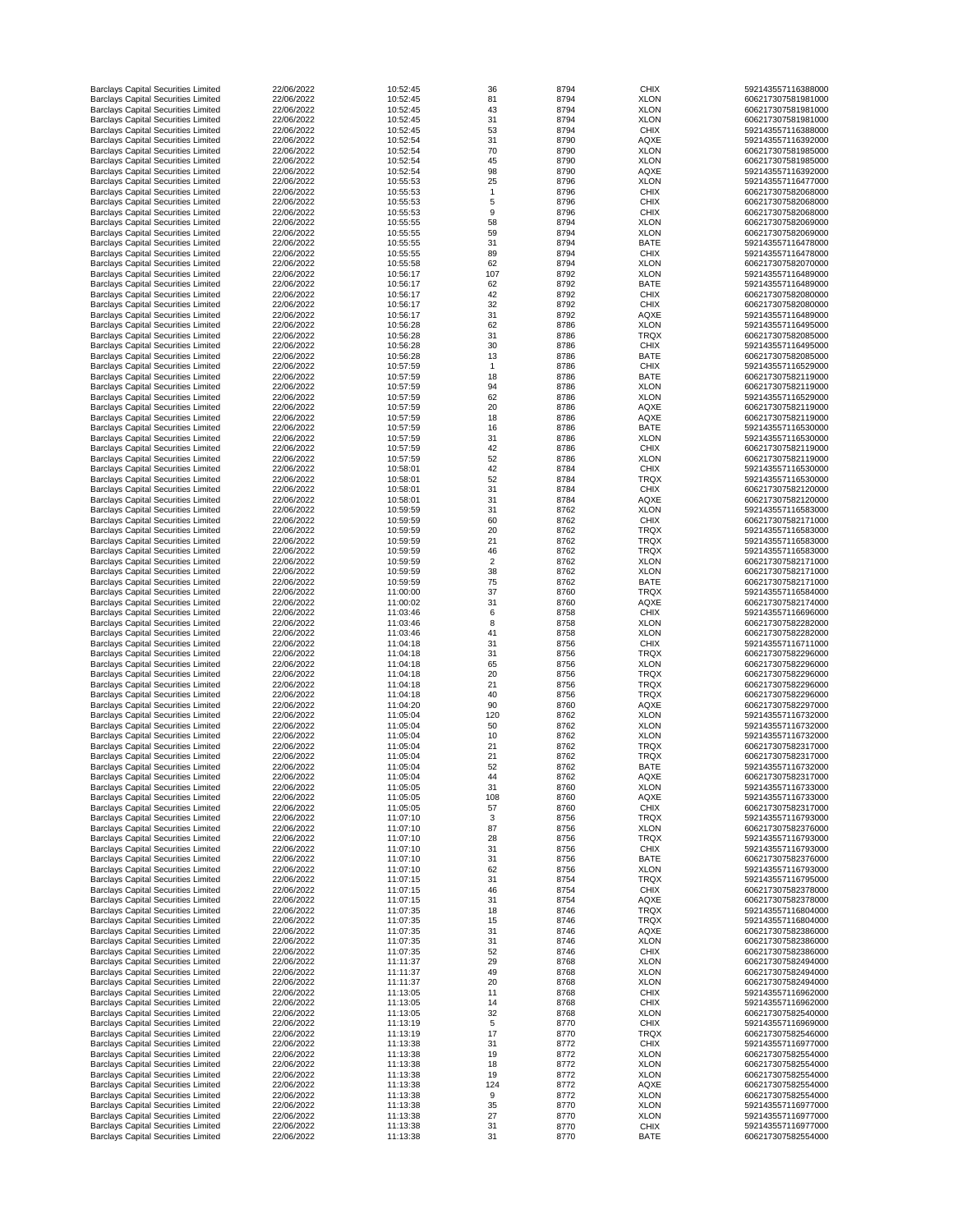| <b>Barclays Capital Securities Limited</b>                                               | 22/06/2022               | 10:52:45             | 36             | 8794         | <b>CHIX</b>                | 592143557116388000                       |
|------------------------------------------------------------------------------------------|--------------------------|----------------------|----------------|--------------|----------------------------|------------------------------------------|
| <b>Barclays Capital Securities Limited</b>                                               | 22/06/2022               | 10:52:45             | 81             | 8794         | <b>XLON</b>                | 606217307581981000                       |
| <b>Barclays Capital Securities Limited</b>                                               | 22/06/2022               | 10:52:45             | 43             | 8794         | <b>XLON</b>                | 606217307581981000                       |
| <b>Barclays Capital Securities Limited</b>                                               | 22/06/2022               | 10:52:45             | 31             | 8794         | <b>XLON</b>                | 606217307581981000                       |
| <b>Barclays Capital Securities Limited</b>                                               | 22/06/2022               | 10:52:45             | 53             | 8794         | <b>CHIX</b>                | 592143557116388000                       |
| <b>Barclays Capital Securities Limited</b><br><b>Barclays Capital Securities Limited</b> | 22/06/2022<br>22/06/2022 | 10:52:54<br>10:52:54 | 31<br>70       | 8790<br>8790 | <b>AQXE</b><br><b>XLON</b> | 592143557116392000<br>606217307581985000 |
| <b>Barclays Capital Securities Limited</b>                                               | 22/06/2022               | 10:52:54             | 45             | 8790         | <b>XLON</b>                | 606217307581985000                       |
| <b>Barclays Capital Securities Limited</b>                                               | 22/06/2022               | 10:52:54             | 98             | 8790         | <b>AQXE</b>                | 592143557116392000                       |
| <b>Barclays Capital Securities Limited</b>                                               | 22/06/2022               | 10:55:53             | 25             | 8796         | <b>XLON</b>                | 592143557116477000                       |
| <b>Barclays Capital Securities Limited</b>                                               | 22/06/2022               | 10:55:53             |                | 8796         | <b>CHIX</b>                | 606217307582068000                       |
| <b>Barclays Capital Securities Limited</b>                                               | 22/06/2022               | 10:55:53             | 5              | 8796         | <b>CHIX</b>                | 606217307582068000                       |
| <b>Barclays Capital Securities Limited</b>                                               | 22/06/2022               | 10:55:53             | 9              | 8796         | <b>CHIX</b>                | 606217307582068000                       |
| <b>Barclays Capital Securities Limited</b>                                               | 22/06/2022               | 10:55:55             | 58             | 8794         | <b>XLON</b>                | 606217307582069000                       |
| <b>Barclays Capital Securities Limited</b>                                               | 22/06/2022               | 10:55:55             | 59             | 8794         | <b>XLON</b>                | 606217307582069000                       |
| <b>Barclays Capital Securities Limited</b>                                               | 22/06/2022               | 10:55:55             | 31             | 8794         | <b>BATE</b>                | 592143557116478000                       |
| <b>Barclays Capital Securities Limited</b>                                               | 22/06/2022               | 10:55:55             | 89             | 8794         | <b>CHIX</b>                | 592143557116478000                       |
| <b>Barclays Capital Securities Limited</b>                                               | 22/06/2022               | 10:55:58             | 62             | 8794         | <b>XLON</b>                | 606217307582070000                       |
| <b>Barclays Capital Securities Limited</b>                                               | 22/06/2022               | 10:56:17             | 107            | 8792         | <b>XLON</b>                | 592143557116489000                       |
| <b>Barclays Capital Securities Limited</b>                                               | 22/06/2022               | 10:56:17             | 62             | 8792         | <b>BATE</b>                | 592143557116489000                       |
| <b>Barclays Capital Securities Limited</b>                                               | 22/06/2022               | 10:56:17             | 42             | 8792         | <b>CHIX</b>                | 606217307582080000                       |
| <b>Barclays Capital Securities Limited</b>                                               | 22/06/2022               | 10:56:17             | 32             | 8792         | <b>CHIX</b>                | 606217307582080000                       |
| <b>Barclays Capital Securities Limited</b><br><b>Barclays Capital Securities Limited</b> | 22/06/2022<br>22/06/2022 | 10:56:17<br>10:56:28 | 31<br>62       | 8792<br>8786 | <b>AQXE</b><br><b>XLON</b> | 592143557116489000<br>592143557116495000 |
| <b>Barclays Capital Securities Limited</b>                                               | 22/06/2022               | 10:56:28             | 31             | 8786         | <b>TRQX</b>                | 606217307582085000                       |
| <b>Barclays Capital Securities Limited</b>                                               | 22/06/2022               | 10:56:28             | 30             | 8786         | <b>CHIX</b>                | 592143557116495000                       |
| <b>Barclays Capital Securities Limited</b>                                               | 22/06/2022               | 10:56:28             | 13             | 8786         | <b>BATE</b>                | 606217307582085000                       |
| <b>Barclays Capital Securities Limited</b>                                               | 22/06/2022               | 10:57:59             | -1             | 8786         | <b>CHIX</b>                | 592143557116529000                       |
| <b>Barclays Capital Securities Limited</b>                                               | 22/06/2022               | 10:57:59             | 18             | 8786         | <b>BATE</b>                | 606217307582119000                       |
| <b>Barclays Capital Securities Limited</b>                                               | 22/06/2022               | 10:57:59             | 94             | 8786         | <b>XLON</b>                | 606217307582119000                       |
| <b>Barclays Capital Securities Limited</b>                                               | 22/06/2022               | 10:57:59             | 62             | 8786         | <b>XLON</b>                | 592143557116529000                       |
| <b>Barclays Capital Securities Limited</b>                                               | 22/06/2022               | 10:57:59             | 20             | 8786         | <b>AQXE</b>                | 606217307582119000                       |
| <b>Barclays Capital Securities Limited</b>                                               | 22/06/2022               | 10:57:59             | 18             | 8786         | <b>AQXE</b>                | 606217307582119000                       |
| <b>Barclays Capital Securities Limited</b>                                               | 22/06/2022               | 10:57:59             | 16             | 8786         | <b>BATE</b>                | 592143557116530000                       |
| <b>Barclays Capital Securities Limited</b>                                               | 22/06/2022               | 10:57:59             | 31             | 8786         | <b>XLON</b>                | 592143557116530000                       |
| <b>Barclays Capital Securities Limited</b>                                               | 22/06/2022               | 10:57:59             | 42             | 8786         | <b>CHIX</b>                | 606217307582119000                       |
| <b>Barclays Capital Securities Limited</b>                                               | 22/06/2022               | 10:57:59             | 52             | 8786         | <b>XLON</b>                | 606217307582119000                       |
| <b>Barclays Capital Securities Limited</b>                                               | 22/06/2022               | 10:58:01             | 42             | 8784         | <b>CHIX</b>                | 592143557116530000                       |
| <b>Barclays Capital Securities Limited</b>                                               | 22/06/2022               | 10:58:01             | 52             | 8784         | <b>TRQX</b>                | 592143557116530000                       |
| <b>Barclays Capital Securities Limited</b>                                               | 22/06/2022               | 10:58:01             | 31             | 8784         | <b>CHIX</b>                | 606217307582120000                       |
| <b>Barclays Capital Securities Limited</b>                                               | 22/06/2022               | 10:58:01             | 31             | 8784         | <b>AQXE</b>                | 606217307582120000                       |
| <b>Barclays Capital Securities Limited</b>                                               | 22/06/2022               | 10:59:59             | 31             | 8762         | <b>XLON</b>                | 592143557116583000                       |
| <b>Barclays Capital Securities Limited</b>                                               | 22/06/2022               | 10:59:59             | 60             | 8762         | <b>CHIX</b>                | 606217307582171000                       |
| <b>Barclays Capital Securities Limited</b>                                               | 22/06/2022               | 10:59:59             | 20             | 8762         | <b>TRQX</b>                | 592143557116583000                       |
| <b>Barclays Capital Securities Limited</b><br><b>Barclays Capital Securities Limited</b> | 22/06/2022<br>22/06/2022 | 10:59:59<br>10:59:59 | 21<br>46       | 8762<br>8762 | <b>TRQX</b><br><b>TRQX</b> | 592143557116583000<br>592143557116583000 |
| <b>Barclays Capital Securities Limited</b>                                               | 22/06/2022               | 10:59:59             | $\overline{2}$ | 8762         | <b>XLON</b>                | 606217307582171000                       |
| <b>Barclays Capital Securities Limited</b>                                               | 22/06/2022               | 10:59:59             | 38             | 8762         | <b>XLON</b>                | 606217307582171000                       |
| <b>Barclays Capital Securities Limited</b>                                               | 22/06/2022               | 10:59:59             | 75             | 8762         | <b>BATE</b>                | 606217307582171000                       |
| <b>Barclays Capital Securities Limited</b>                                               | 22/06/2022               | 11:00:00             | 37             | 8760         | <b>TRQX</b>                | 592143557116584000                       |
| <b>Barclays Capital Securities Limited</b>                                               | 22/06/2022               | 11:00:02             | 31             | 8760         | <b>AQXE</b>                | 606217307582174000                       |
| <b>Barclays Capital Securities Limited</b>                                               | 22/06/2022               | 11:03:46             | 6              | 8758         | <b>CHIX</b>                | 592143557116696000                       |
| <b>Barclays Capital Securities Limited</b>                                               | 22/06/2022               | 11:03:46             | 8              | 8758         | <b>XLON</b>                | 606217307582282000                       |
| <b>Barclays Capital Securities Limited</b>                                               | 22/06/2022               | 11:03:46             | 41             | 8758         | <b>XLON</b>                | 606217307582282000                       |
| <b>Barclays Capital Securities Limited</b>                                               | 22/06/2022               | 11:04:18             | 31             | 8756         | <b>CHIX</b>                | 592143557116711000                       |
| <b>Barclays Capital Securities Limited</b>                                               | 22/06/2022               | 11:04:18             | 31             | 8756         | <b>TRQX</b>                | 606217307582296000                       |
| <b>Barclays Capital Securities Limited</b>                                               | 22/06/2022               | 11:04:18             | 65             | 8756         | <b>XLON</b>                | 606217307582296000                       |
| <b>Barclays Capital Securities Limited</b>                                               | 22/06/2022               | 11:04:18             | 20             | 8756         | <b>TRQX</b>                | 606217307582296000                       |
| <b>Barclays Capital Securities Limited</b>                                               | 22/06/2022               | 11:04:18             | 21             | 8756         | <b>TRQX</b>                | 606217307582296000                       |
| <b>Barclays Capital Securities Limited</b>                                               | 22/06/2022               | 11:04:18             | 40             | 8756         | <b>TRQX</b>                | 606217307582296000                       |
| <b>Barclays Capital Securities Limited</b>                                               | 22/06/2022               | 11:04:20             | 90             | 8760         | <b>AQXE</b>                | 606217307582297000                       |
| <b>Barclays Capital Securities Limited</b>                                               | 22/06/2022               | 11:05:04             | 120            | 8762         | <b>XLON</b>                | 592143557116732000                       |
| <b>Barclays Capital Securities Limited</b>                                               | 22/06/2022               | 11:05:04             | 50             | 8762         | <b>XLON</b>                | 592143557116732000                       |
| <b>Barclays Capital Securities Limited</b><br><b>Barclays Capital Securities Limited</b> | 22/06/2022<br>22/06/2022 | 11:05:04<br>11:05:04 | 10<br>21       | 8762<br>8762 | <b>XLON</b><br><b>TRQX</b> | 592143557116732000<br>606217307582317000 |
| <b>Barclays Capital Securities Limited</b>                                               | 22/06/2022               | 11:05:04             | 21             | 8762         | <b>TRQX</b>                | 606217307582317000                       |
| <b>Barclays Capital Securities Limited</b>                                               | 22/06/2022               | 11:05:04             | 52             | 8762         | <b>BATE</b>                | 592143557116732000                       |
| <b>Barclays Capital Securities Limited</b>                                               | 22/06/2022               | 11:05:04             | 44             | 8762         | <b>AQXE</b>                | 606217307582317000                       |
| <b>Barclays Capital Securities Limited</b>                                               | 22/06/2022               | 11:05:05             | 31             | 8760         | <b>XLON</b>                | 592143557116733000                       |
| <b>Barclays Capital Securities Limited</b>                                               | 22/06/2022               | 11:05:05             | 108            | 8760         | <b>AQXE</b>                | 592143557116733000                       |
| <b>Barclays Capital Securities Limited</b>                                               | 22/06/2022               | 11:05:05             | 57             | 8760         | <b>CHIX</b>                | 606217307582317000                       |
| <b>Barclays Capital Securities Limited</b>                                               | 22/06/2022               | 11:07:10             | 3              | 8756         | <b>TRQX</b>                | 592143557116793000                       |
| <b>Barclays Capital Securities Limited</b>                                               | 22/06/2022               | 11:07:10             | 87             | 8756         | <b>XLON</b>                | 606217307582376000                       |
| <b>Barclays Capital Securities Limited</b>                                               | 22/06/2022               | 11:07:10             | 28             | 8756         | <b>TRQX</b>                | 592143557116793000                       |
| <b>Barclays Capital Securities Limited</b>                                               | 22/06/2022               | 11:07:10             | 31             | 8756         | <b>CHIX</b>                | 592143557116793000                       |
| <b>Barclays Capital Securities Limited</b>                                               | 22/06/2022               | 11:07:10             | 31             | 8756         | <b>BATE</b>                | 606217307582376000                       |
| <b>Barclays Capital Securities Limited</b>                                               | 22/06/2022               | 11:07:10             | 62             | 8756         | <b>XLON</b>                | 592143557116793000                       |
| <b>Barclays Capital Securities Limited</b>                                               | 22/06/2022               | 11:07:15             | 31             | 8754         | <b>TRQX</b>                | 592143557116795000                       |
| <b>Barclays Capital Securities Limited</b>                                               | 22/06/2022               | 11:07:15             | 46             | 8754         | <b>CHIX</b>                | 606217307582378000                       |
| <b>Barclays Capital Securities Limited</b>                                               | 22/06/2022               | 11:07:15             | 31             | 8754         | <b>AQXE</b>                | 606217307582378000                       |
| <b>Barclays Capital Securities Limited</b><br><b>Barclays Capital Securities Limited</b> | 22/06/2022<br>22/06/2022 | 11:07:35<br>11:07:35 | 18<br>15       | 8746         | <b>TRQX</b>                | 592143557116804000<br>592143557116804000 |
| <b>Barclays Capital Securities Limited</b>                                               | 22/06/2022               | 11:07:35             | 31             | 8746<br>8746 | <b>TRQX</b><br><b>AQXE</b> | 606217307582386000                       |
| <b>Barclays Capital Securities Limited</b>                                               | 22/06/2022               | 11:07:35             | 31             | 8746         | <b>XLON</b>                | 606217307582386000                       |
| <b>Barclays Capital Securities Limited</b>                                               | 22/06/2022               | 11:07:35             | 52             | 8746         | <b>CHIX</b>                | 606217307582386000                       |
| <b>Barclays Capital Securities Limited</b>                                               | 22/06/2022               | 11:11:37             | 29             | 8768         | <b>XLON</b>                | 606217307582494000                       |
| <b>Barclays Capital Securities Limited</b>                                               | 22/06/2022               | 11:11:37             | 49             | 8768         | <b>XLON</b>                | 606217307582494000                       |
| <b>Barclays Capital Securities Limited</b>                                               | 22/06/2022               | 11:11:37             | 20             | 8768         | <b>XLON</b>                | 606217307582494000                       |
| <b>Barclays Capital Securities Limited</b>                                               | 22/06/2022               | 11:13:05             | 11             | 8768         | <b>CHIX</b>                | 592143557116962000                       |
| <b>Barclays Capital Securities Limited</b>                                               | 22/06/2022               | 11:13:05             | 14             | 8768         | <b>CHIX</b>                | 592143557116962000                       |
| <b>Barclays Capital Securities Limited</b>                                               | 22/06/2022               | 11:13:05             | 32             | 8768         | <b>XLON</b>                | 606217307582540000                       |
| <b>Barclays Capital Securities Limited</b>                                               | 22/06/2022               | 11:13:19             | 5              | 8770         | <b>CHIX</b>                | 592143557116969000                       |
| <b>Barclays Capital Securities Limited</b>                                               | 22/06/2022               | 11:13:19             | 17             | 8770         | <b>TRQX</b>                | 606217307582546000                       |
| <b>Barclays Capital Securities Limited</b>                                               | 22/06/2022               | 11:13:38             | 31             | 8772         | <b>CHIX</b>                | 592143557116977000                       |
| <b>Barclays Capital Securities Limited</b>                                               | 22/06/2022               | 11:13:38             | 19             | 8772         | <b>XLON</b>                | 606217307582554000                       |
| <b>Barclays Capital Securities Limited</b>                                               | 22/06/2022               | 11:13:38             | 18             | 8772         | <b>XLON</b>                | 606217307582554000                       |
| <b>Barclays Capital Securities Limited</b>                                               | 22/06/2022<br>22/06/2022 | 11:13:38             | 19             | 8772         | <b>XLON</b>                | 606217307582554000                       |
| <b>Barclays Capital Securities Limited</b><br><b>Barclays Capital Securities Limited</b> | 22/06/2022               | 11:13:38<br>11:13:38 | 124<br>9       | 8772<br>8772 | <b>AQXE</b><br><b>XLON</b> | 606217307582554000<br>606217307582554000 |
| <b>Barclays Capital Securities Limited</b>                                               | 22/06/2022               | 11:13:38             | 35             | 8770         | <b>XLON</b>                | 592143557116977000                       |
| <b>Barclays Capital Securities Limited</b>                                               | 22/06/2022               | 11:13:38             | 27             | 8770         | <b>XLON</b>                | 592143557116977000                       |
| <b>Barclays Capital Securities Limited</b>                                               | 22/06/2022               | 11:13:38             | 31             | 8770         | <b>CHIX</b>                | 592143557116977000                       |
| <b>Barclays Capital Securities Limited</b>                                               | 22/06/2022               | 11:13:38             | 31             | 8770         | <b>BATE</b>                | 606217307582554000                       |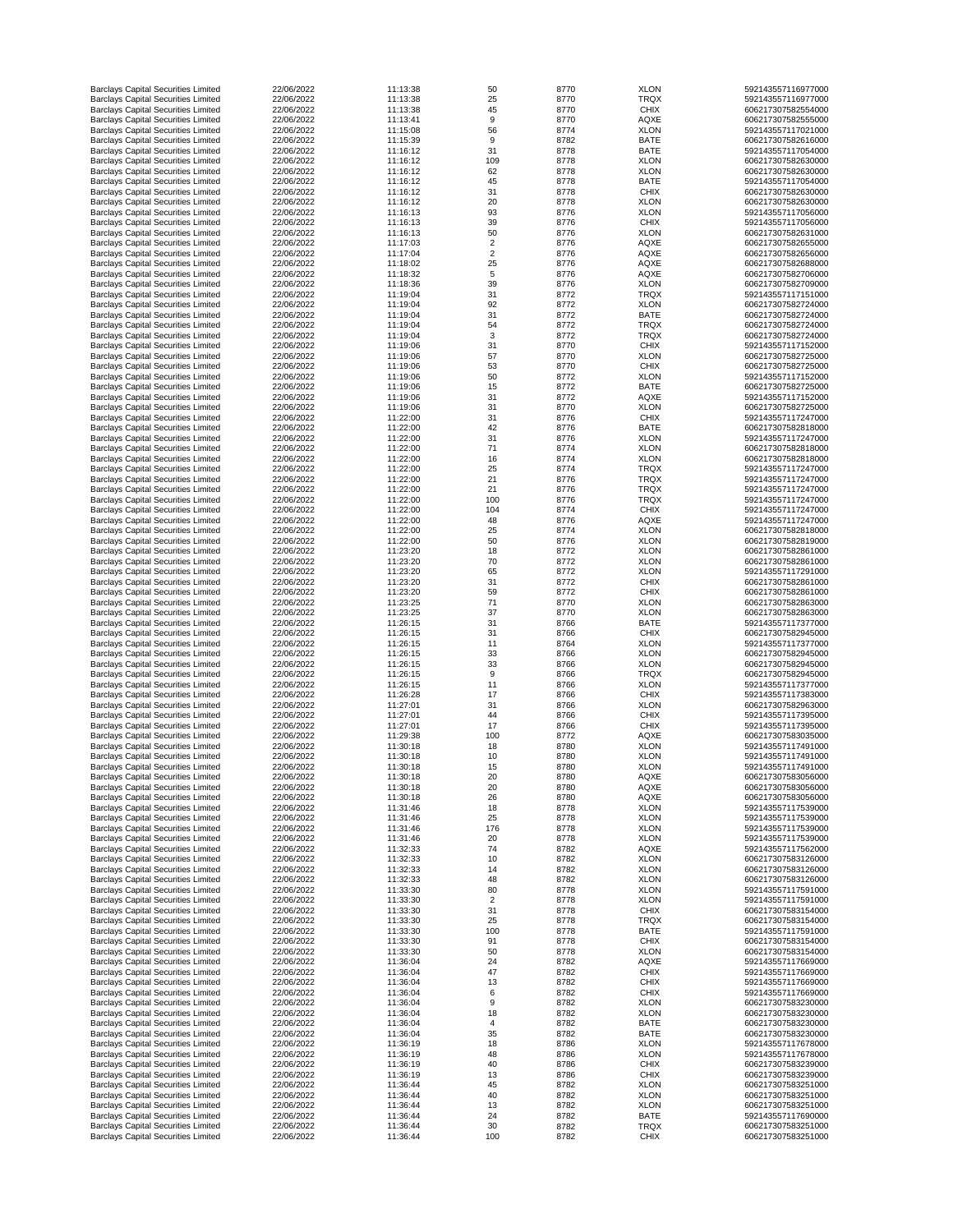| <b>Barclays Capital Securities Limited</b>                                               | 22/06/2022               | 11:13:38             | 50                               | 8770         | <b>XLON</b>                | 592143557116977000                       |
|------------------------------------------------------------------------------------------|--------------------------|----------------------|----------------------------------|--------------|----------------------------|------------------------------------------|
| <b>Barclays Capital Securities Limited</b>                                               | 22/06/2022               | 11:13:38             | 25                               | 8770         | <b>TRQX</b>                | 592143557116977000                       |
| <b>Barclays Capital Securities Limited</b><br><b>Barclays Capital Securities Limited</b> | 22/06/2022<br>22/06/2022 | 11:13:38<br>11:13:41 | 45<br>9                          | 8770<br>8770 | <b>CHIX</b><br><b>AQXE</b> | 606217307582554000<br>606217307582555000 |
| <b>Barclays Capital Securities Limited</b>                                               | 22/06/2022               | 11:15:08             | 56                               | 8774         | <b>XLON</b>                | 592143557117021000                       |
| <b>Barclays Capital Securities Limited</b>                                               | 22/06/2022               | 11:15:39             | 9                                | 8782         | <b>BATE</b>                | 606217307582616000                       |
| <b>Barclays Capital Securities Limited</b>                                               | 22/06/2022               | 11:16:12             | 31                               | 8778         | <b>BATE</b>                | 592143557117054000                       |
| <b>Barclays Capital Securities Limited</b>                                               | 22/06/2022               | 11:16:12             | 109                              | 8778         | <b>XLON</b>                | 606217307582630000                       |
| <b>Barclays Capital Securities Limited</b><br><b>Barclays Capital Securities Limited</b> | 22/06/2022<br>22/06/2022 | 11:16:12<br>11:16:12 | 62<br>45                         | 8778<br>8778 | <b>XLON</b><br><b>BATE</b> | 606217307582630000<br>592143557117054000 |
| <b>Barclays Capital Securities Limited</b>                                               | 22/06/2022               | 11:16:12             | 31                               | 8778         | <b>CHIX</b>                | 606217307582630000                       |
| <b>Barclays Capital Securities Limited</b>                                               | 22/06/2022               | 11:16:12             | 20                               | 8778         | <b>XLON</b>                | 606217307582630000                       |
| <b>Barclays Capital Securities Limited</b>                                               | 22/06/2022               | 11:16:13             | 93                               | 8776         | <b>XLON</b>                | 592143557117056000                       |
| <b>Barclays Capital Securities Limited</b>                                               | 22/06/2022               | 11:16:13             | 39                               | 8776         | <b>CHIX</b>                | 592143557117056000                       |
| <b>Barclays Capital Securities Limited</b>                                               | 22/06/2022               | 11:16:13             | 50                               | 8776         | <b>XLON</b>                | 606217307582631000                       |
| <b>Barclays Capital Securities Limited</b><br><b>Barclays Capital Securities Limited</b> | 22/06/2022<br>22/06/2022 | 11:17:03<br>11:17:04 | $\overline{2}$<br>$\overline{2}$ | 8776<br>8776 | <b>AQXE</b><br><b>AQXE</b> | 606217307582655000<br>606217307582656000 |
| <b>Barclays Capital Securities Limited</b>                                               | 22/06/2022               | 11:18:02             | 25                               | 8776         | <b>AQXE</b>                | 606217307582688000                       |
| <b>Barclays Capital Securities Limited</b>                                               | 22/06/2022               | 11:18:32             | 5                                | 8776         | <b>AQXE</b>                | 606217307582706000                       |
| <b>Barclays Capital Securities Limited</b>                                               | 22/06/2022               | 11:18:36             | 39                               | 8776         | <b>XLON</b>                | 606217307582709000                       |
| <b>Barclays Capital Securities Limited</b>                                               | 22/06/2022               | 11:19:04             | 31                               | 8772         | <b>TRQX</b>                | 592143557117151000                       |
| <b>Barclays Capital Securities Limited</b>                                               | 22/06/2022               | 11:19:04             | 92                               | 8772         | <b>XLON</b>                | 606217307582724000                       |
| <b>Barclays Capital Securities Limited</b><br><b>Barclays Capital Securities Limited</b> | 22/06/2022<br>22/06/2022 | 11:19:04<br>11:19:04 | 31<br>54                         | 8772<br>8772 | <b>BATE</b><br><b>TRQX</b> | 606217307582724000<br>606217307582724000 |
| <b>Barclays Capital Securities Limited</b>                                               | 22/06/2022               | 11:19:04             | 3                                | 8772         | <b>TRQX</b>                | 606217307582724000                       |
| <b>Barclays Capital Securities Limited</b>                                               | 22/06/2022               | 11:19:06             | 31                               | 8770         | <b>CHIX</b>                | 592143557117152000                       |
| <b>Barclays Capital Securities Limited</b>                                               | 22/06/2022               | 11:19:06             | 57                               | 8770         | <b>XLON</b>                | 606217307582725000                       |
| <b>Barclays Capital Securities Limited</b>                                               | 22/06/2022               | 11:19:06             | 53                               | 8770         | <b>CHIX</b>                | 606217307582725000                       |
| <b>Barclays Capital Securities Limited</b>                                               | 22/06/2022               | 11:19:06             | 50                               | 8772         | <b>XLON</b>                | 592143557117152000                       |
| <b>Barclays Capital Securities Limited</b><br><b>Barclays Capital Securities Limited</b> | 22/06/2022<br>22/06/2022 | 11:19:06<br>11:19:06 | 15<br>31                         | 8772<br>8772 | <b>BATE</b><br><b>AQXE</b> | 606217307582725000<br>592143557117152000 |
| <b>Barclays Capital Securities Limited</b>                                               | 22/06/2022               | 11:19:06             | 31                               | 8770         | <b>XLON</b>                | 606217307582725000                       |
| <b>Barclays Capital Securities Limited</b>                                               | 22/06/2022               | 11:22:00             | 31                               | 8776         | <b>CHIX</b>                | 592143557117247000                       |
| <b>Barclays Capital Securities Limited</b>                                               | 22/06/2022               | 11:22:00             | 42                               | 8776         | <b>BATE</b>                | 606217307582818000                       |
| <b>Barclays Capital Securities Limited</b>                                               | 22/06/2022               | 11:22:00             | 31                               | 8776         | <b>XLON</b>                | 592143557117247000                       |
| <b>Barclays Capital Securities Limited</b>                                               | 22/06/2022               | 11:22:00             | 71                               | 8774         | <b>XLON</b>                | 606217307582818000                       |
| <b>Barclays Capital Securities Limited</b><br><b>Barclays Capital Securities Limited</b> | 22/06/2022<br>22/06/2022 | 11:22:00<br>11:22:00 | 16<br>25                         | 8774<br>8774 | <b>XLON</b><br><b>TRQX</b> | 606217307582818000<br>592143557117247000 |
| <b>Barclays Capital Securities Limited</b>                                               | 22/06/2022               | 11:22:00             | 21                               | 8776         | <b>TRQX</b>                | 592143557117247000                       |
| <b>Barclays Capital Securities Limited</b>                                               | 22/06/2022               | 11:22:00             | 21                               | 8776         | <b>TRQX</b>                | 592143557117247000                       |
| <b>Barclays Capital Securities Limited</b>                                               | 22/06/2022               | 11:22:00             | 100                              | 8776         | <b>TRQX</b>                | 592143557117247000                       |
| <b>Barclays Capital Securities Limited</b>                                               | 22/06/2022               | 11:22:00             | 104                              | 8774         | <b>CHIX</b>                | 592143557117247000                       |
| <b>Barclays Capital Securities Limited</b>                                               | 22/06/2022               | 11:22:00             | 48                               | 8776         | <b>AQXE</b>                | 592143557117247000                       |
| <b>Barclays Capital Securities Limited</b><br><b>Barclays Capital Securities Limited</b> | 22/06/2022<br>22/06/2022 | 11:22:00<br>11:22:00 | 25<br>50                         | 8774<br>8776 | <b>XLON</b><br><b>XLON</b> | 606217307582818000<br>606217307582819000 |
| <b>Barclays Capital Securities Limited</b>                                               | 22/06/2022               | 11:23:20             | 18                               | 8772         | <b>XLON</b>                | 606217307582861000                       |
| <b>Barclays Capital Securities Limited</b>                                               | 22/06/2022               | 11:23:20             | 70                               | 8772         | <b>XLON</b>                | 606217307582861000                       |
| <b>Barclays Capital Securities Limited</b>                                               | 22/06/2022               | 11:23:20             | 65                               | 8772         | <b>XLON</b>                | 592143557117291000                       |
| <b>Barclays Capital Securities Limited</b>                                               | 22/06/2022               | 11:23:20             | 31                               | 8772         | <b>CHIX</b>                | 606217307582861000                       |
| <b>Barclays Capital Securities Limited</b>                                               | 22/06/2022               | 11:23:20             | 59                               | 8772         | <b>CHIX</b>                | 606217307582861000                       |
| <b>Barclays Capital Securities Limited</b><br><b>Barclays Capital Securities Limited</b> | 22/06/2022<br>22/06/2022 | 11:23:25<br>11:23:25 | 71<br>37                         | 8770<br>8770 | <b>XLON</b><br><b>XLON</b> | 606217307582863000<br>606217307582863000 |
| <b>Barclays Capital Securities Limited</b>                                               | 22/06/2022               | 11:26:15             | 31                               | 8766         | <b>BATE</b>                | 592143557117377000                       |
| <b>Barclays Capital Securities Limited</b>                                               | 22/06/2022               | 11:26:15             | 31                               | 8766         | <b>CHIX</b>                | 606217307582945000                       |
| <b>Barclays Capital Securities Limited</b>                                               | 22/06/2022               | 11:26:15             | 11                               | 8764         | <b>XLON</b>                | 592143557117377000                       |
| <b>Barclays Capital Securities Limited</b>                                               | 22/06/2022               | 11:26:15             | 33                               | 8766         | <b>XLON</b>                | 606217307582945000                       |
| <b>Barclays Capital Securities Limited</b><br><b>Barclays Capital Securities Limited</b> | 22/06/2022<br>22/06/2022 | 11:26:15<br>11:26:15 | 33<br>9                          | 8766<br>8766 | <b>XLON</b><br><b>TRQX</b> | 606217307582945000<br>606217307582945000 |
| <b>Barclays Capital Securities Limited</b>                                               | 22/06/2022               | 11:26:15             | 11                               | 8766         | <b>XLON</b>                | 592143557117377000                       |
| <b>Barclays Capital Securities Limited</b>                                               | 22/06/2022               | 11:26:28             | 17                               | 8766         | <b>CHIX</b>                | 592143557117383000                       |
| <b>Barclays Capital Securities Limited</b>                                               | 22/06/2022               | 11:27:01             | 31                               | 8766         | <b>XLON</b>                | 606217307582963000                       |
| <b>Barclays Capital Securities Limited</b>                                               | 22/06/2022               | 11:27:01             | 44                               | 8766         | <b>CHIX</b>                | 592143557117395000                       |
| <b>Barclays Capital Securities Limited</b>                                               | 22/06/2022               | 11:27:01             | 17                               | 8766         | <b>CHIX</b>                | 592143557117395000                       |
| <b>Barclays Capital Securities Limited</b><br><b>Barclays Capital Securities Limited</b> | 22/06/2022<br>22/06/2022 | 11:29:38<br>11:30:18 | 100<br>18                        | 8772<br>8780 | AQXE<br><b>XLON</b>        | 606217307583035000<br>592143557117491000 |
| <b>Barclays Capital Securities Limited</b>                                               | 22/06/2022               | 11:30:18             | 10                               | 8780         | <b>XLON</b>                | 592143557117491000                       |
| <b>Barclays Capital Securities Limited</b>                                               | 22/06/2022               | 11:30:18             | 15                               | 8780         | <b>XLON</b>                | 592143557117491000                       |
| <b>Barclays Capital Securities Limited</b>                                               | 22/06/2022               | 11:30:18             | 20                               | 8780         | <b>AQXE</b>                | 606217307583056000                       |
| <b>Barclays Capital Securities Limited</b>                                               | 22/06/2022               | 11:30:18             | 20                               | 8780         | <b>AQXE</b>                | 606217307583056000                       |
| <b>Barclays Capital Securities Limited</b>                                               | 22/06/2022<br>22/06/2022 | 11:30:18<br>11:31:46 | 26                               | 8780<br>8778 | <b>AQXE</b><br><b>XLON</b> | 606217307583056000<br>592143557117539000 |
| <b>Barclays Capital Securities Limited</b><br><b>Barclays Capital Securities Limited</b> | 22/06/2022               | 11:31:46             | 18<br>25                         | 8778         | <b>XLON</b>                | 592143557117539000                       |
| <b>Barclays Capital Securities Limited</b>                                               | 22/06/2022               | 11:31:46             | 176                              | 8778         | <b>XLON</b>                | 592143557117539000                       |
| <b>Barclays Capital Securities Limited</b>                                               | 22/06/2022               | 11:31:46             | 20                               | 8778         | <b>XLON</b>                | 592143557117539000                       |
| <b>Barclays Capital Securities Limited</b>                                               | 22/06/2022               | 11:32:33             | 74                               | 8782         | <b>AQXE</b>                | 592143557117562000                       |
| <b>Barclays Capital Securities Limited</b><br><b>Barclays Capital Securities Limited</b> | 22/06/2022<br>22/06/2022 | 11:32:33<br>11:32:33 | 10<br>14                         | 8782<br>8782 | <b>XLON</b><br><b>XLON</b> | 606217307583126000<br>606217307583126000 |
| <b>Barclays Capital Securities Limited</b>                                               | 22/06/2022               | 11:32:33             | 48                               | 8782         | <b>XLON</b>                | 606217307583126000                       |
| <b>Barclays Capital Securities Limited</b>                                               | 22/06/2022               | 11:33:30             | 80                               | 8778         | <b>XLON</b>                | 592143557117591000                       |
| <b>Barclays Capital Securities Limited</b>                                               | 22/06/2022               | 11:33:30             | $\overline{2}$                   | 8778         | <b>XLON</b>                | 592143557117591000                       |
| <b>Barclays Capital Securities Limited</b>                                               | 22/06/2022               | 11:33:30             | 31                               | 8778         | <b>CHIX</b>                | 606217307583154000                       |
| <b>Barclays Capital Securities Limited</b>                                               | 22/06/2022               | 11:33:30             | 25                               | 8778         | <b>TRQX</b>                | 606217307583154000                       |
| <b>Barclays Capital Securities Limited</b>                                               | 22/06/2022<br>22/06/2022 | 11:33:30<br>11:33:30 | 100                              | 8778<br>8778 | <b>BATE</b>                | 592143557117591000<br>606217307583154000 |
| <b>Barclays Capital Securities Limited</b><br><b>Barclays Capital Securities Limited</b> | 22/06/2022               | 11:33:30             | 91<br>50                         | 8778         | <b>CHIX</b><br><b>XLON</b> | 606217307583154000                       |
| <b>Barclays Capital Securities Limited</b>                                               | 22/06/2022               | 11:36:04             | 24                               | 8782         | <b>AQXE</b>                | 592143557117669000                       |
| <b>Barclays Capital Securities Limited</b>                                               | 22/06/2022               | 11:36:04             | 47                               | 8782         | <b>CHIX</b>                | 592143557117669000                       |
| <b>Barclays Capital Securities Limited</b>                                               | 22/06/2022               | 11:36:04             | 13                               | 8782         | <b>CHIX</b>                | 592143557117669000                       |
| <b>Barclays Capital Securities Limited</b>                                               | 22/06/2022               | 11:36:04             | 6                                | 8782         | <b>CHIX</b>                | 592143557117669000                       |
| <b>Barclays Capital Securities Limited</b><br><b>Barclays Capital Securities Limited</b> | 22/06/2022<br>22/06/2022 | 11:36:04<br>11:36:04 | 9<br>18                          | 8782<br>8782 | <b>XLON</b><br><b>XLON</b> | 606217307583230000<br>606217307583230000 |
| <b>Barclays Capital Securities Limited</b>                                               | 22/06/2022               | 11:36:04             |                                  | 8782         | <b>BATE</b>                | 606217307583230000                       |
| <b>Barclays Capital Securities Limited</b>                                               | 22/06/2022               | 11:36:04             | 35                               | 8782         | <b>BATE</b>                | 606217307583230000                       |
| <b>Barclays Capital Securities Limited</b>                                               | 22/06/2022               | 11:36:19             | 18                               | 8786         | <b>XLON</b>                | 592143557117678000                       |
| <b>Barclays Capital Securities Limited</b>                                               | 22/06/2022               | 11:36:19             | 48                               | 8786         | <b>XLON</b>                | 592143557117678000                       |
| <b>Barclays Capital Securities Limited</b><br><b>Barclays Capital Securities Limited</b> | 22/06/2022<br>22/06/2022 | 11:36:19<br>11:36:19 | 40<br>13                         | 8786<br>8786 | <b>CHIX</b><br><b>CHIX</b> | 606217307583239000<br>606217307583239000 |
| <b>Barclays Capital Securities Limited</b>                                               | 22/06/2022               | 11:36:44             | 45                               | 8782         | <b>XLON</b>                | 606217307583251000                       |
| <b>Barclays Capital Securities Limited</b>                                               | 22/06/2022               | 11:36:44             | 40                               | 8782         | <b>XLON</b>                | 606217307583251000                       |
| <b>Barclays Capital Securities Limited</b>                                               | 22/06/2022               | 11:36:44             | 13                               | 8782         | <b>XLON</b>                | 606217307583251000                       |
| <b>Barclays Capital Securities Limited</b>                                               | 22/06/2022               | 11:36:44             | 24                               | 8782         | <b>BATE</b>                | 592143557117690000                       |
| <b>Barclays Capital Securities Limited</b><br><b>Barclays Capital Securities Limited</b> | 22/06/2022<br>22/06/2022 | 11:36:44<br>11:36:44 | 30<br>100                        | 8782         | <b>TRQX</b>                | 606217307583251000<br>606217307583251000 |
|                                                                                          |                          |                      |                                  | 8782         | <b>CHIX</b>                |                                          |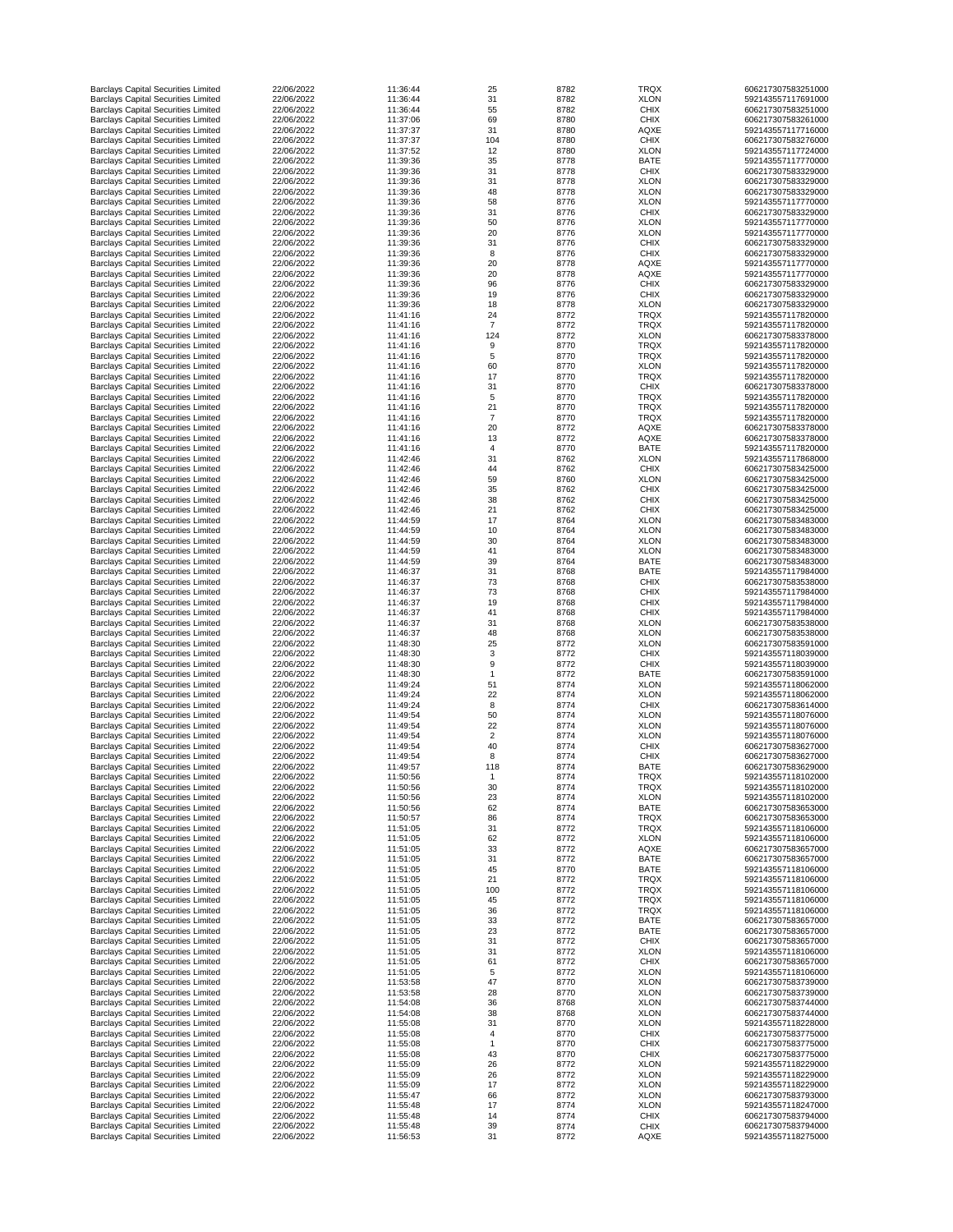| <b>Barclays Capital Securities Limited</b>                                               | 22/06/2022               | 11:36:44             | 25             | 8782         | <b>TRQX</b>                | 606217307583251000                       |
|------------------------------------------------------------------------------------------|--------------------------|----------------------|----------------|--------------|----------------------------|------------------------------------------|
| <b>Barclays Capital Securities Limited</b>                                               | 22/06/2022               | 11:36:44             | 31             | 8782         | <b>XLON</b>                | 592143557117691000                       |
| <b>Barclays Capital Securities Limited</b>                                               | 22/06/2022               | 11:36:44             | 55             | 8782         | <b>CHIX</b>                | 606217307583251000                       |
| <b>Barclays Capital Securities Limited</b>                                               | 22/06/2022               | 11:37:06             | 69             | 8780         | <b>CHIX</b>                | 606217307583261000                       |
| <b>Barclays Capital Securities Limited</b>                                               | 22/06/2022               | 11:37:37             | 31             | 8780         | <b>AQXE</b>                | 592143557117716000                       |
| <b>Barclays Capital Securities Limited</b>                                               | 22/06/2022               | 11:37:37             | 104            | 8780         | <b>CHIX</b>                | 606217307583276000                       |
|                                                                                          |                          |                      |                |              |                            |                                          |
| <b>Barclays Capital Securities Limited</b>                                               | 22/06/2022               | 11:37:52             | 12             | 8780         | <b>XLON</b>                | 592143557117724000                       |
| <b>Barclays Capital Securities Limited</b>                                               | 22/06/2022               | 11:39:36             | 35             | 8778         | <b>BATE</b>                | 592143557117770000                       |
| <b>Barclays Capital Securities Limited</b>                                               | 22/06/2022               | 11:39:36             | 31             | 8778         | <b>CHIX</b>                | 606217307583329000                       |
| <b>Barclays Capital Securities Limited</b>                                               | 22/06/2022               | 11:39:36             | 31             | 8778         | <b>XLON</b>                | 606217307583329000                       |
| <b>Barclays Capital Securities Limited</b>                                               | 22/06/2022               | 11:39:36             | 48             | 8778         | <b>XLON</b>                | 606217307583329000                       |
| <b>Barclays Capital Securities Limited</b>                                               | 22/06/2022               | 11:39:36             | 58             | 8776         | <b>XLON</b>                | 592143557117770000                       |
| <b>Barclays Capital Securities Limited</b>                                               | 22/06/2022               | 11:39:36             | 31             | 8776         | <b>CHIX</b>                | 606217307583329000                       |
| <b>Barclays Capital Securities Limited</b>                                               | 22/06/2022               | 11:39:36             | 50             | 8776         | <b>XLON</b>                | 592143557117770000                       |
| <b>Barclays Capital Securities Limited</b>                                               | 22/06/2022               | 11:39:36             | 20             | 8776         | <b>XLON</b>                | 592143557117770000                       |
| <b>Barclays Capital Securities Limited</b>                                               | 22/06/2022               | 11:39:36             | 31             |              |                            | 606217307583329000                       |
|                                                                                          |                          |                      |                | 8776         | <b>CHIX</b>                |                                          |
| <b>Barclays Capital Securities Limited</b>                                               | 22/06/2022               | 11:39:36             | 8              | 8776         | <b>CHIX</b>                | 606217307583329000                       |
| <b>Barclays Capital Securities Limited</b>                                               | 22/06/2022               | 11:39:36             | 20             | 8778         | <b>AQXE</b>                | 592143557117770000                       |
| <b>Barclays Capital Securities Limited</b>                                               | 22/06/2022               | 11:39:36             | 20             | 8778         | <b>AQXE</b>                | 592143557117770000                       |
| <b>Barclays Capital Securities Limited</b>                                               | 22/06/2022               | 11:39:36             | 96             | 8776         | <b>CHIX</b>                | 606217307583329000                       |
| <b>Barclays Capital Securities Limited</b>                                               | 22/06/2022               | 11:39:36             | 19             | 8776         | <b>CHIX</b>                | 606217307583329000                       |
| <b>Barclays Capital Securities Limited</b>                                               | 22/06/2022               | 11:39:36             | 18             | 8778         | <b>XLON</b>                | 606217307583329000                       |
| <b>Barclays Capital Securities Limited</b>                                               | 22/06/2022               | 11:41:16             | 24             | 8772         | <b>TRQX</b>                | 592143557117820000                       |
| <b>Barclays Capital Securities Limited</b>                                               | 22/06/2022               | 11:41:16             | $\overline{7}$ | 8772         | <b>TRQX</b>                | 592143557117820000                       |
| <b>Barclays Capital Securities Limited</b>                                               | 22/06/2022               | 11:41:16             | 124            | 8772         | <b>XLON</b>                | 606217307583378000                       |
| <b>Barclays Capital Securities Limited</b>                                               | 22/06/2022               | 11:41:16             | 9              | 8770         | <b>TRQX</b>                | 592143557117820000                       |
|                                                                                          |                          |                      |                |              |                            |                                          |
| <b>Barclays Capital Securities Limited</b>                                               | 22/06/2022               | 11:41:16             | 5              | 8770         | <b>TRQX</b>                | 592143557117820000                       |
| <b>Barclays Capital Securities Limited</b>                                               | 22/06/2022               | 11:41:16             | 60             | 8770         | <b>XLON</b>                | 592143557117820000                       |
| <b>Barclays Capital Securities Limited</b>                                               | 22/06/2022               | 11:41:16             | 17             | 8770         | <b>TRQX</b>                | 592143557117820000                       |
| <b>Barclays Capital Securities Limited</b>                                               | 22/06/2022               | 11:41:16             | 31             | 8770         | <b>CHIX</b>                | 606217307583378000                       |
| <b>Barclays Capital Securities Limited</b>                                               | 22/06/2022               | 11:41:16             | 5              | 8770         | <b>TRQX</b>                | 592143557117820000                       |
| <b>Barclays Capital Securities Limited</b>                                               | 22/06/2022               | 11:41:16             | 21             | 8770         | <b>TRQX</b>                | 592143557117820000                       |
| <b>Barclays Capital Securities Limited</b>                                               | 22/06/2022               | 11:41:16             | $\overline{7}$ | 8770         | <b>TRQX</b>                | 592143557117820000                       |
|                                                                                          | 22/06/2022               | 11:41:16             |                | 8772         |                            |                                          |
| <b>Barclays Capital Securities Limited</b>                                               |                          |                      | 20             |              | <b>AQXE</b>                | 606217307583378000                       |
| <b>Barclays Capital Securities Limited</b>                                               | 22/06/2022               | 11:41:16             | 13             | 8772         | <b>AQXE</b>                | 606217307583378000                       |
| <b>Barclays Capital Securities Limited</b>                                               | 22/06/2022               | 11:41:16             | 4              | 8770         | <b>BATE</b>                | 592143557117820000                       |
| <b>Barclays Capital Securities Limited</b>                                               | 22/06/2022               | 11:42:46             | 31             | 8762         | <b>XLON</b>                | 592143557117868000                       |
| <b>Barclays Capital Securities Limited</b>                                               | 22/06/2022               | 11:42:46             | 44             | 8762         | <b>CHIX</b>                | 606217307583425000                       |
| <b>Barclays Capital Securities Limited</b>                                               | 22/06/2022               | 11:42:46             | 59             | 8760         | <b>XLON</b>                | 606217307583425000                       |
| <b>Barclays Capital Securities Limited</b>                                               | 22/06/2022               | 11:42:46             | 35             | 8762         | <b>CHIX</b>                | 606217307583425000                       |
| <b>Barclays Capital Securities Limited</b>                                               | 22/06/2022               | 11:42:46             | 38             | 8762         |                            | 606217307583425000                       |
|                                                                                          |                          |                      |                |              | <b>CHIX</b>                |                                          |
| <b>Barclays Capital Securities Limited</b>                                               | 22/06/2022               | 11:42:46             | 21             | 8762         | <b>CHIX</b>                | 606217307583425000                       |
| <b>Barclays Capital Securities Limited</b>                                               | 22/06/2022               | 11:44:59             | 17             | 8764         | <b>XLON</b>                | 606217307583483000                       |
| <b>Barclays Capital Securities Limited</b>                                               | 22/06/2022               | 11:44:59             | 10             | 8764         | <b>XLON</b>                | 606217307583483000                       |
| <b>Barclays Capital Securities Limited</b>                                               | 22/06/2022               | 11:44:59             | 30             | 8764         | <b>XLON</b>                | 606217307583483000                       |
| <b>Barclays Capital Securities Limited</b>                                               | 22/06/2022               | 11:44:59             | 41             | 8764         | <b>XLON</b>                | 606217307583483000                       |
| <b>Barclays Capital Securities Limited</b>                                               | 22/06/2022               | 11:44:59             | 39             | 8764         | <b>BATE</b>                | 606217307583483000                       |
| <b>Barclays Capital Securities Limited</b>                                               | 22/06/2022               | 11:46:37             | 31             | 8768         | <b>BATE</b>                | 592143557117984000                       |
| <b>Barclays Capital Securities Limited</b>                                               | 22/06/2022               | 11:46:37             | 73             | 8768         | <b>CHIX</b>                | 606217307583538000                       |
|                                                                                          | 22/06/2022               | 11:46:37             | 73             | 8768         | <b>CHIX</b>                | 592143557117984000                       |
| <b>Barclays Capital Securities Limited</b>                                               |                          |                      |                |              |                            |                                          |
| <b>Barclays Capital Securities Limited</b>                                               | 22/06/2022               | 11:46:37             | 19             | 8768         | <b>CHIX</b>                | 592143557117984000                       |
| <b>Barclays Capital Securities Limited</b>                                               | 22/06/2022               | 11:46:37             | 41             | 8768         | <b>CHIX</b>                | 592143557117984000                       |
| <b>Barclays Capital Securities Limited</b>                                               | 22/06/2022               | 11:46:37             | 31             | 8768         | <b>XLON</b>                | 606217307583538000                       |
| <b>Barclays Capital Securities Limited</b>                                               | 22/06/2022               | 11:46:37             | 48             | 8768         | <b>XLON</b>                | 606217307583538000                       |
| <b>Barclays Capital Securities Limited</b>                                               | 22/06/2022               | 11:48:30             | 25             | 8772         | <b>XLON</b>                | 606217307583591000                       |
| <b>Barclays Capital Securities Limited</b>                                               | 22/06/2022               | 11:48:30             | 3              | 8772         | <b>CHIX</b>                | 592143557118039000                       |
| <b>Barclays Capital Securities Limited</b>                                               | 22/06/2022               | 11:48:30             | 9              | 8772         | <b>CHIX</b>                | 592143557118039000                       |
| <b>Barclays Capital Securities Limited</b>                                               | 22/06/2022               | 11:48:30             |                | 8772         | <b>BATE</b>                | 606217307583591000                       |
| <b>Barclays Capital Securities Limited</b>                                               | 22/06/2022               | 11:49:24             | 51             | 8774         | <b>XLON</b>                | 592143557118062000                       |
|                                                                                          |                          |                      |                |              |                            |                                          |
| <b>Barclays Capital Securities Limited</b>                                               | 22/06/2022               | 11:49:24             | 22             | 8774         | <b>XLON</b>                | 592143557118062000                       |
| <b>Barclays Capital Securities Limited</b>                                               | 22/06/2022               | 11:49:24             | 8              | 8774         | <b>CHIX</b>                | 606217307583614000                       |
| <b>Barclays Capital Securities Limited</b>                                               | 22/06/2022               | 11:49:54             | 50             | 8774         | <b>XLON</b>                | 592143557118076000                       |
| <b>Barclays Capital Securities Limited</b>                                               | 22/06/2022               | 11:49:54             | 22             | 8774         | <b>XLON</b>                | 592143557118076000                       |
| <b>Barclays Capital Securities Limited</b>                                               | 22/06/2022               | 11:49:54             | $\overline{2}$ | 8774         | <b>XLON</b>                | 592143557118076000                       |
| <b>Barclays Capital Securities Limited</b>                                               | 22/06/2022               | 11:49:54             | 40             | 8774         | <b>CHIX</b>                | 606217307583627000                       |
| <b>Barclays Capital Securities Limited</b>                                               | 22/06/2022               | 11:49:54             | 8              | 8774         | <b>CHIX</b>                | 606217307583627000                       |
| <b>Barclays Capital Securities Limited</b>                                               | 22/06/2022               | 11:49:57             | 118            | 8774         | <b>BATE</b>                | 606217307583629000                       |
| <b>Barclays Capital Securities Limited</b>                                               | 22/06/2022               | 11:50:56             |                | 8774         | <b>TRQX</b>                | 592143557118102000                       |
|                                                                                          |                          |                      |                |              |                            |                                          |
| <b>Barclays Capital Securities Limited</b>                                               | 22/06/2022               | 11:50:56             | 30             | 8774         | <b>TRQX</b>                | 592143557118102000                       |
| <b>Barclays Capital Securities Limited</b>                                               | 22/06/2022               | 11:50:56             | 23             | 8774         | <b>XLON</b>                | 592143557118102000                       |
| <b>Barclays Capital Securities Limited</b>                                               | 22/06/2022               | 11:50:56             | 62             | 8774         | <b>BATE</b>                | 606217307583653000                       |
| <b>Barclays Capital Securities Limited</b>                                               | 22/06/2022               | 11:50:57             | 86             | 8774         | <b>TRQX</b>                | 606217307583653000                       |
| <b>Barclays Capital Securities Limited</b>                                               | 22/06/2022               | 11:51:05             | 31             | 8772         | <b>TRQX</b>                | 592143557118106000                       |
| <b>Barclays Capital Securities Limited</b>                                               | 22/06/2022               | 11:51:05             | 62             | 8772         | <b>XLON</b>                | 592143557118106000                       |
| <b>Barclays Capital Securities Limited</b>                                               | 22/06/2022               | 11:51:05             | 33             | 8772         | <b>AQXE</b>                | 606217307583657000                       |
| <b>Barclays Capital Securities Limited</b>                                               | 22/06/2022               | 11:51:05             | 31             | 8772         | <b>BATE</b>                | 606217307583657000                       |
| <b>Barclays Capital Securities Limited</b>                                               | 22/06/2022               | 11:51:05             | 45             | 8770         | <b>BATE</b>                | 592143557118106000                       |
| <b>Barclays Capital Securities Limited</b>                                               | 22/06/2022               | 11:51:05             | 21             | 8772         | <b>TRQX</b>                | 592143557118106000                       |
|                                                                                          |                          |                      |                |              |                            |                                          |
| <b>Barclays Capital Securities Limited</b>                                               | 22/06/2022               | 11:51:05             | 100            | 8772         | <b>TRQX</b>                | 592143557118106000                       |
| <b>Barclays Capital Securities Limited</b>                                               | 22/06/2022               | 11:51:05             | 45             | 8772         | <b>TRQX</b>                | 592143557118106000                       |
| <b>Barclays Capital Securities Limited</b>                                               | 22/06/2022               | 11:51:05             | 36             | 8772         | <b>TRQX</b>                | 592143557118106000                       |
| <b>Barclays Capital Securities Limited</b>                                               | 22/06/2022               | 11:51:05             | 33             | 8772         | <b>BATE</b>                | 606217307583657000                       |
| <b>Barclays Capital Securities Limited</b>                                               | 22/06/2022               | 11:51:05             | 23             | 8772         | <b>BATE</b>                | 606217307583657000                       |
| <b>Barclays Capital Securities Limited</b>                                               | 22/06/2022               | 11:51:05             | 31             | 8772         | <b>CHIX</b>                | 606217307583657000                       |
| <b>Barclays Capital Securities Limited</b>                                               | 22/06/2022               | 11:51:05             | 31             | 8772         | <b>XLON</b>                | 592143557118106000                       |
| <b>Barclays Capital Securities Limited</b>                                               | 22/06/2022               | 11:51:05             | 61             | 8772         | <b>CHIX</b>                | 606217307583657000                       |
| <b>Barclays Capital Securities Limited</b>                                               | 22/06/2022               | 11:51:05             | 5              | 8772         | <b>XLON</b>                | 592143557118106000                       |
|                                                                                          | 22/06/2022               | 11:53:58             |                |              |                            | 606217307583739000                       |
| <b>Barclays Capital Securities Limited</b>                                               |                          |                      | 47             | 8770         | <b>XLON</b>                |                                          |
| <b>Barclays Capital Securities Limited</b>                                               | 22/06/2022               | 11:53:58             | 28             | 8770         | <b>XLON</b>                | 606217307583739000                       |
| <b>Barclays Capital Securities Limited</b>                                               | 22/06/2022               | 11:54:08             | 36             | 8768         | <b>XLON</b>                | 606217307583744000                       |
| <b>Barclays Capital Securities Limited</b>                                               | 22/06/2022               | 11:54:08             | 38             | 8768         | <b>XLON</b>                | 606217307583744000                       |
| <b>Barclays Capital Securities Limited</b>                                               | 22/06/2022               | 11:55:08             | 31             | 8770         | <b>XLON</b>                | 592143557118228000                       |
| <b>Barclays Capital Securities Limited</b>                                               | 22/06/2022               | 11:55:08             |                | 8770         | <b>CHIX</b>                | 606217307583775000                       |
| <b>Barclays Capital Securities Limited</b>                                               | 22/06/2022               | 11:55:08             |                | 8770         | <b>CHIX</b>                | 606217307583775000                       |
| <b>Barclays Capital Securities Limited</b>                                               | 22/06/2022               | 11:55:08             | 43             | 8770         | <b>CHIX</b>                | 606217307583775000                       |
| <b>Barclays Capital Securities Limited</b>                                               | 22/06/2022               | 11:55:09             | 26             | 8772         | <b>XLON</b>                | 592143557118229000                       |
|                                                                                          | 22/06/2022               |                      |                |              |                            |                                          |
| <b>Barclays Capital Securities Limited</b>                                               |                          | 11:55:09             | 26             | 8772         | <b>XLON</b>                | 592143557118229000                       |
| <b>Barclays Capital Securities Limited</b>                                               | 22/06/2022               | 11:55:09             | 17             | 8772         | <b>XLON</b>                | 592143557118229000                       |
| <b>Barclays Capital Securities Limited</b>                                               | 22/06/2022               | 11:55:47             | 66             | 8772         | <b>XLON</b>                | 606217307583793000                       |
| <b>Barclays Capital Securities Limited</b>                                               |                          |                      |                |              |                            |                                          |
|                                                                                          | 22/06/2022               | 11:55:48             | 17             | 8774         | <b>XLON</b>                | 592143557118247000                       |
| <b>Barclays Capital Securities Limited</b>                                               | 22/06/2022               | 11:55:48             | 14             | 8774         | <b>CHIX</b>                | 606217307583794000                       |
| <b>Barclays Capital Securities Limited</b><br><b>Barclays Capital Securities Limited</b> | 22/06/2022<br>22/06/2022 | 11:55:48<br>11:56:53 | 39<br>31       | 8774<br>8772 | <b>CHIX</b><br><b>AQXE</b> | 606217307583794000<br>592143557118275000 |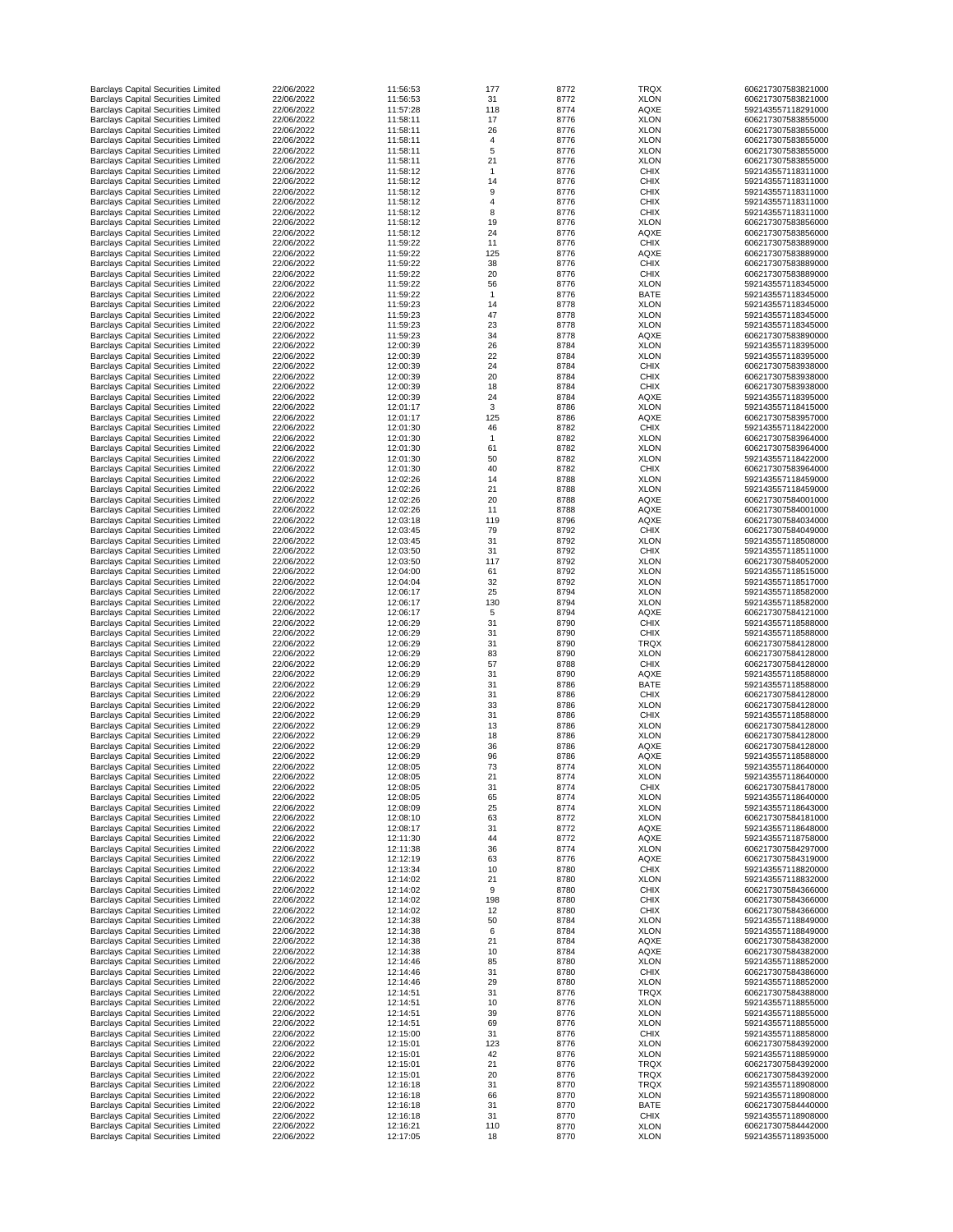| <b>Barclays Capital Securities Limited</b>                                               | 22/06/2022               | 11:56:53             | 177      | 8772         | <b>TRQX</b>                | 606217307583821000                       |
|------------------------------------------------------------------------------------------|--------------------------|----------------------|----------|--------------|----------------------------|------------------------------------------|
| <b>Barclays Capital Securities Limited</b>                                               | 22/06/2022               | 11:56:53             | 31       | 8772         | <b>XLON</b>                | 606217307583821000                       |
| <b>Barclays Capital Securities Limited</b>                                               | 22/06/2022               | 11:57:28             | 118      | 8774         | <b>AQXE</b>                | 592143557118291000                       |
| <b>Barclays Capital Securities Limited</b>                                               | 22/06/2022               | 11:58:11             | 17       | 8776         | <b>XLON</b>                | 606217307583855000                       |
| <b>Barclays Capital Securities Limited</b>                                               | 22/06/2022               | 11:58:11             | 26       | 8776         | <b>XLON</b>                | 606217307583855000                       |
| <b>Barclays Capital Securities Limited</b><br><b>Barclays Capital Securities Limited</b> | 22/06/2022<br>22/06/2022 | 11:58:11<br>11:58:11 | 4<br>5   | 8776<br>8776 | <b>XLON</b><br><b>XLON</b> | 606217307583855000<br>606217307583855000 |
| <b>Barclays Capital Securities Limited</b>                                               | 22/06/2022               | 11:58:11             | 21       | 8776         | <b>XLON</b>                | 606217307583855000                       |
| <b>Barclays Capital Securities Limited</b>                                               | 22/06/2022               | 11:58:12             |          | 8776         | <b>CHIX</b>                | 592143557118311000                       |
| <b>Barclays Capital Securities Limited</b>                                               | 22/06/2022               | 11:58:12             | 14       | 8776         | <b>CHIX</b>                | 592143557118311000                       |
| <b>Barclays Capital Securities Limited</b>                                               | 22/06/2022               | 11:58:12             | 9        | 8776         | <b>CHIX</b>                | 592143557118311000                       |
| <b>Barclays Capital Securities Limited</b>                                               | 22/06/2022               | 11:58:12             | 4        | 8776         | <b>CHIX</b>                | 592143557118311000                       |
| <b>Barclays Capital Securities Limited</b>                                               | 22/06/2022               | 11:58:12             | 8        | 8776         | <b>CHIX</b>                | 592143557118311000                       |
| <b>Barclays Capital Securities Limited</b>                                               | 22/06/2022               | 11:58:12             | 19       | 8776         | <b>XLON</b>                | 606217307583856000                       |
| <b>Barclays Capital Securities Limited</b>                                               | 22/06/2022               | 11:58:12             | 24       | 8776         | <b>AQXE</b>                | 606217307583856000                       |
| <b>Barclays Capital Securities Limited</b>                                               | 22/06/2022               | 11:59:22             | 11       | 8776         | <b>CHIX</b>                | 606217307583889000                       |
| <b>Barclays Capital Securities Limited</b>                                               | 22/06/2022               | 11:59:22             | 125      | 8776         | <b>AQXE</b>                | 606217307583889000                       |
| <b>Barclays Capital Securities Limited</b>                                               | 22/06/2022               | 11:59:22             | 38       | 8776         | <b>CHIX</b>                | 606217307583889000                       |
| <b>Barclays Capital Securities Limited</b>                                               | 22/06/2022<br>22/06/2022 | 11:59:22<br>11:59:22 | 20<br>56 | 8776<br>8776 | <b>CHIX</b><br><b>XLON</b> | 606217307583889000<br>592143557118345000 |
| <b>Barclays Capital Securities Limited</b><br><b>Barclays Capital Securities Limited</b> | 22/06/2022               | 11:59:22             |          | 8776         | <b>BATE</b>                | 592143557118345000                       |
| <b>Barclays Capital Securities Limited</b>                                               | 22/06/2022               | 11:59:23             | 14       | 8778         | <b>XLON</b>                | 592143557118345000                       |
| <b>Barclays Capital Securities Limited</b>                                               | 22/06/2022               | 11:59:23             | 47       | 8778         | <b>XLON</b>                | 592143557118345000                       |
| <b>Barclays Capital Securities Limited</b>                                               | 22/06/2022               | 11:59:23             | 23       | 8778         | <b>XLON</b>                | 592143557118345000                       |
| <b>Barclays Capital Securities Limited</b>                                               | 22/06/2022               | 11:59:23             | 34       | 8778         | <b>AQXE</b>                | 606217307583890000                       |
| <b>Barclays Capital Securities Limited</b>                                               | 22/06/2022               | 12:00:39             | 26       | 8784         | <b>XLON</b>                | 592143557118395000                       |
| <b>Barclays Capital Securities Limited</b>                                               | 22/06/2022               | 12:00:39             | 22       | 8784         | <b>XLON</b>                | 592143557118395000                       |
| <b>Barclays Capital Securities Limited</b>                                               | 22/06/2022               | 12:00:39             | 24       | 8784         | <b>CHIX</b>                | 606217307583938000                       |
| <b>Barclays Capital Securities Limited</b>                                               | 22/06/2022               | 12:00:39             | 20       | 8784         | <b>CHIX</b>                | 606217307583938000                       |
| <b>Barclays Capital Securities Limited</b>                                               | 22/06/2022               | 12:00:39             | 18       | 8784         | <b>CHIX</b>                | 606217307583938000                       |
| <b>Barclays Capital Securities Limited</b>                                               | 22/06/2022               | 12:00:39             | 24       | 8784         | <b>AQXE</b>                | 592143557118395000                       |
| <b>Barclays Capital Securities Limited</b>                                               | 22/06/2022<br>22/06/2022 | 12:01:17<br>12:01:17 | 3<br>125 | 8786<br>8786 | <b>XLON</b>                | 592143557118415000<br>606217307583957000 |
| <b>Barclays Capital Securities Limited</b><br><b>Barclays Capital Securities Limited</b> | 22/06/2022               | 12:01:30             |          | 8782         | <b>AQXE</b><br><b>CHIX</b> | 592143557118422000                       |
| <b>Barclays Capital Securities Limited</b>                                               | 22/06/2022               | 12:01:30             | 46       | 8782         | <b>XLON</b>                | 606217307583964000                       |
| <b>Barclays Capital Securities Limited</b>                                               | 22/06/2022               | 12:01:30             | 61       | 8782         | <b>XLON</b>                | 606217307583964000                       |
| <b>Barclays Capital Securities Limited</b>                                               | 22/06/2022               | 12:01:30             | 50       | 8782         | <b>XLON</b>                | 592143557118422000                       |
| <b>Barclays Capital Securities Limited</b>                                               | 22/06/2022               | 12:01:30             | 40       | 8782         | <b>CHIX</b>                | 606217307583964000                       |
| <b>Barclays Capital Securities Limited</b>                                               | 22/06/2022               | 12:02:26             | 14       | 8788         | <b>XLON</b>                | 592143557118459000                       |
| <b>Barclays Capital Securities Limited</b>                                               | 22/06/2022               | 12:02:26             | 21       | 8788         | <b>XLON</b>                | 592143557118459000                       |
| <b>Barclays Capital Securities Limited</b>                                               | 22/06/2022               | 12:02:26             | 20       | 8788         | <b>AQXE</b>                | 606217307584001000                       |
| <b>Barclays Capital Securities Limited</b>                                               | 22/06/2022               | 12:02:26             | 11       | 8788         | <b>AQXE</b>                | 606217307584001000                       |
| <b>Barclays Capital Securities Limited</b>                                               | 22/06/2022               | 12:03:18             | 119      | 8796         | <b>AQXE</b>                | 606217307584034000                       |
| <b>Barclays Capital Securities Limited</b>                                               | 22/06/2022               | 12:03:45             | 79       | 8792         | <b>CHIX</b>                | 606217307584049000                       |
| <b>Barclays Capital Securities Limited</b>                                               | 22/06/2022               | 12:03:45             | 31       | 8792         | <b>XLON</b>                | 592143557118508000                       |
| <b>Barclays Capital Securities Limited</b>                                               | 22/06/2022               | 12:03:50             | 31       | 8792         | <b>CHIX</b>                | 592143557118511000                       |
| <b>Barclays Capital Securities Limited</b>                                               | 22/06/2022               | 12:03:50             | 117      | 8792         | <b>XLON</b>                | 606217307584052000                       |
| <b>Barclays Capital Securities Limited</b>                                               | 22/06/2022<br>22/06/2022 | 12:04:00             | 61       | 8792<br>8792 | <b>XLON</b>                | 592143557118515000                       |
| <b>Barclays Capital Securities Limited</b><br><b>Barclays Capital Securities Limited</b> | 22/06/2022               | 12:04:04<br>12:06:17 | 32<br>25 | 8794         | <b>XLON</b><br><b>XLON</b> | 592143557118517000<br>592143557118582000 |
| <b>Barclays Capital Securities Limited</b>                                               | 22/06/2022               | 12:06:17             | 130      | 8794         | <b>XLON</b>                | 592143557118582000                       |
| <b>Barclays Capital Securities Limited</b>                                               | 22/06/2022               | 12:06:17             | 5        | 8794         | <b>AQXE</b>                | 606217307584121000                       |
| <b>Barclays Capital Securities Limited</b>                                               | 22/06/2022               | 12:06:29             | 31       | 8790         | <b>CHIX</b>                | 592143557118588000                       |
| <b>Barclays Capital Securities Limited</b>                                               | 22/06/2022               | 12:06:29             | 31       | 8790         | <b>CHIX</b>                | 592143557118588000                       |
| <b>Barclays Capital Securities Limited</b>                                               | 22/06/2022               | 12:06:29             | 31       | 8790         | <b>TRQX</b>                | 606217307584128000                       |
| <b>Barclays Capital Securities Limited</b>                                               | 22/06/2022               | 12:06:29             | 83       | 8790         | <b>XLON</b>                | 606217307584128000                       |
| <b>Barclays Capital Securities Limited</b>                                               | 22/06/2022               | 12:06:29             | 57       | 8788         | <b>CHIX</b>                | 606217307584128000                       |
| <b>Barclays Capital Securities Limited</b>                                               | 22/06/2022               | 12:06:29             | 31       | 8790         | <b>AQXE</b>                | 592143557118588000                       |
| <b>Barclays Capital Securities Limited</b>                                               | 22/06/2022               | 12:06:29             | 31       | 8786         | <b>BATE</b>                | 592143557118588000                       |
| <b>Barclays Capital Securities Limited</b>                                               | 22/06/2022               | 12:06:29             | 31       | 8786         | <b>CHIX</b>                | 606217307584128000                       |
| <b>Barclays Capital Securities Limited</b><br><b>Barclays Capital Securities Limited</b> | 22/06/2022<br>22/06/2022 | 12:06:29<br>12:06:29 | 33<br>31 | 8786<br>8786 | <b>XLON</b><br><b>CHIX</b> | 606217307584128000<br>592143557118588000 |
| <b>Barclays Capital Securities Limited</b>                                               | 22/06/2022               | 12:06:29             | 13       | 8786         | <b>XLON</b>                | 606217307584128000                       |
| <b>Barclays Capital Securities Limited</b>                                               | 22/06/2022               | 12:06:29             | 18       | 8786         | <b>XLON</b>                | 606217307584128000                       |
| <b>Barclays Capital Securities Limited</b>                                               | 22/06/2022               | 12:06:29             | 36       | 8786         | <b>AQXE</b>                | 606217307584128000                       |
| <b>Barclays Capital Securities Limited</b>                                               | 22/06/2022               | 12:06:29             | 96       | 8786         | <b>AQXE</b>                | 592143557118588000                       |
| <b>Barclays Capital Securities Limited</b>                                               | 22/06/2022               | 12:08:05             | 73       | 8774         | <b>XLON</b>                | 592143557118640000                       |
| <b>Barclays Capital Securities Limited</b>                                               | 22/06/2022               | 12:08:05             | 21       | 8774         | <b>XLON</b>                | 592143557118640000                       |
| <b>Barclays Capital Securities Limited</b>                                               | 22/06/2022               | 12:08:05             | 31       | 8774         | <b>CHIX</b>                | 606217307584178000                       |
| <b>Barclays Capital Securities Limited</b>                                               | 22/06/2022               | 12:08:05             | 65       | 8774         | <b>XLON</b>                | 592143557118640000                       |
| <b>Barclays Capital Securities Limited</b>                                               | 22/06/2022               | 12:08:09             | 25       | 8774         | <b>XLON</b>                | 592143557118643000                       |
| <b>Barclays Capital Securities Limited</b>                                               | 22/06/2022               | 12:08:10             | 63       | 8772         | <b>XLON</b>                | 606217307584181000                       |
| <b>Barclays Capital Securities Limited</b><br><b>Barclays Capital Securities Limited</b> | 22/06/2022<br>22/06/2022 | 12:08:17<br>12:11:30 | 31<br>44 | 8772<br>8772 | <b>AQXE</b><br><b>AQXE</b> | 592143557118648000<br>592143557118758000 |
| <b>Barclays Capital Securities Limited</b>                                               | 22/06/2022               | 12:11:38             | 36       | 8774         | <b>XLON</b>                | 606217307584297000                       |
| <b>Barclays Capital Securities Limited</b>                                               | 22/06/2022               | 12:12:19             | 63       | 8776         | <b>AQXE</b>                | 606217307584319000                       |
| <b>Barclays Capital Securities Limited</b>                                               | 22/06/2022               | 12:13:34             | 10       | 8780         | <b>CHIX</b>                | 592143557118820000                       |
| <b>Barclays Capital Securities Limited</b>                                               | 22/06/2022               | 12:14:02             | 21       | 8780         | <b>XLON</b>                | 592143557118832000                       |
| <b>Barclays Capital Securities Limited</b>                                               | 22/06/2022               | 12:14:02             | 9        | 8780         | <b>CHIX</b>                | 606217307584366000                       |
| <b>Barclays Capital Securities Limited</b>                                               | 22/06/2022               | 12:14:02             | 198      | 8780         | <b>CHIX</b>                | 606217307584366000                       |
| <b>Barclays Capital Securities Limited</b>                                               | 22/06/2022               | 12:14:02             | 12       | 8780         | <b>CHIX</b>                | 606217307584366000                       |
| <b>Barclays Capital Securities Limited</b>                                               | 22/06/2022               | 12:14:38             | 50       | 8784         | <b>XLON</b>                | 592143557118849000                       |
| <b>Barclays Capital Securities Limited</b>                                               | 22/06/2022               | 12:14:38             | 6        | 8784         | <b>XLON</b>                | 592143557118849000                       |
| <b>Barclays Capital Securities Limited</b>                                               | 22/06/2022               | 12:14:38             | 21       | 8784         | <b>AQXE</b>                | 606217307584382000                       |
| <b>Barclays Capital Securities Limited</b><br><b>Barclays Capital Securities Limited</b> | 22/06/2022<br>22/06/2022 | 12:14:38<br>12:14:46 | 10<br>85 | 8784<br>8780 | <b>AQXE</b>                | 606217307584382000<br>592143557118852000 |
| <b>Barclays Capital Securities Limited</b>                                               | 22/06/2022               | 12:14:46             | 31       | 8780         | <b>XLON</b><br><b>CHIX</b> | 606217307584386000                       |
| <b>Barclays Capital Securities Limited</b>                                               | 22/06/2022               | 12:14:46             | 29       | 8780         | <b>XLON</b>                | 592143557118852000                       |
| <b>Barclays Capital Securities Limited</b>                                               | 22/06/2022               | 12:14:51             | 31       | 8776         | <b>TRQX</b>                | 606217307584388000                       |
| <b>Barclays Capital Securities Limited</b>                                               | 22/06/2022               | 12:14:51             | 10       | 8776         | <b>XLON</b>                | 592143557118855000                       |
| <b>Barclays Capital Securities Limited</b>                                               | 22/06/2022               | 12:14:51             | 39       | 8776         | <b>XLON</b>                | 592143557118855000                       |
| <b>Barclays Capital Securities Limited</b>                                               | 22/06/2022               | 12:14:51             | 69       | 8776         | <b>XLON</b>                | 592143557118855000                       |
| <b>Barclays Capital Securities Limited</b>                                               | 22/06/2022               | 12:15:00             | 31       | 8776         | <b>CHIX</b>                | 592143557118858000                       |
| <b>Barclays Capital Securities Limited</b>                                               | 22/06/2022               | 12:15:01             | 123      | 8776         | <b>XLON</b>                | 606217307584392000                       |
| <b>Barclays Capital Securities Limited</b>                                               | 22/06/2022               | 12:15:01             | 42       | 8776         | <b>XLON</b>                | 592143557118859000                       |
| <b>Barclays Capital Securities Limited</b>                                               | 22/06/2022               | 12:15:01             | 21       | 8776         | <b>TRQX</b>                | 606217307584392000                       |
| <b>Barclays Capital Securities Limited</b>                                               | 22/06/2022               | 12:15:01             | 20       | 8776         | <b>TRQX</b>                | 606217307584392000                       |
| <b>Barclays Capital Securities Limited</b>                                               | 22/06/2022<br>22/06/2022 | 12:16:18<br>12:16:18 | 31       | 8770         | <b>TRQX</b>                | 592143557118908000<br>592143557118908000 |
| <b>Barclays Capital Securities Limited</b><br><b>Barclays Capital Securities Limited</b> | 22/06/2022               | 12:16:18             | 66<br>31 | 8770<br>8770 | <b>XLON</b><br><b>BATE</b> | 606217307584440000                       |
| <b>Barclays Capital Securities Limited</b>                                               | 22/06/2022               | 12:16:18             | 31       | 8770         | <b>CHIX</b>                | 592143557118908000                       |
| <b>Barclays Capital Securities Limited</b>                                               | 22/06/2022               | 12:16:21             | 110      | 8770         | <b>XLON</b>                | 606217307584442000                       |
| <b>Barclays Capital Securities Limited</b>                                               | 22/06/2022               | 12:17:05             | 18       | 8770         | <b>XLON</b>                | 592143557118935000                       |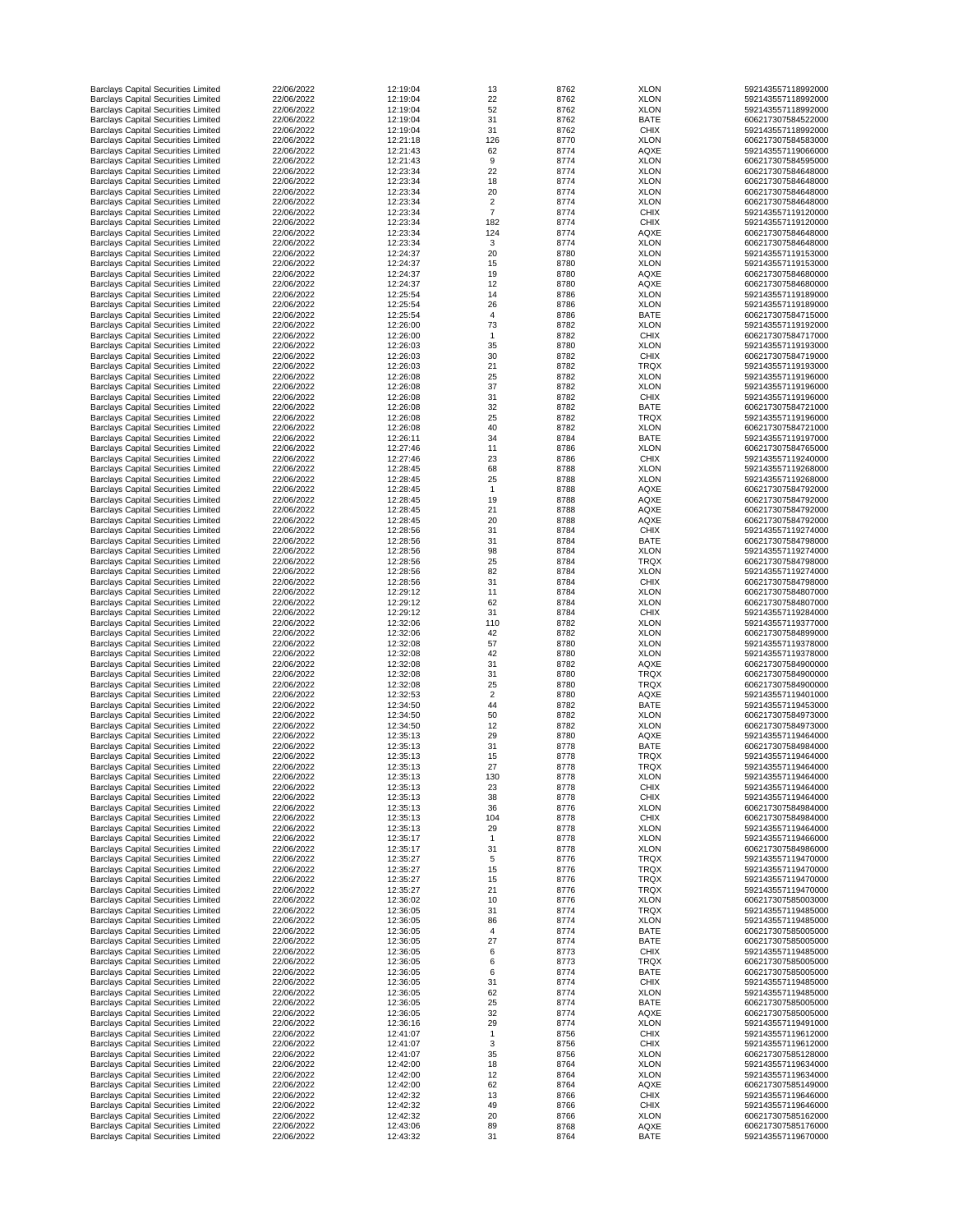| <b>Barclays Capital Securities Limited</b>                                               | 22/06/2022 | 12:19:04 | 13             | 8762 | <b>XLON</b> | 592143557118992000 |
|------------------------------------------------------------------------------------------|------------|----------|----------------|------|-------------|--------------------|
| <b>Barclays Capital Securities Limited</b>                                               | 22/06/2022 | 12:19:04 | 22             | 8762 | <b>XLON</b> | 592143557118992000 |
| <b>Barclays Capital Securities Limited</b>                                               | 22/06/2022 | 12:19:04 | 52             | 8762 | <b>XLON</b> | 592143557118992000 |
| <b>Barclays Capital Securities Limited</b>                                               | 22/06/2022 | 12:19:04 | 31             | 8762 | <b>BATE</b> | 606217307584522000 |
| <b>Barclays Capital Securities Limited</b>                                               | 22/06/2022 | 12:19:04 | 31             | 8762 | <b>CHIX</b> | 592143557118992000 |
|                                                                                          |            |          |                |      |             |                    |
| <b>Barclays Capital Securities Limited</b>                                               | 22/06/2022 | 12:21:18 | 126            | 8770 | <b>XLON</b> | 606217307584583000 |
| <b>Barclays Capital Securities Limited</b>                                               | 22/06/2022 | 12:21:43 | 62             | 8774 | <b>AQXE</b> | 592143557119066000 |
| <b>Barclays Capital Securities Limited</b>                                               | 22/06/2022 | 12:21:43 | 9              | 8774 | <b>XLON</b> | 606217307584595000 |
| <b>Barclays Capital Securities Limited</b>                                               | 22/06/2022 | 12:23:34 | 22             | 8774 | <b>XLON</b> | 606217307584648000 |
| <b>Barclays Capital Securities Limited</b>                                               | 22/06/2022 | 12:23:34 | 18             | 8774 | <b>XLON</b> | 606217307584648000 |
| <b>Barclays Capital Securities Limited</b>                                               | 22/06/2022 | 12:23:34 | 20             | 8774 | <b>XLON</b> | 606217307584648000 |
| <b>Barclays Capital Securities Limited</b>                                               | 22/06/2022 | 12:23:34 | $\overline{2}$ | 8774 | <b>XLON</b> | 606217307584648000 |
| <b>Barclays Capital Securities Limited</b>                                               | 22/06/2022 | 12:23:34 | $\overline{7}$ | 8774 | <b>CHIX</b> | 592143557119120000 |
| <b>Barclays Capital Securities Limited</b>                                               | 22/06/2022 | 12:23:34 | 182            | 8774 | <b>CHIX</b> | 592143557119120000 |
|                                                                                          | 22/06/2022 | 12:23:34 | 124            | 8774 |             | 606217307584648000 |
| <b>Barclays Capital Securities Limited</b>                                               |            |          |                |      | <b>AQXE</b> |                    |
| <b>Barclays Capital Securities Limited</b>                                               | 22/06/2022 | 12:23:34 | 3              | 8774 | <b>XLON</b> | 606217307584648000 |
| <b>Barclays Capital Securities Limited</b>                                               | 22/06/2022 | 12:24:37 | 20             | 8780 | <b>XLON</b> | 592143557119153000 |
| <b>Barclays Capital Securities Limited</b>                                               | 22/06/2022 | 12:24:37 | 15             | 8780 | <b>XLON</b> | 592143557119153000 |
| <b>Barclays Capital Securities Limited</b>                                               | 22/06/2022 | 12:24:37 | 19             | 8780 | <b>AQXE</b> | 606217307584680000 |
| <b>Barclays Capital Securities Limited</b>                                               | 22/06/2022 | 12:24:37 | 12             | 8780 | <b>AQXE</b> | 606217307584680000 |
| <b>Barclays Capital Securities Limited</b>                                               | 22/06/2022 | 12:25:54 | 14             | 8786 | <b>XLON</b> | 592143557119189000 |
| <b>Barclays Capital Securities Limited</b>                                               | 22/06/2022 | 12:25:54 | 26             | 8786 | <b>XLON</b> | 592143557119189000 |
| <b>Barclays Capital Securities Limited</b>                                               | 22/06/2022 | 12:25:54 | 4              | 8786 | <b>BATE</b> | 606217307584715000 |
| <b>Barclays Capital Securities Limited</b>                                               | 22/06/2022 | 12:26:00 | 73             | 8782 | <b>XLON</b> | 592143557119192000 |
| <b>Barclays Capital Securities Limited</b>                                               | 22/06/2022 | 12:26:00 |                | 8782 | <b>CHIX</b> | 606217307584717000 |
|                                                                                          |            |          |                |      |             |                    |
| <b>Barclays Capital Securities Limited</b>                                               | 22/06/2022 | 12:26:03 | 35             | 8780 | <b>XLON</b> | 592143557119193000 |
| <b>Barclays Capital Securities Limited</b>                                               | 22/06/2022 | 12:26:03 | 30             | 8782 | <b>CHIX</b> | 606217307584719000 |
| <b>Barclays Capital Securities Limited</b>                                               | 22/06/2022 | 12:26:03 | 21             | 8782 | <b>TRQX</b> | 592143557119193000 |
| <b>Barclays Capital Securities Limited</b>                                               | 22/06/2022 | 12:26:08 | 25             | 8782 | <b>XLON</b> | 592143557119196000 |
| <b>Barclays Capital Securities Limited</b>                                               | 22/06/2022 | 12:26:08 | 37             | 8782 | <b>XLON</b> | 592143557119196000 |
| <b>Barclays Capital Securities Limited</b>                                               | 22/06/2022 | 12:26:08 | 31             | 8782 | <b>CHIX</b> | 592143557119196000 |
| <b>Barclays Capital Securities Limited</b>                                               | 22/06/2022 | 12:26:08 | 32             | 8782 | <b>BATE</b> | 606217307584721000 |
| <b>Barclays Capital Securities Limited</b>                                               | 22/06/2022 | 12:26:08 | 25             | 8782 | <b>TRQX</b> | 592143557119196000 |
| <b>Barclays Capital Securities Limited</b>                                               | 22/06/2022 | 12:26:08 | 40             | 8782 | <b>XLON</b> | 606217307584721000 |
|                                                                                          |            |          |                |      |             |                    |
| <b>Barclays Capital Securities Limited</b>                                               | 22/06/2022 | 12:26:11 | 34             | 8784 | <b>BATE</b> | 592143557119197000 |
| <b>Barclays Capital Securities Limited</b>                                               | 22/06/2022 | 12:27:46 | 11             | 8786 | <b>XLON</b> | 606217307584765000 |
| <b>Barclays Capital Securities Limited</b>                                               | 22/06/2022 | 12:27:46 | 23             | 8786 | <b>CHIX</b> | 592143557119240000 |
| <b>Barclays Capital Securities Limited</b>                                               | 22/06/2022 | 12:28:45 | 68             | 8788 | <b>XLON</b> | 592143557119268000 |
| <b>Barclays Capital Securities Limited</b>                                               | 22/06/2022 | 12:28:45 | 25             | 8788 | <b>XLON</b> | 592143557119268000 |
| <b>Barclays Capital Securities Limited</b>                                               | 22/06/2022 | 12:28:45 |                | 8788 | <b>AQXE</b> | 606217307584792000 |
| <b>Barclays Capital Securities Limited</b>                                               | 22/06/2022 | 12:28:45 | 19             | 8788 | <b>AQXE</b> | 606217307584792000 |
| <b>Barclays Capital Securities Limited</b>                                               | 22/06/2022 | 12:28:45 | 21             | 8788 | <b>AQXE</b> | 606217307584792000 |
| <b>Barclays Capital Securities Limited</b>                                               | 22/06/2022 | 12:28:45 | 20             | 8788 | <b>AQXE</b> | 606217307584792000 |
| <b>Barclays Capital Securities Limited</b>                                               | 22/06/2022 | 12:28:56 | 31             | 8784 | <b>CHIX</b> | 592143557119274000 |
|                                                                                          | 22/06/2022 | 12:28:56 | 31             | 8784 | <b>BATE</b> | 606217307584798000 |
| <b>Barclays Capital Securities Limited</b>                                               |            |          |                |      |             |                    |
| <b>Barclays Capital Securities Limited</b>                                               | 22/06/2022 | 12:28:56 | 98             | 8784 | <b>XLON</b> | 592143557119274000 |
| <b>Barclays Capital Securities Limited</b>                                               | 22/06/2022 | 12:28:56 | 25             | 8784 | <b>TRQX</b> | 606217307584798000 |
| <b>Barclays Capital Securities Limited</b>                                               | 22/06/2022 | 12:28:56 | 82             | 8784 | <b>XLON</b> | 592143557119274000 |
| <b>Barclays Capital Securities Limited</b>                                               | 22/06/2022 | 12:28:56 | 31             | 8784 | <b>CHIX</b> | 606217307584798000 |
| <b>Barclays Capital Securities Limited</b>                                               | 22/06/2022 | 12:29:12 | 11             | 8784 | <b>XLON</b> | 606217307584807000 |
| <b>Barclays Capital Securities Limited</b>                                               | 22/06/2022 | 12:29:12 | 62             | 8784 | <b>XLON</b> | 606217307584807000 |
| <b>Barclays Capital Securities Limited</b>                                               | 22/06/2022 | 12:29:12 | 31             | 8784 | <b>CHIX</b> | 592143557119284000 |
| <b>Barclays Capital Securities Limited</b>                                               | 22/06/2022 | 12:32:06 | 110            | 8782 | <b>XLON</b> | 592143557119377000 |
| <b>Barclays Capital Securities Limited</b>                                               | 22/06/2022 | 12:32:06 | 42             | 8782 | <b>XLON</b> | 606217307584899000 |
|                                                                                          | 22/06/2022 | 12:32:08 |                |      |             |                    |
| <b>Barclays Capital Securities Limited</b>                                               |            |          | 57             | 8780 | <b>XLON</b> | 592143557119378000 |
| <b>Barclays Capital Securities Limited</b>                                               | 22/06/2022 | 12:32:08 | 42             | 8780 | <b>XLON</b> | 592143557119378000 |
| <b>Barclays Capital Securities Limited</b>                                               | 22/06/2022 | 12:32:08 | 31             | 8782 | <b>AQXE</b> | 606217307584900000 |
| <b>Barclays Capital Securities Limited</b>                                               | 22/06/2022 | 12:32:08 | 31             | 8780 | <b>TRQX</b> | 606217307584900000 |
| <b>Barclays Capital Securities Limited</b>                                               | 22/06/2022 | 12:32:08 | 25             | 8780 | <b>TRQX</b> | 606217307584900000 |
| <b>Barclays Capital Securities Limited</b>                                               | 22/06/2022 | 12:32:53 | $\overline{2}$ | 8780 | <b>AQXE</b> | 592143557119401000 |
| <b>Barclays Capital Securities Limited</b>                                               | 22/06/2022 | 12:34:50 | 44             | 8782 | <b>BATE</b> | 592143557119453000 |
| <b>Barclays Capital Securities Limited</b>                                               | 22/06/2022 | 12:34:50 | 50             | 8782 | <b>XLON</b> | 606217307584973000 |
| <b>Barclays Capital Securities Limited</b>                                               | 22/06/2022 | 12:34:50 | 12             | 8782 | <b>XLON</b> | 606217307584973000 |
| <b>Barclays Capital Securities Limited</b>                                               | 22/06/2022 | 12:35:13 | 29             | 8780 | <b>AQXE</b> | 592143557119464000 |
|                                                                                          |            |          |                |      |             |                    |
| <b>Barclays Capital Securities Limited</b>                                               | 22/06/2022 | 12:35:13 | 31             | 8778 | <b>BATE</b> | 606217307584984000 |
| <b>Barclays Capital Securities Limited</b>                                               | 22/06/2022 | 12:35:13 | 15             | 8778 | <b>TRQX</b> | 592143557119464000 |
| <b>Barclays Capital Securities Limited</b>                                               | 22/06/2022 | 12:35:13 | 27             | 8778 | <b>TRQX</b> | 592143557119464000 |
| <b>Barclays Capital Securities Limited</b>                                               | 22/06/2022 | 12:35:13 | 130            | 8778 | <b>XLON</b> | 592143557119464000 |
| <b>Barclays Capital Securities Limited</b>                                               | 22/06/2022 | 12:35:13 | 23             | 8778 | <b>CHIX</b> | 592143557119464000 |
| <b>Barclays Capital Securities Limited</b>                                               | 22/06/2022 | 12:35:13 | 38             | 8778 | <b>CHIX</b> | 592143557119464000 |
| <b>Barclays Capital Securities Limited</b>                                               | 22/06/2022 | 12:35:13 | 36             | 8776 | <b>XLON</b> | 606217307584984000 |
| <b>Barclays Capital Securities Limited</b>                                               | 22/06/2022 | 12:35:13 | 104            | 8778 | <b>CHIX</b> | 606217307584984000 |
| <b>Barclays Capital Securities Limited</b>                                               | 22/06/2022 | 12:35:13 | 29             | 8778 | <b>XLON</b> | 592143557119464000 |
| <b>Barclays Capital Securities Limited</b>                                               | 22/06/2022 | 12:35:17 |                | 8778 | <b>XLON</b> | 592143557119466000 |
| <b>Barclays Capital Securities Limited</b>                                               | 22/06/2022 | 12:35:17 | 31             | 8778 | <b>XLON</b> | 606217307584986000 |
|                                                                                          |            |          |                |      |             |                    |
| <b>Barclays Capital Securities Limited</b>                                               | 22/06/2022 | 12:35:27 | 5              | 8776 | <b>TRQX</b> | 592143557119470000 |
| <b>Barclays Capital Securities Limited</b>                                               | 22/06/2022 | 12:35:27 | 15             | 8776 | <b>TRQX</b> | 592143557119470000 |
| <b>Barclays Capital Securities Limited</b>                                               | 22/06/2022 | 12:35:27 | 15             | 8776 | <b>TRQX</b> | 592143557119470000 |
| <b>Barclays Capital Securities Limited</b>                                               | 22/06/2022 | 12:35:27 | 21             | 8776 | <b>TRQX</b> | 592143557119470000 |
| <b>Barclays Capital Securities Limited</b>                                               | 22/06/2022 | 12:36:02 | 10             | 8776 | <b>XLON</b> | 606217307585003000 |
| <b>Barclays Capital Securities Limited</b>                                               | 22/06/2022 | 12:36:05 | 31             | 8774 | <b>TRQX</b> | 592143557119485000 |
| <b>Barclays Capital Securities Limited</b>                                               |            |          |                |      | <b>XLON</b> | 592143557119485000 |
| <b>Barclays Capital Securities Limited</b>                                               | 22/06/2022 | 12:36:05 | 86             | 8774 |             |                    |
| <b>Barclays Capital Securities Limited</b>                                               |            |          |                |      |             |                    |
| <b>Barclays Capital Securities Limited</b>                                               | 22/06/2022 | 12:36:05 |                | 8774 | <b>BATE</b> | 606217307585005000 |
|                                                                                          | 22/06/2022 | 12:36:05 | 27             | 8774 | <b>BATE</b> | 606217307585005000 |
|                                                                                          | 22/06/2022 | 12:36:05 | 6              | 8773 | <b>CHIX</b> | 592143557119485000 |
| <b>Barclays Capital Securities Limited</b>                                               | 22/06/2022 | 12:36:05 | 6              | 8773 | <b>TRQX</b> | 606217307585005000 |
| <b>Barclays Capital Securities Limited</b>                                               | 22/06/2022 | 12:36:05 | 6              | 8774 | <b>BATE</b> | 606217307585005000 |
| <b>Barclays Capital Securities Limited</b>                                               | 22/06/2022 | 12:36:05 | 31             | 8774 | <b>CHIX</b> | 592143557119485000 |
| <b>Barclays Capital Securities Limited</b>                                               | 22/06/2022 | 12:36:05 | 62             | 8774 | <b>XLON</b> | 592143557119485000 |
| <b>Barclays Capital Securities Limited</b>                                               | 22/06/2022 | 12:36:05 | 25             | 8774 | <b>BATE</b> | 606217307585005000 |
|                                                                                          | 22/06/2022 | 12:36:05 | 32             | 8774 | <b>AQXE</b> | 606217307585005000 |
| <b>Barclays Capital Securities Limited</b>                                               | 22/06/2022 | 12:36:16 |                | 8774 | <b>XLON</b> | 592143557119491000 |
| <b>Barclays Capital Securities Limited</b>                                               |            |          | 29             |      |             |                    |
| <b>Barclays Capital Securities Limited</b>                                               | 22/06/2022 | 12:41:07 |                | 8756 | <b>CHIX</b> | 592143557119612000 |
| <b>Barclays Capital Securities Limited</b>                                               | 22/06/2022 | 12:41:07 | 3              | 8756 | <b>CHIX</b> | 592143557119612000 |
| <b>Barclays Capital Securities Limited</b>                                               | 22/06/2022 | 12:41:07 | 35             | 8756 | <b>XLON</b> | 606217307585128000 |
| <b>Barclays Capital Securities Limited</b>                                               | 22/06/2022 | 12:42:00 | 18             | 8764 | <b>XLON</b> | 592143557119634000 |
| <b>Barclays Capital Securities Limited</b>                                               | 22/06/2022 | 12:42:00 | 12             | 8764 | <b>XLON</b> | 592143557119634000 |
| <b>Barclays Capital Securities Limited</b>                                               | 22/06/2022 | 12:42:00 | 62             | 8764 | <b>AQXE</b> | 606217307585149000 |
| <b>Barclays Capital Securities Limited</b>                                               | 22/06/2022 | 12:42:32 | 13             | 8766 | <b>CHIX</b> | 592143557119646000 |
| <b>Barclays Capital Securities Limited</b>                                               | 22/06/2022 | 12:42:32 | 49             | 8766 | <b>CHIX</b> | 592143557119646000 |
| <b>Barclays Capital Securities Limited</b>                                               | 22/06/2022 | 12:42:32 | 20             | 8766 | <b>XLON</b> | 606217307585162000 |
| <b>Barclays Capital Securities Limited</b><br><b>Barclays Capital Securities Limited</b> | 22/06/2022 | 12:43:06 | 89             | 8768 | <b>AQXE</b> | 606217307585176000 |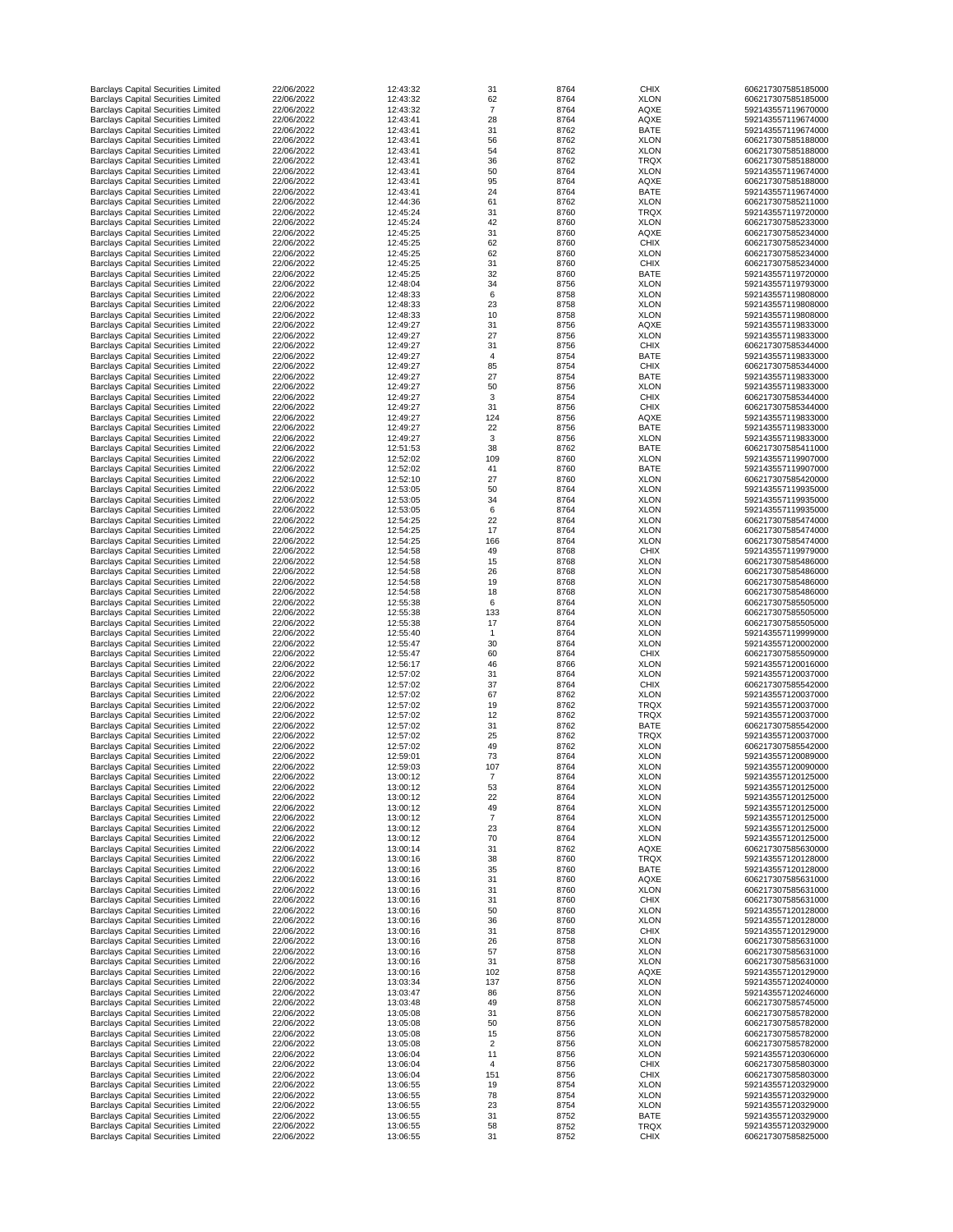| <b>Barclays Capital Securities Limited</b>                                               | 22/06/2022               | 12:43:32             | 31             | 8764         | <b>CHIX</b>                | 606217307585185000                       |
|------------------------------------------------------------------------------------------|--------------------------|----------------------|----------------|--------------|----------------------------|------------------------------------------|
| <b>Barclays Capital Securities Limited</b>                                               | 22/06/2022               | 12:43:32             | 62             | 8764         | <b>XLON</b>                | 606217307585185000                       |
| <b>Barclays Capital Securities Limited</b>                                               | 22/06/2022               | 12:43:32             | $\overline{7}$ | 8764         | <b>AQXE</b>                | 592143557119670000                       |
| <b>Barclays Capital Securities Limited</b>                                               | 22/06/2022               | 12:43:41             | 28             | 8764         | <b>AQXE</b>                | 592143557119674000                       |
| <b>Barclays Capital Securities Limited</b><br><b>Barclays Capital Securities Limited</b> | 22/06/2022<br>22/06/2022 | 12:43:41<br>12:43:41 | 31<br>56       | 8762<br>8762 | <b>BATE</b><br><b>XLON</b> | 592143557119674000<br>606217307585188000 |
| <b>Barclays Capital Securities Limited</b>                                               | 22/06/2022               | 12:43:41             | 54             | 8762         | <b>XLON</b>                | 606217307585188000                       |
| <b>Barclays Capital Securities Limited</b>                                               | 22/06/2022               | 12:43:41             | 36             | 8762         | <b>TRQX</b>                | 606217307585188000                       |
| <b>Barclays Capital Securities Limited</b>                                               | 22/06/2022               | 12:43:41             | 50             | 8764         | <b>XLON</b>                | 592143557119674000                       |
| <b>Barclays Capital Securities Limited</b>                                               | 22/06/2022               | 12:43:41             | 95             | 8764         | <b>AQXE</b>                | 606217307585188000                       |
| <b>Barclays Capital Securities Limited</b>                                               | 22/06/2022               | 12:43:41             | 24             | 8764         | <b>BATE</b>                | 592143557119674000                       |
| <b>Barclays Capital Securities Limited</b>                                               | 22/06/2022               | 12:44:36             | 61             | 8762         | <b>XLON</b>                | 606217307585211000                       |
| <b>Barclays Capital Securities Limited</b>                                               | 22/06/2022               | 12:45:24             | 31             | 8760         | <b>TRQX</b>                | 592143557119720000                       |
| <b>Barclays Capital Securities Limited</b><br><b>Barclays Capital Securities Limited</b> | 22/06/2022<br>22/06/2022 | 12:45:24<br>12:45:25 | 42<br>31       | 8760<br>8760 | <b>XLON</b>                | 606217307585233000<br>606217307585234000 |
| <b>Barclays Capital Securities Limited</b>                                               | 22/06/2022               | 12:45:25             | 62             | 8760         | <b>AQXE</b><br><b>CHIX</b> | 606217307585234000                       |
| <b>Barclays Capital Securities Limited</b>                                               | 22/06/2022               | 12:45:25             | 62             | 8760         | <b>XLON</b>                | 606217307585234000                       |
| <b>Barclays Capital Securities Limited</b>                                               | 22/06/2022               | 12:45:25             | 31             | 8760         | <b>CHIX</b>                | 606217307585234000                       |
| <b>Barclays Capital Securities Limited</b>                                               | 22/06/2022               | 12:45:25             | 32             | 8760         | <b>BATE</b>                | 592143557119720000                       |
| <b>Barclays Capital Securities Limited</b>                                               | 22/06/2022               | 12:48:04             | 34             | 8756         | <b>XLON</b>                | 592143557119793000                       |
| <b>Barclays Capital Securities Limited</b>                                               | 22/06/2022               | 12:48:33             | 6              | 8758         | <b>XLON</b>                | 592143557119808000                       |
| <b>Barclays Capital Securities Limited</b>                                               | 22/06/2022               | 12:48:33             | 23             | 8758         | <b>XLON</b>                | 592143557119808000                       |
| <b>Barclays Capital Securities Limited</b>                                               | 22/06/2022               | 12:48:33             | 10             | 8758         | <b>XLON</b>                | 592143557119808000                       |
| <b>Barclays Capital Securities Limited</b><br><b>Barclays Capital Securities Limited</b> | 22/06/2022<br>22/06/2022 | 12:49:27<br>12:49:27 | 31<br>27       | 8756<br>8756 | <b>AQXE</b><br><b>XLON</b> | 592143557119833000<br>592143557119833000 |
| <b>Barclays Capital Securities Limited</b>                                               | 22/06/2022               | 12:49:27             | 31             | 8756         | <b>CHIX</b>                | 606217307585344000                       |
| <b>Barclays Capital Securities Limited</b>                                               | 22/06/2022               | 12:49:27             | $\overline{4}$ | 8754         | <b>BATE</b>                | 592143557119833000                       |
| <b>Barclays Capital Securities Limited</b>                                               | 22/06/2022               | 12:49:27             | 85             | 8754         | <b>CHIX</b>                | 606217307585344000                       |
| <b>Barclays Capital Securities Limited</b>                                               | 22/06/2022               | 12:49:27             | 27             | 8754         | <b>BATE</b>                | 592143557119833000                       |
| <b>Barclays Capital Securities Limited</b>                                               | 22/06/2022               | 12:49:27             | 50             | 8756         | <b>XLON</b>                | 592143557119833000                       |
| <b>Barclays Capital Securities Limited</b>                                               | 22/06/2022               | 12:49:27             | 3              | 8754         | <b>CHIX</b>                | 606217307585344000                       |
| <b>Barclays Capital Securities Limited</b>                                               | 22/06/2022               | 12:49:27             | 31             | 8756         | <b>CHIX</b>                | 606217307585344000                       |
| <b>Barclays Capital Securities Limited</b>                                               | 22/06/2022               | 12:49:27             | 124            | 8756         | <b>AQXE</b>                | 592143557119833000                       |
| <b>Barclays Capital Securities Limited</b>                                               | 22/06/2022               | 12:49:27             | 22             | 8756         | <b>BATE</b>                | 592143557119833000                       |
| <b>Barclays Capital Securities Limited</b><br><b>Barclays Capital Securities Limited</b> | 22/06/2022<br>22/06/2022 | 12:49:27<br>12:51:53 | 3<br>38        | 8756<br>8762 | <b>XLON</b><br><b>BATE</b> | 592143557119833000<br>606217307585411000 |
| <b>Barclays Capital Securities Limited</b>                                               | 22/06/2022               | 12:52:02             | 109            | 8760         | <b>XLON</b>                | 592143557119907000                       |
| <b>Barclays Capital Securities Limited</b>                                               | 22/06/2022               | 12:52:02             | 41             | 8760         | <b>BATE</b>                | 592143557119907000                       |
| <b>Barclays Capital Securities Limited</b>                                               | 22/06/2022               | 12:52:10             | 27             | 8760         | <b>XLON</b>                | 606217307585420000                       |
| <b>Barclays Capital Securities Limited</b>                                               | 22/06/2022               | 12:53:05             | 50             | 8764         | <b>XLON</b>                | 592143557119935000                       |
| <b>Barclays Capital Securities Limited</b>                                               | 22/06/2022               | 12:53:05             | 34             | 8764         | <b>XLON</b>                | 592143557119935000                       |
| <b>Barclays Capital Securities Limited</b>                                               | 22/06/2022               | 12:53:05             | 6              | 8764         | <b>XLON</b>                | 592143557119935000                       |
| <b>Barclays Capital Securities Limited</b>                                               | 22/06/2022               | 12:54:25             | 22             | 8764         | <b>XLON</b>                | 606217307585474000                       |
| <b>Barclays Capital Securities Limited</b>                                               | 22/06/2022               | 12:54:25             | 17             | 8764         | <b>XLON</b>                | 606217307585474000                       |
| <b>Barclays Capital Securities Limited</b><br><b>Barclays Capital Securities Limited</b> | 22/06/2022<br>22/06/2022 | 12:54:25<br>12:54:58 | 166<br>49      | 8764<br>8768 | <b>XLON</b><br><b>CHIX</b> | 606217307585474000<br>592143557119979000 |
| <b>Barclays Capital Securities Limited</b>                                               | 22/06/2022               | 12:54:58             | 15             | 8768         | <b>XLON</b>                | 606217307585486000                       |
| <b>Barclays Capital Securities Limited</b>                                               | 22/06/2022               | 12:54:58             | 26             | 8768         | <b>XLON</b>                | 606217307585486000                       |
| <b>Barclays Capital Securities Limited</b>                                               | 22/06/2022               | 12:54:58             | 19             | 8768         | <b>XLON</b>                | 606217307585486000                       |
| <b>Barclays Capital Securities Limited</b>                                               | 22/06/2022               | 12:54:58             | 18             | 8768         | <b>XLON</b>                | 606217307585486000                       |
| <b>Barclays Capital Securities Limited</b>                                               | 22/06/2022               | 12:55:38             | 6              | 8764         | <b>XLON</b>                | 606217307585505000                       |
| <b>Barclays Capital Securities Limited</b>                                               | 22/06/2022               | 12:55:38             | 133            | 8764         | <b>XLON</b>                | 606217307585505000                       |
| <b>Barclays Capital Securities Limited</b><br><b>Barclays Capital Securities Limited</b> | 22/06/2022<br>22/06/2022 | 12:55:38<br>12:55:40 | 17             | 8764<br>8764 | <b>XLON</b><br><b>XLON</b> | 606217307585505000<br>592143557119999000 |
| <b>Barclays Capital Securities Limited</b>                                               | 22/06/2022               | 12:55:47             | 30             | 8764         | <b>XLON</b>                | 592143557120002000                       |
| <b>Barclays Capital Securities Limited</b>                                               | 22/06/2022               | 12:55:47             | 60             | 8764         | <b>CHIX</b>                | 606217307585509000                       |
| <b>Barclays Capital Securities Limited</b>                                               | 22/06/2022               | 12:56:17             | 46             | 8766         | <b>XLON</b>                | 592143557120016000                       |
| <b>Barclays Capital Securities Limited</b>                                               | 22/06/2022               | 12:57:02             | 31             | 8764         | <b>XLON</b>                | 592143557120037000                       |
| <b>Barclays Capital Securities Limited</b>                                               | 22/06/2022               | 12:57:02             | 37             | 8764         | <b>CHIX</b>                | 606217307585542000                       |
| <b>Barclays Capital Securities Limited</b>                                               | 22/06/2022               | 12:57:02             | 67             | 8762         | <b>XLON</b>                | 592143557120037000                       |
| <b>Barclays Capital Securities Limited</b>                                               | 22/06/2022               | 12:57:02             | 19             | 8762         | <b>TRQX</b>                | 592143557120037000                       |
| <b>Barclays Capital Securities Limited</b>                                               | 22/06/2022               | 12:57:02             | 12             | 8762         | <b>TRQX</b>                | 592143557120037000                       |
| <b>Barclays Capital Securities Limited</b><br><b>Barclays Capital Securities Limited</b> | 22/06/2022<br>22/06/2022 | 12:57:02<br>12:57:02 | 31<br>25       | 8762<br>8762 | <b>BATE</b><br><b>TRQX</b> | 606217307585542000<br>592143557120037000 |
| <b>Barclays Capital Securities Limited</b>                                               | 22/06/2022               | 12:57:02             | 49             | 8762         | <b>XLON</b>                | 606217307585542000                       |
| <b>Barclays Capital Securities Limited</b>                                               | 22/06/2022               | 12:59:01             | 73             | 8764         | <b>XLON</b>                | 592143557120089000                       |
| <b>Barclays Capital Securities Limited</b>                                               | 22/06/2022               | 12:59:03             | 107            | 8764         | <b>XLON</b>                | 592143557120090000                       |
| <b>Barclays Capital Securities Limited</b>                                               | 22/06/2022               | 13:00:12             | 7              | 8764         | <b>XLON</b>                | 592143557120125000                       |
| <b>Barclays Capital Securities Limited</b>                                               | 22/06/2022               | 13:00:12             | 53             | 8764         | <b>XLON</b>                | 592143557120125000                       |
| <b>Barclays Capital Securities Limited</b>                                               | 22/06/2022               | 13:00:12             | 22             | 8764         | <b>XLON</b>                | 592143557120125000                       |
| <b>Barclays Capital Securities Limited</b>                                               | 22/06/2022               | 13:00:12             | 49             | 8764         | <b>XLON</b>                | 592143557120125000                       |
| <b>Barclays Capital Securities Limited</b><br><b>Barclays Capital Securities Limited</b> | 22/06/2022<br>22/06/2022 | 13:00:12<br>13:00:12 | 23             | 8764<br>8764 | <b>XLON</b><br><b>XLON</b> | 592143557120125000<br>592143557120125000 |
| <b>Barclays Capital Securities Limited</b>                                               | 22/06/2022               | 13:00:12             | 70             | 8764         | <b>XLON</b>                | 592143557120125000                       |
| <b>Barclays Capital Securities Limited</b>                                               | 22/06/2022               | 13:00:14             | 31             | 8762         | <b>AQXE</b>                | 606217307585630000                       |
| <b>Barclays Capital Securities Limited</b>                                               | 22/06/2022               | 13:00:16             | 38             | 8760         | <b>TRQX</b>                | 592143557120128000                       |
| <b>Barclays Capital Securities Limited</b>                                               | 22/06/2022               | 13:00:16             | 35             | 8760         | <b>BATE</b>                | 592143557120128000                       |
| <b>Barclays Capital Securities Limited</b>                                               | 22/06/2022               | 13:00:16             | 31             | 8760         | <b>AQXE</b>                | 606217307585631000                       |
| <b>Barclays Capital Securities Limited</b>                                               | 22/06/2022               | 13:00:16             | 31             | 8760         | <b>XLON</b>                | 606217307585631000                       |
| <b>Barclays Capital Securities Limited</b>                                               | 22/06/2022               | 13:00:16             | 31             | 8760         | <b>CHIX</b>                | 606217307585631000                       |
| <b>Barclays Capital Securities Limited</b>                                               | 22/06/2022<br>22/06/2022 | 13:00:16             | 50             | 8760         | <b>XLON</b>                | 592143557120128000                       |
| <b>Barclays Capital Securities Limited</b><br><b>Barclays Capital Securities Limited</b> | 22/06/2022               | 13:00:16<br>13:00:16 | 36<br>31       | 8760<br>8758 | <b>XLON</b><br><b>CHIX</b> | 592143557120128000<br>592143557120129000 |
| <b>Barclays Capital Securities Limited</b>                                               | 22/06/2022               | 13:00:16             | 26             | 8758         | <b>XLON</b>                | 606217307585631000                       |
| <b>Barclays Capital Securities Limited</b>                                               | 22/06/2022               | 13:00:16             | 57             | 8758         | <b>XLON</b>                | 606217307585631000                       |
| <b>Barclays Capital Securities Limited</b>                                               | 22/06/2022               | 13:00:16             | 31             | 8758         | <b>XLON</b>                | 606217307585631000                       |
| <b>Barclays Capital Securities Limited</b>                                               | 22/06/2022               | 13:00:16             | 102            | 8758         | <b>AQXE</b>                | 592143557120129000                       |
| <b>Barclays Capital Securities Limited</b>                                               | 22/06/2022               | 13:03:34             | 137            | 8756         | <b>XLON</b>                | 592143557120240000                       |
| <b>Barclays Capital Securities Limited</b>                                               | 22/06/2022               | 13:03:47             | 86             | 8756         | <b>XLON</b>                | 592143557120246000                       |
| <b>Barclays Capital Securities Limited</b>                                               | 22/06/2022<br>22/06/2022 | 13:03:48             | 49             | 8758         | <b>XLON</b>                | 606217307585745000                       |
| <b>Barclays Capital Securities Limited</b><br><b>Barclays Capital Securities Limited</b> | 22/06/2022               | 13:05:08<br>13:05:08 | 31<br>50       | 8756<br>8756 | <b>XLON</b><br><b>XLON</b> | 606217307585782000<br>606217307585782000 |
| <b>Barclays Capital Securities Limited</b>                                               | 22/06/2022               | 13:05:08             | 15             | 8756         | <b>XLON</b>                | 606217307585782000                       |
| <b>Barclays Capital Securities Limited</b>                                               | 22/06/2022               | 13:05:08             | $\overline{2}$ | 8756         | <b>XLON</b>                | 606217307585782000                       |
| <b>Barclays Capital Securities Limited</b>                                               | 22/06/2022               | 13:06:04             | 11             | 8756         | <b>XLON</b>                | 592143557120306000                       |
| <b>Barclays Capital Securities Limited</b>                                               | 22/06/2022               | 13:06:04             |                | 8756         | <b>CHIX</b>                | 606217307585803000                       |
| <b>Barclays Capital Securities Limited</b>                                               | 22/06/2022               | 13:06:04             | 151            | 8756         | <b>CHIX</b>                | 606217307585803000                       |
| <b>Barclays Capital Securities Limited</b>                                               | 22/06/2022               | 13:06:55             | 19             | 8754         | <b>XLON</b>                | 592143557120329000                       |
| <b>Barclays Capital Securities Limited</b>                                               |                          |                      |                |              |                            |                                          |
|                                                                                          | 22/06/2022               | 13:06:55             | 78             | 8754         | <b>XLON</b>                | 592143557120329000                       |
| <b>Barclays Capital Securities Limited</b>                                               | 22/06/2022               | 13:06:55             | 23             | 8754         | <b>XLON</b>                | 592143557120329000                       |
| <b>Barclays Capital Securities Limited</b><br><b>Barclays Capital Securities Limited</b> | 22/06/2022<br>22/06/2022 | 13:06:55<br>13:06:55 | 31<br>58       | 8752<br>8752 | <b>BATE</b><br><b>TRQX</b> | 592143557120329000<br>592143557120329000 |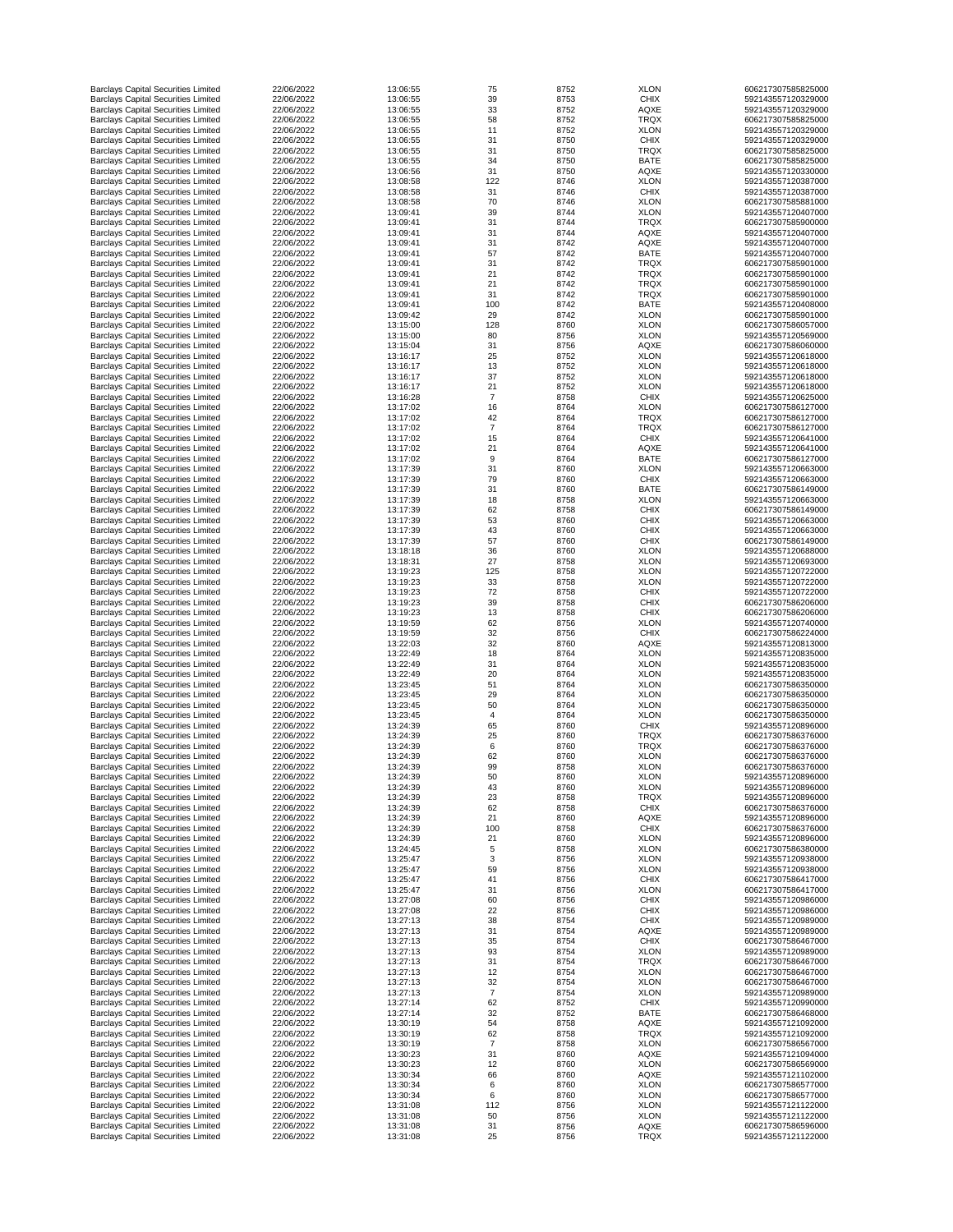| <b>Barclays Capital Securities Limited</b>                                               | 22/06/2022               | 13:06:55             | 75             | 8752         | <b>XLON</b>                | 606217307585825000                       |
|------------------------------------------------------------------------------------------|--------------------------|----------------------|----------------|--------------|----------------------------|------------------------------------------|
| <b>Barclays Capital Securities Limited</b>                                               | 22/06/2022               | 13:06:55             | 39             | 8753         | <b>CHIX</b>                | 592143557120329000                       |
| <b>Barclays Capital Securities Limited</b>                                               | 22/06/2022               | 13:06:55             | 33             | 8752         | <b>AQXE</b>                | 592143557120329000                       |
| <b>Barclays Capital Securities Limited</b>                                               | 22/06/2022               | 13:06:55             | 58             | 8752         | <b>TRQX</b>                | 606217307585825000                       |
| <b>Barclays Capital Securities Limited</b>                                               | 22/06/2022               | 13:06:55             | 11             | 8752         | <b>XLON</b>                | 592143557120329000                       |
| <b>Barclays Capital Securities Limited</b><br><b>Barclays Capital Securities Limited</b> | 22/06/2022<br>22/06/2022 | 13:06:55<br>13:06:55 | 31<br>31       | 8750<br>8750 | <b>CHIX</b><br><b>TRQX</b> | 592143557120329000<br>606217307585825000 |
| <b>Barclays Capital Securities Limited</b>                                               | 22/06/2022               | 13:06:55             | 34             | 8750         | <b>BATE</b>                | 606217307585825000                       |
| <b>Barclays Capital Securities Limited</b>                                               | 22/06/2022               | 13:06:56             | 31             | 8750         | <b>AQXE</b>                | 592143557120330000                       |
| <b>Barclays Capital Securities Limited</b>                                               | 22/06/2022               | 13:08:58             | 122            | 8746         | <b>XLON</b>                | 592143557120387000                       |
| <b>Barclays Capital Securities Limited</b>                                               | 22/06/2022               | 13:08:58             | 31             | 8746         | <b>CHIX</b>                | 592143557120387000                       |
| <b>Barclays Capital Securities Limited</b>                                               | 22/06/2022               | 13:08:58             | 70             | 8746         | <b>XLON</b>                | 606217307585881000                       |
| <b>Barclays Capital Securities Limited</b>                                               | 22/06/2022               | 13:09:41             | 39             | 8744         | <b>XLON</b>                | 592143557120407000                       |
| <b>Barclays Capital Securities Limited</b>                                               | 22/06/2022               | 13:09:41             | 31             | 8744         | <b>TRQX</b>                | 606217307585900000                       |
| <b>Barclays Capital Securities Limited</b>                                               | 22/06/2022               | 13:09:41             | 31             | 8744         | <b>AQXE</b>                | 592143557120407000                       |
| <b>Barclays Capital Securities Limited</b>                                               | 22/06/2022               | 13:09:41             | 31             | 8742         | <b>AQXE</b>                | 592143557120407000                       |
| <b>Barclays Capital Securities Limited</b>                                               | 22/06/2022               | 13:09:41             | 57             | 8742         | <b>BATE</b>                | 592143557120407000                       |
| <b>Barclays Capital Securities Limited</b>                                               | 22/06/2022               | 13:09:41             | 31             | 8742         | <b>TRQX</b>                | 606217307585901000                       |
| <b>Barclays Capital Securities Limited</b>                                               | 22/06/2022               | 13:09:41             | 21             | 8742         | <b>TRQX</b>                | 606217307585901000                       |
| <b>Barclays Capital Securities Limited</b>                                               | 22/06/2022               | 13:09:41             | 21             | 8742         | <b>TRQX</b>                | 606217307585901000                       |
| <b>Barclays Capital Securities Limited</b>                                               | 22/06/2022               | 13:09:41             | 31             | 8742         | <b>TRQX</b>                | 606217307585901000                       |
| <b>Barclays Capital Securities Limited</b>                                               | 22/06/2022               | 13:09:41             | 100            | 8742         | <b>BATE</b>                | 592143557120408000                       |
| <b>Barclays Capital Securities Limited</b><br><b>Barclays Capital Securities Limited</b> | 22/06/2022<br>22/06/2022 | 13:09:42<br>13:15:00 | 29<br>128      | 8742<br>8760 | <b>XLON</b><br><b>XLON</b> | 606217307585901000<br>606217307586057000 |
| <b>Barclays Capital Securities Limited</b>                                               | 22/06/2022               | 13:15:00             | 80             | 8756         | <b>XLON</b>                | 592143557120569000                       |
| <b>Barclays Capital Securities Limited</b>                                               | 22/06/2022               | 13:15:04             | 31             | 8756         | <b>AQXE</b>                | 606217307586060000                       |
| <b>Barclays Capital Securities Limited</b>                                               | 22/06/2022               | 13:16:17             | 25             | 8752         | <b>XLON</b>                | 592143557120618000                       |
| <b>Barclays Capital Securities Limited</b>                                               | 22/06/2022               | 13:16:17             | 13             | 8752         | <b>XLON</b>                | 592143557120618000                       |
| <b>Barclays Capital Securities Limited</b>                                               | 22/06/2022               | 13:16:17             | 37             | 8752         | <b>XLON</b>                | 592143557120618000                       |
| <b>Barclays Capital Securities Limited</b>                                               | 22/06/2022               | 13:16:17             | 21             | 8752         | <b>XLON</b>                | 592143557120618000                       |
| <b>Barclays Capital Securities Limited</b>                                               | 22/06/2022               | 13:16:28             | $\overline{7}$ | 8758         | <b>CHIX</b>                | 592143557120625000                       |
| <b>Barclays Capital Securities Limited</b>                                               | 22/06/2022               | 13:17:02             | 16             | 8764         | <b>XLON</b>                | 606217307586127000                       |
| <b>Barclays Capital Securities Limited</b>                                               | 22/06/2022               | 13:17:02             | 42             | 8764         | <b>TRQX</b>                | 606217307586127000                       |
| <b>Barclays Capital Securities Limited</b>                                               | 22/06/2022               | 13:17:02             |                | 8764         | <b>TRQX</b>                | 606217307586127000                       |
| <b>Barclays Capital Securities Limited</b>                                               | 22/06/2022               | 13:17:02             | 15             | 8764         | <b>CHIX</b>                | 592143557120641000                       |
| <b>Barclays Capital Securities Limited</b>                                               | 22/06/2022               | 13:17:02             | 21             | 8764         | <b>AQXE</b>                | 592143557120641000                       |
| <b>Barclays Capital Securities Limited</b>                                               | 22/06/2022               | 13:17:02             | 9              | 8764         | <b>BATE</b>                | 606217307586127000                       |
| <b>Barclays Capital Securities Limited</b>                                               | 22/06/2022               | 13:17:39             | 31             | 8760         | <b>XLON</b>                | 592143557120663000                       |
| <b>Barclays Capital Securities Limited</b>                                               | 22/06/2022               | 13:17:39             | 79             | 8760         | <b>CHIX</b>                | 592143557120663000                       |
| <b>Barclays Capital Securities Limited</b>                                               | 22/06/2022               | 13:17:39             | 31             | 8760         | <b>BATE</b>                | 606217307586149000                       |
| <b>Barclays Capital Securities Limited</b>                                               | 22/06/2022               | 13:17:39             | 18             | 8758         | <b>XLON</b>                | 592143557120663000                       |
| <b>Barclays Capital Securities Limited</b>                                               | 22/06/2022               | 13:17:39             | 62             | 8758         | <b>CHIX</b>                | 606217307586149000                       |
| <b>Barclays Capital Securities Limited</b><br><b>Barclays Capital Securities Limited</b> | 22/06/2022<br>22/06/2022 | 13:17:39<br>13:17:39 | 53<br>43       | 8760<br>8760 | <b>CHIX</b><br><b>CHIX</b> | 592143557120663000<br>592143557120663000 |
| <b>Barclays Capital Securities Limited</b>                                               | 22/06/2022               | 13:17:39             | 57             | 8760         | <b>CHIX</b>                | 606217307586149000                       |
| <b>Barclays Capital Securities Limited</b>                                               | 22/06/2022               | 13:18:18             | 36             | 8760         | <b>XLON</b>                | 592143557120688000                       |
| <b>Barclays Capital Securities Limited</b>                                               | 22/06/2022               | 13:18:31             | 27             | 8758         | <b>XLON</b>                | 592143557120693000                       |
| <b>Barclays Capital Securities Limited</b>                                               | 22/06/2022               | 13:19:23             | 125            | 8758         | <b>XLON</b>                | 592143557120722000                       |
| <b>Barclays Capital Securities Limited</b>                                               | 22/06/2022               | 13:19:23             | 33             | 8758         | <b>XLON</b>                | 592143557120722000                       |
| <b>Barclays Capital Securities Limited</b>                                               | 22/06/2022               | 13:19:23             | 72             | 8758         | <b>CHIX</b>                | 592143557120722000                       |
| <b>Barclays Capital Securities Limited</b>                                               | 22/06/2022               | 13:19:23             | 39             | 8758         | <b>CHIX</b>                | 606217307586206000                       |
| <b>Barclays Capital Securities Limited</b>                                               | 22/06/2022               | 13:19:23             | 13             | 8758         | <b>CHIX</b>                | 606217307586206000                       |
| <b>Barclays Capital Securities Limited</b>                                               | 22/06/2022               | 13:19:59             | 62             | 8756         | <b>XLON</b>                | 592143557120740000                       |
| <b>Barclays Capital Securities Limited</b>                                               | 22/06/2022               | 13:19:59             | 32             | 8756         | <b>CHIX</b>                | 606217307586224000                       |
| <b>Barclays Capital Securities Limited</b>                                               | 22/06/2022               | 13:22:03             | 32             | 8760         | <b>AQXE</b>                | 592143557120813000                       |
| <b>Barclays Capital Securities Limited</b>                                               | 22/06/2022               | 13:22:49             | 18             | 8764         | <b>XLON</b>                | 592143557120835000                       |
| <b>Barclays Capital Securities Limited</b>                                               | 22/06/2022               | 13:22:49             | 31             | 8764         | <b>XLON</b>                | 592143557120835000                       |
| <b>Barclays Capital Securities Limited</b>                                               | 22/06/2022               | 13:22:49             | 20             | 8764         | <b>XLON</b>                | 592143557120835000                       |
| <b>Barclays Capital Securities Limited</b>                                               | 22/06/2022               | 13:23:45             | 51             | 8764         | <b>XLON</b>                | 606217307586350000                       |
| <b>Barclays Capital Securities Limited</b>                                               | 22/06/2022               | 13:23:45             | 29             | 8764         | <b>XLON</b>                | 606217307586350000                       |
| <b>Barclays Capital Securities Limited</b><br><b>Barclays Capital Securities Limited</b> | 22/06/2022<br>22/06/2022 | 13:23:45<br>13:23:45 | 50<br>4        | 8764<br>8764 | <b>XLON</b><br><b>XLON</b> | 606217307586350000<br>606217307586350000 |
| <b>Barclays Capital Securities Limited</b>                                               | 22/06/2022               | 13:24:39             | 65             | 8760         | <b>CHIX</b>                | 592143557120896000                       |
| <b>Barclays Capital Securities Limited</b>                                               | 22/06/2022               | 13:24:39             | 25             | 8760         | <b>TRQX</b>                | 606217307586376000                       |
| <b>Barclays Capital Securities Limited</b>                                               | 22/06/2022               | 13:24:39             | 6              | 8760         | <b>TRQX</b>                | 606217307586376000                       |
| <b>Barclays Capital Securities Limited</b>                                               | 22/06/2022               | 13:24:39             | 62             | 8760         | <b>XLON</b>                | 606217307586376000                       |
| <b>Barclays Capital Securities Limited</b>                                               | 22/06/2022               | 13:24:39             | 99             | 8758         | <b>XLON</b>                | 606217307586376000                       |
| <b>Barclays Capital Securities Limited</b>                                               | 22/06/2022               | 13:24:39             | 50             | 8760         | <b>XLON</b>                | 592143557120896000                       |
| <b>Barclays Capital Securities Limited</b>                                               | 22/06/2022               | 13:24:39             | 43             | 8760         | <b>XLON</b>                | 592143557120896000                       |
| <b>Barclays Capital Securities Limited</b>                                               | 22/06/2022               | 13:24:39             | 23             | 8758         | <b>TRQX</b>                | 592143557120896000                       |
| <b>Barclays Capital Securities Limited</b>                                               | 22/06/2022               | 13:24:39             | 62             | 8758         | <b>CHIX</b>                | 606217307586376000                       |
| <b>Barclays Capital Securities Limited</b>                                               | 22/06/2022               | 13:24:39             | 21             | 8760         | <b>AQXE</b>                | 592143557120896000                       |
| <b>Barclays Capital Securities Limited</b>                                               | 22/06/2022               | 13:24:39             | 100            | 8758         | <b>CHIX</b>                | 606217307586376000                       |
| <b>Barclays Capital Securities Limited</b>                                               | 22/06/2022               | 13:24:39             | 21             | 8760         | <b>XLON</b>                | 592143557120896000                       |
| <b>Barclays Capital Securities Limited</b>                                               | 22/06/2022               | 13:24:45             |                | 8758         | <b>XLON</b>                | 606217307586380000                       |
| <b>Barclays Capital Securities Limited</b>                                               | 22/06/2022               | 13:25:47             | 3              | 8756         | <b>XLON</b>                | 592143557120938000                       |
| <b>Barclays Capital Securities Limited</b><br><b>Barclays Capital Securities Limited</b> | 22/06/2022<br>22/06/2022 | 13:25:47<br>13:25:47 | 59<br>41       | 8756<br>8756 | <b>XLON</b><br><b>CHIX</b> | 592143557120938000<br>606217307586417000 |
| <b>Barclays Capital Securities Limited</b>                                               | 22/06/2022               | 13:25:47             | 31             | 8756         | <b>XLON</b>                | 606217307586417000                       |
| <b>Barclays Capital Securities Limited</b>                                               | 22/06/2022               | 13:27:08             | 60             | 8756         | <b>CHIX</b>                | 592143557120986000                       |
| <b>Barclays Capital Securities Limited</b>                                               | 22/06/2022               | 13:27:08             | 22             | 8756         | <b>CHIX</b>                | 592143557120986000                       |
| <b>Barclays Capital Securities Limited</b>                                               | 22/06/2022               | 13:27:13             | 38             | 8754         | <b>CHIX</b>                | 592143557120989000                       |
| <b>Barclays Capital Securities Limited</b>                                               | 22/06/2022               | 13:27:13             | 31             | 8754         | <b>AQXE</b>                | 592143557120989000                       |
| <b>Barclays Capital Securities Limited</b>                                               | 22/06/2022               | 13:27:13             | 35             | 8754         | <b>CHIX</b>                | 606217307586467000                       |
| <b>Barclays Capital Securities Limited</b>                                               | 22/06/2022               | 13:27:13             | 93             | 8754         | <b>XLON</b>                | 592143557120989000                       |
| <b>Barclays Capital Securities Limited</b>                                               | 22/06/2022               | 13:27:13             | 31             | 8754         | <b>TRQX</b>                | 606217307586467000                       |
| <b>Barclays Capital Securities Limited</b>                                               | 22/06/2022               | 13:27:13             | 12             | 8754         | <b>XLON</b>                | 606217307586467000                       |
| <b>Barclays Capital Securities Limited</b>                                               | 22/06/2022               | 13:27:13             | 32             | 8754         | <b>XLON</b>                | 606217307586467000                       |
| <b>Barclays Capital Securities Limited</b>                                               | 22/06/2022               | 13:27:13             | $\overline{7}$ | 8754         | <b>XLON</b>                | 592143557120989000                       |
| <b>Barclays Capital Securities Limited</b>                                               | 22/06/2022               | 13:27:14             | 62             | 8752         | <b>CHIX</b>                | 592143557120990000                       |
| <b>Barclays Capital Securities Limited</b>                                               | 22/06/2022               | 13:27:14             | 32             | 8752         | <b>BATE</b>                | 606217307586468000                       |
| <b>Barclays Capital Securities Limited</b>                                               | 22/06/2022<br>22/06/2022 | 13:30:19             | 54             | 8758<br>8758 | <b>AQXE</b>                | 592143557121092000                       |
| <b>Barclays Capital Securities Limited</b><br><b>Barclays Capital Securities Limited</b> | 22/06/2022               | 13:30:19<br>13:30:19 | 62             | 8758         | <b>TRQX</b><br><b>XLON</b> | 592143557121092000<br>606217307586567000 |
| <b>Barclays Capital Securities Limited</b>                                               | 22/06/2022               | 13:30:23             | 31             | 8760         | <b>AQXE</b>                | 592143557121094000                       |
| <b>Barclays Capital Securities Limited</b>                                               | 22/06/2022               | 13:30:23             | 12             | 8760         | <b>XLON</b>                | 606217307586569000                       |
| <b>Barclays Capital Securities Limited</b>                                               | 22/06/2022               | 13:30:34             | 66             | 8760         | <b>AQXE</b>                | 592143557121102000                       |
| <b>Barclays Capital Securities Limited</b>                                               | 22/06/2022               | 13:30:34             | 6              | 8760         | <b>XLON</b>                | 606217307586577000                       |
| <b>Barclays Capital Securities Limited</b>                                               | 22/06/2022               | 13:30:34             | 6              | 8760         | <b>XLON</b>                | 606217307586577000                       |
| <b>Barclays Capital Securities Limited</b>                                               | 22/06/2022               | 13:31:08             | 112            | 8756         | <b>XLON</b>                | 592143557121122000                       |
|                                                                                          |                          |                      |                |              |                            |                                          |
| <b>Barclays Capital Securities Limited</b>                                               | 22/06/2022               | 13:31:08             | 50             | 8756         | <b>XLON</b>                | 592143557121122000                       |
| <b>Barclays Capital Securities Limited</b><br><b>Barclays Capital Securities Limited</b> | 22/06/2022<br>22/06/2022 | 13:31:08<br>13:31:08 | 31<br>25       | 8756<br>8756 | <b>AQXE</b><br><b>TRQX</b> | 606217307586596000<br>592143557121122000 |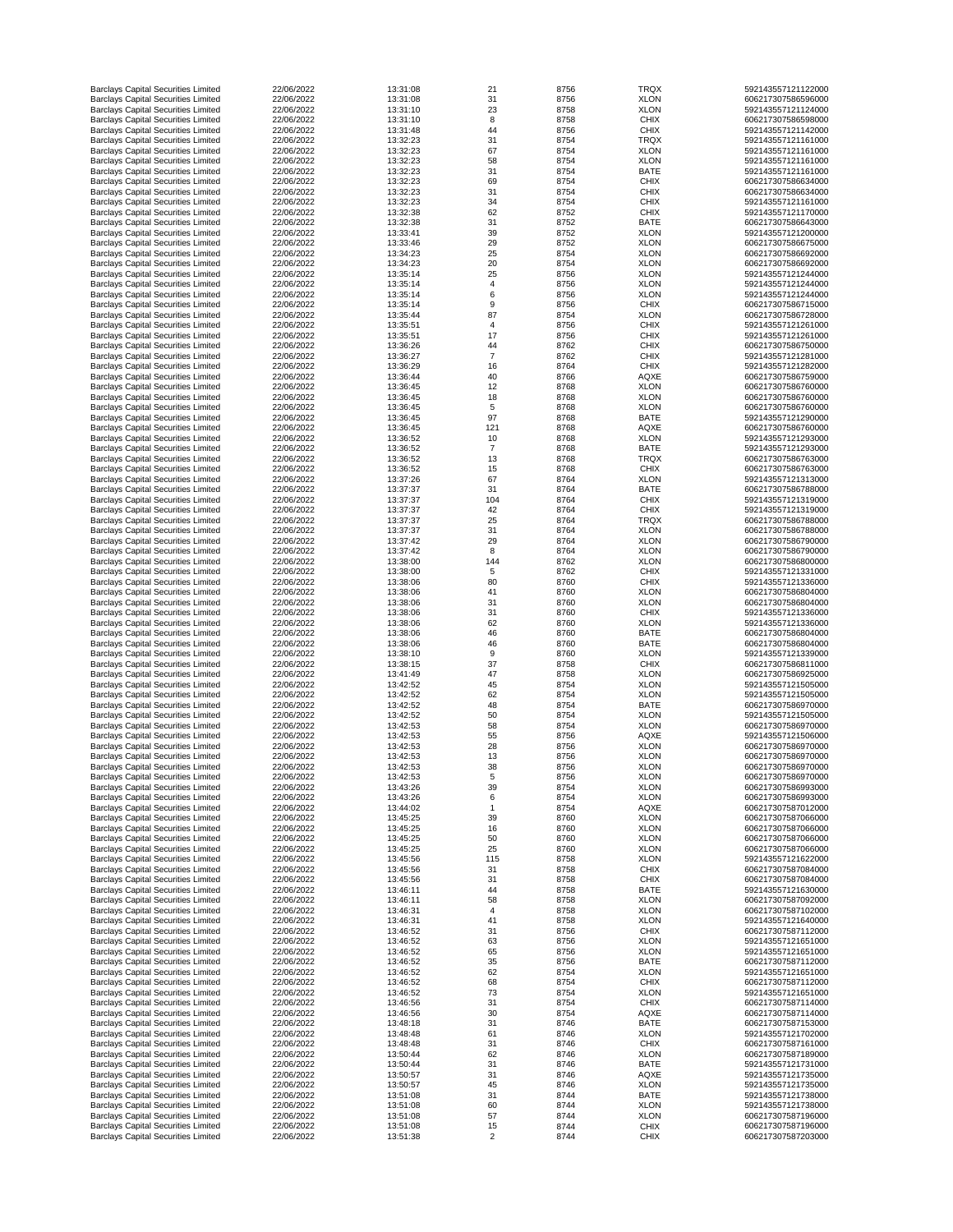| <b>Barclays Capital Securities Limited</b>                                               | 22/06/2022               | 13:31:08             | 21                   | 8756         | <b>TRQX</b>                | 592143557121122000                       |
|------------------------------------------------------------------------------------------|--------------------------|----------------------|----------------------|--------------|----------------------------|------------------------------------------|
| <b>Barclays Capital Securities Limited</b>                                               | 22/06/2022               | 13:31:08             | 31                   | 8756         | <b>XLON</b>                | 606217307586596000                       |
| <b>Barclays Capital Securities Limited</b>                                               | 22/06/2022               | 13:31:10             | 23                   | 8758         | <b>XLON</b>                | 592143557121124000                       |
| <b>Barclays Capital Securities Limited</b>                                               | 22/06/2022               | 13:31:10             | 8                    | 8758         | <b>CHIX</b>                | 606217307586598000                       |
| <b>Barclays Capital Securities Limited</b>                                               | 22/06/2022               | 13:31:48             | 44                   | 8756         | <b>CHIX</b>                | 592143557121142000                       |
|                                                                                          |                          |                      |                      |              |                            |                                          |
| <b>Barclays Capital Securities Limited</b>                                               | 22/06/2022               | 13:32:23             | 31                   | 8754         | <b>TRQX</b>                | 592143557121161000                       |
| <b>Barclays Capital Securities Limited</b>                                               | 22/06/2022               | 13:32:23             | 67                   | 8754         | <b>XLON</b>                | 592143557121161000                       |
| <b>Barclays Capital Securities Limited</b>                                               | 22/06/2022               | 13:32:23             | 58                   | 8754         | <b>XLON</b>                | 592143557121161000                       |
| <b>Barclays Capital Securities Limited</b>                                               | 22/06/2022               | 13:32:23             | 31                   | 8754         | <b>BATE</b>                | 592143557121161000                       |
| <b>Barclays Capital Securities Limited</b>                                               | 22/06/2022               | 13:32:23             | 69                   | 8754         | <b>CHIX</b>                | 606217307586634000                       |
| <b>Barclays Capital Securities Limited</b>                                               | 22/06/2022               | 13:32:23             | 31                   | 8754         | <b>CHIX</b>                | 606217307586634000                       |
| <b>Barclays Capital Securities Limited</b>                                               | 22/06/2022               | 13:32:23             | 34                   | 8754         | <b>CHIX</b>                | 592143557121161000                       |
|                                                                                          |                          |                      |                      |              |                            |                                          |
| <b>Barclays Capital Securities Limited</b>                                               | 22/06/2022               | 13:32:38             | 62                   | 8752         | <b>CHIX</b>                | 592143557121170000                       |
| <b>Barclays Capital Securities Limited</b>                                               | 22/06/2022               | 13:32:38             | 31                   | 8752         | <b>BATE</b>                | 606217307586643000                       |
| <b>Barclays Capital Securities Limited</b>                                               | 22/06/2022               | 13:33:41             | 39                   | 8752         | <b>XLON</b>                | 592143557121200000                       |
| <b>Barclays Capital Securities Limited</b>                                               | 22/06/2022               | 13:33:46             | 29                   | 8752         | <b>XLON</b>                | 606217307586675000                       |
| <b>Barclays Capital Securities Limited</b>                                               | 22/06/2022               | 13:34:23             | 25                   | 8754         | <b>XLON</b>                | 606217307586692000                       |
| <b>Barclays Capital Securities Limited</b>                                               | 22/06/2022               | 13:34:23             | 20                   | 8754         | <b>XLON</b>                | 606217307586692000                       |
|                                                                                          | 22/06/2022               |                      |                      |              |                            |                                          |
| <b>Barclays Capital Securities Limited</b>                                               |                          | 13:35:14             | 25                   | 8756         | <b>XLON</b>                | 592143557121244000                       |
| <b>Barclays Capital Securities Limited</b>                                               | 22/06/2022               | 13:35:14             |                      | 8756         | <b>XLON</b>                | 592143557121244000                       |
| <b>Barclays Capital Securities Limited</b>                                               | 22/06/2022               | 13:35:14             | 6                    | 8756         | <b>XLON</b>                | 592143557121244000                       |
| <b>Barclays Capital Securities Limited</b>                                               | 22/06/2022               | 13:35:14             | 9                    | 8756         | <b>CHIX</b>                | 606217307586715000                       |
| <b>Barclays Capital Securities Limited</b>                                               | 22/06/2022               | 13:35:44             | 87                   | 8754         | <b>XLON</b>                | 606217307586728000                       |
| <b>Barclays Capital Securities Limited</b>                                               | 22/06/2022               | 13:35:51             | $\overline{4}$       | 8756         | <b>CHIX</b>                | 592143557121261000                       |
| <b>Barclays Capital Securities Limited</b>                                               | 22/06/2022               | 13:35:51             | 17                   | 8756         | <b>CHIX</b>                | 592143557121261000                       |
|                                                                                          |                          |                      |                      |              |                            |                                          |
| <b>Barclays Capital Securities Limited</b>                                               | 22/06/2022               | 13:36:26             | 44                   | 8762         | <b>CHIX</b>                | 606217307586750000                       |
| <b>Barclays Capital Securities Limited</b>                                               | 22/06/2022               | 13:36:27             | $\overline{7}$       | 8762         | <b>CHIX</b>                | 592143557121281000                       |
| <b>Barclays Capital Securities Limited</b>                                               | 22/06/2022               | 13:36:29             | 16                   | 8764         | <b>CHIX</b>                | 592143557121282000                       |
| <b>Barclays Capital Securities Limited</b>                                               | 22/06/2022               | 13:36:44             | 40                   | 8766         | <b>AQXE</b>                | 606217307586759000                       |
| <b>Barclays Capital Securities Limited</b>                                               | 22/06/2022               | 13:36:45             | 12                   | 8768         | <b>XLON</b>                | 606217307586760000                       |
| <b>Barclays Capital Securities Limited</b>                                               | 22/06/2022               | 13:36:45             | 18                   | 8768         | <b>XLON</b>                | 606217307586760000                       |
|                                                                                          | 22/06/2022               |                      |                      |              |                            |                                          |
| <b>Barclays Capital Securities Limited</b>                                               |                          | 13:36:45             | 5                    | 8768         | <b>XLON</b>                | 606217307586760000                       |
| <b>Barclays Capital Securities Limited</b>                                               | 22/06/2022               | 13:36:45             | 97                   | 8768         | <b>BATE</b>                | 592143557121290000                       |
| <b>Barclays Capital Securities Limited</b>                                               | 22/06/2022               | 13:36:45             | 121                  | 8768         | <b>AQXE</b>                | 606217307586760000                       |
| <b>Barclays Capital Securities Limited</b>                                               | 22/06/2022               | 13:36:52             | 10                   | 8768         | <b>XLON</b>                | 592143557121293000                       |
| <b>Barclays Capital Securities Limited</b>                                               | 22/06/2022               | 13:36:52             |                      | 8768         | <b>BATE</b>                | 592143557121293000                       |
| <b>Barclays Capital Securities Limited</b>                                               | 22/06/2022               | 13:36:52             | 13                   | 8768         | <b>TRQX</b>                | 606217307586763000                       |
|                                                                                          |                          |                      |                      |              |                            |                                          |
| <b>Barclays Capital Securities Limited</b>                                               | 22/06/2022               | 13:36:52             | 15                   | 8768         | <b>CHIX</b>                | 606217307586763000                       |
| <b>Barclays Capital Securities Limited</b>                                               | 22/06/2022               | 13:37:26             | 67                   | 8764         | <b>XLON</b>                | 592143557121313000                       |
| <b>Barclays Capital Securities Limited</b>                                               | 22/06/2022               | 13:37:37             | 31                   | 8764         | <b>BATE</b>                | 606217307586788000                       |
| <b>Barclays Capital Securities Limited</b>                                               | 22/06/2022               | 13:37:37             | 104                  | 8764         | <b>CHIX</b>                | 592143557121319000                       |
| <b>Barclays Capital Securities Limited</b>                                               | 22/06/2022               | 13:37:37             | 42                   | 8764         | <b>CHIX</b>                | 592143557121319000                       |
| <b>Barclays Capital Securities Limited</b>                                               | 22/06/2022               | 13:37:37             | 25                   | 8764         | <b>TRQX</b>                | 606217307586788000                       |
|                                                                                          | 22/06/2022               | 13:37:37             | 31                   | 8764         |                            | 606217307586788000                       |
| <b>Barclays Capital Securities Limited</b>                                               |                          |                      |                      |              | <b>XLON</b>                |                                          |
| <b>Barclays Capital Securities Limited</b>                                               | 22/06/2022               | 13:37:42             | 29                   | 8764         | <b>XLON</b>                | 606217307586790000                       |
| <b>Barclays Capital Securities Limited</b>                                               | 22/06/2022               | 13:37:42             | 8                    | 8764         | <b>XLON</b>                | 606217307586790000                       |
| <b>Barclays Capital Securities Limited</b>                                               | 22/06/2022               | 13:38:00             | 144                  | 8762         | <b>XLON</b>                | 606217307586800000                       |
| <b>Barclays Capital Securities Limited</b>                                               | 22/06/2022               | 13:38:00             | 5                    | 8762         | <b>CHIX</b>                | 592143557121331000                       |
| <b>Barclays Capital Securities Limited</b>                                               | 22/06/2022               | 13:38:06             | 80                   | 8760         | <b>CHIX</b>                | 592143557121336000                       |
| <b>Barclays Capital Securities Limited</b>                                               | 22/06/2022               | 13:38:06             | 41                   | 8760         | <b>XLON</b>                | 606217307586804000                       |
|                                                                                          |                          |                      |                      |              |                            |                                          |
| <b>Barclays Capital Securities Limited</b>                                               | 22/06/2022               | 13:38:06             | 31                   | 8760         | <b>XLON</b>                | 606217307586804000                       |
| <b>Barclays Capital Securities Limited</b>                                               | 22/06/2022               | 13:38:06             | 31                   | 8760         | <b>CHIX</b>                | 592143557121336000                       |
| <b>Barclays Capital Securities Limited</b>                                               | 22/06/2022               | 13:38:06             | 62                   | 8760         | <b>XLON</b>                | 592143557121336000                       |
| <b>Barclays Capital Securities Limited</b>                                               | 22/06/2022               | 13:38:06             | 46                   | 8760         | <b>BATE</b>                | 606217307586804000                       |
| <b>Barclays Capital Securities Limited</b>                                               | 22/06/2022               | 13:38:06             | 46                   | 8760         | <b>BATE</b>                | 606217307586804000                       |
| <b>Barclays Capital Securities Limited</b>                                               | 22/06/2022               | 13:38:10             | 9                    | 8760         | <b>XLON</b>                | 592143557121339000                       |
| <b>Barclays Capital Securities Limited</b>                                               | 22/06/2022               | 13:38:15             | 37                   | 8758         | <b>CHIX</b>                | 606217307586811000                       |
|                                                                                          |                          |                      |                      |              |                            |                                          |
| <b>Barclays Capital Securities Limited</b>                                               | 22/06/2022               | 13:41:49             | 47                   | 8758         | <b>XLON</b>                | 606217307586925000                       |
| <b>Barclays Capital Securities Limited</b>                                               | 22/06/2022               | 13:42:52             | 45                   | 8754         | <b>XLON</b>                | 592143557121505000                       |
| <b>Barclays Capital Securities Limited</b>                                               | 22/06/2022               | 13:42:52             | 62                   | 8754         | <b>XLON</b>                | 592143557121505000                       |
| <b>Barclays Capital Securities Limited</b>                                               | 22/06/2022               | 13:42:52             | 48                   | 8754         | <b>BATE</b>                | 606217307586970000                       |
| <b>Barclays Capital Securities Limited</b>                                               | 22/06/2022               | 13:42:52             | 50                   | 8754         | <b>XLON</b>                | 592143557121505000                       |
| <b>Barclays Capital Securities Limited</b>                                               | 22/06/2022               | 13:42:53             | 58                   | 8754         | <b>XLON</b>                | 606217307586970000                       |
|                                                                                          | 22/06/2022               |                      |                      | 8756         | <b>AQXE</b>                | 592143557121506000                       |
| <b>Barclays Capital Securities Limited</b>                                               |                          | 13:42:53             | 55                   |              |                            |                                          |
| <b>Barclays Capital Securities Limited</b>                                               | 22/06/2022               | 13:42:53             | 28                   | 8756         | <b>XLON</b>                | 606217307586970000                       |
| <b>Barclays Capital Securities Limited</b>                                               | 22/06/2022               | 13:42:53             | 13                   | 8756         | <b>XLON</b>                | 606217307586970000                       |
| <b>Barclays Capital Securities Limited</b>                                               | 22/06/2022               | 13:42:53             | 38                   | 8756         | <b>XLON</b>                | 606217307586970000                       |
| <b>Barclays Capital Securities Limited</b>                                               | 22/06/2022               | 13:42:53             | 5                    | 8756         | <b>XLON</b>                | 606217307586970000                       |
| <b>Barclays Capital Securities Limited</b>                                               | 22/06/2022               | 13:43:26             | 39                   | 8754         | <b>XLON</b>                | 606217307586993000                       |
| <b>Barclays Capital Securities Limited</b>                                               | 22/06/2022               | 13:43:26             |                      | 8754         | <b>XLON</b>                | 606217307586993000                       |
| <b>Barclays Capital Securities Limited</b>                                               | 22/06/2022               | 13:44:02             |                      | 8754         | <b>AQXE</b>                | 606217307587012000                       |
| <b>Barclays Capital Securities Limited</b>                                               | 22/06/2022               | 13:45:25             | 39                   | 8760         | <b>XLON</b>                | 606217307587066000                       |
|                                                                                          |                          |                      |                      |              |                            |                                          |
| <b>Barclays Capital Securities Limited</b>                                               | 22/06/2022               | 13:45:25             | 16                   | 8760         | <b>XLON</b>                | 606217307587066000                       |
| <b>Barclays Capital Securities Limited</b>                                               | 22/06/2022               | 13:45:25             | 50                   | 8760         | <b>XLON</b>                | 606217307587066000                       |
| <b>Barclays Capital Securities Limited</b>                                               | 22/06/2022               | 13:45:25             | 25                   | 8760         | <b>XLON</b>                | 606217307587066000                       |
| <b>Barclays Capital Securities Limited</b>                                               | 22/06/2022               | 13:45:56             | 115                  | 8758         | <b>XLON</b>                | 592143557121622000                       |
| <b>Barclays Capital Securities Limited</b>                                               | 22/06/2022               | 13:45:56             | 31                   | 8758         | <b>CHIX</b>                | 606217307587084000                       |
| <b>Barclays Capital Securities Limited</b>                                               | 22/06/2022               | 13:45:56             | 31                   | 8758         | <b>CHIX</b>                | 606217307587084000                       |
|                                                                                          | 22/06/2022               |                      |                      | 8758         |                            |                                          |
| <b>Barclays Capital Securities Limited</b>                                               |                          | 13:46:11             | 44                   |              | <b>BATE</b>                | 592143557121630000                       |
| <b>Barclays Capital Securities Limited</b>                                               | 22/06/2022               | 13:46:11             | 58                   | 8758         | <b>XLON</b>                | 606217307587092000                       |
| <b>Barclays Capital Securities Limited</b>                                               | 22/06/2022               | 13:46:31             |                      | 8758         | <b>XLON</b>                | 606217307587102000                       |
| <b>Barclays Capital Securities Limited</b>                                               | 22/06/2022               | 13:46:31             | 41                   | 8758         | <b>XLON</b>                | 592143557121640000                       |
| <b>Barclays Capital Securities Limited</b>                                               | 22/06/2022               | 13:46:52             | 31                   | 8756         | <b>CHIX</b>                | 606217307587112000                       |
| <b>Barclays Capital Securities Limited</b>                                               | 22/06/2022               | 13:46:52             | 63                   | 8756         | <b>XLON</b>                | 592143557121651000                       |
| <b>Barclays Capital Securities Limited</b>                                               | 22/06/2022               | 13:46:52             | 65                   | 8756         | <b>XLON</b>                | 592143557121651000                       |
|                                                                                          |                          |                      |                      |              |                            |                                          |
| <b>Barclays Capital Securities Limited</b>                                               | 22/06/2022               | 13:46:52             | 35                   | 8756         | <b>BATE</b>                | 606217307587112000                       |
| <b>Barclays Capital Securities Limited</b>                                               | 22/06/2022               | 13:46:52             | 62                   | 8754         | <b>XLON</b>                | 592143557121651000                       |
| <b>Barclays Capital Securities Limited</b>                                               | 22/06/2022               | 13:46:52             | 68                   | 8754         | <b>CHIX</b>                | 606217307587112000                       |
| <b>Barclays Capital Securities Limited</b>                                               | 22/06/2022               | 13:46:52             | 73                   | 8754         | <b>XLON</b>                | 592143557121651000                       |
| <b>Barclays Capital Securities Limited</b>                                               | 22/06/2022               | 13:46:56             | 31                   | 8754         | <b>CHIX</b>                | 606217307587114000                       |
| <b>Barclays Capital Securities Limited</b>                                               | 22/06/2022               | 13:46:56             | 30                   | 8754         | <b>AQXE</b>                | 606217307587114000                       |
|                                                                                          |                          |                      |                      |              |                            |                                          |
| <b>Barclays Capital Securities Limited</b>                                               | 22/06/2022               | 13:48:18             | 31                   | 8746         | <b>BATE</b>                | 606217307587153000                       |
| <b>Barclays Capital Securities Limited</b>                                               | 22/06/2022               | 13:48:48             | 61                   | 8746         | <b>XLON</b>                | 592143557121702000                       |
| <b>Barclays Capital Securities Limited</b>                                               | 22/06/2022               | 13:48:48             | 31                   | 8746         | <b>CHIX</b>                | 606217307587161000                       |
| <b>Barclays Capital Securities Limited</b>                                               | 22/06/2022               | 13:50:44             | 62                   | 8746         | <b>XLON</b>                | 606217307587189000                       |
| <b>Barclays Capital Securities Limited</b>                                               | 22/06/2022               | 13:50:44             | 31                   | 8746         | <b>BATE</b>                | 592143557121731000                       |
| <b>Barclays Capital Securities Limited</b>                                               | 22/06/2022               | 13:50:57             | 31                   | 8746         | <b>AQXE</b>                | 592143557121735000                       |
| <b>Barclays Capital Securities Limited</b>                                               |                          | 13:50:57             | 45                   | 8746         | <b>XLON</b>                | 592143557121735000                       |
|                                                                                          |                          |                      |                      |              |                            |                                          |
| <b>Barclays Capital Securities Limited</b>                                               | 22/06/2022               |                      |                      |              |                            |                                          |
|                                                                                          | 22/06/2022               | 13:51:08             | 31                   | 8744         | <b>BATE</b>                | 592143557121738000                       |
| <b>Barclays Capital Securities Limited</b>                                               | 22/06/2022               | 13:51:08             | 60                   | 8744         | <b>XLON</b>                | 592143557121738000                       |
| <b>Barclays Capital Securities Limited</b>                                               | 22/06/2022               | 13:51:08             | 57                   | 8744         | <b>XLON</b>                | 606217307587196000                       |
| <b>Barclays Capital Securities Limited</b><br><b>Barclays Capital Securities Limited</b> | 22/06/2022<br>22/06/2022 | 13:51:08<br>13:51:38 | 15<br>$\overline{2}$ | 8744<br>8744 | <b>CHIX</b><br><b>CHIX</b> | 606217307587196000<br>606217307587203000 |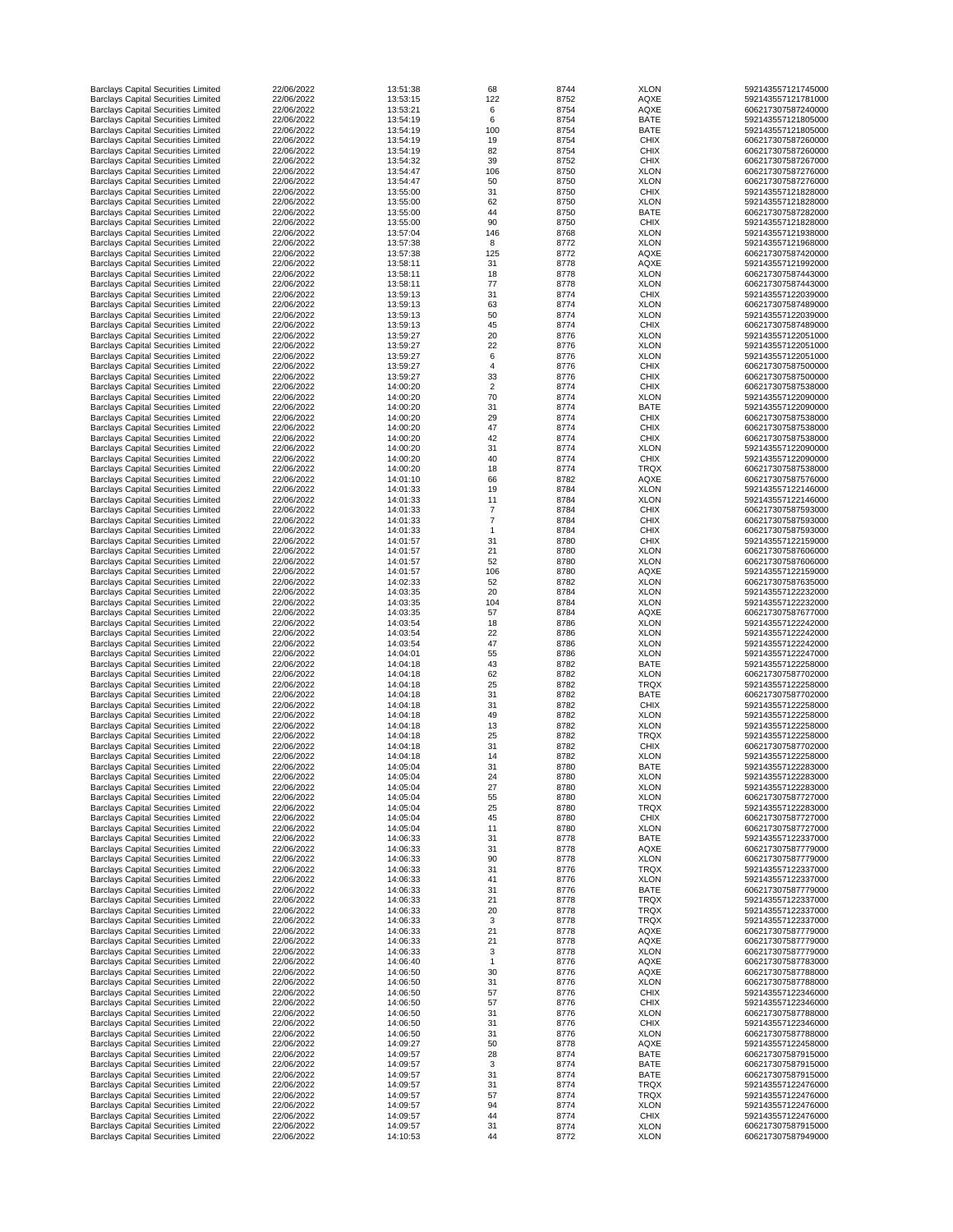| <b>Barclays Capital Securities Limited</b> | 22/06/2022 | 13:51:38 | 68             | 8744 | <b>XLON</b> | 592143557121745000 |
|--------------------------------------------|------------|----------|----------------|------|-------------|--------------------|
| <b>Barclays Capital Securities Limited</b> | 22/06/2022 | 13:53:15 | 122            | 8752 | <b>AQXE</b> | 592143557121781000 |
| <b>Barclays Capital Securities Limited</b> | 22/06/2022 | 13:53:21 | 6              | 8754 | <b>AQXE</b> | 606217307587240000 |
| <b>Barclays Capital Securities Limited</b> | 22/06/2022 | 13:54:19 | 6              | 8754 | <b>BATE</b> | 592143557121805000 |
| <b>Barclays Capital Securities Limited</b> | 22/06/2022 | 13:54:19 | 100            | 8754 | <b>BATE</b> | 592143557121805000 |
|                                            |            |          |                |      |             |                    |
| <b>Barclays Capital Securities Limited</b> | 22/06/2022 | 13:54:19 | 19             | 8754 | <b>CHIX</b> | 606217307587260000 |
| <b>Barclays Capital Securities Limited</b> | 22/06/2022 | 13:54:19 | 82             | 8754 | <b>CHIX</b> | 606217307587260000 |
| <b>Barclays Capital Securities Limited</b> | 22/06/2022 | 13:54:32 | 39             | 8752 | <b>CHIX</b> | 606217307587267000 |
| <b>Barclays Capital Securities Limited</b> | 22/06/2022 | 13:54:47 | 106            | 8750 | <b>XLON</b> | 606217307587276000 |
| <b>Barclays Capital Securities Limited</b> | 22/06/2022 | 13:54:47 | 50             | 8750 | <b>XLON</b> | 606217307587276000 |
| <b>Barclays Capital Securities Limited</b> | 22/06/2022 | 13:55:00 | 31             | 8750 | <b>CHIX</b> | 592143557121828000 |
| <b>Barclays Capital Securities Limited</b> | 22/06/2022 | 13:55:00 | 62             | 8750 | <b>XLON</b> | 592143557121828000 |
| <b>Barclays Capital Securities Limited</b> | 22/06/2022 | 13:55:00 | 44             | 8750 | <b>BATE</b> | 606217307587282000 |
|                                            |            |          |                |      |             |                    |
| <b>Barclays Capital Securities Limited</b> | 22/06/2022 | 13:55:00 | 90             | 8750 | <b>CHIX</b> | 592143557121828000 |
| <b>Barclays Capital Securities Limited</b> | 22/06/2022 | 13:57:04 | 146            | 8768 | <b>XLON</b> | 592143557121938000 |
| <b>Barclays Capital Securities Limited</b> | 22/06/2022 | 13:57:38 | 8              | 8772 | <b>XLON</b> | 592143557121968000 |
| <b>Barclays Capital Securities Limited</b> | 22/06/2022 | 13:57:38 | 125            | 8772 | <b>AQXE</b> | 606217307587420000 |
| <b>Barclays Capital Securities Limited</b> | 22/06/2022 | 13:58:11 | 31             | 8778 | <b>AQXE</b> | 592143557121992000 |
|                                            |            |          |                |      |             |                    |
| <b>Barclays Capital Securities Limited</b> | 22/06/2022 | 13:58:11 | 18             | 8778 | <b>XLON</b> | 606217307587443000 |
| <b>Barclays Capital Securities Limited</b> | 22/06/2022 | 13:58:11 | 77             | 8778 | <b>XLON</b> | 606217307587443000 |
| <b>Barclays Capital Securities Limited</b> | 22/06/2022 | 13:59:13 | 31             | 8774 | <b>CHIX</b> | 592143557122039000 |
| <b>Barclays Capital Securities Limited</b> | 22/06/2022 | 13:59:13 | 63             | 8774 | <b>XLON</b> | 606217307587489000 |
| <b>Barclays Capital Securities Limited</b> | 22/06/2022 | 13:59:13 | 50             | 8774 | <b>XLON</b> | 592143557122039000 |
| <b>Barclays Capital Securities Limited</b> | 22/06/2022 | 13:59:13 | 45             | 8774 | <b>CHIX</b> | 606217307587489000 |
|                                            | 22/06/2022 | 13:59:27 | 20             | 8776 | <b>XLON</b> | 592143557122051000 |
| <b>Barclays Capital Securities Limited</b> |            |          |                |      |             |                    |
| <b>Barclays Capital Securities Limited</b> | 22/06/2022 | 13:59:27 | 22             | 8776 | <b>XLON</b> | 592143557122051000 |
| <b>Barclays Capital Securities Limited</b> | 22/06/2022 | 13:59:27 | $6\,$          | 8776 | <b>XLON</b> | 592143557122051000 |
| <b>Barclays Capital Securities Limited</b> | 22/06/2022 | 13:59:27 | 4              | 8776 | <b>CHIX</b> | 606217307587500000 |
| <b>Barclays Capital Securities Limited</b> | 22/06/2022 | 13:59:27 | 33             | 8776 | <b>CHIX</b> | 606217307587500000 |
| <b>Barclays Capital Securities Limited</b> | 22/06/2022 | 14:00:20 | $\overline{2}$ | 8774 | <b>CHIX</b> | 606217307587538000 |
| <b>Barclays Capital Securities Limited</b> | 22/06/2022 | 14:00:20 | 70             | 8774 | <b>XLON</b> | 592143557122090000 |
|                                            |            |          |                |      |             |                    |
| <b>Barclays Capital Securities Limited</b> | 22/06/2022 | 14:00:20 | 31             | 8774 | <b>BATE</b> | 592143557122090000 |
| <b>Barclays Capital Securities Limited</b> | 22/06/2022 | 14:00:20 | 29             | 8774 | <b>CHIX</b> | 606217307587538000 |
| <b>Barclays Capital Securities Limited</b> | 22/06/2022 | 14:00:20 | 47             | 8774 | <b>CHIX</b> | 606217307587538000 |
| <b>Barclays Capital Securities Limited</b> | 22/06/2022 | 14:00:20 | 42             | 8774 | <b>CHIX</b> | 606217307587538000 |
| <b>Barclays Capital Securities Limited</b> | 22/06/2022 | 14:00:20 | 31             | 8774 | <b>XLON</b> | 592143557122090000 |
|                                            | 22/06/2022 |          |                | 8774 | <b>CHIX</b> |                    |
| <b>Barclays Capital Securities Limited</b> |            | 14:00:20 | 40             |      |             | 592143557122090000 |
| <b>Barclays Capital Securities Limited</b> | 22/06/2022 | 14:00:20 | 18             | 8774 | <b>TRQX</b> | 606217307587538000 |
| <b>Barclays Capital Securities Limited</b> | 22/06/2022 | 14:01:10 | 66             | 8782 | <b>AQXE</b> | 606217307587576000 |
| <b>Barclays Capital Securities Limited</b> | 22/06/2022 | 14:01:33 | 19             | 8784 | <b>XLON</b> | 592143557122146000 |
| <b>Barclays Capital Securities Limited</b> | 22/06/2022 | 14:01:33 | 11             | 8784 | <b>XLON</b> | 592143557122146000 |
| <b>Barclays Capital Securities Limited</b> | 22/06/2022 | 14:01:33 |                | 8784 | <b>CHIX</b> | 606217307587593000 |
|                                            | 22/06/2022 | 14:01:33 |                | 8784 | <b>CHIX</b> | 606217307587593000 |
| <b>Barclays Capital Securities Limited</b> |            |          |                |      |             |                    |
| <b>Barclays Capital Securities Limited</b> | 22/06/2022 | 14:01:33 |                | 8784 | <b>CHIX</b> | 606217307587593000 |
| <b>Barclays Capital Securities Limited</b> | 22/06/2022 | 14:01:57 | 31             | 8780 | <b>CHIX</b> | 592143557122159000 |
| <b>Barclays Capital Securities Limited</b> | 22/06/2022 | 14:01:57 | 21             | 8780 | <b>XLON</b> | 606217307587606000 |
| <b>Barclays Capital Securities Limited</b> | 22/06/2022 | 14:01:57 | 52             | 8780 | <b>XLON</b> | 606217307587606000 |
| <b>Barclays Capital Securities Limited</b> | 22/06/2022 | 14:01:57 | 106            | 8780 | <b>AQXE</b> | 592143557122159000 |
| <b>Barclays Capital Securities Limited</b> | 22/06/2022 | 14:02:33 | 52             | 8782 | <b>XLON</b> | 606217307587635000 |
|                                            |            |          |                |      |             |                    |
| <b>Barclays Capital Securities Limited</b> | 22/06/2022 | 14:03:35 | 20             | 8784 | <b>XLON</b> | 592143557122232000 |
| <b>Barclays Capital Securities Limited</b> | 22/06/2022 | 14:03:35 | 104            | 8784 | <b>XLON</b> | 592143557122232000 |
| <b>Barclays Capital Securities Limited</b> | 22/06/2022 | 14:03:35 | 57             | 8784 | <b>AQXE</b> | 606217307587677000 |
| <b>Barclays Capital Securities Limited</b> | 22/06/2022 | 14:03:54 | 18             | 8786 | <b>XLON</b> | 592143557122242000 |
| <b>Barclays Capital Securities Limited</b> | 22/06/2022 | 14:03:54 | 22             | 8786 | <b>XLON</b> | 592143557122242000 |
| <b>Barclays Capital Securities Limited</b> | 22/06/2022 | 14:03:54 | 47             | 8786 | <b>XLON</b> | 592143557122242000 |
| <b>Barclays Capital Securities Limited</b> | 22/06/2022 | 14:04:01 | 55             | 8786 | <b>XLON</b> | 592143557122247000 |
|                                            |            |          |                |      |             |                    |
| <b>Barclays Capital Securities Limited</b> | 22/06/2022 | 14:04:18 | 43             | 8782 | <b>BATE</b> | 592143557122258000 |
| <b>Barclays Capital Securities Limited</b> | 22/06/2022 | 14:04:18 | 62             | 8782 | <b>XLON</b> | 606217307587702000 |
| <b>Barclays Capital Securities Limited</b> | 22/06/2022 | 14:04:18 | 25             | 8782 | <b>TRQX</b> | 592143557122258000 |
| <b>Barclays Capital Securities Limited</b> | 22/06/2022 | 14:04:18 | 31             | 8782 | <b>BATE</b> | 606217307587702000 |
| <b>Barclays Capital Securities Limited</b> | 22/06/2022 | 14:04:18 | 31             | 8782 | <b>CHIX</b> | 592143557122258000 |
| <b>Barclays Capital Securities Limited</b> | 22/06/2022 | 14:04:18 | 49             | 8782 | <b>XLON</b> | 592143557122258000 |
| <b>Barclays Capital Securities Limited</b> | 22/06/2022 | 14:04:18 | 13             | 8782 | <b>XLON</b> | 592143557122258000 |
|                                            |            |          |                |      |             |                    |
| <b>Barclays Capital Securities Limited</b> | 22/06/2022 | 14:04:18 | 25             | 8782 | <b>TRQX</b> | 592143557122258000 |
| <b>Barclays Capital Securities Limited</b> | 22/06/2022 | 14:04:18 | 31             | 8782 | <b>CHIX</b> | 606217307587702000 |
| <b>Barclays Capital Securities Limited</b> | 22/06/2022 | 14:04:18 | 14             | 8782 | <b>XLON</b> | 592143557122258000 |
| <b>Barclays Capital Securities Limited</b> | 22/06/2022 | 14:05:04 | 31             | 8780 | <b>BATE</b> | 592143557122283000 |
| <b>Barclays Capital Securities Limited</b> | 22/06/2022 | 14:05:04 | 24             | 8780 | <b>XLON</b> | 592143557122283000 |
| <b>Barclays Capital Securities Limited</b> | 22/06/2022 | 14:05:04 | 27             | 8780 | <b>XLON</b> | 592143557122283000 |
| <b>Barclays Capital Securities Limited</b> | 22/06/2022 | 14:05:04 | 55             | 8780 | <b>XLON</b> | 606217307587727000 |
|                                            |            |          |                |      |             |                    |
| <b>Barclays Capital Securities Limited</b> | 22/06/2022 | 14:05:04 | 25             | 8780 | <b>TRQX</b> | 592143557122283000 |
| <b>Barclays Capital Securities Limited</b> | 22/06/2022 | 14:05:04 | 45             | 8780 | <b>CHIX</b> | 606217307587727000 |
| <b>Barclays Capital Securities Limited</b> | 22/06/2022 | 14:05:04 | 11             | 8780 | <b>XLON</b> | 606217307587727000 |
| <b>Barclays Capital Securities Limited</b> | 22/06/2022 | 14:06:33 | 31             | 8778 | <b>BATE</b> | 592143557122337000 |
| <b>Barclays Capital Securities Limited</b> | 22/06/2022 | 14:06:33 | 31             | 8778 | <b>AQXE</b> | 606217307587779000 |
| <b>Barclays Capital Securities Limited</b> | 22/06/2022 | 14:06:33 | 90             | 8778 | <b>XLON</b> | 606217307587779000 |
| <b>Barclays Capital Securities Limited</b> | 22/06/2022 | 14:06:33 | 31             | 8776 | <b>TRQX</b> | 592143557122337000 |
|                                            |            |          |                |      |             |                    |
| <b>Barclays Capital Securities Limited</b> | 22/06/2022 | 14:06:33 | 41             | 8776 | <b>XLON</b> | 592143557122337000 |
| <b>Barclays Capital Securities Limited</b> | 22/06/2022 | 14:06:33 | 31             | 8776 | <b>BATE</b> | 606217307587779000 |
| <b>Barclays Capital Securities Limited</b> | 22/06/2022 | 14:06:33 | 21             | 8778 | <b>TRQX</b> | 592143557122337000 |
| <b>Barclays Capital Securities Limited</b> | 22/06/2022 | 14:06:33 | 20             | 8778 | <b>TRQX</b> | 592143557122337000 |
| <b>Barclays Capital Securities Limited</b> | 22/06/2022 | 14:06:33 | 3              | 8778 | <b>TRQX</b> | 592143557122337000 |
| <b>Barclays Capital Securities Limited</b> | 22/06/2022 | 14:06:33 | 21             | 8778 | <b>AQXE</b> | 606217307587779000 |
| <b>Barclays Capital Securities Limited</b> | 22/06/2022 | 14:06:33 | 21             | 8778 | <b>AQXE</b> | 606217307587779000 |
|                                            |            |          |                |      |             |                    |
| <b>Barclays Capital Securities Limited</b> | 22/06/2022 | 14:06:33 | 3              | 8778 | <b>XLON</b> | 606217307587779000 |
| <b>Barclays Capital Securities Limited</b> | 22/06/2022 | 14:06:40 |                | 8776 | <b>AQXE</b> | 606217307587783000 |
| <b>Barclays Capital Securities Limited</b> | 22/06/2022 | 14:06:50 | 30             | 8776 | <b>AQXE</b> | 606217307587788000 |
| <b>Barclays Capital Securities Limited</b> | 22/06/2022 | 14:06:50 | 31             | 8776 | <b>XLON</b> | 606217307587788000 |
| <b>Barclays Capital Securities Limited</b> | 22/06/2022 | 14:06:50 | 57             | 8776 | <b>CHIX</b> | 592143557122346000 |
| <b>Barclays Capital Securities Limited</b> | 22/06/2022 | 14:06:50 | 57             | 8776 | <b>CHIX</b> | 592143557122346000 |
|                                            |            |          |                |      |             |                    |
| <b>Barclays Capital Securities Limited</b> | 22/06/2022 | 14:06:50 | 31             | 8776 | <b>XLON</b> | 606217307587788000 |
| <b>Barclays Capital Securities Limited</b> | 22/06/2022 | 14:06:50 | 31             | 8776 | <b>CHIX</b> | 592143557122346000 |
| <b>Barclays Capital Securities Limited</b> | 22/06/2022 | 14:06:50 | 31             | 8776 | <b>XLON</b> | 606217307587788000 |
| <b>Barclays Capital Securities Limited</b> | 22/06/2022 | 14:09:27 | 50             | 8778 | <b>AQXE</b> | 592143557122458000 |
| <b>Barclays Capital Securities Limited</b> | 22/06/2022 | 14:09:57 | 28             | 8774 | <b>BATE</b> | 606217307587915000 |
| <b>Barclays Capital Securities Limited</b> | 22/06/2022 | 14:09:57 | 3              | 8774 | <b>BATE</b> | 606217307587915000 |
|                                            | 22/06/2022 | 14:09:57 | 31             | 8774 |             | 606217307587915000 |
| <b>Barclays Capital Securities Limited</b> |            |          |                |      | <b>BATE</b> |                    |
| <b>Barclays Capital Securities Limited</b> | 22/06/2022 | 14:09:57 | 31             | 8774 | <b>TRQX</b> | 592143557122476000 |
| <b>Barclays Capital Securities Limited</b> | 22/06/2022 | 14:09:57 | 57             | 8774 | <b>TRQX</b> | 592143557122476000 |
| <b>Barclays Capital Securities Limited</b> | 22/06/2022 | 14:09:57 | 94             | 8774 | <b>XLON</b> | 592143557122476000 |
| <b>Barclays Capital Securities Limited</b> | 22/06/2022 | 14:09:57 | 44             | 8774 | <b>CHIX</b> | 592143557122476000 |
| <b>Barclays Capital Securities Limited</b> | 22/06/2022 | 14:09:57 | 31             | 8774 | <b>XLON</b> | 606217307587915000 |
| <b>Barclays Capital Securities Limited</b> | 22/06/2022 | 14:10:53 | 44             | 8772 | <b>XLON</b> | 606217307587949000 |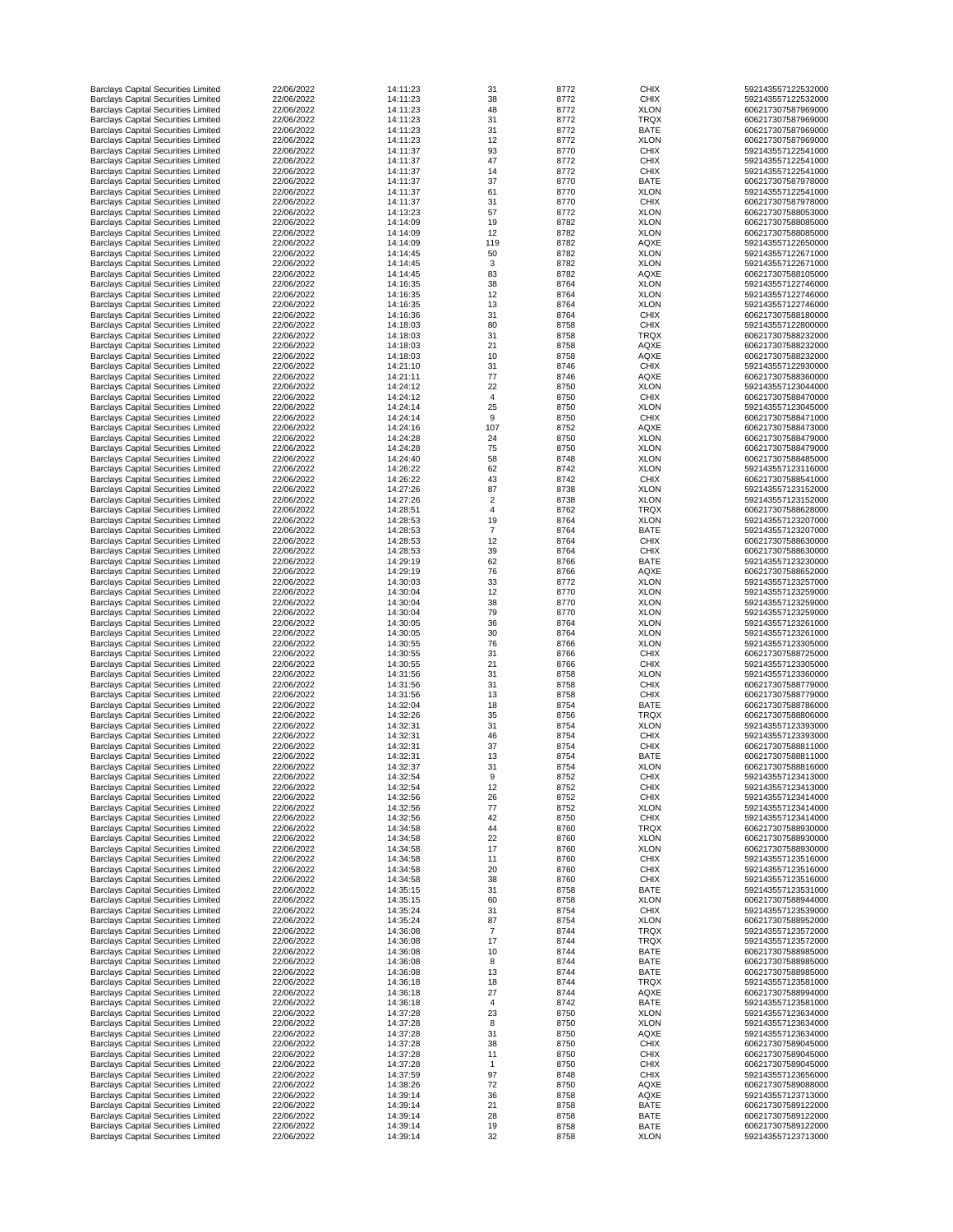| <b>Barclays Capital Securities Limited</b>                                               | 22/06/2022               | 14:11:23             | 31             | 8772         | <b>CHIX</b>                | 592143557122532000                       |
|------------------------------------------------------------------------------------------|--------------------------|----------------------|----------------|--------------|----------------------------|------------------------------------------|
| <b>Barclays Capital Securities Limited</b>                                               | 22/06/2022               | 14:11:23             | 38             | 8772         | <b>CHIX</b>                | 592143557122532000                       |
| <b>Barclays Capital Securities Limited</b>                                               | 22/06/2022               | 14:11:23             | 48             | 8772         | <b>XLON</b>                | 606217307587969000                       |
| <b>Barclays Capital Securities Limited</b>                                               | 22/06/2022               | 14:11:23             | 31             | 8772         | <b>TRQX</b>                | 606217307587969000                       |
| <b>Barclays Capital Securities Limited</b><br><b>Barclays Capital Securities Limited</b> | 22/06/2022<br>22/06/2022 | 14:11:23<br>14:11:23 | 31<br>12       | 8772<br>8772 | <b>BATE</b><br><b>XLON</b> | 606217307587969000<br>606217307587969000 |
| <b>Barclays Capital Securities Limited</b>                                               | 22/06/2022               | 14:11:37             | 93             | 8770         | <b>CHIX</b>                | 592143557122541000                       |
| <b>Barclays Capital Securities Limited</b>                                               | 22/06/2022               | 14:11:37             | 47             | 8772         | <b>CHIX</b>                | 592143557122541000                       |
| <b>Barclays Capital Securities Limited</b>                                               | 22/06/2022               | 14:11:37             | 14             | 8772         | <b>CHIX</b>                | 592143557122541000                       |
| <b>Barclays Capital Securities Limited</b>                                               | 22/06/2022               | 14:11:37             | 37             | 8770         | <b>BATE</b>                | 606217307587978000                       |
| <b>Barclays Capital Securities Limited</b>                                               | 22/06/2022               | 14:11:37             | 61             | 8770         | <b>XLON</b>                | 592143557122541000                       |
| <b>Barclays Capital Securities Limited</b>                                               | 22/06/2022               | 14:11:37             | 31             | 8770         | <b>CHIX</b>                | 606217307587978000                       |
| <b>Barclays Capital Securities Limited</b>                                               | 22/06/2022               | 14:13:23             | 57             | 8772         | <b>XLON</b>                | 606217307588053000                       |
| <b>Barclays Capital Securities Limited</b><br><b>Barclays Capital Securities Limited</b> | 22/06/2022<br>22/06/2022 | 14:14:09<br>14:14:09 | 19<br>12       | 8782         | <b>XLON</b>                | 606217307588085000<br>606217307588085000 |
| <b>Barclays Capital Securities Limited</b>                                               | 22/06/2022               | 14:14:09             | 119            | 8782<br>8782 | <b>XLON</b><br><b>AQXE</b> | 592143557122650000                       |
| <b>Barclays Capital Securities Limited</b>                                               | 22/06/2022               | 14:14:45             | 50             | 8782         | <b>XLON</b>                | 592143557122671000                       |
| <b>Barclays Capital Securities Limited</b>                                               | 22/06/2022               | 14:14:45             | 3              | 8782         | <b>XLON</b>                | 592143557122671000                       |
| <b>Barclays Capital Securities Limited</b>                                               | 22/06/2022               | 14:14:45             | 83             | 8782         | <b>AQXE</b>                | 606217307588105000                       |
| <b>Barclays Capital Securities Limited</b>                                               | 22/06/2022               | 14:16:35             | 38             | 8764         | <b>XLON</b>                | 592143557122746000                       |
| <b>Barclays Capital Securities Limited</b>                                               | 22/06/2022               | 14:16:35             | 12             | 8764         | <b>XLON</b>                | 592143557122746000                       |
| <b>Barclays Capital Securities Limited</b>                                               | 22/06/2022               | 14:16:35             | 13             | 8764         | <b>XLON</b>                | 592143557122746000                       |
| <b>Barclays Capital Securities Limited</b>                                               | 22/06/2022               | 14:16:36             | 31             | 8764         | <b>CHIX</b>                | 606217307588180000                       |
| <b>Barclays Capital Securities Limited</b><br><b>Barclays Capital Securities Limited</b> | 22/06/2022<br>22/06/2022 | 14:18:03<br>14:18:03 | 80<br>31       | 8758<br>8758 | <b>CHIX</b><br><b>TRQX</b> | 592143557122800000<br>606217307588232000 |
| <b>Barclays Capital Securities Limited</b>                                               | 22/06/2022               | 14:18:03             | 21             | 8758         | <b>AQXE</b>                | 606217307588232000                       |
| <b>Barclays Capital Securities Limited</b>                                               | 22/06/2022               | 14:18:03             | 10             | 8758         | <b>AQXE</b>                | 606217307588232000                       |
| <b>Barclays Capital Securities Limited</b>                                               | 22/06/2022               | 14:21:10             | 31             | 8746         | <b>CHIX</b>                | 592143557122930000                       |
| <b>Barclays Capital Securities Limited</b>                                               | 22/06/2022               | 14:21:11             | 77             | 8746         | <b>AQXE</b>                | 606217307588360000                       |
| <b>Barclays Capital Securities Limited</b>                                               | 22/06/2022               | 14:24:12             | 22             | 8750         | <b>XLON</b>                | 592143557123044000                       |
| <b>Barclays Capital Securities Limited</b>                                               | 22/06/2022               | 14:24:12             | $\overline{4}$ | 8750         | <b>CHIX</b>                | 606217307588470000                       |
| <b>Barclays Capital Securities Limited</b>                                               | 22/06/2022               | 14:24:14             | 25             | 8750         | <b>XLON</b>                | 592143557123045000                       |
| <b>Barclays Capital Securities Limited</b>                                               | 22/06/2022               | 14:24:14             | 9              | 8750         | <b>CHIX</b>                | 606217307588471000                       |
| <b>Barclays Capital Securities Limited</b>                                               | 22/06/2022               | 14:24:16             | 107            | 8752         | <b>AQXE</b>                | 606217307588473000                       |
| <b>Barclays Capital Securities Limited</b><br><b>Barclays Capital Securities Limited</b> | 22/06/2022<br>22/06/2022 | 14:24:28<br>14:24:28 | 24<br>75       | 8750<br>8750 | <b>XLON</b><br><b>XLON</b> | 606217307588479000<br>606217307588479000 |
| <b>Barclays Capital Securities Limited</b>                                               | 22/06/2022               | 14:24:40             | 58             | 8748         | <b>XLON</b>                | 606217307588485000                       |
| <b>Barclays Capital Securities Limited</b>                                               | 22/06/2022               | 14:26:22             | 62             | 8742         | <b>XLON</b>                | 592143557123116000                       |
| <b>Barclays Capital Securities Limited</b>                                               | 22/06/2022               | 14:26:22             | 43             | 8742         | <b>CHIX</b>                | 606217307588541000                       |
| <b>Barclays Capital Securities Limited</b>                                               | 22/06/2022               | 14:27:26             | 87             | 8738         | <b>XLON</b>                | 592143557123152000                       |
| <b>Barclays Capital Securities Limited</b>                                               | 22/06/2022               | 14:27:26             |                | 8738         | <b>XLON</b>                | 592143557123152000                       |
| <b>Barclays Capital Securities Limited</b>                                               | 22/06/2022               | 14:28:51             |                | 8762         | <b>TRQX</b>                | 606217307588628000                       |
| <b>Barclays Capital Securities Limited</b>                                               | 22/06/2022               | 14:28:53             | 19             | 8764         | <b>XLON</b>                | 592143557123207000                       |
| <b>Barclays Capital Securities Limited</b>                                               | 22/06/2022               | 14:28:53             | $\overline{7}$ | 8764         | <b>BATE</b>                | 592143557123207000                       |
| <b>Barclays Capital Securities Limited</b><br><b>Barclays Capital Securities Limited</b> | 22/06/2022<br>22/06/2022 | 14:28:53<br>14:28:53 | 12<br>39       | 8764<br>8764 | <b>CHIX</b><br><b>CHIX</b> | 606217307588630000<br>606217307588630000 |
| <b>Barclays Capital Securities Limited</b>                                               | 22/06/2022               | 14:29:19             | 62             | 8766         | <b>BATE</b>                | 592143557123230000                       |
| <b>Barclays Capital Securities Limited</b>                                               | 22/06/2022               | 14:29:19             | 76             | 8766         | <b>AQXE</b>                | 606217307588652000                       |
| <b>Barclays Capital Securities Limited</b>                                               | 22/06/2022               | 14:30:03             | 33             | 8772         | <b>XLON</b>                | 592143557123257000                       |
| <b>Barclays Capital Securities Limited</b>                                               | 22/06/2022               | 14:30:04             | 12             | 8770         | <b>XLON</b>                | 592143557123259000                       |
| <b>Barclays Capital Securities Limited</b>                                               | 22/06/2022               | 14:30:04             | 38             | 8770         | <b>XLON</b>                | 592143557123259000                       |
| <b>Barclays Capital Securities Limited</b>                                               | 22/06/2022               | 14:30:04             | 79             | 8770         | <b>XLON</b>                | 592143557123259000                       |
| <b>Barclays Capital Securities Limited</b>                                               | 22/06/2022               | 14:30:05             | 36             | 8764         | <b>XLON</b>                | 592143557123261000                       |
| <b>Barclays Capital Securities Limited</b><br><b>Barclays Capital Securities Limited</b> | 22/06/2022<br>22/06/2022 | 14:30:05<br>14:30:55 | 30<br>76       | 8764<br>8766 | <b>XLON</b><br><b>XLON</b> | 592143557123261000<br>592143557123305000 |
| <b>Barclays Capital Securities Limited</b>                                               | 22/06/2022               | 14:30:55             | 31             | 8766         | <b>CHIX</b>                | 606217307588725000                       |
| <b>Barclays Capital Securities Limited</b>                                               | 22/06/2022               | 14:30:55             | 21             | 8766         | <b>CHIX</b>                | 592143557123305000                       |
| <b>Barclays Capital Securities Limited</b>                                               | 22/06/2022               | 14:31:56             | 31             | 8758         | <b>XLON</b>                | 592143557123360000                       |
| <b>Barclays Capital Securities Limited</b>                                               | 22/06/2022               | 14:31:56             | 31             | 8758         | <b>CHIX</b>                | 606217307588779000                       |
| <b>Barclays Capital Securities Limited</b>                                               | 22/06/2022               | 14:31:56             | 13             | 8758         | <b>CHIX</b>                | 606217307588779000                       |
| <b>Barclays Capital Securities Limited</b>                                               | 22/06/2022               | 14:32:04             | 18             | 8754         | <b>BATE</b>                | 606217307588786000                       |
| <b>Barclays Capital Securities Limited</b>                                               | 22/06/2022               | 14:32:26             | 35             | 8756         | <b>TRQX</b>                | 606217307588806000                       |
| <b>Barclays Capital Securities Limited</b>                                               | 22/06/2022               | 14:32:31             | 31             | 8754         | <b>XLON</b>                | 592143557123393000                       |
| <b>Barclays Capital Securities Limited</b><br><b>Barclays Capital Securities Limited</b> | 22/06/2022<br>22/06/2022 | 14:32:31<br>14:32:31 | 46<br>37       | 8754<br>8754 | <b>CHIX</b><br><b>CHIX</b> | 592143557123393000<br>606217307588811000 |
| <b>Barclays Capital Securities Limited</b>                                               | 22/06/2022               | 14:32:31             | 13             | 8754         | <b>BATE</b>                | 606217307588811000                       |
| <b>Barclays Capital Securities Limited</b>                                               | 22/06/2022               | 14:32:37             | 31             | 8754         | <b>XLON</b>                | 606217307588816000                       |
| <b>Barclays Capital Securities Limited</b>                                               | 22/06/2022               | 14:32:54             | 9              | 8752         | <b>CHIX</b>                | 592143557123413000                       |
| <b>Barclays Capital Securities Limited</b>                                               | 22/06/2022               | 14:32:54             | 12             | 8752         | <b>CHIX</b>                | 592143557123413000                       |
| <b>Barclays Capital Securities Limited</b>                                               | 22/06/2022               | 14:32:56             | 26             | 8752         | <b>CHIX</b>                | 592143557123414000                       |
| <b>Barclays Capital Securities Limited</b>                                               | 22/06/2022               | 14:32:56             | 77             | 8752         | <b>XLON</b>                | 592143557123414000                       |
| <b>Barclays Capital Securities Limited</b>                                               | 22/06/2022               | 14:32:56             | 42             | 8750         | <b>CHIX</b>                | 592143557123414000                       |
| <b>Barclays Capital Securities Limited</b><br><b>Barclays Capital Securities Limited</b> | 22/06/2022<br>22/06/2022 | 14:34:58<br>14:34:58 | 44<br>22       | 8760<br>8760 | <b>TRQX</b><br><b>XLON</b> | 606217307588930000<br>606217307588930000 |
| <b>Barclays Capital Securities Limited</b>                                               | 22/06/2022               | 14:34:58             | 17             | 8760         | <b>XLON</b>                | 606217307588930000                       |
| <b>Barclays Capital Securities Limited</b>                                               | 22/06/2022               | 14:34:58             | 11             | 8760         | <b>CHIX</b>                | 592143557123516000                       |
| <b>Barclays Capital Securities Limited</b>                                               | 22/06/2022               | 14:34:58             | 20             | 8760         | <b>CHIX</b>                | 592143557123516000                       |
| <b>Barclays Capital Securities Limited</b>                                               | 22/06/2022               | 14:34:58             | 38             | 8760         | <b>CHIX</b>                | 592143557123516000                       |
| <b>Barclays Capital Securities Limited</b>                                               | 22/06/2022               | 14:35:15             | 31             | 8758         | <b>BATE</b>                | 592143557123531000                       |
| <b>Barclays Capital Securities Limited</b>                                               | 22/06/2022               | 14:35:15             | 60             | 8758         | <b>XLON</b>                | 606217307588944000                       |
| <b>Barclays Capital Securities Limited</b>                                               | 22/06/2022               | 14:35:24             | 31             | 8754         | <b>CHIX</b>                | 592143557123539000                       |
| <b>Barclays Capital Securities Limited</b><br><b>Barclays Capital Securities Limited</b> | 22/06/2022<br>22/06/2022 | 14:35:24<br>14:36:08 | 87             | 8754<br>8744 | <b>XLON</b><br><b>TRQX</b> | 606217307588952000<br>592143557123572000 |
| <b>Barclays Capital Securities Limited</b>                                               | 22/06/2022               | 14:36:08             | 17             | 8744         | <b>TRQX</b>                | 592143557123572000                       |
| <b>Barclays Capital Securities Limited</b>                                               | 22/06/2022               | 14:36:08             | 10             | 8744         | <b>BATE</b>                | 606217307588985000                       |
| <b>Barclays Capital Securities Limited</b>                                               | 22/06/2022               | 14:36:08             | 8              | 8744         | <b>BATE</b>                | 606217307588985000                       |
| <b>Barclays Capital Securities Limited</b>                                               | 22/06/2022               | 14:36:08             | 13             | 8744         | <b>BATE</b>                | 606217307588985000                       |
| <b>Barclays Capital Securities Limited</b>                                               | 22/06/2022               | 14:36:18             | 18             | 8744         | <b>TRQX</b>                | 592143557123581000                       |
| <b>Barclays Capital Securities Limited</b>                                               | 22/06/2022               | 14:36:18             | 27             | 8744         | <b>AQXE</b>                | 606217307588994000                       |
| <b>Barclays Capital Securities Limited</b>                                               | 22/06/2022               | 14:36:18             | 4              | 8742         | <b>BATE</b>                | 592143557123581000                       |
| <b>Barclays Capital Securities Limited</b>                                               | 22/06/2022               | 14:37:28             | 23             | 8750         | <b>XLON</b>                | 592143557123634000                       |
| <b>Barclays Capital Securities Limited</b>                                               | 22/06/2022<br>22/06/2022 | 14:37:28<br>14:37:28 | 8<br>31        | 8750         | <b>XLON</b><br><b>AQXE</b> | 592143557123634000<br>592143557123634000 |
| <b>Barclays Capital Securities Limited</b><br><b>Barclays Capital Securities Limited</b> | 22/06/2022               | 14:37:28             | 38             | 8750<br>8750 | <b>CHIX</b>                | 606217307589045000                       |
| <b>Barclays Capital Securities Limited</b>                                               | 22/06/2022               | 14:37:28             | 11             | 8750         | <b>CHIX</b>                | 606217307589045000                       |
| <b>Barclays Capital Securities Limited</b>                                               | 22/06/2022               | 14:37:28             |                | 8750         | <b>CHIX</b>                | 606217307589045000                       |
| <b>Barclays Capital Securities Limited</b>                                               | 22/06/2022               | 14:37:59             | 97             | 8748         | <b>CHIX</b>                | 592143557123656000                       |
| <b>Barclays Capital Securities Limited</b>                                               | 22/06/2022               | 14:38:26             | 72             | 8750         | <b>AQXE</b>                | 606217307589088000                       |
| <b>Barclays Capital Securities Limited</b>                                               | 22/06/2022               | 14:39:14             | 36             | 8758         | <b>AQXE</b>                | 592143557123713000                       |
| <b>Barclays Capital Securities Limited</b>                                               | 22/06/2022               | 14:39:14             | 21             | 8758         | <b>BATE</b>                | 606217307589122000                       |
| <b>Barclays Capital Securities Limited</b>                                               | 22/06/2022<br>22/06/2022 | 14:39:14<br>14:39:14 | 28<br>19       | 8758         | <b>BATE</b><br><b>BATE</b> | 606217307589122000<br>606217307589122000 |
| <b>Barclays Capital Securities Limited</b><br><b>Barclays Capital Securities Limited</b> | 22/06/2022               | 14:39:14             | 32             | 8758<br>8758 | <b>XLON</b>                | 592143557123713000                       |
|                                                                                          |                          |                      |                |              |                            |                                          |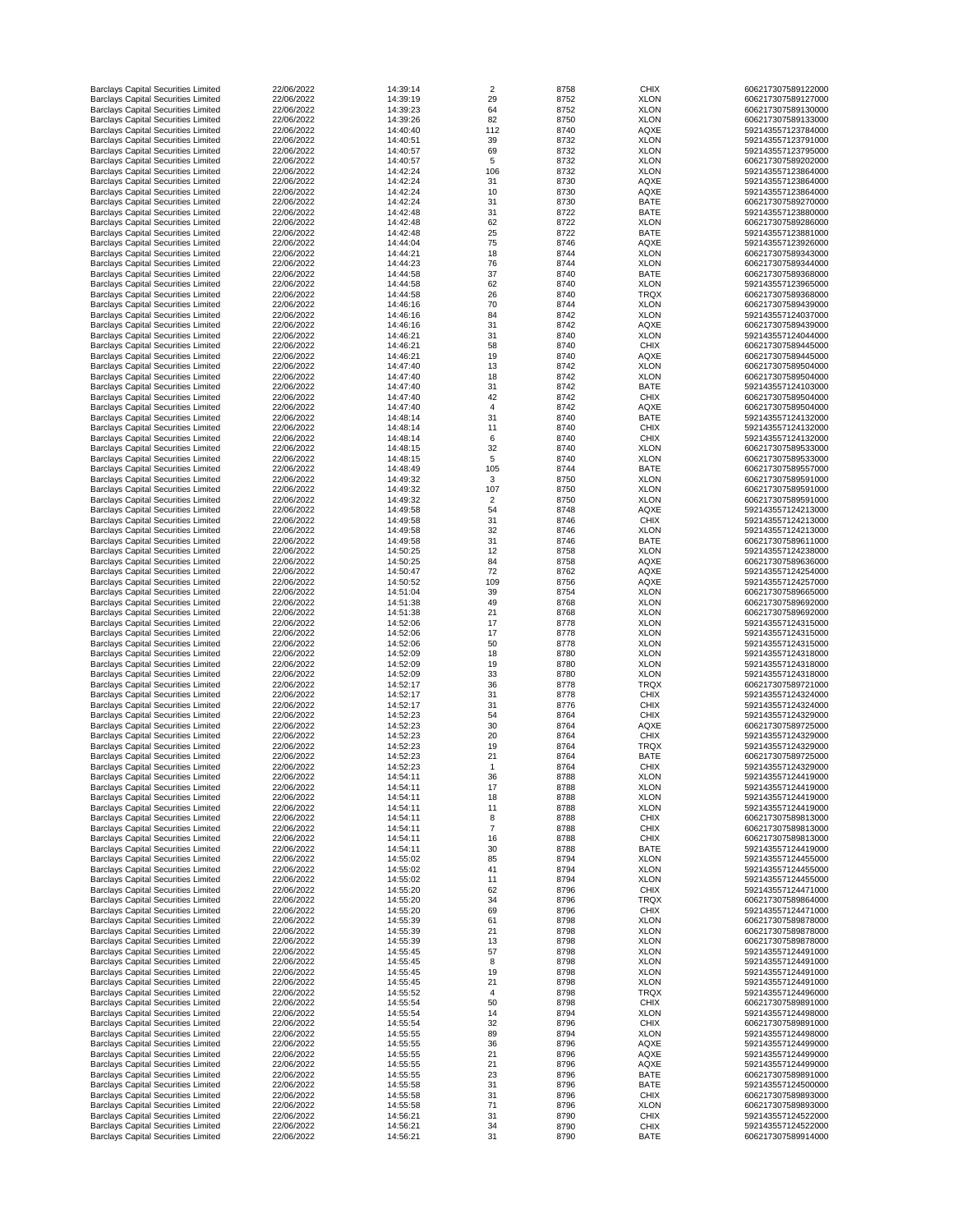| <b>Barclays Capital Securities Limited</b>                                               | 22/06/2022               | 14:39:14             | $\overline{2}$ | 8758         | <b>CHIX</b>                | 606217307589122000                       |
|------------------------------------------------------------------------------------------|--------------------------|----------------------|----------------|--------------|----------------------------|------------------------------------------|
| <b>Barclays Capital Securities Limited</b>                                               | 22/06/2022               | 14:39:19             | 29             | 8752         | <b>XLON</b>                | 606217307589127000                       |
| <b>Barclays Capital Securities Limited</b>                                               | 22/06/2022               | 14:39:23             | 64             | 8752         | <b>XLON</b>                | 606217307589130000                       |
| <b>Barclays Capital Securities Limited</b>                                               | 22/06/2022               | 14:39:26             | 82             | 8750         | <b>XLON</b>                | 606217307589133000                       |
| <b>Barclays Capital Securities Limited</b>                                               | 22/06/2022               | 14:40:40             | 112            | 8740         | <b>AQXE</b>                | 592143557123784000                       |
| <b>Barclays Capital Securities Limited</b>                                               | 22/06/2022               | 14:40:51             | 39             | 8732         | <b>XLON</b>                | 592143557123791000                       |
| <b>Barclays Capital Securities Limited</b><br><b>Barclays Capital Securities Limited</b> | 22/06/2022<br>22/06/2022 | 14:40:57<br>14:40:57 | 69<br>5        | 8732<br>8732 | <b>XLON</b><br><b>XLON</b> | 592143557123795000<br>606217307589202000 |
| <b>Barclays Capital Securities Limited</b>                                               | 22/06/2022               | 14:42:24             | 106            | 8732         | <b>XLON</b>                | 592143557123864000                       |
| <b>Barclays Capital Securities Limited</b>                                               | 22/06/2022               | 14:42:24             | 31             | 8730         | <b>AQXE</b>                | 592143557123864000                       |
| <b>Barclays Capital Securities Limited</b>                                               | 22/06/2022               | 14:42:24             | 10             | 8730         | <b>AQXE</b>                | 592143557123864000                       |
| <b>Barclays Capital Securities Limited</b>                                               | 22/06/2022               | 14:42:24             | 31             | 8730         | <b>BATE</b>                | 606217307589270000                       |
| <b>Barclays Capital Securities Limited</b>                                               | 22/06/2022               | 14:42:48             | 31             | 8722         | <b>BATE</b>                | 592143557123880000                       |
| <b>Barclays Capital Securities Limited</b>                                               | 22/06/2022               | 14:42:48             | 62             | 8722         | <b>XLON</b>                | 606217307589286000                       |
| <b>Barclays Capital Securities Limited</b>                                               | 22/06/2022               | 14:42:48             | 25             | 8722         | <b>BATE</b>                | 592143557123881000                       |
| <b>Barclays Capital Securities Limited</b>                                               | 22/06/2022               | 14:44:04             | 75             | 8746         | <b>AQXE</b>                | 592143557123926000                       |
| <b>Barclays Capital Securities Limited</b>                                               | 22/06/2022               | 14:44:21             | 18             | 8744         | <b>XLON</b>                | 606217307589343000                       |
| <b>Barclays Capital Securities Limited</b>                                               | 22/06/2022               | 14:44:23             | 76             | 8744         | <b>XLON</b>                | 606217307589344000                       |
| <b>Barclays Capital Securities Limited</b>                                               | 22/06/2022               | 14:44:58             | 37             | 8740         | <b>BATE</b>                | 606217307589368000                       |
| <b>Barclays Capital Securities Limited</b>                                               | 22/06/2022               | 14:44:58             | 62             | 8740         | <b>XLON</b>                | 592143557123965000                       |
| <b>Barclays Capital Securities Limited</b>                                               | 22/06/2022               | 14:44:58             | 26             | 8740         | <b>TRQX</b>                | 606217307589368000                       |
| <b>Barclays Capital Securities Limited</b>                                               | 22/06/2022               | 14:46:16             | 70             | 8744         | <b>XLON</b>                | 606217307589439000                       |
| <b>Barclays Capital Securities Limited</b><br><b>Barclays Capital Securities Limited</b> | 22/06/2022<br>22/06/2022 | 14:46:16<br>14:46:16 | 84<br>31       | 8742<br>8742 | <b>XLON</b><br><b>AQXE</b> | 592143557124037000<br>606217307589439000 |
| <b>Barclays Capital Securities Limited</b>                                               | 22/06/2022               | 14:46:21             | 31             | 8740         | <b>XLON</b>                | 592143557124044000                       |
| <b>Barclays Capital Securities Limited</b>                                               | 22/06/2022               | 14:46:21             | 58             | 8740         | <b>CHIX</b>                | 606217307589445000                       |
| <b>Barclays Capital Securities Limited</b>                                               | 22/06/2022               | 14:46:21             | 19             | 8740         | <b>AQXE</b>                | 606217307589445000                       |
| <b>Barclays Capital Securities Limited</b>                                               | 22/06/2022               | 14:47:40             | 13             | 8742         | <b>XLON</b>                | 606217307589504000                       |
| <b>Barclays Capital Securities Limited</b>                                               | 22/06/2022               | 14:47:40             | 18             | 8742         | <b>XLON</b>                | 606217307589504000                       |
| <b>Barclays Capital Securities Limited</b>                                               | 22/06/2022               | 14:47:40             | 31             | 8742         | <b>BATE</b>                | 592143557124103000                       |
| <b>Barclays Capital Securities Limited</b>                                               | 22/06/2022               | 14:47:40             | 42             | 8742         | <b>CHIX</b>                | 606217307589504000                       |
| <b>Barclays Capital Securities Limited</b>                                               | 22/06/2022               | 14:47:40             | $\overline{4}$ | 8742         | <b>AQXE</b>                | 606217307589504000                       |
| <b>Barclays Capital Securities Limited</b>                                               | 22/06/2022               | 14:48:14             | 31             | 8740         | <b>BATE</b>                | 592143557124132000                       |
| <b>Barclays Capital Securities Limited</b>                                               | 22/06/2022               | 14:48:14             | 11             | 8740         | <b>CHIX</b>                | 592143557124132000                       |
| <b>Barclays Capital Securities Limited</b>                                               | 22/06/2022               | 14:48:14             | 6              | 8740         | <b>CHIX</b>                | 592143557124132000                       |
| <b>Barclays Capital Securities Limited</b>                                               | 22/06/2022               | 14:48:15             | 32             | 8740         | <b>XLON</b>                | 606217307589533000                       |
| <b>Barclays Capital Securities Limited</b>                                               | 22/06/2022               | 14:48:15             |                | 8740         | <b>XLON</b>                | 606217307589533000                       |
| <b>Barclays Capital Securities Limited</b>                                               | 22/06/2022               | 14:48:49             | 105            | 8744         | <b>BATE</b>                | 606217307589557000                       |
| <b>Barclays Capital Securities Limited</b>                                               | 22/06/2022               | 14:49:32             | 3              | 8750         | <b>XLON</b>                | 606217307589591000                       |
| <b>Barclays Capital Securities Limited</b>                                               | 22/06/2022               | 14:49:32             | 107            | 8750         | <b>XLON</b>                | 606217307589591000                       |
| <b>Barclays Capital Securities Limited</b>                                               | 22/06/2022<br>22/06/2022 | 14:49:32<br>14:49:58 | $\overline{2}$ | 8750         | <b>XLON</b>                | 606217307589591000<br>592143557124213000 |
| <b>Barclays Capital Securities Limited</b><br><b>Barclays Capital Securities Limited</b> | 22/06/2022               | 14:49:58             | 54<br>31       | 8748<br>8746 | <b>AQXE</b><br><b>CHIX</b> | 592143557124213000                       |
| <b>Barclays Capital Securities Limited</b>                                               | 22/06/2022               | 14:49:58             | 32             | 8746         | <b>XLON</b>                | 592143557124213000                       |
| <b>Barclays Capital Securities Limited</b>                                               | 22/06/2022               | 14:49:58             | 31             | 8746         | <b>BATE</b>                | 606217307589611000                       |
| <b>Barclays Capital Securities Limited</b>                                               | 22/06/2022               | 14:50:25             | 12             | 8758         | <b>XLON</b>                | 592143557124238000                       |
| <b>Barclays Capital Securities Limited</b>                                               | 22/06/2022               | 14:50:25             | 84             | 8758         | <b>AQXE</b>                | 606217307589636000                       |
| <b>Barclays Capital Securities Limited</b>                                               | 22/06/2022               | 14:50:47             | 72             | 8762         | <b>AQXE</b>                | 592143557124254000                       |
| <b>Barclays Capital Securities Limited</b>                                               | 22/06/2022               | 14:50:52             | 109            | 8756         | <b>AQXE</b>                | 592143557124257000                       |
| <b>Barclays Capital Securities Limited</b>                                               | 22/06/2022               | 14:51:04             | 39             | 8754         | <b>XLON</b>                | 606217307589665000                       |
| <b>Barclays Capital Securities Limited</b>                                               | 22/06/2022               | 14:51:38             | 49             | 8768         | <b>XLON</b>                | 606217307589692000                       |
| <b>Barclays Capital Securities Limited</b>                                               | 22/06/2022               | 14:51:38             | 21             | 8768         | <b>XLON</b>                | 606217307589692000                       |
| <b>Barclays Capital Securities Limited</b>                                               | 22/06/2022               | 14:52:06             | 17             | 8778         | <b>XLON</b>                | 592143557124315000                       |
| <b>Barclays Capital Securities Limited</b>                                               | 22/06/2022               | 14:52:06             | 17             | 8778         | <b>XLON</b>                | 592143557124315000                       |
| <b>Barclays Capital Securities Limited</b>                                               | 22/06/2022               | 14:52:06             | 50             | 8778         | <b>XLON</b>                | 592143557124315000                       |
| <b>Barclays Capital Securities Limited</b>                                               | 22/06/2022               | 14:52:09             | 18             | 8780         | <b>XLON</b>                | 592143557124318000                       |
| <b>Barclays Capital Securities Limited</b><br><b>Barclays Capital Securities Limited</b> | 22/06/2022<br>22/06/2022 | 14:52:09<br>14:52:09 | 19<br>33       | 8780<br>8780 | <b>XLON</b><br><b>XLON</b> | 592143557124318000<br>592143557124318000 |
| <b>Barclays Capital Securities Limited</b>                                               | 22/06/2022               | 14:52:17             | 36             | 8778         | <b>TRQX</b>                | 606217307589721000                       |
| <b>Barclays Capital Securities Limited</b>                                               | 22/06/2022               | 14:52:17             | 31             | 8778         | <b>CHIX</b>                | 592143557124324000                       |
| <b>Barclays Capital Securities Limited</b>                                               | 22/06/2022               | 14:52:17             | 31             | 8776         | <b>CHIX</b>                | 592143557124324000                       |
| <b>Barclays Capital Securities Limited</b>                                               | 22/06/2022               | 14:52:23             | 54             | 8764         | <b>CHIX</b>                | 592143557124329000                       |
| <b>Barclays Capital Securities Limited</b>                                               | 22/06/2022               | 14:52:23             | 30             | 8764         | <b>AQXE</b>                | 606217307589725000                       |
| <b>Barclays Capital Securities Limited</b>                                               | 22/06/2022               | 14:52:23             | 20             | 8764         | <b>CHIX</b>                | 592143557124329000                       |
| <b>Barclays Capital Securities Limited</b>                                               | 22/06/2022               | 14:52:23             | 19             | 8764         | <b>TRQX</b>                | 592143557124329000                       |
| <b>Barclays Capital Securities Limited</b>                                               | 22/06/2022               | 14:52:23             | 21             | 8764         | <b>BATE</b>                | 606217307589725000                       |
| <b>Barclays Capital Securities Limited</b>                                               | 22/06/2022               | 14:52:23             |                | 8764         | <b>CHIX</b>                | 592143557124329000                       |
| <b>Barclays Capital Securities Limited</b>                                               | 22/06/2022               | 14:54:11             | 36             | 8788         | <b>XLON</b>                | 592143557124419000                       |
| <b>Barclays Capital Securities Limited</b>                                               | 22/06/2022               | 14:54:11             | 17             | 8788         | <b>XLON</b>                | 592143557124419000                       |
| <b>Barclays Capital Securities Limited</b>                                               | 22/06/2022               | 14:54:11             | 18             | 8788         | <b>XLON</b>                | 592143557124419000                       |
| <b>Barclays Capital Securities Limited</b><br><b>Barclays Capital Securities Limited</b> | 22/06/2022<br>22/06/2022 | 14:54:11<br>14:54:11 | 11<br>8        | 8788<br>8788 | <b>XLON</b><br><b>CHIX</b> | 592143557124419000<br>606217307589813000 |
| <b>Barclays Capital Securities Limited</b>                                               | 22/06/2022               | 14:54:11             |                | 8788         | <b>CHIX</b>                | 606217307589813000                       |
| <b>Barclays Capital Securities Limited</b>                                               | 22/06/2022               | 14:54:11             | 16             | 8788         | <b>CHIX</b>                | 606217307589813000                       |
| <b>Barclays Capital Securities Limited</b>                                               | 22/06/2022               | 14:54:11             | 30             | 8788         | <b>BATE</b>                | 592143557124419000                       |
| <b>Barclays Capital Securities Limited</b>                                               | 22/06/2022               | 14:55:02             | 85             | 8794         | <b>XLON</b>                | 592143557124455000                       |
| <b>Barclays Capital Securities Limited</b>                                               | 22/06/2022               | 14:55:02             | 41             | 8794         | <b>XLON</b>                | 592143557124455000                       |
| <b>Barclays Capital Securities Limited</b>                                               | 22/06/2022               | 14:55:02             | 11             | 8794         | <b>XLON</b>                | 592143557124455000                       |
| <b>Barclays Capital Securities Limited</b>                                               | 22/06/2022               | 14:55:20             | 62             | 8796         | <b>CHIX</b>                | 592143557124471000                       |
| <b>Barclays Capital Securities Limited</b>                                               | 22/06/2022               | 14:55:20             | 34             | 8796         | <b>TRQX</b>                | 606217307589864000                       |
| <b>Barclays Capital Securities Limited</b>                                               | 22/06/2022               | 14:55:20             | 69             | 8796         | <b>CHIX</b>                | 592143557124471000                       |
| <b>Barclays Capital Securities Limited</b>                                               | 22/06/2022               | 14:55:39             | 61             | 8798         | <b>XLON</b>                | 606217307589878000                       |
| <b>Barclays Capital Securities Limited</b>                                               | 22/06/2022               | 14:55:39             | 21             | 8798         | <b>XLON</b>                | 606217307589878000                       |
| <b>Barclays Capital Securities Limited</b>                                               | 22/06/2022               | 14:55:39             | 13             | 8798         | <b>XLON</b>                | 606217307589878000                       |
| <b>Barclays Capital Securities Limited</b><br><b>Barclays Capital Securities Limited</b> | 22/06/2022<br>22/06/2022 | 14:55:45<br>14:55:45 | 57<br>8        | 8798<br>8798 | <b>XLON</b><br><b>XLON</b> | 592143557124491000<br>592143557124491000 |
| <b>Barclays Capital Securities Limited</b>                                               | 22/06/2022               | 14:55:45             | 19             | 8798         | <b>XLON</b>                | 592143557124491000                       |
| <b>Barclays Capital Securities Limited</b>                                               | 22/06/2022               | 14:55:45             | 21             | 8798         | <b>XLON</b>                | 592143557124491000                       |
| <b>Barclays Capital Securities Limited</b>                                               | 22/06/2022               | 14:55:52             | 4              | 8798         | <b>TRQX</b>                | 592143557124496000                       |
| <b>Barclays Capital Securities Limited</b>                                               | 22/06/2022               | 14:55:54             | 50             | 8798         | <b>CHIX</b>                | 606217307589891000                       |
| <b>Barclays Capital Securities Limited</b>                                               | 22/06/2022               | 14:55:54             | 14             | 8794         | <b>XLON</b>                | 592143557124498000                       |
| <b>Barclays Capital Securities Limited</b>                                               | 22/06/2022               | 14:55:54             | 32             | 8796         | <b>CHIX</b>                | 606217307589891000                       |
| <b>Barclays Capital Securities Limited</b>                                               | 22/06/2022               | 14:55:55             | 89             | 8794         | <b>XLON</b>                | 592143557124498000                       |
| <b>Barclays Capital Securities Limited</b>                                               | 22/06/2022               | 14:55:55             | 36             | 8796         | <b>AQXE</b>                | 592143557124499000                       |
| <b>Barclays Capital Securities Limited</b>                                               | 22/06/2022               | 14:55:55             | 21             | 8796         | <b>AQXE</b>                | 592143557124499000                       |
| <b>Barclays Capital Securities Limited</b>                                               | 22/06/2022               | 14:55:55             | 21             | 8796         | <b>AQXE</b>                | 592143557124499000                       |
| <b>Barclays Capital Securities Limited</b>                                               | 22/06/2022               | 14:55:55             | 23             | 8796         | <b>BATE</b>                | 606217307589891000                       |
| <b>Barclays Capital Securities Limited</b>                                               | 22/06/2022               | 14:55:58             | 31             | 8796         | <b>BATE</b>                | 592143557124500000                       |
| <b>Barclays Capital Securities Limited</b>                                               | 22/06/2022               | 14:55:58             | 31             | 8796         | <b>CHIX</b>                | 606217307589893000                       |
| <b>Barclays Capital Securities Limited</b><br><b>Barclays Capital Securities Limited</b> | 22/06/2022<br>22/06/2022 | 14:55:58<br>14:56:21 | 71<br>31       | 8796<br>8790 | <b>XLON</b><br><b>CHIX</b> | 606217307589893000<br>592143557124522000 |
| <b>Barclays Capital Securities Limited</b>                                               | 22/06/2022               | 14:56:21             | 34             | 8790         | <b>CHIX</b>                | 592143557124522000                       |
| <b>Barclays Capital Securities Limited</b>                                               | 22/06/2022               | 14:56:21             | 31             | 8790         | <b>BATE</b>                | 606217307589914000                       |
|                                                                                          |                          |                      |                |              |                            |                                          |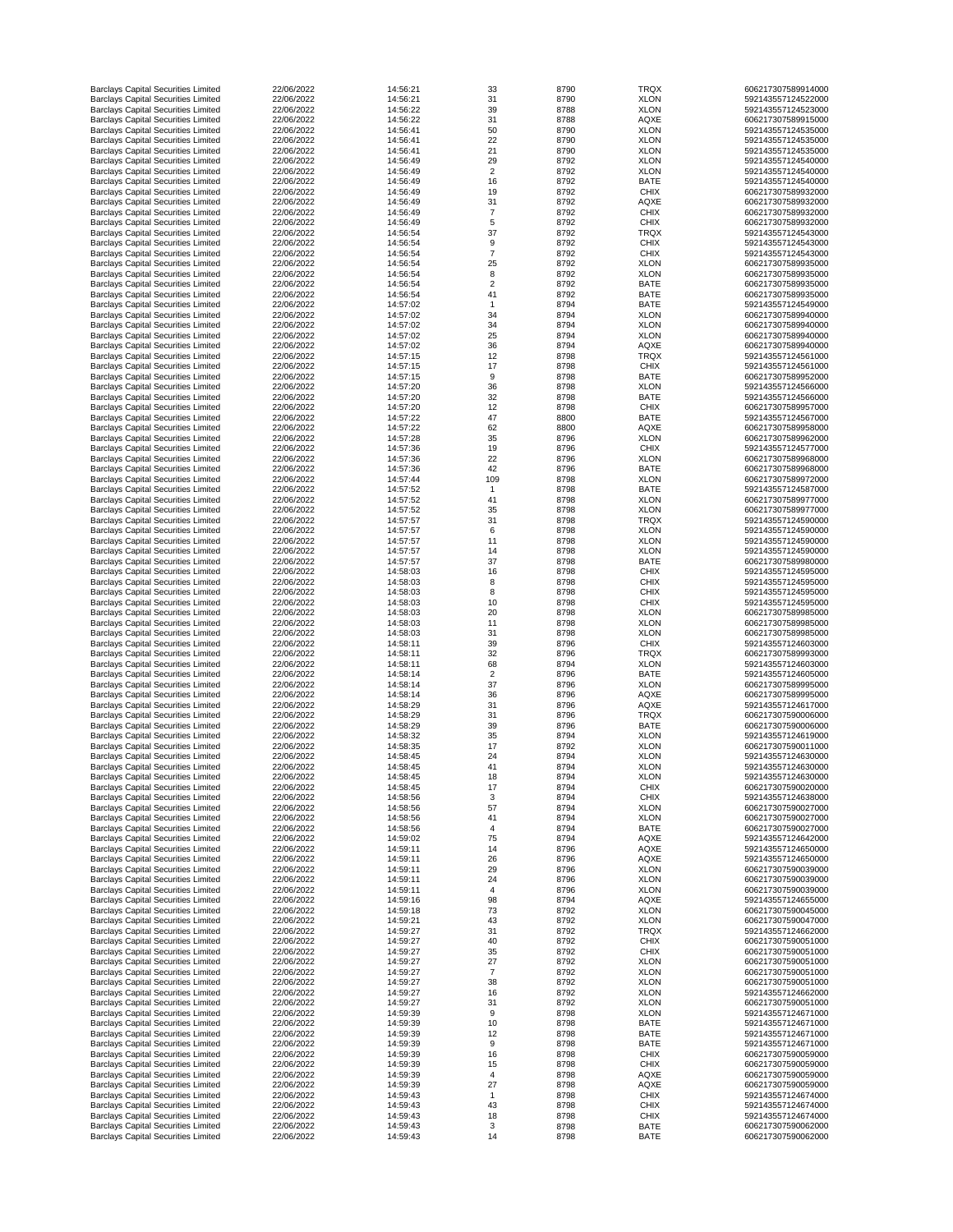| <b>Barclays Capital Securities Limited</b> | 22/06/2022 | 14:56:21 | 33             | 8790 | <b>TRQX</b> | 606217307589914000 |
|--------------------------------------------|------------|----------|----------------|------|-------------|--------------------|
| <b>Barclays Capital Securities Limited</b> | 22/06/2022 | 14:56:21 | 31             | 8790 | <b>XLON</b> | 592143557124522000 |
| <b>Barclays Capital Securities Limited</b> | 22/06/2022 | 14:56:22 | 39             | 8788 | <b>XLON</b> | 592143557124523000 |
| <b>Barclays Capital Securities Limited</b> | 22/06/2022 | 14:56:22 | 31             | 8788 | <b>AQXE</b> | 606217307589915000 |
| <b>Barclays Capital Securities Limited</b> | 22/06/2022 | 14:56:41 | 50             | 8790 | <b>XLON</b> | 592143557124535000 |
|                                            |            |          |                |      |             |                    |
| <b>Barclays Capital Securities Limited</b> | 22/06/2022 | 14:56:41 | 22             | 8790 | <b>XLON</b> | 592143557124535000 |
| <b>Barclays Capital Securities Limited</b> | 22/06/2022 | 14:56:41 | 21             | 8790 | <b>XLON</b> | 592143557124535000 |
| <b>Barclays Capital Securities Limited</b> | 22/06/2022 | 14:56:49 | 29             | 8792 | <b>XLON</b> | 592143557124540000 |
| <b>Barclays Capital Securities Limited</b> | 22/06/2022 | 14:56:49 | $\overline{2}$ | 8792 | <b>XLON</b> | 592143557124540000 |
| <b>Barclays Capital Securities Limited</b> | 22/06/2022 | 14:56:49 | 16             | 8792 | <b>BATE</b> | 592143557124540000 |
| <b>Barclays Capital Securities Limited</b> | 22/06/2022 | 14:56:49 | 19             | 8792 | <b>CHIX</b> | 606217307589932000 |
| <b>Barclays Capital Securities Limited</b> | 22/06/2022 | 14:56:49 | 31             | 8792 | <b>AQXE</b> | 606217307589932000 |
|                                            |            |          | 7              |      |             |                    |
| <b>Barclays Capital Securities Limited</b> | 22/06/2022 | 14:56:49 |                | 8792 | <b>CHIX</b> | 606217307589932000 |
| <b>Barclays Capital Securities Limited</b> | 22/06/2022 | 14:56:49 | 5              | 8792 | <b>CHIX</b> | 606217307589932000 |
| <b>Barclays Capital Securities Limited</b> | 22/06/2022 | 14:56:54 | 37             | 8792 | <b>TRQX</b> | 592143557124543000 |
| <b>Barclays Capital Securities Limited</b> | 22/06/2022 | 14:56:54 | 9              | 8792 | <b>CHIX</b> | 592143557124543000 |
| <b>Barclays Capital Securities Limited</b> | 22/06/2022 | 14:56:54 | $\overline{7}$ | 8792 | <b>CHIX</b> | 592143557124543000 |
| <b>Barclays Capital Securities Limited</b> | 22/06/2022 | 14:56:54 | 25             | 8792 | <b>XLON</b> | 606217307589935000 |
|                                            |            |          |                |      |             |                    |
| <b>Barclays Capital Securities Limited</b> | 22/06/2022 | 14:56:54 | 8              | 8792 | <b>XLON</b> | 606217307589935000 |
| <b>Barclays Capital Securities Limited</b> | 22/06/2022 | 14:56:54 | $\overline{2}$ | 8792 | <b>BATE</b> | 606217307589935000 |
| <b>Barclays Capital Securities Limited</b> | 22/06/2022 | 14:56:54 | 41             | 8792 | <b>BATE</b> | 606217307589935000 |
| <b>Barclays Capital Securities Limited</b> | 22/06/2022 | 14:57:02 |                | 8794 | <b>BATE</b> | 592143557124549000 |
| <b>Barclays Capital Securities Limited</b> | 22/06/2022 | 14:57:02 | 34             | 8794 | <b>XLON</b> | 606217307589940000 |
| <b>Barclays Capital Securities Limited</b> | 22/06/2022 | 14:57:02 | 34             | 8794 | <b>XLON</b> | 606217307589940000 |
|                                            |            |          |                |      |             |                    |
| <b>Barclays Capital Securities Limited</b> | 22/06/2022 | 14:57:02 | 25             | 8794 | <b>XLON</b> | 606217307589940000 |
| <b>Barclays Capital Securities Limited</b> | 22/06/2022 | 14:57:02 | 36             | 8794 | <b>AQXE</b> | 606217307589940000 |
| <b>Barclays Capital Securities Limited</b> | 22/06/2022 | 14:57:15 | 12             | 8798 | <b>TRQX</b> | 592143557124561000 |
| <b>Barclays Capital Securities Limited</b> | 22/06/2022 | 14:57:15 | 17             | 8798 | <b>CHIX</b> | 592143557124561000 |
| <b>Barclays Capital Securities Limited</b> | 22/06/2022 | 14:57:15 | $9\,$          | 8798 | <b>BATE</b> | 606217307589952000 |
| <b>Barclays Capital Securities Limited</b> | 22/06/2022 | 14:57:20 | 36             | 8798 | <b>XLON</b> | 592143557124566000 |
|                                            |            |          |                |      |             |                    |
| <b>Barclays Capital Securities Limited</b> | 22/06/2022 | 14:57:20 | 32             | 8798 | <b>BATE</b> | 592143557124566000 |
| <b>Barclays Capital Securities Limited</b> | 22/06/2022 | 14:57:20 | 12             | 8798 | <b>CHIX</b> | 606217307589957000 |
| <b>Barclays Capital Securities Limited</b> | 22/06/2022 | 14:57:22 | 47             | 8800 | <b>BATE</b> | 592143557124567000 |
| <b>Barclays Capital Securities Limited</b> | 22/06/2022 | 14:57:22 | 62             | 8800 | <b>AQXE</b> | 606217307589958000 |
| <b>Barclays Capital Securities Limited</b> | 22/06/2022 | 14:57:28 | 35             | 8796 | <b>XLON</b> | 606217307589962000 |
|                                            |            |          |                |      | <b>CHIX</b> | 592143557124577000 |
| <b>Barclays Capital Securities Limited</b> | 22/06/2022 | 14:57:36 | 19             | 8796 |             |                    |
| <b>Barclays Capital Securities Limited</b> | 22/06/2022 | 14:57:36 | 22             | 8796 | <b>XLON</b> | 606217307589968000 |
| <b>Barclays Capital Securities Limited</b> | 22/06/2022 | 14:57:36 | 42             | 8796 | <b>BATE</b> | 606217307589968000 |
| <b>Barclays Capital Securities Limited</b> | 22/06/2022 | 14:57:44 | 109            | 8798 | <b>XLON</b> | 606217307589972000 |
| <b>Barclays Capital Securities Limited</b> | 22/06/2022 | 14:57:52 |                | 8798 | <b>BATE</b> | 592143557124587000 |
| <b>Barclays Capital Securities Limited</b> | 22/06/2022 | 14:57:52 | 41             | 8798 | <b>XLON</b> | 606217307589977000 |
|                                            |            |          |                |      |             |                    |
| <b>Barclays Capital Securities Limited</b> | 22/06/2022 | 14:57:52 | 35             | 8798 | <b>XLON</b> | 606217307589977000 |
| <b>Barclays Capital Securities Limited</b> | 22/06/2022 | 14:57:57 | 31             | 8798 | <b>TRQX</b> | 592143557124590000 |
| <b>Barclays Capital Securities Limited</b> | 22/06/2022 | 14:57:57 | 6              | 8798 | <b>XLON</b> | 592143557124590000 |
| <b>Barclays Capital Securities Limited</b> | 22/06/2022 | 14:57:57 | 11             | 8798 | <b>XLON</b> | 592143557124590000 |
| <b>Barclays Capital Securities Limited</b> | 22/06/2022 | 14:57:57 | 14             | 8798 | <b>XLON</b> | 592143557124590000 |
| <b>Barclays Capital Securities Limited</b> | 22/06/2022 | 14:57:57 | 37             | 8798 | <b>BATE</b> | 606217307589980000 |
|                                            |            |          |                |      |             |                    |
| <b>Barclays Capital Securities Limited</b> | 22/06/2022 | 14:58:03 | 16             | 8798 | <b>CHIX</b> | 592143557124595000 |
| <b>Barclays Capital Securities Limited</b> | 22/06/2022 | 14:58:03 | 8              | 8798 | <b>CHIX</b> | 592143557124595000 |
| <b>Barclays Capital Securities Limited</b> | 22/06/2022 | 14:58:03 | 8              | 8798 | <b>CHIX</b> | 592143557124595000 |
| <b>Barclays Capital Securities Limited</b> | 22/06/2022 | 14:58:03 | 10             | 8798 | <b>CHIX</b> | 592143557124595000 |
| <b>Barclays Capital Securities Limited</b> | 22/06/2022 | 14:58:03 | 20             | 8798 | <b>XLON</b> | 606217307589985000 |
| <b>Barclays Capital Securities Limited</b> | 22/06/2022 | 14:58:03 | 11             | 8798 | <b>XLON</b> | 606217307589985000 |
| <b>Barclays Capital Securities Limited</b> | 22/06/2022 | 14:58:03 | 31             | 8798 | <b>XLON</b> | 606217307589985000 |
|                                            |            |          |                |      |             |                    |
| <b>Barclays Capital Securities Limited</b> | 22/06/2022 | 14:58:11 | 39             | 8796 | <b>CHIX</b> | 592143557124603000 |
| <b>Barclays Capital Securities Limited</b> | 22/06/2022 | 14:58:11 | 32             | 8796 | <b>TRQX</b> | 606217307589993000 |
| <b>Barclays Capital Securities Limited</b> | 22/06/2022 | 14:58:11 | 68             | 8794 | <b>XLON</b> | 592143557124603000 |
| <b>Barclays Capital Securities Limited</b> | 22/06/2022 | 14:58:14 | $\overline{2}$ | 8796 | <b>BATE</b> | 592143557124605000 |
| <b>Barclays Capital Securities Limited</b> | 22/06/2022 | 14:58:14 | 37             | 8796 | <b>XLON</b> | 606217307589995000 |
| <b>Barclays Capital Securities Limited</b> | 22/06/2022 | 14:58:14 | 36             | 8796 | <b>AQXE</b> | 606217307589995000 |
|                                            |            |          |                |      |             |                    |
| <b>Barclays Capital Securities Limited</b> | 22/06/2022 | 14:58:29 | 31             | 8796 | <b>AQXE</b> | 592143557124617000 |
| <b>Barclays Capital Securities Limited</b> | 22/06/2022 | 14:58:29 | 31             | 8796 | <b>TRQX</b> | 606217307590006000 |
| <b>Barclays Capital Securities Limited</b> | 22/06/2022 | 14:58:29 | 39             | 8796 | <b>BATE</b> | 606217307590006000 |
| <b>Barclays Capital Securities Limited</b> | 22/06/2022 | 14:58:32 | 35             | 8794 | <b>XLON</b> | 592143557124619000 |
| <b>Barclays Capital Securities Limited</b> | 22/06/2022 | 14:58:35 | 17             | 8792 | <b>XLON</b> | 606217307590011000 |
| <b>Barclays Capital Securities Limited</b> | 22/06/2022 | 14:58:45 | 24             | 8794 | <b>XLON</b> | 592143557124630000 |
|                                            | 22/06/2022 |          |                | 8794 | <b>XLON</b> |                    |
| <b>Barclays Capital Securities Limited</b> |            | 14:58:45 | 41             |      |             | 592143557124630000 |
| <b>Barclays Capital Securities Limited</b> | 22/06/2022 | 14:58:45 | 18             | 8794 | <b>XLON</b> | 592143557124630000 |
| <b>Barclays Capital Securities Limited</b> | 22/06/2022 | 14:58:45 | 17             | 8794 | <b>CHIX</b> | 606217307590020000 |
| <b>Barclays Capital Securities Limited</b> | 22/06/2022 | 14:58:56 | 3              | 8794 | <b>CHIX</b> | 592143557124638000 |
| <b>Barclays Capital Securities Limited</b> | 22/06/2022 | 14:58:56 | 57             | 8794 | <b>XLON</b> | 606217307590027000 |
| <b>Barclays Capital Securities Limited</b> | 22/06/2022 | 14:58:56 | 41             | 8794 | <b>XLON</b> | 606217307590027000 |
| <b>Barclays Capital Securities Limited</b> | 22/06/2022 | 14:58:56 | 4              | 8794 | <b>BATE</b> | 606217307590027000 |
|                                            |            |          |                |      |             |                    |
| <b>Barclays Capital Securities Limited</b> | 22/06/2022 | 14:59:02 | 75             | 8794 | <b>AQXE</b> | 592143557124642000 |
| <b>Barclays Capital Securities Limited</b> | 22/06/2022 | 14:59:11 | 14             | 8796 | <b>AQXE</b> | 592143557124650000 |
| <b>Barclays Capital Securities Limited</b> | 22/06/2022 | 14:59:11 | 26             | 8796 | <b>AQXE</b> | 592143557124650000 |
| <b>Barclays Capital Securities Limited</b> | 22/06/2022 | 14:59:11 | 29             | 8796 | <b>XLON</b> | 606217307590039000 |
| <b>Barclays Capital Securities Limited</b> | 22/06/2022 | 14:59:11 | 24             | 8796 | <b>XLON</b> | 606217307590039000 |
| <b>Barclays Capital Securities Limited</b> | 22/06/2022 | 14:59:11 |                | 8796 | <b>XLON</b> | 606217307590039000 |
|                                            |            |          |                |      |             |                    |
| <b>Barclays Capital Securities Limited</b> | 22/06/2022 | 14:59:16 | 98             | 8794 | <b>AQXE</b> | 592143557124655000 |
| <b>Barclays Capital Securities Limited</b> | 22/06/2022 | 14:59:18 | 73             | 8792 | <b>XLON</b> | 606217307590045000 |
| <b>Barclays Capital Securities Limited</b> | 22/06/2022 | 14:59:21 | 43             | 8792 | <b>XLON</b> | 606217307590047000 |
| <b>Barclays Capital Securities Limited</b> | 22/06/2022 | 14:59:27 | 31             | 8792 | <b>TRQX</b> | 592143557124662000 |
| <b>Barclays Capital Securities Limited</b> | 22/06/2022 | 14:59:27 | 40             | 8792 | <b>CHIX</b> | 606217307590051000 |
| <b>Barclays Capital Securities Limited</b> | 22/06/2022 | 14:59:27 | 35             | 8792 | <b>CHIX</b> | 606217307590051000 |
|                                            |            |          |                |      |             |                    |
| <b>Barclays Capital Securities Limited</b> | 22/06/2022 | 14:59:27 | 27             | 8792 | <b>XLON</b> | 606217307590051000 |
| <b>Barclays Capital Securities Limited</b> | 22/06/2022 | 14:59:27 | 7              | 8792 | <b>XLON</b> | 606217307590051000 |
| <b>Barclays Capital Securities Limited</b> | 22/06/2022 | 14:59:27 | 38             | 8792 | <b>XLON</b> | 606217307590051000 |
| <b>Barclays Capital Securities Limited</b> | 22/06/2022 | 14:59:27 | 16             | 8792 | <b>XLON</b> | 592143557124662000 |
| <b>Barclays Capital Securities Limited</b> | 22/06/2022 | 14:59:27 | 31             | 8792 | <b>XLON</b> | 606217307590051000 |
| <b>Barclays Capital Securities Limited</b> | 22/06/2022 | 14:59:39 | 9              | 8798 | <b>XLON</b> | 592143557124671000 |
|                                            |            |          |                |      |             |                    |
| <b>Barclays Capital Securities Limited</b> | 22/06/2022 | 14:59:39 | 10             | 8798 | <b>BATE</b> | 592143557124671000 |
| <b>Barclays Capital Securities Limited</b> | 22/06/2022 | 14:59:39 | 12             | 8798 | <b>BATE</b> | 592143557124671000 |
| <b>Barclays Capital Securities Limited</b> | 22/06/2022 | 14:59:39 | 9              | 8798 | <b>BATE</b> | 592143557124671000 |
| <b>Barclays Capital Securities Limited</b> | 22/06/2022 | 14:59:39 | 16             | 8798 | <b>CHIX</b> | 606217307590059000 |
| <b>Barclays Capital Securities Limited</b> | 22/06/2022 | 14:59:39 | 15             | 8798 | <b>CHIX</b> | 606217307590059000 |
|                                            | 22/06/2022 | 14:59:39 | 4              | 8798 |             | 606217307590059000 |
| <b>Barclays Capital Securities Limited</b> |            |          |                |      | <b>AQXE</b> |                    |
| <b>Barclays Capital Securities Limited</b> | 22/06/2022 | 14:59:39 | 27             | 8798 | <b>AQXE</b> | 606217307590059000 |
| <b>Barclays Capital Securities Limited</b> | 22/06/2022 | 14:59:43 |                | 8798 | <b>CHIX</b> | 592143557124674000 |
| <b>Barclays Capital Securities Limited</b> | 22/06/2022 | 14:59:43 | 43             | 8798 | <b>CHIX</b> | 592143557124674000 |
| <b>Barclays Capital Securities Limited</b> | 22/06/2022 | 14:59:43 | 18             | 8798 | <b>CHIX</b> | 592143557124674000 |
| <b>Barclays Capital Securities Limited</b> | 22/06/2022 | 14:59:43 | $\mathbf{3}$   | 8798 | <b>BATE</b> | 606217307590062000 |
| <b>Barclays Capital Securities Limited</b> | 22/06/2022 | 14:59:43 | 14             | 8798 | <b>BATE</b> | 606217307590062000 |
|                                            |            |          |                |      |             |                    |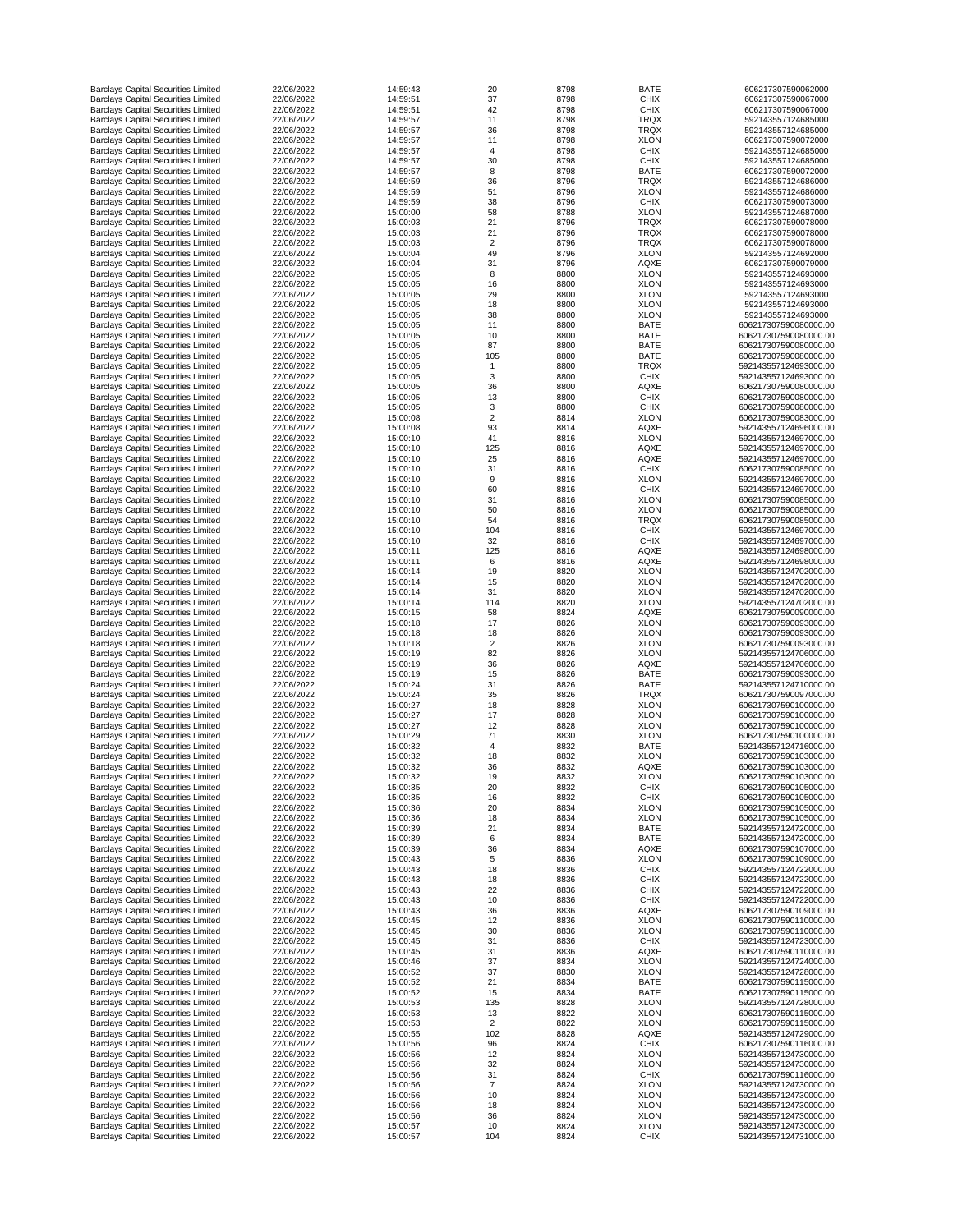| <b>Barclays Capital Securities Limited</b> | 22/06/2022 | 14:59:43 | 20             | 8798 | <b>BATE</b> | 606217307590062000    |
|--------------------------------------------|------------|----------|----------------|------|-------------|-----------------------|
| <b>Barclays Capital Securities Limited</b> | 22/06/2022 | 14:59:51 | 37             | 8798 | <b>CHIX</b> | 606217307590067000    |
| <b>Barclays Capital Securities Limited</b> | 22/06/2022 | 14:59:51 | 42             | 8798 | <b>CHIX</b> | 606217307590067000    |
| <b>Barclays Capital Securities Limited</b> | 22/06/2022 | 14:59:57 | 11             | 8798 | <b>TRQX</b> | 592143557124685000    |
| <b>Barclays Capital Securities Limited</b> | 22/06/2022 | 14:59:57 | 36             | 8798 | <b>TRQX</b> | 592143557124685000    |
| <b>Barclays Capital Securities Limited</b> | 22/06/2022 | 14:59:57 | 11             | 8798 | <b>XLON</b> | 606217307590072000    |
|                                            | 22/06/2022 |          |                | 8798 | <b>CHIX</b> | 592143557124685000    |
| <b>Barclays Capital Securities Limited</b> |            | 14:59:57 | 4              |      |             |                       |
| <b>Barclays Capital Securities Limited</b> | 22/06/2022 | 14:59:57 | 30             | 8798 | <b>CHIX</b> | 592143557124685000    |
| <b>Barclays Capital Securities Limited</b> | 22/06/2022 | 14:59:57 | 8              | 8798 | <b>BATE</b> | 606217307590072000    |
| <b>Barclays Capital Securities Limited</b> | 22/06/2022 | 14:59:59 | 36             | 8796 | <b>TRQX</b> | 592143557124686000    |
| <b>Barclays Capital Securities Limited</b> | 22/06/2022 | 14:59:59 | 51             | 8796 | <b>XLON</b> | 592143557124686000    |
| <b>Barclays Capital Securities Limited</b> | 22/06/2022 | 14:59:59 | 38             | 8796 | <b>CHIX</b> | 606217307590073000    |
| <b>Barclays Capital Securities Limited</b> | 22/06/2022 | 15:00:00 | 58             | 8788 | <b>XLON</b> | 592143557124687000    |
| <b>Barclays Capital Securities Limited</b> | 22/06/2022 | 15:00:03 | 21             | 8796 | <b>TRQX</b> | 606217307590078000    |
| <b>Barclays Capital Securities Limited</b> | 22/06/2022 | 15:00:03 | 21             | 8796 | <b>TRQX</b> | 606217307590078000    |
| <b>Barclays Capital Securities Limited</b> | 22/06/2022 | 15:00:03 | $\overline{2}$ | 8796 | <b>TRQX</b> | 606217307590078000    |
|                                            |            |          |                |      |             |                       |
| <b>Barclays Capital Securities Limited</b> | 22/06/2022 | 15:00:04 | 49             | 8796 | <b>XLON</b> | 592143557124692000    |
| <b>Barclays Capital Securities Limited</b> | 22/06/2022 | 15:00:04 | 31             | 8796 | <b>AQXE</b> | 606217307590079000    |
| <b>Barclays Capital Securities Limited</b> | 22/06/2022 | 15:00:05 | 8              | 8800 | <b>XLON</b> | 592143557124693000    |
| <b>Barclays Capital Securities Limited</b> | 22/06/2022 | 15:00:05 | 16             | 8800 | <b>XLON</b> | 592143557124693000    |
| <b>Barclays Capital Securities Limited</b> | 22/06/2022 | 15:00:05 | 29             | 8800 | <b>XLON</b> | 592143557124693000    |
| <b>Barclays Capital Securities Limited</b> | 22/06/2022 | 15:00:05 | 18             | 8800 | <b>XLON</b> | 592143557124693000    |
| <b>Barclays Capital Securities Limited</b> | 22/06/2022 | 15:00:05 | 38             | 8800 | <b>XLON</b> | 592143557124693000    |
| <b>Barclays Capital Securities Limited</b> | 22/06/2022 | 15:00:05 | 11             | 8800 | <b>BATE</b> | 606217307590080000.00 |
| <b>Barclays Capital Securities Limited</b> | 22/06/2022 | 15:00:05 | 10             | 8800 | <b>BATE</b> | 606217307590080000.00 |
| <b>Barclays Capital Securities Limited</b> | 22/06/2022 | 15:00:05 | 87             | 8800 | <b>BATE</b> | 606217307590080000.00 |
|                                            |            |          |                |      |             |                       |
| <b>Barclays Capital Securities Limited</b> | 22/06/2022 | 15:00:05 | 105            | 8800 | <b>BATE</b> | 606217307590080000.00 |
| <b>Barclays Capital Securities Limited</b> | 22/06/2022 | 15:00:05 | -1             | 8800 | <b>TRQX</b> | 592143557124693000.00 |
| <b>Barclays Capital Securities Limited</b> | 22/06/2022 | 15:00:05 | 3              | 8800 | <b>CHIX</b> | 592143557124693000.00 |
| <b>Barclays Capital Securities Limited</b> | 22/06/2022 | 15:00:05 | 36             | 8800 | <b>AQXE</b> | 606217307590080000.00 |
| <b>Barclays Capital Securities Limited</b> | 22/06/2022 | 15:00:05 | 13             | 8800 | <b>CHIX</b> | 606217307590080000.00 |
| <b>Barclays Capital Securities Limited</b> | 22/06/2022 | 15:00:05 | 3              | 8800 | <b>CHIX</b> | 606217307590080000.00 |
| <b>Barclays Capital Securities Limited</b> | 22/06/2022 | 15:00:08 | $\overline{2}$ | 8814 | <b>XLON</b> | 606217307590083000.00 |
| <b>Barclays Capital Securities Limited</b> | 22/06/2022 | 15:00:08 | 93             | 8814 | <b>AQXE</b> | 592143557124696000.00 |
| <b>Barclays Capital Securities Limited</b> | 22/06/2022 | 15:00:10 | 41             | 8816 | <b>XLON</b> | 592143557124697000.00 |
|                                            |            |          |                |      |             |                       |
| <b>Barclays Capital Securities Limited</b> | 22/06/2022 | 15:00:10 | 125            | 8816 | <b>AQXE</b> | 592143557124697000.00 |
| <b>Barclays Capital Securities Limited</b> | 22/06/2022 | 15:00:10 | 25             | 8816 | <b>AQXE</b> | 592143557124697000.00 |
| <b>Barclays Capital Securities Limited</b> | 22/06/2022 | 15:00:10 | 31             | 8816 | <b>CHIX</b> | 606217307590085000.00 |
| <b>Barclays Capital Securities Limited</b> | 22/06/2022 | 15:00:10 | 9              | 8816 | <b>XLON</b> | 592143557124697000.00 |
| <b>Barclays Capital Securities Limited</b> | 22/06/2022 | 15:00:10 | 60             | 8816 | <b>CHIX</b> | 592143557124697000.00 |
| <b>Barclays Capital Securities Limited</b> | 22/06/2022 | 15:00:10 | 31             | 8816 | <b>XLON</b> | 606217307590085000.00 |
| <b>Barclays Capital Securities Limited</b> | 22/06/2022 | 15:00:10 | 50             | 8816 | <b>XLON</b> | 606217307590085000.00 |
| <b>Barclays Capital Securities Limited</b> | 22/06/2022 | 15:00:10 | 54             | 8816 | <b>TRQX</b> | 606217307590085000.00 |
| <b>Barclays Capital Securities Limited</b> | 22/06/2022 | 15:00:10 | 104            | 8816 | <b>CHIX</b> | 592143557124697000.00 |
| <b>Barclays Capital Securities Limited</b> | 22/06/2022 | 15:00:10 | 32             |      | <b>CHIX</b> | 592143557124697000.00 |
|                                            |            |          |                | 8816 |             |                       |
| <b>Barclays Capital Securities Limited</b> | 22/06/2022 | 15:00:11 | 125            | 8816 | <b>AQXE</b> | 592143557124698000.00 |
| <b>Barclays Capital Securities Limited</b> | 22/06/2022 | 15:00:11 | 6              | 8816 | <b>AQXE</b> | 592143557124698000.00 |
| <b>Barclays Capital Securities Limited</b> | 22/06/2022 | 15:00:14 | 19             | 8820 | <b>XLON</b> | 592143557124702000.00 |
| <b>Barclays Capital Securities Limited</b> | 22/06/2022 | 15:00:14 | 15             | 8820 | <b>XLON</b> | 592143557124702000.00 |
| <b>Barclays Capital Securities Limited</b> | 22/06/2022 | 15:00:14 | 31             | 8820 | <b>XLON</b> | 592143557124702000.00 |
| <b>Barclays Capital Securities Limited</b> | 22/06/2022 | 15:00:14 | 114            | 8820 | <b>XLON</b> | 592143557124702000.00 |
| <b>Barclays Capital Securities Limited</b> | 22/06/2022 | 15:00:15 | 58             | 8824 | <b>AQXE</b> | 606217307590090000.00 |
| <b>Barclays Capital Securities Limited</b> | 22/06/2022 | 15:00:18 | 17             | 8826 | <b>XLON</b> | 606217307590093000.00 |
| <b>Barclays Capital Securities Limited</b> | 22/06/2022 | 15:00:18 | 18             | 8826 | <b>XLON</b> | 606217307590093000.00 |
|                                            | 22/06/2022 | 15:00:18 | $\overline{2}$ |      | <b>XLON</b> | 606217307590093000.00 |
| <b>Barclays Capital Securities Limited</b> |            |          |                | 8826 |             |                       |
| <b>Barclays Capital Securities Limited</b> | 22/06/2022 | 15:00:19 | 82             | 8826 | <b>XLON</b> | 592143557124706000.00 |
| <b>Barclays Capital Securities Limited</b> | 22/06/2022 | 15:00:19 | 36             | 8826 | <b>AQXE</b> | 592143557124706000.00 |
| <b>Barclays Capital Securities Limited</b> | 22/06/2022 | 15:00:19 | 15             | 8826 | <b>BATE</b> | 606217307590093000.00 |
| <b>Barclays Capital Securities Limited</b> | 22/06/2022 | 15:00:24 | 31             | 8826 | <b>BATE</b> | 592143557124710000.00 |
| <b>Barclays Capital Securities Limited</b> | 22/06/2022 | 15:00:24 | 35             | 8826 | <b>TRQX</b> | 606217307590097000.00 |
| <b>Barclays Capital Securities Limited</b> | 22/06/2022 | 15:00:27 | 18             | 8828 | <b>XLON</b> | 606217307590100000.00 |
| <b>Barclays Capital Securities Limited</b> | 22/06/2022 | 15:00:27 | 17             | 8828 | <b>XLON</b> | 606217307590100000.00 |
| <b>Barclays Capital Securities Limited</b> | 22/06/2022 | 15:00:27 | 12             | 8828 | <b>XLON</b> | 606217307590100000.00 |
| <b>Barclays Capital Securities Limited</b> | 22/06/2022 | 15:00:29 | 71             | 8830 | <b>XLON</b> | 606217307590100000.00 |
|                                            |            |          |                |      |             |                       |
| <b>Barclays Capital Securities Limited</b> | 22/06/2022 | 15:00:32 | 4              | 8832 | <b>BATE</b> | 592143557124716000.00 |
| <b>Barclays Capital Securities Limited</b> | 22/06/2022 | 15:00:32 | 18             | 8832 | <b>XLON</b> | 606217307590103000.00 |
| <b>Barclays Capital Securities Limited</b> | 22/06/2022 | 15:00:32 | 36             | 8832 | <b>AQXE</b> | 606217307590103000.00 |
| <b>Barclays Capital Securities Limited</b> | 22/06/2022 | 15:00:32 | 19             | 8832 | <b>XLON</b> | 606217307590103000.00 |
| <b>Barclays Capital Securities Limited</b> | 22/06/2022 | 15:00:35 | 20             | 8832 | <b>CHIX</b> | 606217307590105000.00 |
| <b>Barclays Capital Securities Limited</b> | 22/06/2022 | 15:00:35 | 16             | 8832 | <b>CHIX</b> | 606217307590105000.00 |
| <b>Barclays Capital Securities Limited</b> | 22/06/2022 | 15:00:36 | 20             | 8834 | <b>XLON</b> | 606217307590105000.00 |
| <b>Barclays Capital Securities Limited</b> | 22/06/2022 | 15:00:36 | 18             | 8834 | <b>XLON</b> | 606217307590105000.00 |
| <b>Barclays Capital Securities Limited</b> | 22/06/2022 | 15:00:39 | 21             | 8834 | <b>BATE</b> | 592143557124720000.00 |
| <b>Barclays Capital Securities Limited</b> | 22/06/2022 | 15:00:39 | 6              | 8834 | <b>BATE</b> | 592143557124720000.00 |
|                                            |            |          |                |      |             |                       |
| <b>Barclays Capital Securities Limited</b> | 22/06/2022 | 15:00:39 | 36             | 8834 | <b>AQXE</b> | 606217307590107000.00 |
| <b>Barclays Capital Securities Limited</b> | 22/06/2022 | 15:00:43 | 5              | 8836 | <b>XLON</b> | 606217307590109000.00 |
| <b>Barclays Capital Securities Limited</b> | 22/06/2022 | 15:00:43 | 18             | 8836 | <b>CHIX</b> | 592143557124722000.00 |
| <b>Barclays Capital Securities Limited</b> | 22/06/2022 | 15:00:43 | 18             | 8836 | <b>CHIX</b> | 592143557124722000.00 |
| <b>Barclays Capital Securities Limited</b> | 22/06/2022 | 15:00:43 | 22             | 8836 | <b>CHIX</b> | 592143557124722000.00 |
| <b>Barclays Capital Securities Limited</b> | 22/06/2022 | 15:00:43 | 10             | 8836 | <b>CHIX</b> | 592143557124722000.00 |
| <b>Barclays Capital Securities Limited</b> | 22/06/2022 | 15:00:43 | 36             | 8836 | <b>AQXE</b> | 606217307590109000.00 |
| <b>Barclays Capital Securities Limited</b> | 22/06/2022 | 15:00:45 | 12             | 8836 | <b>XLON</b> | 606217307590110000.00 |
| <b>Barclays Capital Securities Limited</b> | 22/06/2022 | 15:00:45 | 30             | 8836 | <b>XLON</b> | 606217307590110000.00 |
| <b>Barclays Capital Securities Limited</b> | 22/06/2022 | 15:00:45 | 31             | 8836 | <b>CHIX</b> | 592143557124723000.00 |
|                                            |            |          |                |      |             |                       |
| <b>Barclays Capital Securities Limited</b> | 22/06/2022 | 15:00:45 | 31             | 8836 | <b>AQXE</b> | 606217307590110000.00 |
| <b>Barclays Capital Securities Limited</b> | 22/06/2022 | 15:00:46 | 37             | 8834 | <b>XLON</b> | 592143557124724000.00 |
| <b>Barclays Capital Securities Limited</b> | 22/06/2022 | 15:00:52 | 37             | 8830 | <b>XLON</b> | 592143557124728000.00 |
| <b>Barclays Capital Securities Limited</b> | 22/06/2022 | 15:00:52 | 21             | 8834 | <b>BATE</b> | 606217307590115000.00 |
| <b>Barclays Capital Securities Limited</b> | 22/06/2022 | 15:00:52 | 15             | 8834 | <b>BATE</b> | 606217307590115000.00 |
| <b>Barclays Capital Securities Limited</b> | 22/06/2022 | 15:00:53 | 135            | 8828 | <b>XLON</b> | 592143557124728000.00 |
| <b>Barclays Capital Securities Limited</b> | 22/06/2022 | 15:00:53 | 13             | 8822 | <b>XLON</b> | 606217307590115000.00 |
| <b>Barclays Capital Securities Limited</b> | 22/06/2022 | 15:00:53 | $\overline{2}$ | 8822 | <b>XLON</b> | 606217307590115000.00 |
| <b>Barclays Capital Securities Limited</b> | 22/06/2022 | 15:00:55 | 102            | 8828 | <b>AQXE</b> | 592143557124729000.00 |
| <b>Barclays Capital Securities Limited</b> | 22/06/2022 | 15:00:56 | 96             | 8824 | <b>CHIX</b> | 606217307590116000.00 |
|                                            |            |          |                |      |             |                       |
| <b>Barclays Capital Securities Limited</b> | 22/06/2022 | 15:00:56 | 12             | 8824 | <b>XLON</b> | 592143557124730000.00 |
| <b>Barclays Capital Securities Limited</b> | 22/06/2022 | 15:00:56 | 32             | 8824 | <b>XLON</b> | 592143557124730000.00 |
| <b>Barclays Capital Securities Limited</b> | 22/06/2022 | 15:00:56 | 31             | 8824 | <b>CHIX</b> | 606217307590116000.00 |
| <b>Barclays Capital Securities Limited</b> | 22/06/2022 | 15:00:56 |                | 8824 | <b>XLON</b> | 592143557124730000.00 |
| <b>Barclays Capital Securities Limited</b> | 22/06/2022 | 15:00:56 | 10             | 8824 | <b>XLON</b> | 592143557124730000.00 |
| <b>Barclays Capital Securities Limited</b> | 22/06/2022 | 15:00:56 | 18             | 8824 | <b>XLON</b> | 592143557124730000.00 |
| <b>Barclays Capital Securities Limited</b> | 22/06/2022 | 15:00:56 | 36             | 8824 | <b>XLON</b> | 592143557124730000.00 |
| <b>Barclays Capital Securities Limited</b> | 22/06/2022 | 15:00:57 | 10             | 8824 | <b>XLON</b> | 592143557124730000.00 |
| <b>Barclays Capital Securities Limited</b> | 22/06/2022 | 15:00:57 | 104            | 8824 | <b>CHIX</b> | 592143557124731000.00 |
|                                            |            |          |                |      |             |                       |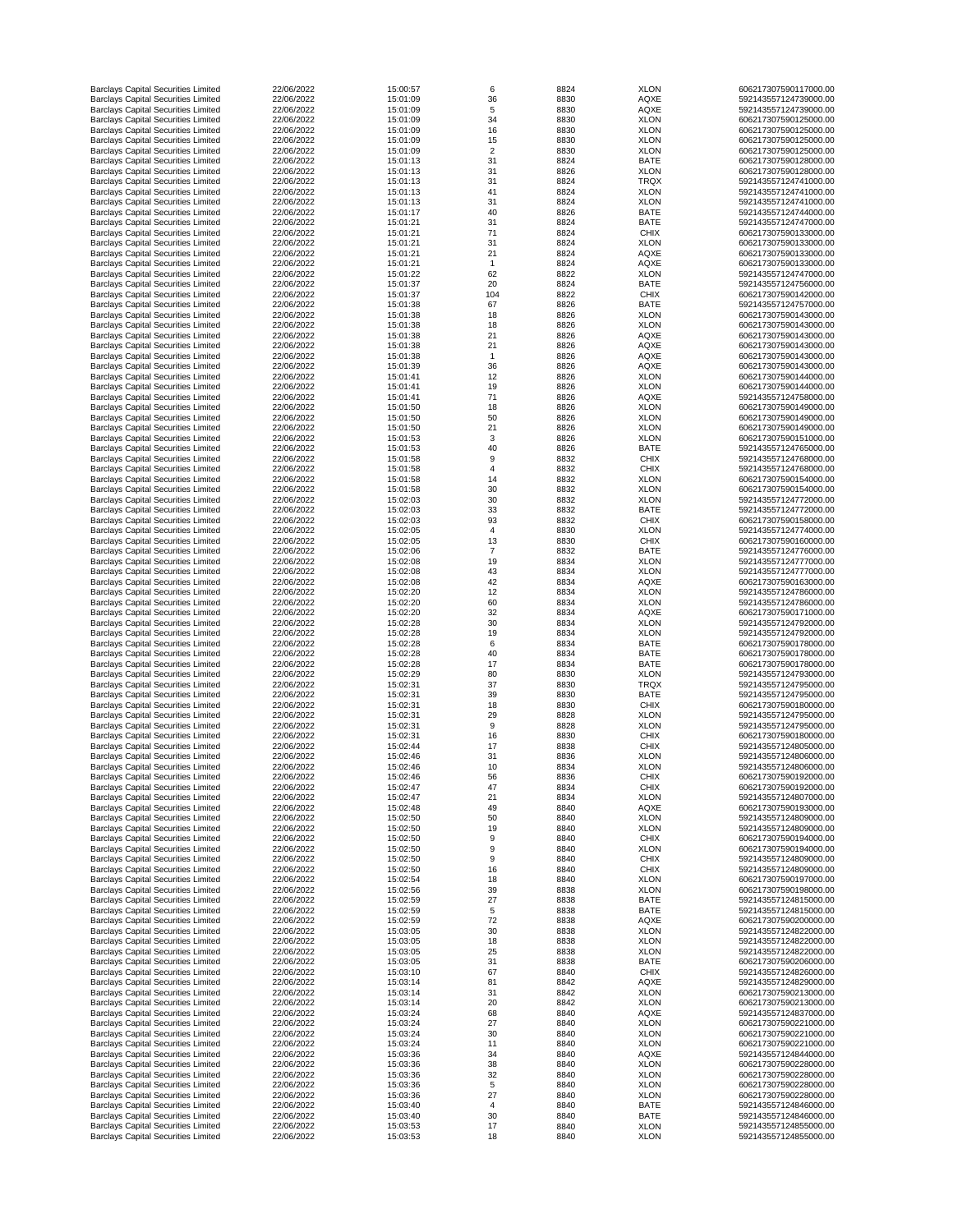| <b>Barclays Capital Securities Limited</b>                                               | 22/06/2022               | 15:00:57             | 6              | 8824         | <b>XLON</b>                | 606217307590117000.00                          |
|------------------------------------------------------------------------------------------|--------------------------|----------------------|----------------|--------------|----------------------------|------------------------------------------------|
| <b>Barclays Capital Securities Limited</b>                                               | 22/06/2022               | 15:01:09             | 36             | 8830         | <b>AQXE</b>                | 592143557124739000.00                          |
| <b>Barclays Capital Securities Limited</b>                                               | 22/06/2022               | 15:01:09             | $\overline{5}$ | 8830         | <b>AQXE</b>                | 592143557124739000.00                          |
| <b>Barclays Capital Securities Limited</b>                                               | 22/06/2022               | 15:01:09             | 34             | 8830         | <b>XLON</b>                | 606217307590125000.00                          |
| <b>Barclays Capital Securities Limited</b><br><b>Barclays Capital Securities Limited</b> | 22/06/2022<br>22/06/2022 | 15:01:09<br>15:01:09 | 16<br>15       | 8830<br>8830 | <b>XLON</b><br><b>XLON</b> | 606217307590125000.00<br>606217307590125000.00 |
| <b>Barclays Capital Securities Limited</b>                                               | 22/06/2022               | 15:01:09             | $\overline{2}$ | 8830         | <b>XLON</b>                | 606217307590125000.00                          |
| <b>Barclays Capital Securities Limited</b>                                               | 22/06/2022               | 15:01:13             | 31             | 8824         | <b>BATE</b>                | 606217307590128000.00                          |
| <b>Barclays Capital Securities Limited</b>                                               | 22/06/2022               | 15:01:13             | 31             | 8826         | <b>XLON</b>                | 606217307590128000.00                          |
| <b>Barclays Capital Securities Limited</b>                                               | 22/06/2022               | 15:01:13             | 31             | 8824         | <b>TRQX</b>                | 592143557124741000.00                          |
| <b>Barclays Capital Securities Limited</b>                                               | 22/06/2022               | 15:01:13             | 41             | 8824         | <b>XLON</b>                | 592143557124741000.00                          |
| <b>Barclays Capital Securities Limited</b>                                               | 22/06/2022               | 15:01:13             | 31             | 8824         | <b>XLON</b>                | 592143557124741000.00                          |
| <b>Barclays Capital Securities Limited</b>                                               | 22/06/2022               | 15:01:17             | 40             | 8826         | <b>BATE</b>                | 592143557124744000.00                          |
| <b>Barclays Capital Securities Limited</b>                                               | 22/06/2022               | 15:01:21             | 31             | 8824         | <b>BATE</b>                | 592143557124747000.00                          |
| <b>Barclays Capital Securities Limited</b><br><b>Barclays Capital Securities Limited</b> | 22/06/2022<br>22/06/2022 | 15:01:21<br>15:01:21 | 71<br>31       | 8824<br>8824 | <b>CHIX</b><br><b>XLON</b> | 606217307590133000.00<br>606217307590133000.00 |
| <b>Barclays Capital Securities Limited</b>                                               | 22/06/2022               | 15:01:21             | 21             | 8824         | <b>AQXE</b>                | 606217307590133000.00                          |
| <b>Barclays Capital Securities Limited</b>                                               | 22/06/2022               | 15:01:21             |                | 8824         | <b>AQXE</b>                | 606217307590133000.00                          |
| <b>Barclays Capital Securities Limited</b>                                               | 22/06/2022               | 15:01:22             | 62             | 8822         | <b>XLON</b>                | 592143557124747000.00                          |
| <b>Barclays Capital Securities Limited</b>                                               | 22/06/2022               | 15:01:37             | 20             | 8824         | <b>BATE</b>                | 592143557124756000.00                          |
| <b>Barclays Capital Securities Limited</b>                                               | 22/06/2022               | 15:01:37             | 104            | 8822         | <b>CHIX</b>                | 606217307590142000.00                          |
| <b>Barclays Capital Securities Limited</b>                                               | 22/06/2022               | 15:01:38             | 67             | 8826         | <b>BATE</b>                | 592143557124757000.00                          |
| <b>Barclays Capital Securities Limited</b>                                               | 22/06/2022               | 15:01:38             | 18             | 8826         | <b>XLON</b>                | 606217307590143000.00                          |
| <b>Barclays Capital Securities Limited</b>                                               | 22/06/2022               | 15:01:38             | 18             | 8826         | <b>XLON</b>                | 606217307590143000.00                          |
| <b>Barclays Capital Securities Limited</b><br><b>Barclays Capital Securities Limited</b> | 22/06/2022<br>22/06/2022 | 15:01:38<br>15:01:38 | 21<br>21       | 8826<br>8826 | <b>AQXE</b><br><b>AQXE</b> | 606217307590143000.00<br>606217307590143000.00 |
| <b>Barclays Capital Securities Limited</b>                                               | 22/06/2022               | 15:01:38             |                | 8826         | <b>AQXE</b>                | 606217307590143000.00                          |
| <b>Barclays Capital Securities Limited</b>                                               | 22/06/2022               | 15:01:39             | 36             | 8826         | <b>AQXE</b>                | 606217307590143000.00                          |
| <b>Barclays Capital Securities Limited</b>                                               | 22/06/2022               | 15:01:41             | 12             | 8826         | <b>XLON</b>                | 606217307590144000.00                          |
| <b>Barclays Capital Securities Limited</b>                                               | 22/06/2022               | 15:01:41             | 19             | 8826         | <b>XLON</b>                | 606217307590144000.00                          |
| <b>Barclays Capital Securities Limited</b>                                               | 22/06/2022               | 15:01:41             | 71             | 8826         | <b>AQXE</b>                | 592143557124758000.00                          |
| <b>Barclays Capital Securities Limited</b>                                               | 22/06/2022               | 15:01:50             | 18             | 8826         | <b>XLON</b>                | 606217307590149000.00                          |
| <b>Barclays Capital Securities Limited</b>                                               | 22/06/2022               | 15:01:50             | 50             | 8826         | <b>XLON</b>                | 606217307590149000.00                          |
| <b>Barclays Capital Securities Limited</b>                                               | 22/06/2022               | 15:01:50             | 21             | 8826         | <b>XLON</b>                | 606217307590149000.00                          |
| <b>Barclays Capital Securities Limited</b>                                               | 22/06/2022               | 15:01:53             | 3              | 8826         | <b>XLON</b><br><b>BATE</b> | 606217307590151000.00                          |
| <b>Barclays Capital Securities Limited</b><br><b>Barclays Capital Securities Limited</b> | 22/06/2022<br>22/06/2022 | 15:01:53<br>15:01:58 | 40<br>9        | 8826<br>8832 | <b>CHIX</b>                | 592143557124765000.00<br>592143557124768000.00 |
| <b>Barclays Capital Securities Limited</b>                                               | 22/06/2022               | 15:01:58             |                | 8832         | <b>CHIX</b>                | 592143557124768000.00                          |
| <b>Barclays Capital Securities Limited</b>                                               | 22/06/2022               | 15:01:58             | 14             | 8832         | <b>XLON</b>                | 606217307590154000.00                          |
| <b>Barclays Capital Securities Limited</b>                                               | 22/06/2022               | 15:01:58             | 30             | 8832         | <b>XLON</b>                | 606217307590154000.00                          |
| <b>Barclays Capital Securities Limited</b>                                               | 22/06/2022               | 15:02:03             | 30             | 8832         | <b>XLON</b>                | 592143557124772000.00                          |
| <b>Barclays Capital Securities Limited</b>                                               | 22/06/2022               | 15:02:03             | 33             | 8832         | <b>BATE</b>                | 592143557124772000.00                          |
| <b>Barclays Capital Securities Limited</b>                                               | 22/06/2022               | 15:02:03             | 93             | 8832         | <b>CHIX</b>                | 606217307590158000.00                          |
| <b>Barclays Capital Securities Limited</b>                                               | 22/06/2022               | 15:02:05             | 4              | 8830         | <b>XLON</b>                | 592143557124774000.00                          |
| <b>Barclays Capital Securities Limited</b>                                               | 22/06/2022               | 15:02:05             | 13             | 8830         | <b>CHIX</b>                | 606217307590160000.00                          |
| <b>Barclays Capital Securities Limited</b>                                               | 22/06/2022               | 15:02:06             |                | 8832         | <b>BATE</b>                | 592143557124776000.00                          |
| <b>Barclays Capital Securities Limited</b>                                               | 22/06/2022               | 15:02:08             | 19             | 8834         | <b>XLON</b>                | 592143557124777000.00                          |
| <b>Barclays Capital Securities Limited</b>                                               | 22/06/2022               | 15:02:08             | 43             | 8834         | <b>XLON</b>                | 592143557124777000.00                          |
| <b>Barclays Capital Securities Limited</b>                                               | 22/06/2022<br>22/06/2022 | 15:02:08             | 42             | 8834         | <b>AQXE</b><br><b>XLON</b> | 606217307590163000.00                          |
| <b>Barclays Capital Securities Limited</b><br><b>Barclays Capital Securities Limited</b> | 22/06/2022               | 15:02:20<br>15:02:20 | 12<br>60       | 8834<br>8834 | <b>XLON</b>                | 592143557124786000.00<br>592143557124786000.00 |
| <b>Barclays Capital Securities Limited</b>                                               | 22/06/2022               | 15:02:20             | 32             | 8834         | <b>AQXE</b>                | 606217307590171000.00                          |
| <b>Barclays Capital Securities Limited</b>                                               | 22/06/2022               | 15:02:28             | 30             | 8834         | <b>XLON</b>                | 592143557124792000.00                          |
| <b>Barclays Capital Securities Limited</b>                                               | 22/06/2022               | 15:02:28             | 19             | 8834         | <b>XLON</b>                | 592143557124792000.00                          |
| <b>Barclays Capital Securities Limited</b>                                               | 22/06/2022               | 15:02:28             | 6              | 8834         | <b>BATE</b>                | 606217307590178000.00                          |
| <b>Barclays Capital Securities Limited</b>                                               | 22/06/2022               | 15:02:28             | 40             | 8834         | <b>BATE</b>                | 606217307590178000.00                          |
| <b>Barclays Capital Securities Limited</b>                                               | 22/06/2022               | 15:02:28             | 17             | 8834         | <b>BATE</b>                | 606217307590178000.00                          |
| <b>Barclays Capital Securities Limited</b>                                               | 22/06/2022               | 15:02:29             | 80             | 8830         | <b>XLON</b>                | 592143557124793000.00                          |
| <b>Barclays Capital Securities Limited</b>                                               | 22/06/2022               | 15:02:31             | 37             | 8830         | <b>TRQX</b>                | 592143557124795000.00                          |
| <b>Barclays Capital Securities Limited</b>                                               | 22/06/2022<br>22/06/2022 | 15:02:31<br>15:02:31 | 39             | 8830         | <b>BATE</b>                | 592143557124795000.00                          |
| <b>Barclays Capital Securities Limited</b><br><b>Barclays Capital Securities Limited</b> | 22/06/2022               | 15:02:31             | 18<br>29       | 8830<br>8828 | <b>CHIX</b><br><b>XLON</b> | 606217307590180000.00<br>592143557124795000.00 |
| <b>Barclays Capital Securities Limited</b>                                               | 22/06/2022               | 15:02:31             | 9              | 8828         | <b>XLON</b>                | 592143557124795000.00                          |
| <b>Barclays Capital Securities Limited</b>                                               | 22/06/2022               | 15:02:31             | 16             | 8830         | <b>CHIX</b>                | 606217307590180000.00                          |
| <b>Barclays Capital Securities Limited</b>                                               | 22/06/2022               | 15:02:44             | 17             | 8838         | <b>CHIX</b>                | 592143557124805000.00                          |
| <b>Barclays Capital Securities Limited</b>                                               | 22/06/2022               | 15:02:46             | 31             | 8836         | <b>XLON</b>                | 592143557124806000.00                          |
| <b>Barclays Capital Securities Limited</b>                                               | 22/06/2022               | 15:02:46             | 10             | 8834         | <b>XLON</b>                | 592143557124806000.00                          |
| <b>Barclays Capital Securities Limited</b>                                               | 22/06/2022               | 15:02:46             | 56             | 8836         | <b>CHIX</b>                | 606217307590192000.00                          |
| <b>Barclays Capital Securities Limited</b>                                               | 22/06/2022               | 15:02:47             | 47             | 8834         | <b>CHIX</b>                | 606217307590192000.00                          |
| <b>Barclays Capital Securities Limited</b>                                               | 22/06/2022               | 15:02:47             | 21             | 8834         | <b>XLON</b>                | 592143557124807000.00                          |
| <b>Barclays Capital Securities Limited</b>                                               | 22/06/2022               | 15:02:48             | 49             | 8840         | <b>AQXE</b>                | 606217307590193000.00                          |
| <b>Barclays Capital Securities Limited</b>                                               | 22/06/2022<br>22/06/2022 | 15:02:50<br>15:02:50 | 50<br>19       | 8840         | <b>XLON</b><br><b>XLON</b> | 592143557124809000.00<br>592143557124809000.00 |
| <b>Barclays Capital Securities Limited</b><br><b>Barclays Capital Securities Limited</b> | 22/06/2022               | 15:02:50             | 9              | 8840<br>8840 | <b>CHIX</b>                | 606217307590194000.00                          |
| <b>Barclays Capital Securities Limited</b>                                               | 22/06/2022               | 15:02:50             | 9              | 8840         | <b>XLON</b>                | 606217307590194000.00                          |
| <b>Barclays Capital Securities Limited</b>                                               | 22/06/2022               | 15:02:50             | 9              | 8840         | <b>CHIX</b>                | 592143557124809000.00                          |
| <b>Barclays Capital Securities Limited</b>                                               | 22/06/2022               | 15:02:50             | 16             | 8840         | <b>CHIX</b>                | 592143557124809000.00                          |
| <b>Barclays Capital Securities Limited</b>                                               | 22/06/2022               | 15:02:54             | 18             | 8840         | <b>XLON</b>                | 606217307590197000.00                          |
| <b>Barclays Capital Securities Limited</b>                                               | 22/06/2022               | 15:02:56             | 39             | 8838         | <b>XLON</b>                | 606217307590198000.00                          |
| <b>Barclays Capital Securities Limited</b>                                               | 22/06/2022               | 15:02:59             | 27             | 8838         | <b>BATE</b>                | 592143557124815000.00                          |
| <b>Barclays Capital Securities Limited</b>                                               | 22/06/2022               | 15:02:59             | 5              | 8838         | <b>BATE</b>                | 592143557124815000.00                          |
| <b>Barclays Capital Securities Limited</b>                                               | 22/06/2022               | 15:02:59             | 72             | 8838         | <b>AQXE</b>                | 606217307590200000.00                          |
| <b>Barclays Capital Securities Limited</b>                                               | 22/06/2022               | 15:03:05             | 30             | 8838         | <b>XLON</b>                | 592143557124822000.00                          |
| <b>Barclays Capital Securities Limited</b><br><b>Barclays Capital Securities Limited</b> | 22/06/2022<br>22/06/2022 | 15:03:05<br>15:03:05 | 18<br>25       | 8838         | <b>XLON</b><br><b>XLON</b> | 592143557124822000.00<br>592143557124822000.00 |
| <b>Barclays Capital Securities Limited</b>                                               | 22/06/2022               | 15:03:05             | 31             | 8838<br>8838 | <b>BATE</b>                | 606217307590206000.00                          |
| <b>Barclays Capital Securities Limited</b>                                               | 22/06/2022               | 15:03:10             | 67             | 8840         | <b>CHIX</b>                | 592143557124826000.00                          |
| <b>Barclays Capital Securities Limited</b>                                               | 22/06/2022               | 15:03:14             | 81             | 8842         | <b>AQXE</b>                | 592143557124829000.00                          |
| <b>Barclays Capital Securities Limited</b>                                               | 22/06/2022               | 15:03:14             | 31             | 8842         | <b>XLON</b>                | 606217307590213000.00                          |
| <b>Barclays Capital Securities Limited</b>                                               | 22/06/2022               | 15:03:14             | 20             | 8842         | <b>XLON</b>                | 606217307590213000.00                          |
| <b>Barclays Capital Securities Limited</b>                                               | 22/06/2022               | 15:03:24             | 68             | 8840         | <b>AQXE</b>                | 592143557124837000.00                          |
| <b>Barclays Capital Securities Limited</b>                                               | 22/06/2022               | 15:03:24             | 27             | 8840         | <b>XLON</b>                | 606217307590221000.00                          |
| <b>Barclays Capital Securities Limited</b>                                               | 22/06/2022               | 15:03:24             | 30             | 8840         | <b>XLON</b>                | 606217307590221000.00                          |
| <b>Barclays Capital Securities Limited</b>                                               | 22/06/2022               | 15:03:24             | 11             | 8840         | <b>XLON</b>                | 606217307590221000.00                          |
| <b>Barclays Capital Securities Limited</b>                                               | 22/06/2022               | 15:03:36             | 34             | 8840         | <b>AQXE</b>                | 592143557124844000.00                          |
| <b>Barclays Capital Securities Limited</b>                                               | 22/06/2022               | 15:03:36             | 38             | 8840         | <b>XLON</b>                | 606217307590228000.00                          |
| <b>Barclays Capital Securities Limited</b>                                               | 22/06/2022               | 15:03:36             | 32             | 8840         | <b>XLON</b>                | 606217307590228000.00                          |
| <b>Barclays Capital Securities Limited</b><br><b>Barclays Capital Securities Limited</b> | 22/06/2022<br>22/06/2022 | 15:03:36<br>15:03:36 | 5<br>27        | 8840<br>8840 | <b>XLON</b><br><b>XLON</b> | 606217307590228000.00<br>606217307590228000.00 |
| <b>Barclays Capital Securities Limited</b>                                               | 22/06/2022               | 15:03:40             |                | 8840         | <b>BATE</b>                | 592143557124846000.00                          |
| <b>Barclays Capital Securities Limited</b>                                               | 22/06/2022               | 15:03:40             | 30             | 8840         | <b>BATE</b>                | 592143557124846000.00                          |
| <b>Barclays Capital Securities Limited</b>                                               | 22/06/2022               | 15:03:53             | 17             | 8840         | <b>XLON</b>                | 592143557124855000.00                          |
| <b>Barclays Capital Securities Limited</b>                                               | 22/06/2022               | 15:03:53             | 18             | 8840         | <b>XLON</b>                | 592143557124855000.00                          |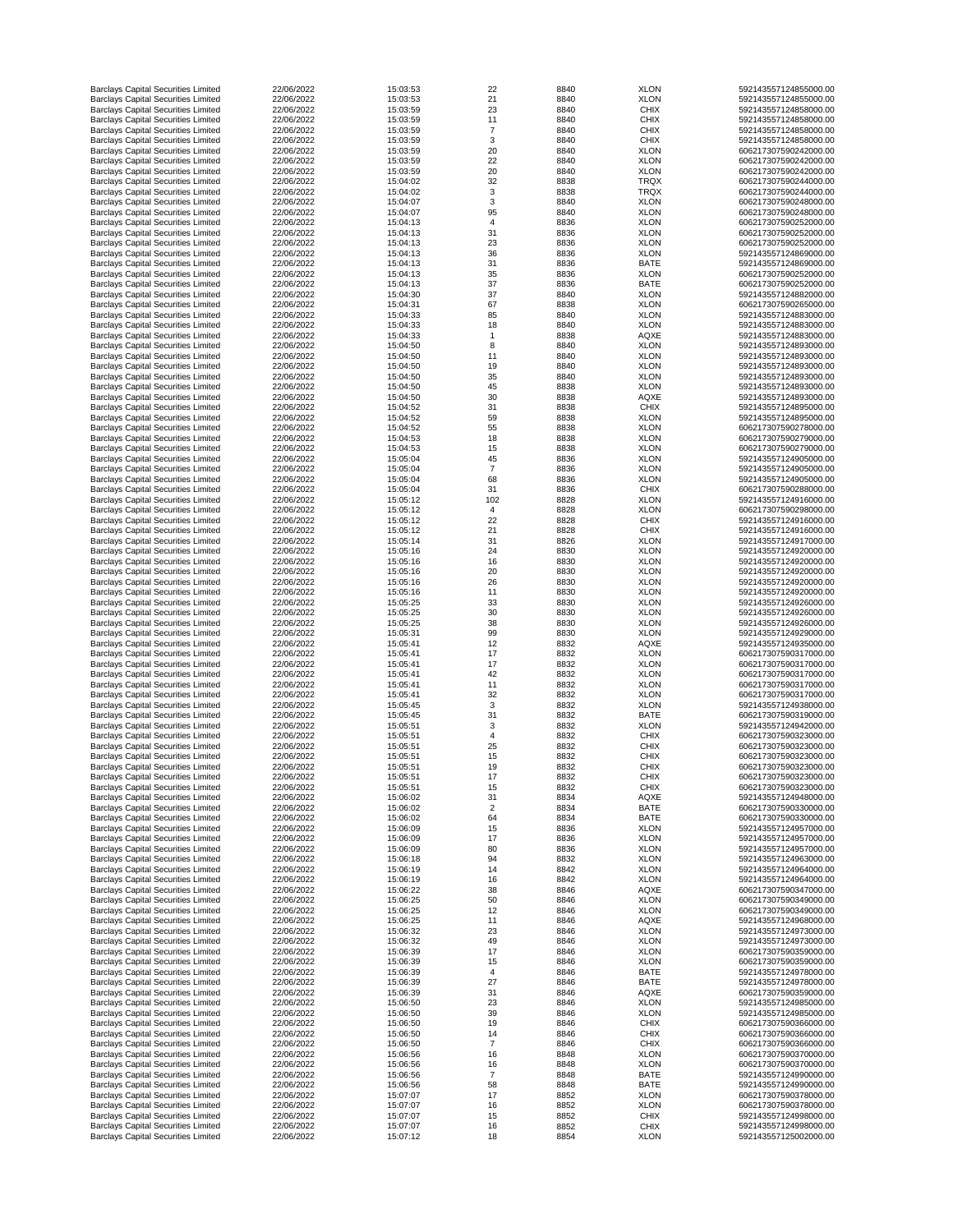| <b>Barclays Capital Securities Limited</b>                                               | 22/06/2022               | 15:03:53             | 22                   | 8840         | <b>XLON</b>                | 592143557124855000.00                          |
|------------------------------------------------------------------------------------------|--------------------------|----------------------|----------------------|--------------|----------------------------|------------------------------------------------|
| <b>Barclays Capital Securities Limited</b>                                               | 22/06/2022               | 15:03:53             | 21                   | 8840         | <b>XLON</b>                | 592143557124855000.00                          |
| <b>Barclays Capital Securities Limited</b>                                               | 22/06/2022               | 15:03:59             | 23                   | 8840         | <b>CHIX</b>                | 592143557124858000.00                          |
| <b>Barclays Capital Securities Limited</b>                                               | 22/06/2022               | 15:03:59             | 11<br>$\overline{7}$ | 8840         | <b>CHIX</b>                | 592143557124858000.00                          |
| <b>Barclays Capital Securities Limited</b><br><b>Barclays Capital Securities Limited</b> | 22/06/2022<br>22/06/2022 | 15:03:59<br>15:03:59 | $\sqrt{3}$           | 8840<br>8840 | <b>CHIX</b><br><b>CHIX</b> | 592143557124858000.00<br>592143557124858000.00 |
| <b>Barclays Capital Securities Limited</b>                                               | 22/06/2022               | 15:03:59             | 20                   | 8840         | <b>XLON</b>                | 606217307590242000.00                          |
| <b>Barclays Capital Securities Limited</b>                                               | 22/06/2022               | 15:03:59             | 22                   | 8840         | <b>XLON</b>                | 606217307590242000.00                          |
| <b>Barclays Capital Securities Limited</b>                                               | 22/06/2022               | 15:03:59             | 20                   | 8840         | <b>XLON</b>                | 606217307590242000.00                          |
| <b>Barclays Capital Securities Limited</b>                                               | 22/06/2022               | 15:04:02             | 32                   | 8838         | <b>TRQX</b>                | 606217307590244000.00                          |
| <b>Barclays Capital Securities Limited</b>                                               | 22/06/2022               | 15:04:02             | 3                    | 8838         | <b>TRQX</b>                | 606217307590244000.00                          |
| <b>Barclays Capital Securities Limited</b>                                               | 22/06/2022               | 15:04:07             | 3                    | 8840         | <b>XLON</b>                | 606217307590248000.00                          |
| <b>Barclays Capital Securities Limited</b>                                               | 22/06/2022               | 15:04:07             | 95                   | 8840         | <b>XLON</b>                | 606217307590248000.00                          |
| <b>Barclays Capital Securities Limited</b>                                               | 22/06/2022               | 15:04:13             | $\overline{4}$       | 8836         | <b>XLON</b>                | 606217307590252000.00                          |
| <b>Barclays Capital Securities Limited</b><br><b>Barclays Capital Securities Limited</b> | 22/06/2022<br>22/06/2022 | 15:04:13<br>15:04:13 | 31<br>23             | 8836<br>8836 | <b>XLON</b><br><b>XLON</b> | 606217307590252000.00<br>606217307590252000.00 |
| <b>Barclays Capital Securities Limited</b>                                               | 22/06/2022               | 15:04:13             | 36                   | 8836         | <b>XLON</b>                | 592143557124869000.00                          |
| <b>Barclays Capital Securities Limited</b>                                               | 22/06/2022               | 15:04:13             | 31                   | 8836         | <b>BATE</b>                | 592143557124869000.00                          |
| <b>Barclays Capital Securities Limited</b>                                               | 22/06/2022               | 15:04:13             | 35                   | 8836         | <b>XLON</b>                | 606217307590252000.00                          |
| <b>Barclays Capital Securities Limited</b>                                               | 22/06/2022               | 15:04:13             | 37                   | 8836         | <b>BATE</b>                | 606217307590252000.00                          |
| <b>Barclays Capital Securities Limited</b>                                               | 22/06/2022               | 15:04:30             | 37                   | 8840         | <b>XLON</b>                | 592143557124882000.00                          |
| <b>Barclays Capital Securities Limited</b>                                               | 22/06/2022               | 15:04:31             | 67                   | 8838         | <b>XLON</b>                | 606217307590265000.00                          |
| <b>Barclays Capital Securities Limited</b>                                               | 22/06/2022               | 15:04:33             | 85                   | 8840         | <b>XLON</b>                | 592143557124883000.00                          |
| <b>Barclays Capital Securities Limited</b>                                               | 22/06/2022               | 15:04:33             | 18                   | 8840         | <b>XLON</b>                | 592143557124883000.00                          |
| <b>Barclays Capital Securities Limited</b><br><b>Barclays Capital Securities Limited</b> | 22/06/2022<br>22/06/2022 | 15:04:33<br>15:04:50 | 8                    | 8838<br>8840 | <b>AQXE</b><br><b>XLON</b> | 592143557124883000.00<br>592143557124893000.00 |
| <b>Barclays Capital Securities Limited</b>                                               | 22/06/2022               | 15:04:50             | 11                   | 8840         | <b>XLON</b>                | 592143557124893000.00                          |
| <b>Barclays Capital Securities Limited</b>                                               | 22/06/2022               | 15:04:50             | 19                   | 8840         | <b>XLON</b>                | 592143557124893000.00                          |
| <b>Barclays Capital Securities Limited</b>                                               | 22/06/2022               | 15:04:50             | 35                   | 8840         | <b>XLON</b>                | 592143557124893000.00                          |
| <b>Barclays Capital Securities Limited</b>                                               | 22/06/2022               | 15:04:50             | 45                   | 8838         | <b>XLON</b>                | 592143557124893000.00                          |
| <b>Barclays Capital Securities Limited</b>                                               | 22/06/2022               | 15:04:50             | 30                   | 8838         | <b>AQXE</b>                | 592143557124893000.00                          |
| <b>Barclays Capital Securities Limited</b>                                               | 22/06/2022               | 15:04:52             | 31                   | 8838         | <b>CHIX</b>                | 592143557124895000.00                          |
| <b>Barclays Capital Securities Limited</b>                                               | 22/06/2022               | 15:04:52             | 59                   | 8838         | <b>XLON</b>                | 592143557124895000.00                          |
| <b>Barclays Capital Securities Limited</b>                                               | 22/06/2022               | 15:04:52             | 55                   | 8838         | <b>XLON</b>                | 606217307590278000.00                          |
| <b>Barclays Capital Securities Limited</b>                                               | 22/06/2022               | 15:04:53             | 18                   | 8838         | <b>XLON</b>                | 606217307590279000.00                          |
| <b>Barclays Capital Securities Limited</b>                                               | 22/06/2022               | 15:04:53             | 15                   | 8838         | <b>XLON</b>                | 606217307590279000.00                          |
| <b>Barclays Capital Securities Limited</b>                                               | 22/06/2022               | 15:05:04             | 45                   | 8836         | <b>XLON</b>                | 592143557124905000.00                          |
| <b>Barclays Capital Securities Limited</b>                                               | 22/06/2022<br>22/06/2022 | 15:05:04<br>15:05:04 | 68                   | 8836         | <b>XLON</b><br><b>XLON</b> | 592143557124905000.00<br>592143557124905000.00 |
| <b>Barclays Capital Securities Limited</b><br><b>Barclays Capital Securities Limited</b> | 22/06/2022               | 15:05:04             | 31                   | 8836<br>8836 | <b>CHIX</b>                | 606217307590288000.00                          |
| <b>Barclays Capital Securities Limited</b>                                               | 22/06/2022               | 15:05:12             | 102                  | 8828         | <b>XLON</b>                | 592143557124916000.00                          |
| <b>Barclays Capital Securities Limited</b>                                               | 22/06/2022               | 15:05:12             | 4                    | 8828         | <b>XLON</b>                | 606217307590298000.00                          |
| <b>Barclays Capital Securities Limited</b>                                               | 22/06/2022               | 15:05:12             | 22                   | 8828         | <b>CHIX</b>                | 592143557124916000.00                          |
| <b>Barclays Capital Securities Limited</b>                                               | 22/06/2022               | 15:05:12             | 21                   | 8828         | <b>CHIX</b>                | 592143557124916000.00                          |
| <b>Barclays Capital Securities Limited</b>                                               | 22/06/2022               | 15:05:14             | 31                   | 8826         | <b>XLON</b>                | 592143557124917000.00                          |
| <b>Barclays Capital Securities Limited</b>                                               | 22/06/2022               | 15:05:16             | 24                   | 8830         | <b>XLON</b>                | 592143557124920000.00                          |
| <b>Barclays Capital Securities Limited</b>                                               | 22/06/2022               | 15:05:16             | 16                   | 8830         | <b>XLON</b>                | 592143557124920000.00                          |
| <b>Barclays Capital Securities Limited</b>                                               | 22/06/2022               | 15:05:16             | 20                   | 8830         | <b>XLON</b>                | 592143557124920000.00                          |
| <b>Barclays Capital Securities Limited</b>                                               | 22/06/2022               | 15:05:16             | 26                   | 8830         | <b>XLON</b>                | 592143557124920000.00                          |
| <b>Barclays Capital Securities Limited</b>                                               | 22/06/2022               | 15:05:16             | 11                   | 8830         | <b>XLON</b>                | 592143557124920000.00                          |
| <b>Barclays Capital Securities Limited</b>                                               | 22/06/2022               | 15:05:25             | 33                   | 8830         | <b>XLON</b>                | 592143557124926000.00                          |
| <b>Barclays Capital Securities Limited</b>                                               | 22/06/2022               | 15:05:25             | 30                   | 8830         | <b>XLON</b>                | 592143557124926000.00                          |
| <b>Barclays Capital Securities Limited</b>                                               | 22/06/2022<br>22/06/2022 | 15:05:25<br>15:05:31 | 38                   | 8830         | <b>XLON</b><br><b>XLON</b> | 592143557124926000.00<br>592143557124929000.00 |
| <b>Barclays Capital Securities Limited</b><br><b>Barclays Capital Securities Limited</b> | 22/06/2022               | 15:05:41             | 99<br>12             | 8830<br>8832 | <b>AQXE</b>                | 592143557124935000.00                          |
| <b>Barclays Capital Securities Limited</b>                                               | 22/06/2022               | 15:05:41             | 17                   | 8832         | <b>XLON</b>                | 606217307590317000.00                          |
| <b>Barclays Capital Securities Limited</b>                                               | 22/06/2022               | 15:05:41             | 17                   | 8832         | <b>XLON</b>                | 606217307590317000.00                          |
| <b>Barclays Capital Securities Limited</b>                                               | 22/06/2022               | 15:05:41             | 42                   | 8832         | <b>XLON</b>                | 606217307590317000.00                          |
| <b>Barclays Capital Securities Limited</b>                                               | 22/06/2022               | 15:05:41             | 11                   | 8832         | <b>XLON</b>                | 606217307590317000.00                          |
| <b>Barclays Capital Securities Limited</b>                                               | 22/06/2022               | 15:05:41             | 32                   | 8832         | <b>XLON</b>                | 606217307590317000.00                          |
| <b>Barclays Capital Securities Limited</b>                                               | 22/06/2022               | 15:05:45             | 3                    | 8832         | <b>XLON</b>                | 592143557124938000.00                          |
| <b>Barclays Capital Securities Limited</b>                                               | 22/06/2022               | 15:05:45             | 31                   | 8832         | <b>BATE</b>                | 606217307590319000.00                          |
| <b>Barclays Capital Securities Limited</b>                                               | 22/06/2022               | 15:05:51             | 3                    | 8832         | <b>XLON</b>                | 592143557124942000.00                          |
| <b>Barclays Capital Securities Limited</b>                                               | 22/06/2022               | 15:05:51             | 4                    | 8832         | <b>CHIX</b>                | 606217307590323000.00                          |
| <b>Barclays Capital Securities Limited</b>                                               | 22/06/2022               | 15:05:51             | 25                   | 8832         | <b>CHIX</b>                | 606217307590323000.00                          |
| <b>Barclays Capital Securities Limited</b>                                               | 22/06/2022               | 15:05:51             | 15                   | 8832         | <b>CHIX</b>                | 606217307590323000.00                          |
| <b>Barclays Capital Securities Limited</b><br><b>Barclays Capital Securities Limited</b> | 22/06/2022<br>22/06/2022 | 15:05:51<br>15:05:51 | 19<br>17             | 8832<br>8832 | <b>CHIX</b><br><b>CHIX</b> | 606217307590323000.00<br>606217307590323000.00 |
| <b>Barclays Capital Securities Limited</b>                                               | 22/06/2022               | 15:05:51             | 15                   | 8832         | <b>CHIX</b>                | 606217307590323000.00                          |
| <b>Barclays Capital Securities Limited</b>                                               | 22/06/2022               | 15:06:02             | 31                   | 8834         | <b>AQXE</b>                | 592143557124948000.00                          |
| <b>Barclays Capital Securities Limited</b>                                               | 22/06/2022               | 15:06:02             | $\overline{2}$       | 8834         | <b>BATE</b>                | 606217307590330000.00                          |
| <b>Barclays Capital Securities Limited</b>                                               | 22/06/2022               | 15:06:02             | 64                   | 8834         | <b>BATE</b>                | 606217307590330000.00                          |
| <b>Barclays Capital Securities Limited</b>                                               | 22/06/2022               | 15:06:09             | 15                   | 8836         | <b>XLON</b>                | 592143557124957000.00                          |
| <b>Barclays Capital Securities Limited</b>                                               | 22/06/2022               | 15:06:09             | 17                   | 8836         | <b>XLON</b>                | 592143557124957000.00                          |
| <b>Barclays Capital Securities Limited</b>                                               | 22/06/2022               | 15:06:09             | 80                   | 8836         | <b>XLON</b>                | 592143557124957000.00                          |
| <b>Barclays Capital Securities Limited</b>                                               | 22/06/2022               | 15:06:18             | 94                   | 8832         | <b>XLON</b>                | 592143557124963000.00                          |
| <b>Barclays Capital Securities Limited</b>                                               | 22/06/2022               | 15:06:19             | 14                   | 8842         | <b>XLON</b>                | 592143557124964000.00                          |
| <b>Barclays Capital Securities Limited</b>                                               | 22/06/2022               | 15:06:19             | 16                   | 8842         | <b>XLON</b>                | 592143557124964000.00                          |
| <b>Barclays Capital Securities Limited</b><br><b>Barclays Capital Securities Limited</b> | 22/06/2022<br>22/06/2022 | 15:06:22<br>15:06:25 | 38<br>50             | 8846<br>8846 | <b>AQXE</b><br><b>XLON</b> | 606217307590347000.00<br>606217307590349000.00 |
| <b>Barclays Capital Securities Limited</b>                                               | 22/06/2022               | 15:06:25             | 12                   | 8846         | <b>XLON</b>                | 606217307590349000.00                          |
| <b>Barclays Capital Securities Limited</b>                                               | 22/06/2022               | 15:06:25             | 11                   | 8846         | <b>AQXE</b>                | 592143557124968000.00                          |
| <b>Barclays Capital Securities Limited</b>                                               | 22/06/2022               | 15:06:32             | 23                   | 8846         | <b>XLON</b>                | 592143557124973000.00                          |
| <b>Barclays Capital Securities Limited</b>                                               | 22/06/2022               | 15:06:32             | 49                   | 8846         | <b>XLON</b>                | 592143557124973000.00                          |
| <b>Barclays Capital Securities Limited</b>                                               | 22/06/2022               | 15:06:39             | 17                   | 8846         | <b>XLON</b>                | 606217307590359000.00                          |
| <b>Barclays Capital Securities Limited</b>                                               | 22/06/2022               | 15:06:39             | 15                   | 8846         | <b>XLON</b>                | 606217307590359000.00                          |
| <b>Barclays Capital Securities Limited</b>                                               | 22/06/2022               | 15:06:39             | 4                    | 8846         | <b>BATE</b>                | 592143557124978000.00                          |
| <b>Barclays Capital Securities Limited</b>                                               | 22/06/2022               | 15:06:39             | 27                   | 8846         | <b>BATE</b>                | 592143557124978000.00                          |
| <b>Barclays Capital Securities Limited</b>                                               | 22/06/2022               | 15:06:39             | 31                   | 8846         | <b>AQXE</b>                | 606217307590359000.00                          |
| <b>Barclays Capital Securities Limited</b>                                               | 22/06/2022               | 15:06:50             | 23                   | 8846         | <b>XLON</b>                | 592143557124985000.00                          |
| <b>Barclays Capital Securities Limited</b>                                               | 22/06/2022               | 15:06:50             | 39                   | 8846         | <b>XLON</b>                | 592143557124985000.00                          |
| <b>Barclays Capital Securities Limited</b>                                               | 22/06/2022               | 15:06:50             | 19                   | 8846         | <b>CHIX</b>                | 606217307590366000.00                          |
| <b>Barclays Capital Securities Limited</b>                                               | 22/06/2022               | 15:06:50             | 14<br>$\overline{7}$ | 8846<br>8846 | <b>CHIX</b><br><b>CHIX</b> | 606217307590366000.00                          |
| <b>Barclays Capital Securities Limited</b><br><b>Barclays Capital Securities Limited</b> | 22/06/2022<br>22/06/2022 | 15:06:50<br>15:06:56 | 16                   | 8848         | <b>XLON</b>                | 606217307590366000.00<br>606217307590370000.00 |
| <b>Barclays Capital Securities Limited</b>                                               | 22/06/2022               | 15:06:56             | 16                   | 8848         | <b>XLON</b>                | 606217307590370000.00                          |
| <b>Barclays Capital Securities Limited</b>                                               | 22/06/2022               | 15:06:56             |                      | 8848         | <b>BATE</b>                | 592143557124990000.00                          |
| <b>Barclays Capital Securities Limited</b>                                               | 22/06/2022               | 15:06:56             | 58                   | 8848         | <b>BATE</b>                | 592143557124990000.00                          |
| <b>Barclays Capital Securities Limited</b>                                               | 22/06/2022               | 15:07:07             | 17                   | 8852         | <b>XLON</b>                | 606217307590378000.00                          |
| <b>Barclays Capital Securities Limited</b>                                               | 22/06/2022               | 15:07:07             | 16                   | 8852         | <b>XLON</b>                | 606217307590378000.00                          |
| <b>Barclays Capital Securities Limited</b>                                               | 22/06/2022               | 15:07:07             | 15                   | 8852         | <b>CHIX</b>                | 592143557124998000.00                          |
| <b>Barclays Capital Securities Limited</b>                                               | 22/06/2022               | 15:07:07             | 16                   | 8852         | <b>CHIX</b>                | 592143557124998000.00                          |
| <b>Barclays Capital Securities Limited</b>                                               | 22/06/2022               | 15:07:12             | 18                   | 8854         | <b>XLON</b>                | 592143557125002000.00                          |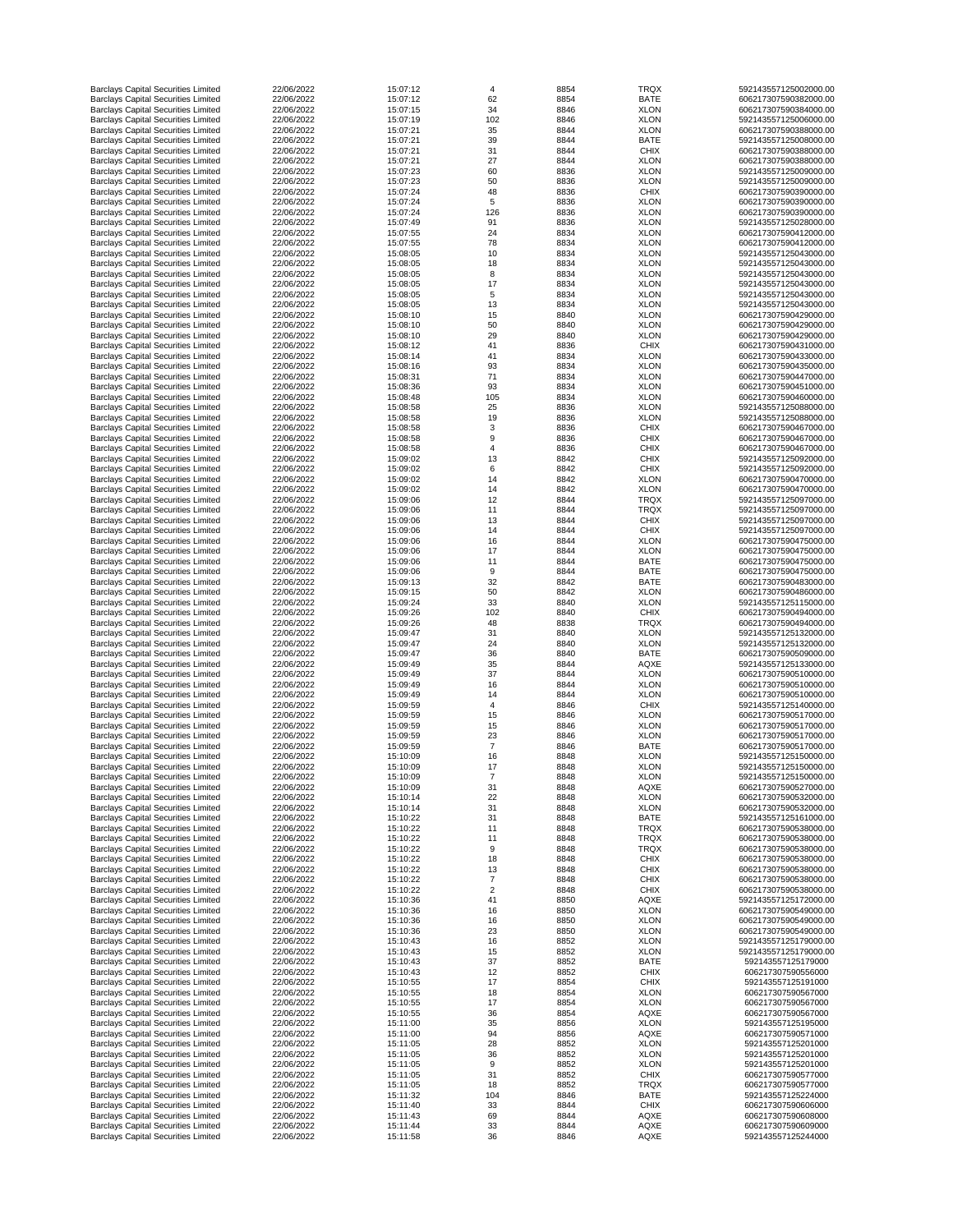| <b>Barclays Capital Securities Limited</b>                                               | 22/06/2022               | 15:07:12             | 4               | 8854         | <b>TRQX</b>                | 592143557125002000.00                          |
|------------------------------------------------------------------------------------------|--------------------------|----------------------|-----------------|--------------|----------------------------|------------------------------------------------|
| <b>Barclays Capital Securities Limited</b>                                               | 22/06/2022               | 15:07:12             | 62              | 8854         | <b>BATE</b>                | 606217307590382000.00                          |
| <b>Barclays Capital Securities Limited</b>                                               | 22/06/2022               | 15:07:15             | 34              | 8846         | <b>XLON</b>                | 606217307590384000.00                          |
| <b>Barclays Capital Securities Limited</b>                                               | 22/06/2022               | 15:07:19             | 102             | 8846         | <b>XLON</b>                | 592143557125006000.00                          |
| <b>Barclays Capital Securities Limited</b>                                               | 22/06/2022               | 15:07:21             | 35              | 8844         | <b>XLON</b><br><b>BATE</b> | 606217307590388000.00                          |
| <b>Barclays Capital Securities Limited</b><br><b>Barclays Capital Securities Limited</b> | 22/06/2022<br>22/06/2022 | 15:07:21<br>15:07:21 | 39<br>31        | 8844<br>8844 | <b>CHIX</b>                | 592143557125008000.00<br>606217307590388000.00 |
| <b>Barclays Capital Securities Limited</b>                                               | 22/06/2022               | 15:07:21             | 27              | 8844         | <b>XLON</b>                | 606217307590388000.00                          |
| <b>Barclays Capital Securities Limited</b>                                               | 22/06/2022               | 15:07:23             | 60              | 8836         | <b>XLON</b>                | 592143557125009000.00                          |
| <b>Barclays Capital Securities Limited</b>                                               | 22/06/2022               | 15:07:23             | 50              | 8836         | <b>XLON</b>                | 592143557125009000.00                          |
| <b>Barclays Capital Securities Limited</b>                                               | 22/06/2022               | 15:07:24             | 48              | 8836         | <b>CHIX</b>                | 606217307590390000.00                          |
| <b>Barclays Capital Securities Limited</b>                                               | 22/06/2022               | 15:07:24             | $5\phantom{.0}$ | 8836         | <b>XLON</b>                | 606217307590390000.00                          |
| <b>Barclays Capital Securities Limited</b>                                               | 22/06/2022               | 15:07:24             | 126             | 8836         | <b>XLON</b>                | 606217307590390000.00                          |
| <b>Barclays Capital Securities Limited</b>                                               | 22/06/2022               | 15:07:49             | 91              | 8836         | <b>XLON</b>                | 592143557125028000.00                          |
| <b>Barclays Capital Securities Limited</b>                                               | 22/06/2022               | 15:07:55             | 24              | 8834         | <b>XLON</b>                | 606217307590412000.00                          |
| <b>Barclays Capital Securities Limited</b>                                               | 22/06/2022               | 15:07:55             | 78              | 8834         | <b>XLON</b>                | 606217307590412000.00                          |
| <b>Barclays Capital Securities Limited</b>                                               | 22/06/2022               | 15:08:05             | 10              | 8834         | <b>XLON</b>                | 592143557125043000.00                          |
| <b>Barclays Capital Securities Limited</b>                                               | 22/06/2022               | 15:08:05             | 18              | 8834         | <b>XLON</b><br><b>XLON</b> | 592143557125043000.00                          |
| <b>Barclays Capital Securities Limited</b><br><b>Barclays Capital Securities Limited</b> | 22/06/2022<br>22/06/2022 | 15:08:05<br>15:08:05 | 8<br>17         | 8834<br>8834 | <b>XLON</b>                | 592143557125043000.00<br>592143557125043000.00 |
| <b>Barclays Capital Securities Limited</b>                                               | 22/06/2022               | 15:08:05             | $\overline{5}$  | 8834         | <b>XLON</b>                | 592143557125043000.00                          |
| <b>Barclays Capital Securities Limited</b>                                               | 22/06/2022               | 15:08:05             | 13              | 8834         | <b>XLON</b>                | 592143557125043000.00                          |
| <b>Barclays Capital Securities Limited</b>                                               | 22/06/2022               | 15:08:10             | 15              | 8840         | <b>XLON</b>                | 606217307590429000.00                          |
| <b>Barclays Capital Securities Limited</b>                                               | 22/06/2022               | 15:08:10             | 50              | 8840         | <b>XLON</b>                | 606217307590429000.00                          |
| <b>Barclays Capital Securities Limited</b>                                               | 22/06/2022               | 15:08:10             | 29              | 8840         | <b>XLON</b>                | 606217307590429000.00                          |
| <b>Barclays Capital Securities Limited</b>                                               | 22/06/2022               | 15:08:12             | 41              | 8836         | <b>CHIX</b>                | 606217307590431000.00                          |
| <b>Barclays Capital Securities Limited</b>                                               | 22/06/2022               | 15:08:14             | 41              | 8834         | <b>XLON</b>                | 606217307590433000.00                          |
| <b>Barclays Capital Securities Limited</b>                                               | 22/06/2022               | 15:08:16             | 93              | 8834         | <b>XLON</b>                | 606217307590435000.00                          |
| <b>Barclays Capital Securities Limited</b>                                               | 22/06/2022               | 15:08:31             | 71              | 8834         | <b>XLON</b>                | 606217307590447000.00                          |
| <b>Barclays Capital Securities Limited</b>                                               | 22/06/2022               | 15:08:36             | 93              | 8834         | <b>XLON</b>                | 606217307590451000.00                          |
| <b>Barclays Capital Securities Limited</b>                                               | 22/06/2022               | 15:08:48             | 105             | 8834         | <b>XLON</b>                | 606217307590460000.00                          |
| <b>Barclays Capital Securities Limited</b><br><b>Barclays Capital Securities Limited</b> | 22/06/2022<br>22/06/2022 | 15:08:58<br>15:08:58 | 25<br>19        | 8836<br>8836 | <b>XLON</b><br><b>XLON</b> | 592143557125088000.00<br>592143557125088000.00 |
| <b>Barclays Capital Securities Limited</b>                                               | 22/06/2022               | 15:08:58             |                 | 8836         | <b>CHIX</b>                | 606217307590467000.00                          |
| <b>Barclays Capital Securities Limited</b>                                               | 22/06/2022               | 15:08:58             |                 | 8836         | <b>CHIX</b>                | 606217307590467000.00                          |
| <b>Barclays Capital Securities Limited</b>                                               | 22/06/2022               | 15:08:58             |                 | 8836         | <b>CHIX</b>                | 606217307590467000.00                          |
| <b>Barclays Capital Securities Limited</b>                                               | 22/06/2022               | 15:09:02             | 13              | 8842         | <b>CHIX</b>                | 592143557125092000.00                          |
| <b>Barclays Capital Securities Limited</b>                                               | 22/06/2022               | 15:09:02             |                 | 8842         | <b>CHIX</b>                | 592143557125092000.00                          |
| <b>Barclays Capital Securities Limited</b>                                               | 22/06/2022               | 15:09:02             | 14              | 8842         | <b>XLON</b>                | 606217307590470000.00                          |
| <b>Barclays Capital Securities Limited</b>                                               | 22/06/2022               | 15:09:02             | 14              | 8842         | <b>XLON</b>                | 606217307590470000.00                          |
| <b>Barclays Capital Securities Limited</b>                                               | 22/06/2022               | 15:09:06             | 12              | 8844         | <b>TRQX</b>                | 592143557125097000.00                          |
| <b>Barclays Capital Securities Limited</b>                                               | 22/06/2022               | 15:09:06             | 11              | 8844         | <b>TRQX</b>                | 592143557125097000.00                          |
| <b>Barclays Capital Securities Limited</b>                                               | 22/06/2022               | 15:09:06             | 13              | 8844         | <b>CHIX</b>                | 592143557125097000.00                          |
| <b>Barclays Capital Securities Limited</b>                                               | 22/06/2022               | 15:09:06             | 14              | 8844         | <b>CHIX</b>                | 592143557125097000.00                          |
| <b>Barclays Capital Securities Limited</b>                                               | 22/06/2022               | 15:09:06             | 16              | 8844         | <b>XLON</b>                | 606217307590475000.00                          |
| <b>Barclays Capital Securities Limited</b>                                               | 22/06/2022               | 15:09:06             | 17              | 8844         | <b>XLON</b>                | 606217307590475000.00                          |
| <b>Barclays Capital Securities Limited</b>                                               | 22/06/2022<br>22/06/2022 | 15:09:06             | 11              | 8844<br>8844 | <b>BATE</b><br><b>BATE</b> | 606217307590475000.00                          |
| <b>Barclays Capital Securities Limited</b><br><b>Barclays Capital Securities Limited</b> | 22/06/2022               | 15:09:06<br>15:09:13 | 9<br>32         | 8842         | <b>BATE</b>                | 606217307590475000.00<br>606217307590483000.00 |
| <b>Barclays Capital Securities Limited</b>                                               | 22/06/2022               | 15:09:15             | 50              | 8842         | <b>XLON</b>                | 606217307590486000.00                          |
| <b>Barclays Capital Securities Limited</b>                                               | 22/06/2022               | 15:09:24             | 33              | 8840         | <b>XLON</b>                | 592143557125115000.00                          |
| <b>Barclays Capital Securities Limited</b>                                               | 22/06/2022               | 15:09:26             | 102             | 8840         | <b>CHIX</b>                | 606217307590494000.00                          |
| <b>Barclays Capital Securities Limited</b>                                               | 22/06/2022               | 15:09:26             | 48              | 8838         | <b>TRQX</b>                | 606217307590494000.00                          |
| <b>Barclays Capital Securities Limited</b>                                               | 22/06/2022               | 15:09:47             | 31              | 8840         | <b>XLON</b>                | 592143557125132000.00                          |
| <b>Barclays Capital Securities Limited</b>                                               | 22/06/2022               | 15:09:47             | 24              | 8840         | <b>XLON</b>                | 592143557125132000.00                          |
| <b>Barclays Capital Securities Limited</b>                                               | 22/06/2022               | 15:09:47             | 36              | 8840         | <b>BATE</b>                | 606217307590509000.00                          |
| <b>Barclays Capital Securities Limited</b>                                               | 22/06/2022               | 15:09:49             | 35              | 8844         | <b>AQXE</b>                | 592143557125133000.00                          |
| <b>Barclays Capital Securities Limited</b>                                               | 22/06/2022               | 15:09:49             | 37              | 8844         | <b>XLON</b>                | 606217307590510000.00                          |
| <b>Barclays Capital Securities Limited</b>                                               | 22/06/2022               | 15:09:49             | 16              | 8844         | <b>XLON</b>                | 606217307590510000.00                          |
| <b>Barclays Capital Securities Limited</b>                                               | 22/06/2022<br>22/06/2022 | 15:09:49<br>15:09:59 | 14              | 8844         | <b>XLON</b><br><b>CHIX</b> | 606217307590510000.00<br>592143557125140000.00 |
| <b>Barclays Capital Securities Limited</b><br><b>Barclays Capital Securities Limited</b> | 22/06/2022               | 15:09:59             | 4<br>15         | 8846<br>8846 | <b>XLON</b>                | 606217307590517000.00                          |
| <b>Barclays Capital Securities Limited</b>                                               | 22/06/2022               | 15:09:59             | 15              | 8846         | <b>XLON</b>                | 606217307590517000.00                          |
| <b>Barclays Capital Securities Limited</b>                                               | 22/06/2022               | 15:09:59             | 23              | 8846         | <b>XLON</b>                | 606217307590517000.00                          |
| <b>Barclays Capital Securities Limited</b>                                               | 22/06/2022               | 15:09:59             | $\overline{7}$  | 8846         | <b>BATE</b>                | 606217307590517000.00                          |
| <b>Barclays Capital Securities Limited</b>                                               | 22/06/2022               | 15:10:09             | 16              | 8848         | <b>XLON</b>                | 592143557125150000.00                          |
| <b>Barclays Capital Securities Limited</b>                                               | 22/06/2022               | 15:10:09             | 17              | 8848         | <b>XLON</b>                | 592143557125150000.00                          |
| <b>Barclays Capital Securities Limited</b>                                               | 22/06/2022               | 15:10:09             | 7               | 8848         | <b>XLON</b>                | 592143557125150000.00                          |
| <b>Barclays Capital Securities Limited</b>                                               | 22/06/2022               | 15:10:09             | 31              | 8848         | <b>AQXE</b>                | 606217307590527000.00                          |
| <b>Barclays Capital Securities Limited</b>                                               | 22/06/2022               | 15:10:14             | 22              | 8848         | <b>XLON</b>                | 606217307590532000.00                          |
| <b>Barclays Capital Securities Limited</b>                                               | 22/06/2022               | 15:10:14             | 31              | 8848         | <b>XLON</b>                | 606217307590532000.00                          |
| <b>Barclays Capital Securities Limited</b><br><b>Barclays Capital Securities Limited</b> | 22/06/2022<br>22/06/2022 | 15:10:22<br>15:10:22 | 31<br>11        | 8848<br>8848 | <b>BATE</b><br><b>TRQX</b> | 592143557125161000.00<br>606217307590538000.00 |
| <b>Barclays Capital Securities Limited</b>                                               | 22/06/2022               | 15:10:22             | 11              | 8848         | <b>TRQX</b>                | 606217307590538000.00                          |
| <b>Barclays Capital Securities Limited</b>                                               | 22/06/2022               | 15:10:22             | 9               | 8848         | <b>TRQX</b>                | 606217307590538000.00                          |
| <b>Barclays Capital Securities Limited</b>                                               | 22/06/2022               | 15:10:22             | 18              | 8848         | <b>CHIX</b>                | 606217307590538000.00                          |
| <b>Barclays Capital Securities Limited</b>                                               | 22/06/2022               | 15:10:22             | 13              | 8848         | <b>CHIX</b>                | 606217307590538000.00                          |
| <b>Barclays Capital Securities Limited</b>                                               | 22/06/2022               | 15:10:22             |                 | 8848         | <b>CHIX</b>                | 606217307590538000.00                          |
| <b>Barclays Capital Securities Limited</b>                                               | 22/06/2022               | 15:10:22             | $\overline{2}$  | 8848         | <b>CHIX</b>                | 606217307590538000.00                          |
| <b>Barclays Capital Securities Limited</b>                                               | 22/06/2022               | 15:10:36             | 41              | 8850         | <b>AQXE</b>                | 592143557125172000.00                          |
| <b>Barclays Capital Securities Limited</b>                                               | 22/06/2022               | 15:10:36             | 16              | 8850         | <b>XLON</b>                | 606217307590549000.00                          |
| <b>Barclays Capital Securities Limited</b>                                               | 22/06/2022               | 15:10:36             | 16              | 8850         | <b>XLON</b>                | 606217307590549000.00                          |
| <b>Barclays Capital Securities Limited</b>                                               | 22/06/2022               | 15:10:36             | 23              | 8850         | <b>XLON</b>                | 606217307590549000.00                          |
| <b>Barclays Capital Securities Limited</b>                                               | 22/06/2022               | 15:10:43             | 16              | 8852         | <b>XLON</b>                | 592143557125179000.00                          |
| <b>Barclays Capital Securities Limited</b><br><b>Barclays Capital Securities Limited</b> | 22/06/2022<br>22/06/2022 | 15:10:43<br>15:10:43 | 15<br>37        | 8852<br>8852 | <b>XLON</b><br><b>BATE</b> | 592143557125179000.00<br>592143557125179000    |
| <b>Barclays Capital Securities Limited</b>                                               | 22/06/2022               | 15:10:43             | 12              | 8852         | <b>CHIX</b>                | 606217307590556000                             |
| <b>Barclays Capital Securities Limited</b>                                               | 22/06/2022               | 15:10:55             | 17              | 8854         | <b>CHIX</b>                | 592143557125191000                             |
| <b>Barclays Capital Securities Limited</b>                                               | 22/06/2022               | 15:10:55             | 18              | 8854         | <b>XLON</b>                | 606217307590567000                             |
| <b>Barclays Capital Securities Limited</b>                                               | 22/06/2022               | 15:10:55             | 17              | 8854         | <b>XLON</b>                | 606217307590567000                             |
| <b>Barclays Capital Securities Limited</b>                                               | 22/06/2022               | 15:10:55             | 36              | 8854         | <b>AQXE</b>                | 606217307590567000                             |
| <b>Barclays Capital Securities Limited</b>                                               | 22/06/2022               | 15:11:00             | 35              | 8856         | <b>XLON</b>                | 592143557125195000                             |
| <b>Barclays Capital Securities Limited</b>                                               | 22/06/2022               | 15:11:00             | 94              | 8856         | <b>AQXE</b>                | 606217307590571000                             |
| <b>Barclays Capital Securities Limited</b>                                               | 22/06/2022               | 15:11:05             | 28              | 8852         | <b>XLON</b>                | 592143557125201000                             |
| <b>Barclays Capital Securities Limited</b>                                               | 22/06/2022               | 15:11:05             | 36              | 8852         | <b>XLON</b>                | 592143557125201000                             |
| <b>Barclays Capital Securities Limited</b>                                               | 22/06/2022               | 15:11:05             | 9               | 8852         | <b>XLON</b>                | 592143557125201000                             |
| <b>Barclays Capital Securities Limited</b>                                               | 22/06/2022               | 15:11:05             | 31              | 8852         | <b>CHIX</b>                | 606217307590577000                             |
| <b>Barclays Capital Securities Limited</b><br><b>Barclays Capital Securities Limited</b> | 22/06/2022<br>22/06/2022 | 15:11:05<br>15:11:32 | 18<br>104       | 8852<br>8846 | <b>TRQX</b><br><b>BATE</b> | 606217307590577000<br>592143557125224000       |
| <b>Barclays Capital Securities Limited</b>                                               | 22/06/2022               | 15:11:40             | 33              | 8844         | <b>CHIX</b>                | 606217307590606000                             |
| <b>Barclays Capital Securities Limited</b>                                               | 22/06/2022               | 15:11:43             | 69              | 8844         | <b>AQXE</b>                | 606217307590608000                             |
| <b>Barclays Capital Securities Limited</b>                                               | 22/06/2022               | 15:11:44             | 33              | 8844         | <b>AQXE</b>                | 606217307590609000                             |
| <b>Barclays Capital Securities Limited</b>                                               | 22/06/2022               | 15:11:58             | 36              | 8846         | <b>AQXE</b>                | 592143557125244000                             |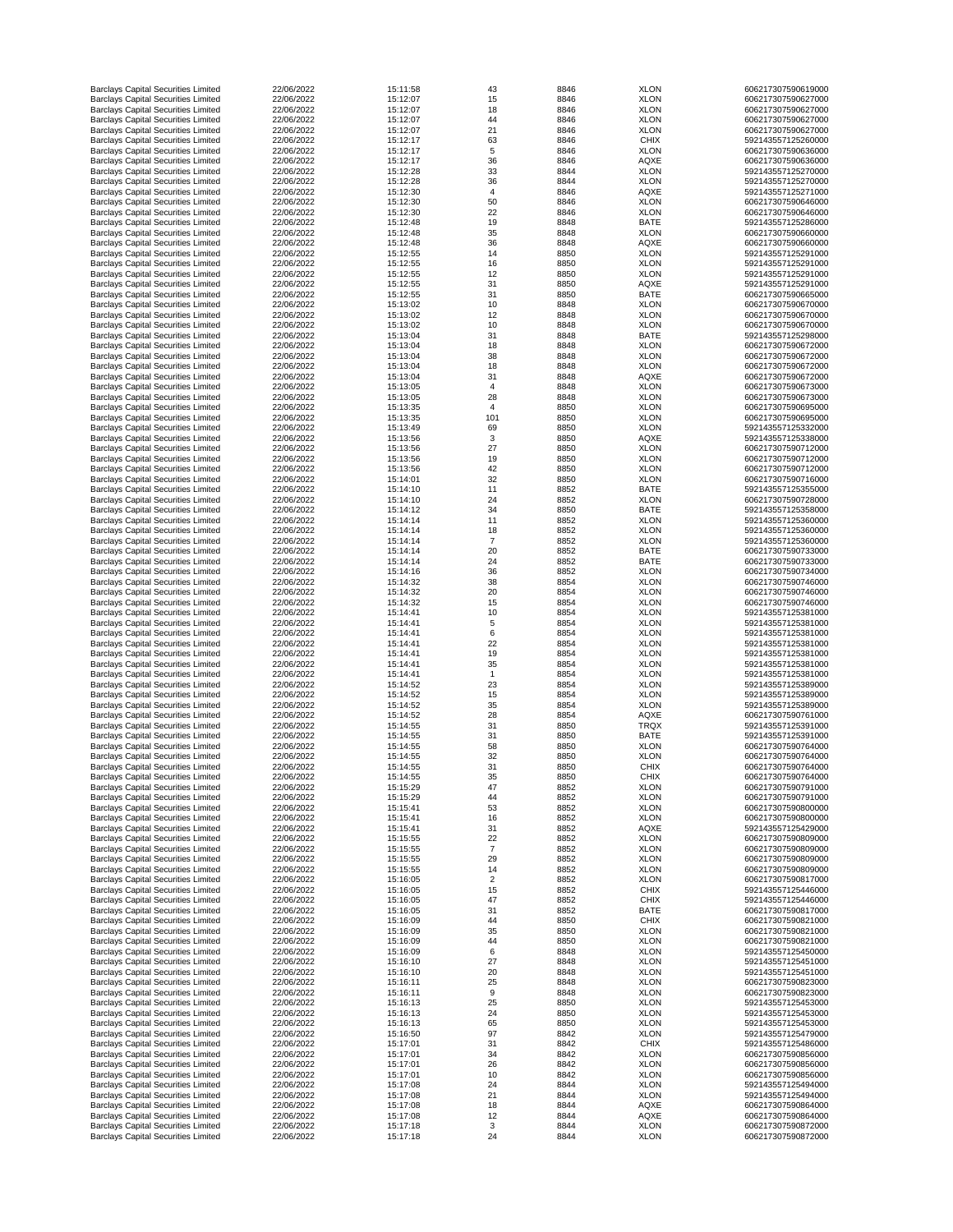| <b>Barclays Capital Securities Limited</b> | 22/06/2022 | 15:11:58 | 43                        | 8846 | <b>XLON</b> | 606217307590619000 |
|--------------------------------------------|------------|----------|---------------------------|------|-------------|--------------------|
| <b>Barclays Capital Securities Limited</b> | 22/06/2022 | 15:12:07 | 15                        | 8846 | <b>XLON</b> | 606217307590627000 |
| <b>Barclays Capital Securities Limited</b> | 22/06/2022 | 15:12:07 | 18                        | 8846 | <b>XLON</b> | 606217307590627000 |
| <b>Barclays Capital Securities Limited</b> | 22/06/2022 | 15:12:07 | 44                        | 8846 | <b>XLON</b> | 606217307590627000 |
| <b>Barclays Capital Securities Limited</b> | 22/06/2022 | 15:12:07 | 21                        | 8846 | <b>XLON</b> | 606217307590627000 |
|                                            |            |          |                           |      |             |                    |
| <b>Barclays Capital Securities Limited</b> | 22/06/2022 | 15:12:17 | 63                        | 8846 | <b>CHIX</b> | 592143557125260000 |
| <b>Barclays Capital Securities Limited</b> | 22/06/2022 | 15:12:17 | 5                         | 8846 | <b>XLON</b> | 606217307590636000 |
| <b>Barclays Capital Securities Limited</b> | 22/06/2022 | 15:12:17 | 36                        | 8846 | <b>AQXE</b> | 606217307590636000 |
| <b>Barclays Capital Securities Limited</b> | 22/06/2022 | 15:12:28 | 33                        | 8844 | <b>XLON</b> | 592143557125270000 |
| <b>Barclays Capital Securities Limited</b> | 22/06/2022 | 15:12:28 | 36                        | 8844 | <b>XLON</b> | 592143557125270000 |
| <b>Barclays Capital Securities Limited</b> | 22/06/2022 | 15:12:30 | 4                         | 8846 | <b>AQXE</b> | 592143557125271000 |
| <b>Barclays Capital Securities Limited</b> | 22/06/2022 | 15:12:30 | 50                        | 8846 | <b>XLON</b> | 606217307590646000 |
|                                            |            |          |                           |      |             |                    |
| <b>Barclays Capital Securities Limited</b> | 22/06/2022 | 15:12:30 | 22                        | 8846 | <b>XLON</b> | 606217307590646000 |
| <b>Barclays Capital Securities Limited</b> | 22/06/2022 | 15:12:48 | 19                        | 8848 | <b>BATE</b> | 592143557125286000 |
| <b>Barclays Capital Securities Limited</b> | 22/06/2022 | 15:12:48 | 35                        | 8848 | <b>XLON</b> | 606217307590660000 |
| <b>Barclays Capital Securities Limited</b> | 22/06/2022 | 15:12:48 | 36                        | 8848 | <b>AQXE</b> | 606217307590660000 |
| <b>Barclays Capital Securities Limited</b> | 22/06/2022 | 15:12:55 | 14                        | 8850 | <b>XLON</b> | 592143557125291000 |
| <b>Barclays Capital Securities Limited</b> | 22/06/2022 | 15:12:55 | 16                        | 8850 | <b>XLON</b> | 592143557125291000 |
|                                            |            |          |                           |      |             |                    |
| <b>Barclays Capital Securities Limited</b> | 22/06/2022 | 15:12:55 | 12                        | 8850 | <b>XLON</b> | 592143557125291000 |
| <b>Barclays Capital Securities Limited</b> | 22/06/2022 | 15:12:55 | 31                        | 8850 | <b>AQXE</b> | 592143557125291000 |
| <b>Barclays Capital Securities Limited</b> | 22/06/2022 | 15:12:55 | 31                        | 8850 | <b>BATE</b> | 606217307590665000 |
| <b>Barclays Capital Securities Limited</b> | 22/06/2022 | 15:13:02 | 10                        | 8848 | <b>XLON</b> | 606217307590670000 |
| <b>Barclays Capital Securities Limited</b> | 22/06/2022 | 15:13:02 | 12                        | 8848 | <b>XLON</b> | 606217307590670000 |
| <b>Barclays Capital Securities Limited</b> | 22/06/2022 | 15:13:02 | 10                        | 8848 | <b>XLON</b> | 606217307590670000 |
|                                            |            |          |                           |      |             |                    |
| <b>Barclays Capital Securities Limited</b> | 22/06/2022 | 15:13:04 | 31                        | 8848 | <b>BATE</b> | 592143557125298000 |
| <b>Barclays Capital Securities Limited</b> | 22/06/2022 | 15:13:04 | 18                        | 8848 | <b>XLON</b> | 606217307590672000 |
| <b>Barclays Capital Securities Limited</b> | 22/06/2022 | 15:13:04 | 38                        | 8848 | <b>XLON</b> | 606217307590672000 |
| <b>Barclays Capital Securities Limited</b> | 22/06/2022 | 15:13:04 | 18                        | 8848 | <b>XLON</b> | 606217307590672000 |
| <b>Barclays Capital Securities Limited</b> | 22/06/2022 | 15:13:04 | 31                        | 8848 | <b>AQXE</b> | 606217307590672000 |
| <b>Barclays Capital Securities Limited</b> | 22/06/2022 | 15:13:05 | $\overline{4}$            | 8848 | <b>XLON</b> | 606217307590673000 |
| <b>Barclays Capital Securities Limited</b> | 22/06/2022 | 15:13:05 | 28                        | 8848 | <b>XLON</b> | 606217307590673000 |
|                                            |            |          |                           |      |             |                    |
| <b>Barclays Capital Securities Limited</b> | 22/06/2022 | 15:13:35 | $\overline{4}$            | 8850 | <b>XLON</b> | 606217307590695000 |
| <b>Barclays Capital Securities Limited</b> | 22/06/2022 | 15:13:35 | 101                       | 8850 | <b>XLON</b> | 606217307590695000 |
| <b>Barclays Capital Securities Limited</b> | 22/06/2022 | 15:13:49 | 69                        | 8850 | <b>XLON</b> | 592143557125332000 |
| <b>Barclays Capital Securities Limited</b> | 22/06/2022 | 15:13:56 | 3                         | 8850 | <b>AQXE</b> | 592143557125338000 |
| <b>Barclays Capital Securities Limited</b> | 22/06/2022 | 15:13:56 | 27                        | 8850 | <b>XLON</b> | 606217307590712000 |
|                                            |            |          |                           |      |             |                    |
| <b>Barclays Capital Securities Limited</b> | 22/06/2022 | 15:13:56 | 19                        | 8850 | <b>XLON</b> | 606217307590712000 |
| <b>Barclays Capital Securities Limited</b> | 22/06/2022 | 15:13:56 | 42                        | 8850 | <b>XLON</b> | 606217307590712000 |
| <b>Barclays Capital Securities Limited</b> | 22/06/2022 | 15:14:01 | 32                        | 8850 | <b>XLON</b> | 606217307590716000 |
| <b>Barclays Capital Securities Limited</b> | 22/06/2022 | 15:14:10 | 11                        | 8852 | <b>BATE</b> | 592143557125355000 |
| <b>Barclays Capital Securities Limited</b> | 22/06/2022 | 15:14:10 | 24                        | 8852 | <b>XLON</b> | 606217307590728000 |
| <b>Barclays Capital Securities Limited</b> | 22/06/2022 | 15:14:12 | 34                        | 8850 | <b>BATE</b> | 592143557125358000 |
|                                            | 22/06/2022 | 15:14:14 |                           | 8852 |             |                    |
| <b>Barclays Capital Securities Limited</b> |            |          | 11                        |      | <b>XLON</b> | 592143557125360000 |
| <b>Barclays Capital Securities Limited</b> | 22/06/2022 | 15:14:14 | 18                        | 8852 | <b>XLON</b> | 592143557125360000 |
| <b>Barclays Capital Securities Limited</b> | 22/06/2022 | 15:14:14 |                           | 8852 | <b>XLON</b> | 592143557125360000 |
| <b>Barclays Capital Securities Limited</b> | 22/06/2022 | 15:14:14 | 20                        | 8852 | <b>BATE</b> | 606217307590733000 |
| <b>Barclays Capital Securities Limited</b> | 22/06/2022 | 15:14:14 | 24                        | 8852 | <b>BATE</b> | 606217307590733000 |
| <b>Barclays Capital Securities Limited</b> | 22/06/2022 | 15:14:16 | 36                        | 8852 | <b>XLON</b> | 606217307590734000 |
| <b>Barclays Capital Securities Limited</b> | 22/06/2022 | 15:14:32 | 38                        | 8854 | <b>XLON</b> | 606217307590746000 |
|                                            |            |          |                           |      |             |                    |
| <b>Barclays Capital Securities Limited</b> | 22/06/2022 | 15:14:32 | 20                        | 8854 | <b>XLON</b> | 606217307590746000 |
| <b>Barclays Capital Securities Limited</b> | 22/06/2022 | 15:14:32 | 15                        | 8854 | <b>XLON</b> | 606217307590746000 |
| <b>Barclays Capital Securities Limited</b> | 22/06/2022 | 15:14:41 | 10                        | 8854 | <b>XLON</b> | 592143557125381000 |
| <b>Barclays Capital Securities Limited</b> | 22/06/2022 | 15:14:41 | 5                         | 8854 | <b>XLON</b> | 592143557125381000 |
| <b>Barclays Capital Securities Limited</b> | 22/06/2022 | 15:14:41 | 6                         | 8854 | <b>XLON</b> | 592143557125381000 |
| <b>Barclays Capital Securities Limited</b> | 22/06/2022 | 15:14:41 | 22                        | 8854 | <b>XLON</b> | 592143557125381000 |
| <b>Barclays Capital Securities Limited</b> | 22/06/2022 | 15:14:41 | 19                        | 8854 | <b>XLON</b> | 592143557125381000 |
|                                            |            |          |                           |      |             |                    |
| <b>Barclays Capital Securities Limited</b> | 22/06/2022 | 15:14:41 | 35                        | 8854 | <b>XLON</b> | 592143557125381000 |
| <b>Barclays Capital Securities Limited</b> | 22/06/2022 | 15:14:41 |                           | 8854 | <b>XLON</b> | 592143557125381000 |
| <b>Barclays Capital Securities Limited</b> | 22/06/2022 | 15:14:52 | 23                        | 8854 | <b>XLON</b> | 592143557125389000 |
| <b>Barclays Capital Securities Limited</b> | 22/06/2022 | 15:14:52 | 15                        | 8854 | <b>XLON</b> | 592143557125389000 |
| <b>Barclays Capital Securities Limited</b> | 22/06/2022 | 15:14:52 | 35                        | 8854 | <b>XLON</b> | 592143557125389000 |
| <b>Barclays Capital Securities Limited</b> | 22/06/2022 | 15:14:52 | 28                        | 8854 | <b>AQXE</b> | 606217307590761000 |
| <b>Barclays Capital Securities Limited</b> | 22/06/2022 | 15:14:55 | 31                        | 8850 | <b>TRQX</b> | 592143557125391000 |
|                                            |            |          |                           |      |             |                    |
| <b>Barclays Capital Securities Limited</b> | 22/06/2022 | 15:14:55 | 31                        | 8850 | <b>BATE</b> | 592143557125391000 |
| <b>Barclays Capital Securities Limited</b> | 22/06/2022 | 15:14:55 | 58                        | 8850 | <b>XLON</b> | 606217307590764000 |
| <b>Barclays Capital Securities Limited</b> | 22/06/2022 | 15:14:55 | 32                        | 8850 | <b>XLON</b> | 606217307590764000 |
| <b>Barclays Capital Securities Limited</b> | 22/06/2022 | 15:14:55 | 31                        | 8850 | <b>CHIX</b> | 606217307590764000 |
| <b>Barclays Capital Securities Limited</b> | 22/06/2022 | 15:14:55 | 35                        | 8850 | <b>CHIX</b> | 606217307590764000 |
| <b>Barclays Capital Securities Limited</b> | 22/06/2022 | 15:15:29 | 47                        | 8852 | <b>XLON</b> | 606217307590791000 |
| <b>Barclays Capital Securities Limited</b> | 22/06/2022 | 15:15:29 | 44                        | 8852 | <b>XLON</b> | 606217307590791000 |
|                                            |            |          |                           |      |             |                    |
| <b>Barclays Capital Securities Limited</b> | 22/06/2022 | 15:15:41 | 53                        | 8852 | <b>XLON</b> | 606217307590800000 |
| <b>Barclays Capital Securities Limited</b> | 22/06/2022 | 15:15:41 | 16                        | 8852 | <b>XLON</b> | 606217307590800000 |
| <b>Barclays Capital Securities Limited</b> | 22/06/2022 | 15:15:41 | 31                        | 8852 | <b>AQXE</b> | 592143557125429000 |
| <b>Barclays Capital Securities Limited</b> | 22/06/2022 | 15:15:55 | 22                        | 8852 | <b>XLON</b> | 606217307590809000 |
| <b>Barclays Capital Securities Limited</b> | 22/06/2022 | 15:15:55 |                           | 8852 | <b>XLON</b> | 606217307590809000 |
| <b>Barclays Capital Securities Limited</b> | 22/06/2022 | 15:15:55 | 29                        | 8852 | <b>XLON</b> | 606217307590809000 |
| <b>Barclays Capital Securities Limited</b> | 22/06/2022 | 15:15:55 | 14                        | 8852 | <b>XLON</b> | 606217307590809000 |
|                                            |            |          |                           |      |             |                    |
| <b>Barclays Capital Securities Limited</b> | 22/06/2022 | 15:16:05 |                           | 8852 | <b>XLON</b> | 606217307590817000 |
| <b>Barclays Capital Securities Limited</b> | 22/06/2022 | 15:16:05 | 15                        | 8852 | <b>CHIX</b> | 592143557125446000 |
| <b>Barclays Capital Securities Limited</b> | 22/06/2022 | 15:16:05 | 47                        | 8852 | <b>CHIX</b> | 592143557125446000 |
| <b>Barclays Capital Securities Limited</b> | 22/06/2022 | 15:16:05 | 31                        | 8852 | <b>BATE</b> | 606217307590817000 |
| <b>Barclays Capital Securities Limited</b> | 22/06/2022 | 15:16:09 | 44                        | 8850 | <b>CHIX</b> | 606217307590821000 |
| <b>Barclays Capital Securities Limited</b> | 22/06/2022 | 15:16:09 | 35                        | 8850 | <b>XLON</b> | 606217307590821000 |
|                                            | 22/06/2022 | 15:16:09 |                           |      |             |                    |
| <b>Barclays Capital Securities Limited</b> |            |          | 44                        | 8850 | <b>XLON</b> | 606217307590821000 |
| <b>Barclays Capital Securities Limited</b> | 22/06/2022 | 15:16:09 | 6                         | 8848 | <b>XLON</b> | 592143557125450000 |
| <b>Barclays Capital Securities Limited</b> | 22/06/2022 | 15:16:10 | 27                        | 8848 | <b>XLON</b> | 592143557125451000 |
| <b>Barclays Capital Securities Limited</b> | 22/06/2022 | 15:16:10 | 20                        | 8848 | <b>XLON</b> | 592143557125451000 |
| <b>Barclays Capital Securities Limited</b> | 22/06/2022 | 15:16:11 | 25                        | 8848 | <b>XLON</b> | 606217307590823000 |
| <b>Barclays Capital Securities Limited</b> | 22/06/2022 | 15:16:11 | 9                         | 8848 | <b>XLON</b> | 606217307590823000 |
|                                            | 22/06/2022 |          |                           |      |             |                    |
| <b>Barclays Capital Securities Limited</b> |            | 15:16:13 | 25                        | 8850 | <b>XLON</b> | 592143557125453000 |
| <b>Barclays Capital Securities Limited</b> | 22/06/2022 | 15:16:13 | 24                        | 8850 | <b>XLON</b> | 592143557125453000 |
| <b>Barclays Capital Securities Limited</b> | 22/06/2022 | 15:16:13 | 65                        | 8850 | <b>XLON</b> | 592143557125453000 |
| <b>Barclays Capital Securities Limited</b> | 22/06/2022 | 15:16:50 | 97                        | 8842 | <b>XLON</b> | 592143557125479000 |
| <b>Barclays Capital Securities Limited</b> | 22/06/2022 | 15:17:01 | 31                        | 8842 | <b>CHIX</b> | 592143557125486000 |
| <b>Barclays Capital Securities Limited</b> | 22/06/2022 | 15:17:01 | 34                        | 8842 | <b>XLON</b> | 606217307590856000 |
| <b>Barclays Capital Securities Limited</b> | 22/06/2022 | 15:17:01 | 26                        | 8842 | <b>XLON</b> | 606217307590856000 |
|                                            |            |          |                           |      |             |                    |
| <b>Barclays Capital Securities Limited</b> | 22/06/2022 | 15:17:01 | 10                        | 8842 | <b>XLON</b> | 606217307590856000 |
| <b>Barclays Capital Securities Limited</b> | 22/06/2022 | 15:17:08 | 24                        | 8844 | <b>XLON</b> | 592143557125494000 |
| <b>Barclays Capital Securities Limited</b> | 22/06/2022 | 15:17:08 | 21                        | 8844 | <b>XLON</b> | 592143557125494000 |
| <b>Barclays Capital Securities Limited</b> | 22/06/2022 | 15:17:08 | 18                        | 8844 | <b>AQXE</b> | 606217307590864000 |
| <b>Barclays Capital Securities Limited</b> | 22/06/2022 | 15:17:08 | 12                        | 8844 | AQXE        | 606217307590864000 |
| <b>Barclays Capital Securities Limited</b> | 22/06/2022 | 15:17:18 | $\ensuremath{\mathsf{3}}$ | 8844 | <b>XLON</b> | 606217307590872000 |
| <b>Barclays Capital Securities Limited</b> | 22/06/2022 | 15:17:18 | 24                        | 8844 | <b>XLON</b> | 606217307590872000 |
|                                            |            |          |                           |      |             |                    |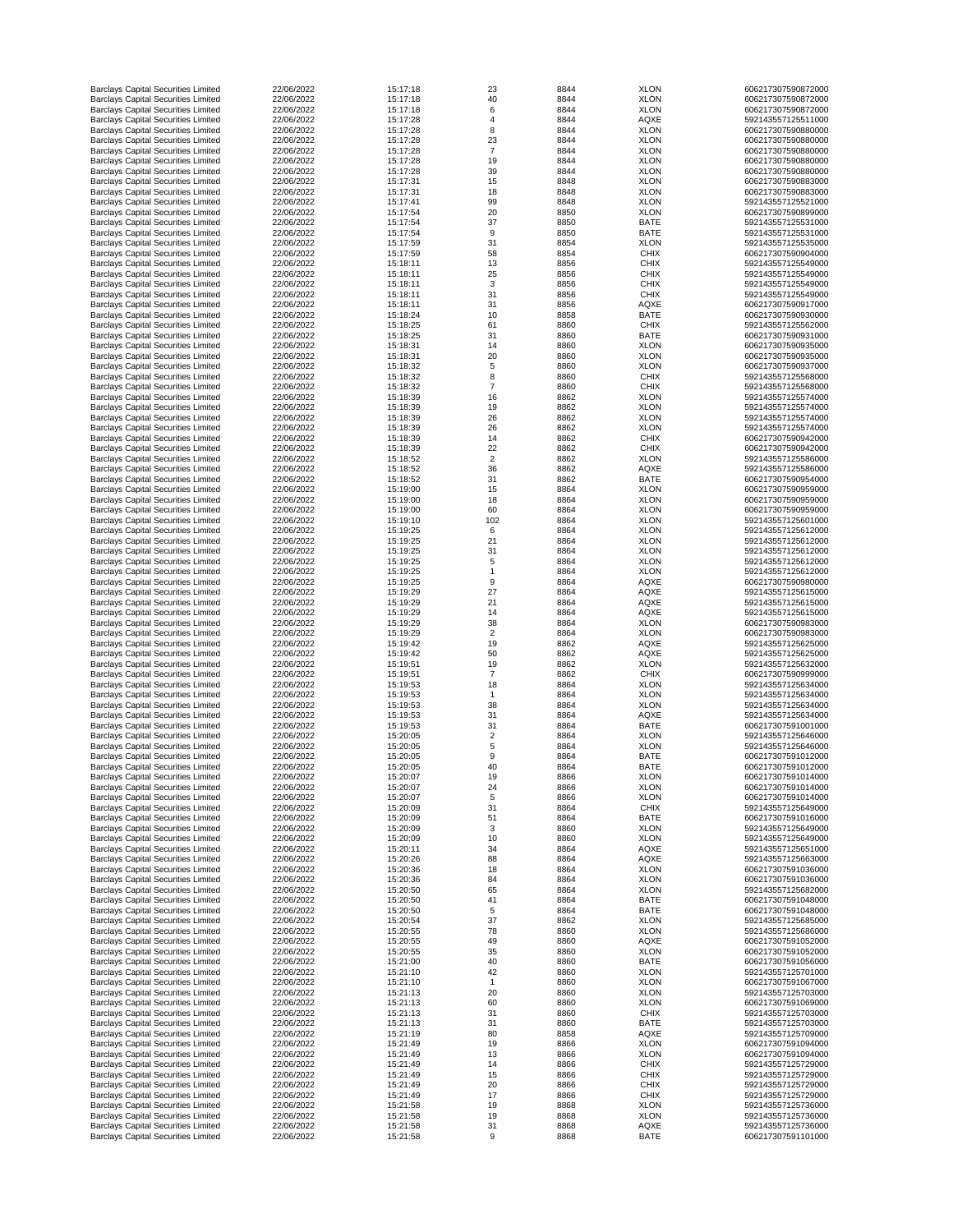| <b>Barclays Capital Securities Limited</b>                                               | 22/06/2022               | 15:17:18             | 23             | 8844         | <b>XLON</b>                | 606217307590872000                       |
|------------------------------------------------------------------------------------------|--------------------------|----------------------|----------------|--------------|----------------------------|------------------------------------------|
| <b>Barclays Capital Securities Limited</b>                                               | 22/06/2022               | 15:17:18             | 40             | 8844         | <b>XLON</b>                | 606217307590872000                       |
| <b>Barclays Capital Securities Limited</b>                                               | 22/06/2022               | 15:17:18             | 6              | 8844         | <b>XLON</b>                | 606217307590872000                       |
| <b>Barclays Capital Securities Limited</b>                                               | 22/06/2022               | 15:17:28             |                | 8844         | <b>AQXE</b>                | 592143557125511000                       |
|                                                                                          |                          |                      |                |              |                            |                                          |
| <b>Barclays Capital Securities Limited</b>                                               | 22/06/2022               | 15:17:28             | 8              | 8844         | <b>XLON</b>                | 606217307590880000                       |
| <b>Barclays Capital Securities Limited</b>                                               | 22/06/2022               | 15:17:28             | 23             | 8844         | <b>XLON</b>                | 606217307590880000                       |
| <b>Barclays Capital Securities Limited</b>                                               | 22/06/2022               | 15:17:28             | $\overline{7}$ | 8844         | <b>XLON</b>                | 606217307590880000                       |
| <b>Barclays Capital Securities Limited</b>                                               | 22/06/2022               | 15:17:28             | 19             | 8844         | <b>XLON</b>                | 606217307590880000                       |
| <b>Barclays Capital Securities Limited</b>                                               | 22/06/2022               | 15:17:28             | 39             | 8844         | <b>XLON</b>                | 606217307590880000                       |
| <b>Barclays Capital Securities Limited</b>                                               | 22/06/2022               | 15:17:31             | 15             | 8848         | <b>XLON</b>                | 606217307590883000                       |
| <b>Barclays Capital Securities Limited</b>                                               | 22/06/2022               | 15:17:31             | 18             | 8848         | <b>XLON</b>                | 606217307590883000                       |
|                                                                                          | 22/06/2022               | 15:17:41             | 99             | 8848         | <b>XLON</b>                | 592143557125521000                       |
| <b>Barclays Capital Securities Limited</b>                                               |                          |                      |                |              |                            |                                          |
| <b>Barclays Capital Securities Limited</b>                                               | 22/06/2022               | 15:17:54             | 20             | 8850         | <b>XLON</b>                | 606217307590899000                       |
| <b>Barclays Capital Securities Limited</b>                                               | 22/06/2022               | 15:17:54             | 37             | 8850         | <b>BATE</b>                | 592143557125531000                       |
| <b>Barclays Capital Securities Limited</b>                                               | 22/06/2022               | 15:17:54             | 9              | 8850         | <b>BATE</b>                | 592143557125531000                       |
| <b>Barclays Capital Securities Limited</b>                                               | 22/06/2022               | 15:17:59             | 31             | 8854         | <b>XLON</b>                | 592143557125535000                       |
| <b>Barclays Capital Securities Limited</b>                                               | 22/06/2022               | 15:17:59             | 58             | 8854         | <b>CHIX</b>                | 606217307590904000                       |
| <b>Barclays Capital Securities Limited</b>                                               | 22/06/2022               | 15:18:11             | 13             | 8856         | <b>CHIX</b>                | 592143557125549000                       |
|                                                                                          |                          |                      |                |              |                            |                                          |
| <b>Barclays Capital Securities Limited</b>                                               | 22/06/2022               | 15:18:11             | 25             | 8856         | <b>CHIX</b>                | 592143557125549000                       |
| <b>Barclays Capital Securities Limited</b>                                               | 22/06/2022               | 15:18:11             | 3              | 8856         | <b>CHIX</b>                | 592143557125549000                       |
| <b>Barclays Capital Securities Limited</b>                                               | 22/06/2022               | 15:18:11             | 31             | 8856         | <b>CHIX</b>                | 592143557125549000                       |
| <b>Barclays Capital Securities Limited</b>                                               | 22/06/2022               | 15:18:11             | 31             | 8856         | <b>AQXE</b>                | 606217307590917000                       |
| <b>Barclays Capital Securities Limited</b>                                               | 22/06/2022               | 15:18:24             | 10             | 8858         | <b>BATE</b>                | 606217307590930000                       |
| <b>Barclays Capital Securities Limited</b>                                               | 22/06/2022               | 15:18:25             | 61             | 8860         | <b>CHIX</b>                | 592143557125562000                       |
| <b>Barclays Capital Securities Limited</b>                                               | 22/06/2022               | 15:18:25             | 31             | 8860         | <b>BATE</b>                | 606217307590931000                       |
|                                                                                          |                          |                      |                |              |                            |                                          |
| <b>Barclays Capital Securities Limited</b>                                               | 22/06/2022               | 15:18:31             | 14             | 8860         | <b>XLON</b>                | 606217307590935000                       |
| <b>Barclays Capital Securities Limited</b>                                               | 22/06/2022               | 15:18:31             | 20             | 8860         | <b>XLON</b>                | 606217307590935000                       |
| <b>Barclays Capital Securities Limited</b>                                               | 22/06/2022               | 15:18:32             | 5              | 8860         | <b>XLON</b>                | 606217307590937000                       |
| <b>Barclays Capital Securities Limited</b>                                               | 22/06/2022               | 15:18:32             | 8              | 8860         | <b>CHIX</b>                | 592143557125568000                       |
| <b>Barclays Capital Securities Limited</b>                                               | 22/06/2022               | 15:18:32             |                | 8860         | <b>CHIX</b>                | 592143557125568000                       |
| <b>Barclays Capital Securities Limited</b>                                               | 22/06/2022               | 15:18:39             | 16             | 8862         | <b>XLON</b>                | 592143557125574000                       |
| <b>Barclays Capital Securities Limited</b>                                               | 22/06/2022               | 15:18:39             | 19             | 8862         | <b>XLON</b>                | 592143557125574000                       |
|                                                                                          |                          |                      |                |              |                            |                                          |
| <b>Barclays Capital Securities Limited</b>                                               | 22/06/2022               | 15:18:39             | 26             | 8862         | <b>XLON</b>                | 592143557125574000                       |
| <b>Barclays Capital Securities Limited</b>                                               | 22/06/2022               | 15:18:39             | 26             | 8862         | <b>XLON</b>                | 592143557125574000                       |
| <b>Barclays Capital Securities Limited</b>                                               | 22/06/2022               | 15:18:39             | 14             | 8862         | <b>CHIX</b>                | 606217307590942000                       |
| <b>Barclays Capital Securities Limited</b>                                               | 22/06/2022               | 15:18:39             | 22             | 8862         | <b>CHIX</b>                | 606217307590942000                       |
| <b>Barclays Capital Securities Limited</b>                                               | 22/06/2022               | 15:18:52             | $\overline{2}$ | 8862         | <b>XLON</b>                | 592143557125586000                       |
| <b>Barclays Capital Securities Limited</b>                                               | 22/06/2022               | 15:18:52             | 36             | 8862         | <b>AQXE</b>                | 592143557125586000                       |
|                                                                                          | 22/06/2022               |                      |                |              |                            |                                          |
| <b>Barclays Capital Securities Limited</b>                                               |                          | 15:18:52             | 31             | 8862         | <b>BATE</b>                | 606217307590954000                       |
| <b>Barclays Capital Securities Limited</b>                                               | 22/06/2022               | 15:19:00             | 15             | 8864         | <b>XLON</b>                | 606217307590959000                       |
| <b>Barclays Capital Securities Limited</b>                                               | 22/06/2022               | 15:19:00             | 18             | 8864         | <b>XLON</b>                | 606217307590959000                       |
| <b>Barclays Capital Securities Limited</b>                                               | 22/06/2022               | 15:19:00             | 60             | 8864         | <b>XLON</b>                | 606217307590959000                       |
| <b>Barclays Capital Securities Limited</b>                                               | 22/06/2022               | 15:19:10             | 102            | 8864         | <b>XLON</b>                | 592143557125601000                       |
| <b>Barclays Capital Securities Limited</b>                                               | 22/06/2022               | 15:19:25             | 6              | 8864         | <b>XLON</b>                | 592143557125612000                       |
| <b>Barclays Capital Securities Limited</b>                                               | 22/06/2022               | 15:19:25             | 21             | 8864         | <b>XLON</b>                | 592143557125612000                       |
|                                                                                          |                          |                      |                |              |                            |                                          |
| <b>Barclays Capital Securities Limited</b>                                               | 22/06/2022               | 15:19:25             | 31             | 8864         | <b>XLON</b>                | 592143557125612000                       |
| <b>Barclays Capital Securities Limited</b>                                               | 22/06/2022               | 15:19:25             |                | 8864         | <b>XLON</b>                | 592143557125612000                       |
| <b>Barclays Capital Securities Limited</b>                                               | 22/06/2022               | 15:19:25             |                | 8864         | <b>XLON</b>                | 592143557125612000                       |
| <b>Barclays Capital Securities Limited</b>                                               | 22/06/2022               | 15:19:25             |                | 8864         | <b>AQXE</b>                | 606217307590980000                       |
| <b>Barclays Capital Securities Limited</b>                                               | 22/06/2022               | 15:19:29             | 27             | 8864         | <b>AQXE</b>                | 592143557125615000                       |
| <b>Barclays Capital Securities Limited</b>                                               | 22/06/2022               | 15:19:29             | 21             | 8864         | <b>AQXE</b>                | 592143557125615000                       |
| <b>Barclays Capital Securities Limited</b>                                               | 22/06/2022               | 15:19:29             | 14             | 8864         | <b>AQXE</b>                | 592143557125615000                       |
|                                                                                          |                          |                      |                |              |                            |                                          |
| <b>Barclays Capital Securities Limited</b>                                               | 22/06/2022               | 15:19:29             | 38             | 8864         | <b>XLON</b>                | 606217307590983000                       |
| <b>Barclays Capital Securities Limited</b>                                               | 22/06/2022               | 15:19:29             |                | 8864         | <b>XLON</b>                | 606217307590983000                       |
| <b>Barclays Capital Securities Limited</b>                                               | 22/06/2022               | 15:19:42             | 19             | 8862         | <b>AQXE</b>                | 592143557125625000                       |
| <b>Barclays Capital Securities Limited</b>                                               | 22/06/2022               | 15:19:42             | 50             | 8862         | <b>AQXE</b>                | 592143557125625000                       |
| <b>Barclays Capital Securities Limited</b>                                               | 22/06/2022               | 15:19:51             | 19             | 8862         | <b>XLON</b>                | 592143557125632000                       |
| <b>Barclays Capital Securities Limited</b>                                               | 22/06/2022               | 15:19:51             |                | 8862         | <b>CHIX</b>                | 606217307590999000                       |
| <b>Barclays Capital Securities Limited</b>                                               | 22/06/2022               | 15:19:53             | 18             | 8864         | <b>XLON</b>                | 592143557125634000                       |
| <b>Barclays Capital Securities Limited</b>                                               | 22/06/2022               | 15:19:53             |                | 8864         | <b>XLON</b>                | 592143557125634000                       |
|                                                                                          |                          |                      |                |              |                            |                                          |
| <b>Barclays Capital Securities Limited</b>                                               | 22/06/2022               | 15:19:53             | 38             | 8864         | <b>XLON</b>                | 592143557125634000                       |
| <b>Barclays Capital Securities Limited</b>                                               | 22/06/2022               | 15:19:53             | 31             | 8864         | <b>AQXE</b>                | 592143557125634000                       |
| <b>Barclays Capital Securities Limited</b>                                               | 22/06/2022               | 15:19:53             | 31             | 8864         | <b>BATE</b>                | 606217307591001000                       |
| <b>Barclays Capital Securities Limited</b>                                               | 22/06/2022               | 15:20:05             | $\overline{2}$ | 8864         | <b>XLON</b>                | 592143557125646000                       |
| <b>Barclays Capital Securities Limited</b>                                               | 22/06/2022               | 15:20:05             | 5              | 8864         | <b>XLON</b>                | 592143557125646000                       |
| <b>Barclays Capital Securities Limited</b>                                               | 22/06/2022               | 15:20:05             | 9              | 8864         | <b>BATE</b>                | 606217307591012000                       |
| <b>Barclays Capital Securities Limited</b>                                               | 22/06/2022               | 15:20:05             | 40             |              |                            |                                          |
|                                                                                          |                          |                      |                |              |                            |                                          |
| <b>Barclays Capital Securities Limited</b>                                               | 22/06/2022               |                      |                | 8864         | <b>BATE</b>                | 606217307591012000                       |
| <b>Barclays Capital Securities Limited</b>                                               |                          | 15:20:07             | 19             | 8866         | <b>XLON</b>                | 606217307591014000                       |
|                                                                                          | 22/06/2022               | 15:20:07             | 24             | 8866         | <b>XLON</b>                | 606217307591014000                       |
| <b>Barclays Capital Securities Limited</b>                                               | 22/06/2022               | 15:20:07             | 5              | 8866         | <b>XLON</b>                | 606217307591014000                       |
| <b>Barclays Capital Securities Limited</b>                                               | 22/06/2022               | 15:20:09             | 31             | 8864         | <b>CHIX</b>                | 592143557125649000                       |
| <b>Barclays Capital Securities Limited</b>                                               | 22/06/2022               | 15:20:09             | 51             | 8864         | <b>BATE</b>                | 606217307591016000                       |
| <b>Barclays Capital Securities Limited</b>                                               | 22/06/2022               | 15:20:09             | $\mathbf{3}$   | 8860         | <b>XLON</b>                | 592143557125649000                       |
| <b>Barclays Capital Securities Limited</b>                                               | 22/06/2022               | 15:20:09             | 10             | 8860         | <b>XLON</b>                | 592143557125649000                       |
|                                                                                          |                          |                      |                |              |                            |                                          |
| <b>Barclays Capital Securities Limited</b>                                               | 22/06/2022               | 15:20:11             | 34             | 8864         | <b>AQXE</b>                | 592143557125651000                       |
| <b>Barclays Capital Securities Limited</b>                                               | 22/06/2022               | 15:20:26             | 88             | 8864         | <b>AQXE</b>                | 592143557125663000                       |
| <b>Barclays Capital Securities Limited</b>                                               | 22/06/2022               | 15:20:36             | 18             | 8864         | <b>XLON</b>                | 606217307591036000                       |
| <b>Barclays Capital Securities Limited</b>                                               | 22/06/2022               | 15:20:36             | 84             | 8864         | <b>XLON</b>                | 606217307591036000                       |
| <b>Barclays Capital Securities Limited</b>                                               | 22/06/2022               | 15:20:50             | 65             | 8864         | <b>XLON</b>                | 592143557125682000                       |
| <b>Barclays Capital Securities Limited</b>                                               | 22/06/2022               | 15:20:50             | 41             | 8864         | <b>BATE</b>                | 606217307591048000                       |
| <b>Barclays Capital Securities Limited</b>                                               | 22/06/2022               | 15:20:50             | 5              | 8864         | <b>BATE</b>                | 606217307591048000                       |
|                                                                                          | 22/06/2022               | 15:20:54             | 37             | 8862         | <b>XLON</b>                | 592143557125685000                       |
| <b>Barclays Capital Securities Limited</b>                                               |                          |                      |                |              |                            |                                          |
| <b>Barclays Capital Securities Limited</b>                                               | 22/06/2022               | 15:20:55             | 78             | 8860         | <b>XLON</b>                | 592143557125686000                       |
| <b>Barclays Capital Securities Limited</b>                                               | 22/06/2022               | 15:20:55             | 49             | 8860         | <b>AQXE</b>                | 606217307591052000                       |
| <b>Barclays Capital Securities Limited</b>                                               | 22/06/2022               | 15:20:55             | 35             | 8860         | <b>XLON</b>                | 606217307591052000                       |
| <b>Barclays Capital Securities Limited</b>                                               | 22/06/2022               | 15:21:00             | 40             | 8860         | <b>BATE</b>                | 606217307591056000                       |
| <b>Barclays Capital Securities Limited</b>                                               | 22/06/2022               | 15:21:10             | 42             | 8860         | <b>XLON</b>                | 592143557125701000                       |
| <b>Barclays Capital Securities Limited</b>                                               | 22/06/2022               | 15:21:10             |                | 8860         | <b>XLON</b>                | 606217307591067000                       |
|                                                                                          | 22/06/2022               | 15:21:13             |                | 8860         |                            | 592143557125703000                       |
| <b>Barclays Capital Securities Limited</b>                                               |                          |                      | 20             |              | <b>XLON</b>                |                                          |
| <b>Barclays Capital Securities Limited</b>                                               | 22/06/2022               | 15:21:13             | 60             | 8860         | <b>XLON</b>                | 606217307591069000                       |
| <b>Barclays Capital Securities Limited</b>                                               | 22/06/2022               | 15:21:13             | 31             | 8860         | <b>CHIX</b>                | 592143557125703000                       |
| <b>Barclays Capital Securities Limited</b>                                               | 22/06/2022               | 15:21:13             | 31             | 8860         | <b>BATE</b>                | 592143557125703000                       |
| <b>Barclays Capital Securities Limited</b>                                               | 22/06/2022               | 15:21:19             | 80             | 8858         | <b>AQXE</b>                | 592143557125709000                       |
| <b>Barclays Capital Securities Limited</b>                                               | 22/06/2022               | 15:21:49             | 19             | 8866         | <b>XLON</b>                | 606217307591094000                       |
| <b>Barclays Capital Securities Limited</b>                                               | 22/06/2022               | 15:21:49             | 13             | 8866         | <b>XLON</b>                | 606217307591094000                       |
|                                                                                          | 22/06/2022               | 15:21:49             | 14             | 8866         | <b>CHIX</b>                | 592143557125729000                       |
| <b>Barclays Capital Securities Limited</b>                                               |                          |                      |                |              |                            |                                          |
| <b>Barclays Capital Securities Limited</b>                                               | 22/06/2022               | 15:21:49             | 15             | 8866         | <b>CHIX</b>                | 592143557125729000                       |
| <b>Barclays Capital Securities Limited</b>                                               | 22/06/2022               | 15:21:49             | 20             | 8866         | <b>CHIX</b>                | 592143557125729000                       |
| <b>Barclays Capital Securities Limited</b>                                               | 22/06/2022               | 15:21:49             | 17             | 8866         | <b>CHIX</b>                | 592143557125729000                       |
| <b>Barclays Capital Securities Limited</b>                                               | 22/06/2022               | 15:21:58             | 19             | 8868         | <b>XLON</b>                | 592143557125736000                       |
| <b>Barclays Capital Securities Limited</b>                                               | 22/06/2022               | 15:21:58             | 19             | 8868         | <b>XLON</b>                | 592143557125736000                       |
| <b>Barclays Capital Securities Limited</b><br><b>Barclays Capital Securities Limited</b> | 22/06/2022<br>22/06/2022 | 15:21:58<br>15:21:58 | 31<br>9        | 8868<br>8868 | <b>AQXE</b><br><b>BATE</b> | 592143557125736000<br>606217307591101000 |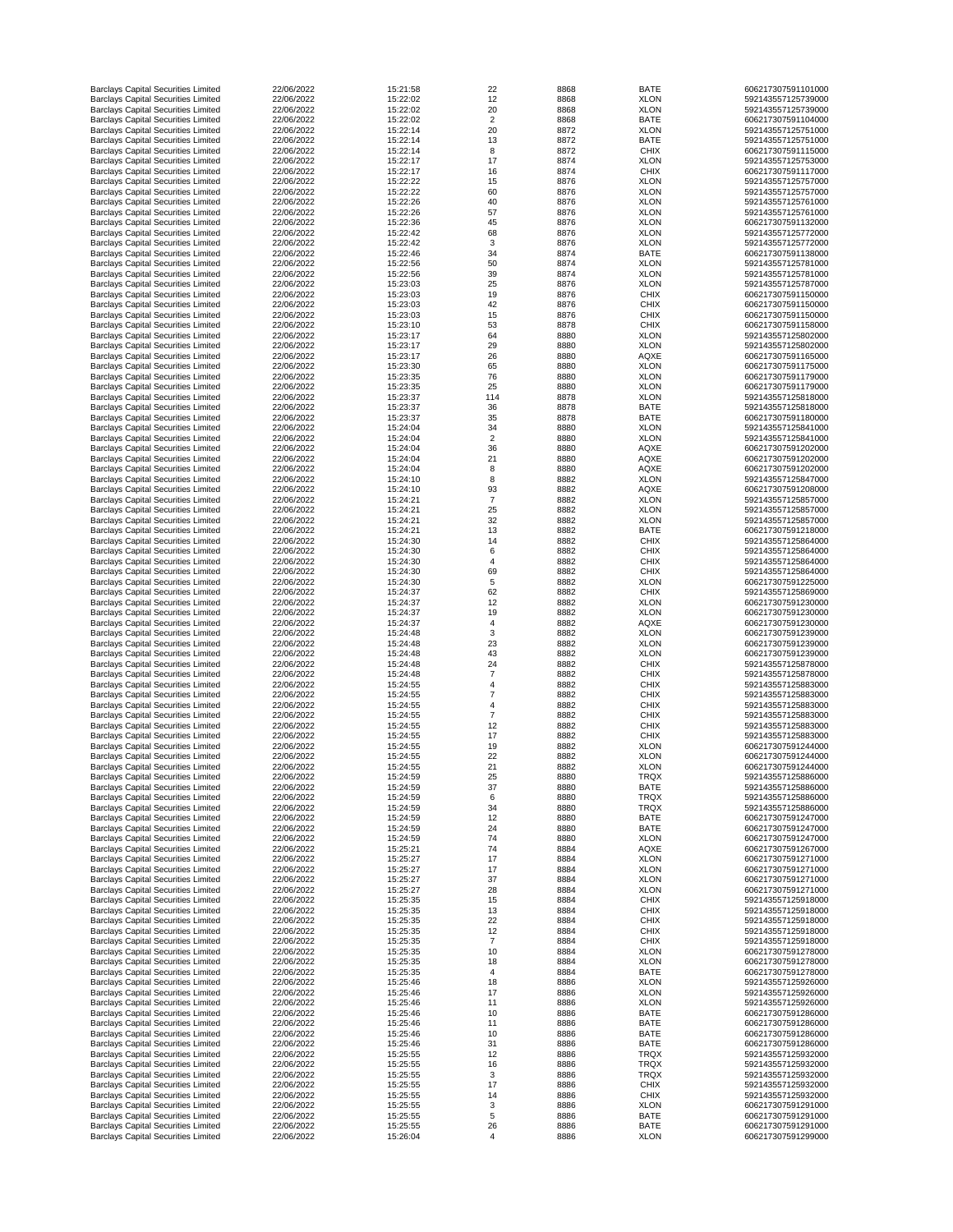| <b>Barclays Capital Securities Limited</b>                                               | 22/06/2022               | 15:21:58             | 22             | 8868         | <b>BATE</b>                | 606217307591101000                       |
|------------------------------------------------------------------------------------------|--------------------------|----------------------|----------------|--------------|----------------------------|------------------------------------------|
| <b>Barclays Capital Securities Limited</b>                                               | 22/06/2022               | 15:22:02             | 12             | 8868         | <b>XLON</b>                | 592143557125739000                       |
| <b>Barclays Capital Securities Limited</b>                                               | 22/06/2022               | 15:22:02             | 20             | 8868         | <b>XLON</b>                | 592143557125739000                       |
| <b>Barclays Capital Securities Limited</b>                                               | 22/06/2022               | 15:22:02             | $\overline{2}$ | 8868         | <b>BATE</b>                | 606217307591104000                       |
| <b>Barclays Capital Securities Limited</b>                                               | 22/06/2022               | 15:22:14             | 20             | 8872         | <b>XLON</b>                | 592143557125751000                       |
| <b>Barclays Capital Securities Limited</b>                                               | 22/06/2022               | 15:22:14             | 13             | 8872         | <b>BATE</b>                | 592143557125751000                       |
| <b>Barclays Capital Securities Limited</b><br><b>Barclays Capital Securities Limited</b> | 22/06/2022<br>22/06/2022 | 15:22:14<br>15:22:17 | 8<br>17        | 8872<br>8874 | <b>CHIX</b><br><b>XLON</b> | 606217307591115000<br>592143557125753000 |
| <b>Barclays Capital Securities Limited</b>                                               | 22/06/2022               | 15:22:17             | 16             | 8874         | <b>CHIX</b>                | 606217307591117000                       |
| <b>Barclays Capital Securities Limited</b>                                               | 22/06/2022               | 15:22:22             | 15             | 8876         | <b>XLON</b>                | 592143557125757000                       |
| <b>Barclays Capital Securities Limited</b>                                               | 22/06/2022               | 15:22:22             | 60             | 8876         | <b>XLON</b>                | 592143557125757000                       |
| <b>Barclays Capital Securities Limited</b>                                               | 22/06/2022               | 15:22:26             | 40             | 8876         | <b>XLON</b>                | 592143557125761000                       |
| <b>Barclays Capital Securities Limited</b>                                               | 22/06/2022               | 15:22:26             | 57             | 8876         | <b>XLON</b>                | 592143557125761000                       |
| <b>Barclays Capital Securities Limited</b>                                               | 22/06/2022               | 15:22:36             | 45             | 8876         | <b>XLON</b>                | 606217307591132000                       |
| <b>Barclays Capital Securities Limited</b>                                               | 22/06/2022               | 15:22:42             | 68             | 8876         | <b>XLON</b>                | 592143557125772000                       |
| <b>Barclays Capital Securities Limited</b>                                               | 22/06/2022               | 15:22:42             | 3              | 8876         | <b>XLON</b>                | 592143557125772000                       |
| <b>Barclays Capital Securities Limited</b>                                               | 22/06/2022               | 15:22:46             | 34             | 8874         | <b>BATE</b>                | 606217307591138000                       |
| <b>Barclays Capital Securities Limited</b>                                               | 22/06/2022               | 15:22:56             | 50             | 8874         | <b>XLON</b>                | 592143557125781000                       |
| <b>Barclays Capital Securities Limited</b>                                               | 22/06/2022               | 15:22:56             | 39             | 8874         | <b>XLON</b>                | 592143557125781000                       |
| <b>Barclays Capital Securities Limited</b>                                               | 22/06/2022               | 15:23:03             | 25             | 8876         | <b>XLON</b>                | 592143557125787000                       |
| <b>Barclays Capital Securities Limited</b>                                               | 22/06/2022               | 15:23:03             | 19             | 8876         | <b>CHIX</b>                | 606217307591150000                       |
| <b>Barclays Capital Securities Limited</b>                                               | 22/06/2022               | 15:23:03             | 42             | 8876         | <b>CHIX</b>                | 606217307591150000                       |
| <b>Barclays Capital Securities Limited</b><br><b>Barclays Capital Securities Limited</b> | 22/06/2022<br>22/06/2022 | 15:23:03<br>15:23:10 | 15<br>53       | 8876<br>8878 | <b>CHIX</b><br><b>CHIX</b> | 606217307591150000<br>606217307591158000 |
| <b>Barclays Capital Securities Limited</b>                                               | 22/06/2022               | 15:23:17             | 64             | 8880         | <b>XLON</b>                | 592143557125802000                       |
| <b>Barclays Capital Securities Limited</b>                                               | 22/06/2022               | 15:23:17             | 29             | 8880         | <b>XLON</b>                | 592143557125802000                       |
| <b>Barclays Capital Securities Limited</b>                                               | 22/06/2022               | 15:23:17             | 26             | 8880         | <b>AQXE</b>                | 606217307591165000                       |
| <b>Barclays Capital Securities Limited</b>                                               | 22/06/2022               | 15:23:30             | 65             | 8880         | <b>XLON</b>                | 606217307591175000                       |
| <b>Barclays Capital Securities Limited</b>                                               | 22/06/2022               | 15:23:35             | 76             | 8880         | <b>XLON</b>                | 606217307591179000                       |
| <b>Barclays Capital Securities Limited</b>                                               | 22/06/2022               | 15:23:35             | 25             | 8880         | <b>XLON</b>                | 606217307591179000                       |
| <b>Barclays Capital Securities Limited</b>                                               | 22/06/2022               | 15:23:37             | 114            | 8878         | <b>XLON</b>                | 592143557125818000                       |
| <b>Barclays Capital Securities Limited</b>                                               | 22/06/2022               | 15:23:37             | 36             | 8878         | <b>BATE</b>                | 592143557125818000                       |
| <b>Barclays Capital Securities Limited</b>                                               | 22/06/2022               | 15:23:37             | 35             | 8878         | <b>BATE</b>                | 606217307591180000                       |
| <b>Barclays Capital Securities Limited</b>                                               | 22/06/2022               | 15:24:04             | 34             | 8880         | <b>XLON</b>                | 592143557125841000                       |
| <b>Barclays Capital Securities Limited</b>                                               | 22/06/2022               | 15:24:04             | $\overline{2}$ | 8880         | <b>XLON</b>                | 592143557125841000                       |
| <b>Barclays Capital Securities Limited</b>                                               | 22/06/2022               | 15:24:04             | 36             | 8880         | <b>AQXE</b>                | 606217307591202000                       |
| <b>Barclays Capital Securities Limited</b>                                               | 22/06/2022               | 15:24:04             | 21             | 8880         | <b>AQXE</b>                | 606217307591202000                       |
| <b>Barclays Capital Securities Limited</b>                                               | 22/06/2022               | 15:24:04             |                | 8880         | <b>AQXE</b>                | 606217307591202000                       |
| <b>Barclays Capital Securities Limited</b>                                               | 22/06/2022               | 15:24:10             | 8              | 8882         | <b>XLON</b>                | 592143557125847000                       |
| <b>Barclays Capital Securities Limited</b>                                               | 22/06/2022               | 15:24:10             | 93             | 8882         | <b>AQXE</b>                | 606217307591208000                       |
| <b>Barclays Capital Securities Limited</b>                                               | 22/06/2022               | 15:24:21             |                | 8882         | <b>XLON</b>                | 592143557125857000                       |
| <b>Barclays Capital Securities Limited</b><br><b>Barclays Capital Securities Limited</b> | 22/06/2022<br>22/06/2022 | 15:24:21             | 25<br>32       | 8882         | <b>XLON</b><br><b>XLON</b> | 592143557125857000<br>592143557125857000 |
| <b>Barclays Capital Securities Limited</b>                                               | 22/06/2022               | 15:24:21<br>15:24:21 | 13             | 8882<br>8882 | <b>BATE</b>                | 606217307591218000                       |
| <b>Barclays Capital Securities Limited</b>                                               | 22/06/2022               | 15:24:30             | 14             | 8882         | <b>CHIX</b>                | 592143557125864000                       |
| <b>Barclays Capital Securities Limited</b>                                               | 22/06/2022               | 15:24:30             |                | 8882         | <b>CHIX</b>                | 592143557125864000                       |
| <b>Barclays Capital Securities Limited</b>                                               | 22/06/2022               | 15:24:30             |                | 8882         | <b>CHIX</b>                | 592143557125864000                       |
| <b>Barclays Capital Securities Limited</b>                                               | 22/06/2022               | 15:24:30             | 69             | 8882         | <b>CHIX</b>                | 592143557125864000                       |
| <b>Barclays Capital Securities Limited</b>                                               | 22/06/2022               | 15:24:30             | 5              | 8882         | <b>XLON</b>                | 606217307591225000                       |
| <b>Barclays Capital Securities Limited</b>                                               | 22/06/2022               | 15:24:37             | 62             | 8882         | <b>CHIX</b>                | 592143557125869000                       |
| <b>Barclays Capital Securities Limited</b>                                               | 22/06/2022               | 15:24:37             | 12             | 8882         | <b>XLON</b>                | 606217307591230000                       |
| <b>Barclays Capital Securities Limited</b>                                               | 22/06/2022               | 15:24:37             | 19             | 8882         | <b>XLON</b>                | 606217307591230000                       |
| <b>Barclays Capital Securities Limited</b>                                               | 22/06/2022               | 15:24:37             |                | 8882         | <b>AQXE</b>                | 606217307591230000                       |
| <b>Barclays Capital Securities Limited</b>                                               | 22/06/2022               | 15:24:48             | 3              | 8882         | <b>XLON</b>                | 606217307591239000                       |
| <b>Barclays Capital Securities Limited</b>                                               | 22/06/2022               | 15:24:48             | 23             | 8882         | <b>XLON</b>                | 606217307591239000                       |
| <b>Barclays Capital Securities Limited</b>                                               | 22/06/2022               | 15:24:48             | 43             | 8882         | <b>XLON</b>                | 606217307591239000                       |
| <b>Barclays Capital Securities Limited</b>                                               | 22/06/2022               | 15:24:48             | 24             | 8882         | <b>CHIX</b>                | 592143557125878000                       |
| <b>Barclays Capital Securities Limited</b>                                               | 22/06/2022               | 15:24:48             |                | 8882         | <b>CHIX</b>                | 592143557125878000                       |
| <b>Barclays Capital Securities Limited</b><br><b>Barclays Capital Securities Limited</b> | 22/06/2022<br>22/06/2022 | 15:24:55<br>15:24:55 |                | 8882<br>8882 | <b>CHIX</b><br><b>CHIX</b> | 592143557125883000<br>592143557125883000 |
| <b>Barclays Capital Securities Limited</b>                                               | 22/06/2022               | 15:24:55             |                | 8882         | <b>CHIX</b>                | 592143557125883000                       |
| <b>Barclays Capital Securities Limited</b>                                               | 22/06/2022               | 15:24:55             |                | 8882         | <b>CHIX</b>                | 592143557125883000                       |
| <b>Barclays Capital Securities Limited</b>                                               | 22/06/2022               | 15:24:55             | 12             | 8882         | <b>CHIX</b>                | 592143557125883000                       |
| <b>Barclays Capital Securities Limited</b>                                               | 22/06/2022               | 15:24:55             | 17             | 8882         | <b>CHIX</b>                | 592143557125883000                       |
| <b>Barclays Capital Securities Limited</b>                                               | 22/06/2022               | 15:24:55             | 19             | 8882         | <b>XLON</b>                | 606217307591244000                       |
| <b>Barclays Capital Securities Limited</b>                                               | 22/06/2022               | 15:24:55             | 22             | 8882         | <b>XLON</b>                | 606217307591244000                       |
| <b>Barclays Capital Securities Limited</b>                                               | 22/06/2022               | 15:24:55             | 21             | 8882         | <b>XLON</b>                | 606217307591244000                       |
| <b>Barclays Capital Securities Limited</b>                                               | 22/06/2022               | 15:24:59             | 25             | 8880         | <b>TRQX</b>                | 592143557125886000                       |
| <b>Barclays Capital Securities Limited</b>                                               | 22/06/2022               | 15:24:59             | 37             | 8880         | <b>BATE</b>                | 592143557125886000                       |
| <b>Barclays Capital Securities Limited</b>                                               | 22/06/2022               | 15:24:59             | 6              | 8880         | <b>TRQX</b>                | 592143557125886000                       |
| <b>Barclays Capital Securities Limited</b>                                               | 22/06/2022               | 15:24:59             | 34             | 8880         | <b>TRQX</b>                | 592143557125886000                       |
| <b>Barclays Capital Securities Limited</b>                                               | 22/06/2022               | 15:24:59             | 12             | 8880         | <b>BATE</b>                | 606217307591247000                       |
| <b>Barclays Capital Securities Limited</b>                                               | 22/06/2022               | 15:24:59             | 24             | 8880         | <b>BATE</b>                | 606217307591247000                       |
| <b>Barclays Capital Securities Limited</b>                                               | 22/06/2022<br>22/06/2022 | 15:24:59<br>15:25:21 | 74<br>74       | 8880<br>8884 | <b>XLON</b><br><b>AQXE</b> | 606217307591247000<br>606217307591267000 |
| <b>Barclays Capital Securities Limited</b><br><b>Barclays Capital Securities Limited</b> | 22/06/2022               | 15:25:27             | 17             | 8884         | <b>XLON</b>                | 606217307591271000                       |
| <b>Barclays Capital Securities Limited</b>                                               | 22/06/2022               | 15:25:27             | 17             | 8884         | <b>XLON</b>                | 606217307591271000                       |
| <b>Barclays Capital Securities Limited</b>                                               | 22/06/2022               | 15:25:27             | 37             | 8884         | <b>XLON</b>                | 606217307591271000                       |
| <b>Barclays Capital Securities Limited</b>                                               | 22/06/2022               | 15:25:27             | 28             | 8884         | <b>XLON</b>                | 606217307591271000                       |
| <b>Barclays Capital Securities Limited</b>                                               | 22/06/2022               | 15:25:35             | 15             | 8884         | <b>CHIX</b>                | 592143557125918000                       |
| <b>Barclays Capital Securities Limited</b>                                               | 22/06/2022               | 15:25:35             | 13             | 8884         | <b>CHIX</b>                | 592143557125918000                       |
| <b>Barclays Capital Securities Limited</b>                                               | 22/06/2022               | 15:25:35             | 22             | 8884         | <b>CHIX</b>                | 592143557125918000                       |
| <b>Barclays Capital Securities Limited</b>                                               | 22/06/2022               | 15:25:35             | 12             | 8884         | <b>CHIX</b>                | 592143557125918000                       |
| <b>Barclays Capital Securities Limited</b>                                               | 22/06/2022               | 15:25:35             |                | 8884         | <b>CHIX</b>                | 592143557125918000                       |
| <b>Barclays Capital Securities Limited</b>                                               | 22/06/2022               | 15:25:35             | 10             | 8884         | <b>XLON</b>                | 606217307591278000                       |
| <b>Barclays Capital Securities Limited</b>                                               | 22/06/2022               | 15:25:35             | 18             | 8884         | <b>XLON</b>                | 606217307591278000                       |
| <b>Barclays Capital Securities Limited</b>                                               | 22/06/2022               | 15:25:35             |                | 8884         | <b>BATE</b>                | 606217307591278000                       |
| <b>Barclays Capital Securities Limited</b>                                               | 22/06/2022<br>22/06/2022 | 15:25:46             | 18<br>17       | 8886         | <b>XLON</b><br><b>XLON</b> | 592143557125926000<br>592143557125926000 |
| <b>Barclays Capital Securities Limited</b><br><b>Barclays Capital Securities Limited</b> | 22/06/2022               | 15:25:46<br>15:25:46 | 11             | 8886<br>8886 | <b>XLON</b>                | 592143557125926000                       |
| <b>Barclays Capital Securities Limited</b>                                               | 22/06/2022               | 15:25:46             | 10             | 8886         | <b>BATE</b>                | 606217307591286000                       |
| <b>Barclays Capital Securities Limited</b>                                               | 22/06/2022               | 15:25:46             | 11             | 8886         | <b>BATE</b>                | 606217307591286000                       |
| <b>Barclays Capital Securities Limited</b>                                               | 22/06/2022               | 15:25:46             | 10             | 8886         | <b>BATE</b>                | 606217307591286000                       |
| <b>Barclays Capital Securities Limited</b>                                               | 22/06/2022               | 15:25:46             | 31             | 8886         | <b>BATE</b>                | 606217307591286000                       |
| <b>Barclays Capital Securities Limited</b>                                               | 22/06/2022               | 15:25:55             | 12             | 8886         | <b>TRQX</b>                | 592143557125932000                       |
| <b>Barclays Capital Securities Limited</b>                                               | 22/06/2022               | 15:25:55             | 16             | 8886         | <b>TRQX</b>                | 592143557125932000                       |
| <b>Barclays Capital Securities Limited</b>                                               | 22/06/2022               | 15:25:55             | 3              | 8886         | <b>TRQX</b>                | 592143557125932000                       |
| <b>Barclays Capital Securities Limited</b>                                               | 22/06/2022               | 15:25:55             | 17             | 8886         | <b>CHIX</b>                | 592143557125932000                       |
| <b>Barclays Capital Securities Limited</b>                                               | 22/06/2022               | 15:25:55             | 14             | 8886         | <b>CHIX</b>                | 592143557125932000                       |
| <b>Barclays Capital Securities Limited</b>                                               | 22/06/2022               | 15:25:55             | 3              | 8886         | <b>XLON</b>                | 606217307591291000                       |
| <b>Barclays Capital Securities Limited</b>                                               | 22/06/2022               | 15:25:55             | 5              | 8886         | <b>BATE</b>                | 606217307591291000                       |
| <b>Barclays Capital Securities Limited</b>                                               | 22/06/2022               | 15:25:55             | 26             | 8886         | <b>BATE</b>                | 606217307591291000                       |
| <b>Barclays Capital Securities Limited</b>                                               | 22/06/2022               | 15:26:04             | 4              | 8886         | <b>XLON</b>                | 606217307591299000                       |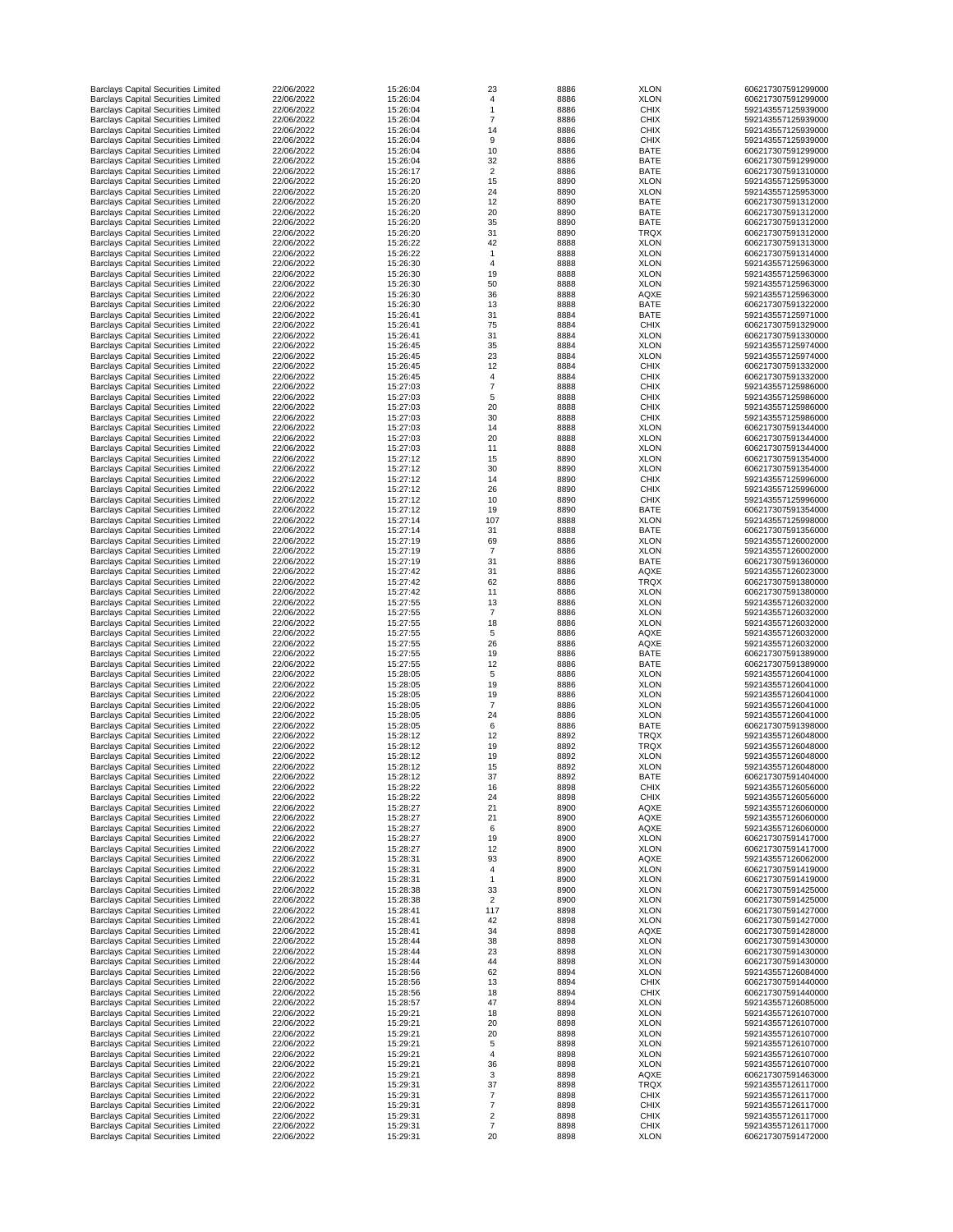| <b>Barclays Capital Securities Limited</b>                                               | 22/06/2022               | 15:26:04             | 23             | 8886         | <b>XLON</b>                | 606217307591299000                       |
|------------------------------------------------------------------------------------------|--------------------------|----------------------|----------------|--------------|----------------------------|------------------------------------------|
| <b>Barclays Capital Securities Limited</b>                                               | 22/06/2022               | 15:26:04             |                | 8886         | <b>XLON</b>                | 606217307591299000                       |
| <b>Barclays Capital Securities Limited</b>                                               | 22/06/2022               | 15:26:04             |                | 8886         | <b>CHIX</b>                | 592143557125939000                       |
| <b>Barclays Capital Securities Limited</b>                                               | 22/06/2022               | 15:26:04             |                | 8886         | <b>CHIX</b>                | 592143557125939000                       |
|                                                                                          | 22/06/2022               |                      |                |              |                            |                                          |
| <b>Barclays Capital Securities Limited</b>                                               |                          | 15:26:04             | 14             | 8886         | <b>CHIX</b>                | 592143557125939000                       |
| <b>Barclays Capital Securities Limited</b>                                               | 22/06/2022               | 15:26:04             | 9              | 8886         | <b>CHIX</b>                | 592143557125939000                       |
| <b>Barclays Capital Securities Limited</b>                                               | 22/06/2022               | 15:26:04             | 10             | 8886         | <b>BATE</b>                | 606217307591299000                       |
| <b>Barclays Capital Securities Limited</b>                                               | 22/06/2022               | 15:26:04             | 32             | 8886         | <b>BATE</b>                | 606217307591299000                       |
| <b>Barclays Capital Securities Limited</b>                                               | 22/06/2022               | 15:26:17             | $\overline{2}$ | 8886         | <b>BATE</b>                | 606217307591310000                       |
| <b>Barclays Capital Securities Limited</b>                                               | 22/06/2022               | 15:26:20             | 15             | 8890         | <b>XLON</b>                | 592143557125953000                       |
| <b>Barclays Capital Securities Limited</b>                                               | 22/06/2022               | 15:26:20             | 24             | 8890         | <b>XLON</b>                | 592143557125953000                       |
| <b>Barclays Capital Securities Limited</b>                                               | 22/06/2022               | 15:26:20             | 12             | 8890         | <b>BATE</b>                | 606217307591312000                       |
| <b>Barclays Capital Securities Limited</b>                                               | 22/06/2022               | 15:26:20             | 20             | 8890         | <b>BATE</b>                | 606217307591312000                       |
| <b>Barclays Capital Securities Limited</b>                                               | 22/06/2022               | 15:26:20             | 35             | 8890         | <b>BATE</b>                | 606217307591312000                       |
|                                                                                          |                          |                      |                |              |                            |                                          |
| <b>Barclays Capital Securities Limited</b>                                               | 22/06/2022               | 15:26:20             | 31             | 8890         | <b>TRQX</b>                | 606217307591312000                       |
| <b>Barclays Capital Securities Limited</b>                                               | 22/06/2022               | 15:26:22             | 42             | 8888         | <b>XLON</b>                | 606217307591313000                       |
| <b>Barclays Capital Securities Limited</b>                                               | 22/06/2022               | 15:26:22             |                | 8888         | <b>XLON</b>                | 606217307591314000                       |
| <b>Barclays Capital Securities Limited</b>                                               | 22/06/2022               | 15:26:30             |                | 8888         | <b>XLON</b>                | 592143557125963000                       |
| <b>Barclays Capital Securities Limited</b>                                               | 22/06/2022               | 15:26:30             | 19             | 8888         | <b>XLON</b>                | 592143557125963000                       |
| <b>Barclays Capital Securities Limited</b>                                               | 22/06/2022               | 15:26:30             | 50             | 8888         | <b>XLON</b>                | 592143557125963000                       |
|                                                                                          | 22/06/2022               |                      |                |              |                            |                                          |
| <b>Barclays Capital Securities Limited</b>                                               |                          | 15:26:30             | 36             | 8888         | <b>AQXE</b>                | 592143557125963000                       |
| <b>Barclays Capital Securities Limited</b>                                               | 22/06/2022               | 15:26:30             | 13             | 8888         | <b>BATE</b>                | 606217307591322000                       |
| <b>Barclays Capital Securities Limited</b>                                               | 22/06/2022               | 15:26:41             | 31             | 8884         | <b>BATE</b>                | 592143557125971000                       |
| <b>Barclays Capital Securities Limited</b>                                               | 22/06/2022               | 15:26:41             | 75             | 8884         | <b>CHIX</b>                | 606217307591329000                       |
| <b>Barclays Capital Securities Limited</b>                                               | 22/06/2022               | 15:26:41             | 31             | 8884         | <b>XLON</b>                | 606217307591330000                       |
| <b>Barclays Capital Securities Limited</b>                                               | 22/06/2022               | 15:26:45             | 35             | 8884         | <b>XLON</b>                | 592143557125974000                       |
| <b>Barclays Capital Securities Limited</b>                                               | 22/06/2022               | 15:26:45             | 23             | 8884         | <b>XLON</b>                | 592143557125974000                       |
| <b>Barclays Capital Securities Limited</b>                                               | 22/06/2022               | 15:26:45             | 12             | 8884         | <b>CHIX</b>                | 606217307591332000                       |
|                                                                                          |                          |                      |                |              |                            |                                          |
| <b>Barclays Capital Securities Limited</b>                                               | 22/06/2022               | 15:26:45             | Δ              | 8884         | <b>CHIX</b>                | 606217307591332000                       |
| <b>Barclays Capital Securities Limited</b>                                               | 22/06/2022               | 15:27:03             |                | 8888         | <b>CHIX</b>                | 592143557125986000                       |
| <b>Barclays Capital Securities Limited</b>                                               | 22/06/2022               | 15:27:03             | 5              | 8888         | <b>CHIX</b>                | 592143557125986000                       |
| <b>Barclays Capital Securities Limited</b>                                               | 22/06/2022               | 15:27:03             | 20             | 8888         | <b>CHIX</b>                | 592143557125986000                       |
| <b>Barclays Capital Securities Limited</b>                                               | 22/06/2022               | 15:27:03             | 30             | 8888         | <b>CHIX</b>                | 592143557125986000                       |
| <b>Barclays Capital Securities Limited</b>                                               | 22/06/2022               | 15:27:03             | 14             | 8888         | <b>XLON</b>                | 606217307591344000                       |
|                                                                                          |                          |                      |                |              |                            |                                          |
| <b>Barclays Capital Securities Limited</b>                                               | 22/06/2022               | 15:27:03             | 20             | 8888         | <b>XLON</b>                | 606217307591344000                       |
| <b>Barclays Capital Securities Limited</b>                                               | 22/06/2022               | 15:27:03             | 11             | 8888         | <b>XLON</b>                | 606217307591344000                       |
| <b>Barclays Capital Securities Limited</b>                                               | 22/06/2022               | 15:27:12             | 15             | 8890         | <b>XLON</b>                | 606217307591354000                       |
| <b>Barclays Capital Securities Limited</b>                                               | 22/06/2022               | 15:27:12             | 30             | 8890         | <b>XLON</b>                | 606217307591354000                       |
| <b>Barclays Capital Securities Limited</b>                                               | 22/06/2022               | 15:27:12             | 14             | 8890         | <b>CHIX</b>                | 592143557125996000                       |
| <b>Barclays Capital Securities Limited</b>                                               | 22/06/2022               | 15:27:12             | 26             | 8890         | <b>CHIX</b>                | 592143557125996000                       |
| <b>Barclays Capital Securities Limited</b>                                               | 22/06/2022               | 15:27:12             | 10             | 8890         | <b>CHIX</b>                | 592143557125996000                       |
|                                                                                          |                          |                      |                |              |                            |                                          |
| <b>Barclays Capital Securities Limited</b>                                               | 22/06/2022               | 15:27:12             | 19             | 8890         | <b>BATE</b>                | 606217307591354000                       |
| <b>Barclays Capital Securities Limited</b>                                               | 22/06/2022               | 15:27:14             | 107            | 8888         | <b>XLON</b>                | 592143557125998000                       |
| <b>Barclays Capital Securities Limited</b>                                               | 22/06/2022               | 15:27:14             | 31             | 8888         | <b>BATE</b>                | 606217307591356000                       |
| <b>Barclays Capital Securities Limited</b>                                               | 22/06/2022               | 15:27:19             | 69             | 8886         | <b>XLON</b>                | 592143557126002000                       |
| <b>Barclays Capital Securities Limited</b>                                               | 22/06/2022               | 15:27:19             |                | 8886         | <b>XLON</b>                | 592143557126002000                       |
| <b>Barclays Capital Securities Limited</b>                                               | 22/06/2022               | 15:27:19             | 31             | 8886         | <b>BATE</b>                | 606217307591360000                       |
| <b>Barclays Capital Securities Limited</b>                                               | 22/06/2022               | 15:27:42             | 31             | 8886         | <b>AQXE</b>                | 592143557126023000                       |
|                                                                                          | 22/06/2022               | 15:27:42             |                |              | <b>TRQX</b>                | 606217307591380000                       |
| <b>Barclays Capital Securities Limited</b>                                               |                          |                      | 62             | 8886         |                            |                                          |
| <b>Barclays Capital Securities Limited</b>                                               | 22/06/2022               | 15:27:42             | 11             | 8886         | <b>XLON</b>                | 606217307591380000                       |
| <b>Barclays Capital Securities Limited</b>                                               | 22/06/2022               | 15:27:55             | 13             | 8886         | <b>XLON</b>                | 592143557126032000                       |
| <b>Barclays Capital Securities Limited</b>                                               | 22/06/2022               | 15:27:55             |                | 8886         | <b>XLON</b>                | 592143557126032000                       |
| <b>Barclays Capital Securities Limited</b>                                               | 22/06/2022               | 15:27:55             | 18             | 8886         | <b>XLON</b>                | 592143557126032000                       |
| <b>Barclays Capital Securities Limited</b>                                               | 22/06/2022               | 15:27:55             | 5              | 8886         | <b>AQXE</b>                | 592143557126032000                       |
| <b>Barclays Capital Securities Limited</b>                                               | 22/06/2022               | 15:27:55             | 26             | 8886         | <b>AQXE</b>                | 592143557126032000                       |
| <b>Barclays Capital Securities Limited</b>                                               | 22/06/2022               | 15:27:55             | 19             | 8886         | <b>BATE</b>                | 606217307591389000                       |
|                                                                                          | 22/06/2022               | 15:27:55             |                |              | <b>BATE</b>                | 606217307591389000                       |
| <b>Barclays Capital Securities Limited</b>                                               |                          |                      | 12             | 8886         |                            |                                          |
| <b>Barclays Capital Securities Limited</b>                                               | 22/06/2022               | 15:28:05             | 5              | 8886         | <b>XLON</b>                | 592143557126041000                       |
| <b>Barclays Capital Securities Limited</b>                                               | 22/06/2022               | 15:28:05             | 19             | 8886         | <b>XLON</b>                | 592143557126041000                       |
| <b>Barclays Capital Securities Limited</b>                                               | 22/06/2022               | 15:28:05             | 19             | 8886         | <b>XLON</b>                | 592143557126041000                       |
| <b>Barclays Capital Securities Limited</b>                                               | 22/06/2022               | 15:28:05             |                | 8886         | <b>XLON</b>                | 592143557126041000                       |
| <b>Barclays Capital Securities Limited</b>                                               | 22/06/2022               | 15:28:05             | 24             | 8886         | <b>XLON</b>                | 592143557126041000                       |
| <b>Barclays Capital Securities Limited</b>                                               | 22/06/2022               | 15:28:05             | 6              | 8886         | <b>BATE</b>                | 606217307591398000                       |
| <b>Barclays Capital Securities Limited</b>                                               | 22/06/2022               | 15:28:12             | 12             | 8892         | <b>TRQX</b>                | 592143557126048000                       |
|                                                                                          |                          |                      |                |              |                            |                                          |
| <b>Barclays Capital Securities Limited</b>                                               | 22/06/2022               | 15:28:12             | 19             | 8892         | <b>TRQX</b>                | 592143557126048000                       |
| <b>Barclays Capital Securities Limited</b>                                               | 22/06/2022               | 15:28:12             | 19             | 8892         | <b>XLON</b>                | 592143557126048000                       |
| <b>Barclays Capital Securities Limited</b>                                               | 22/06/2022               | 15:28:12             | 15             | 8892         | <b>XLON</b>                | 592143557126048000                       |
| <b>Barclays Capital Securities Limited</b>                                               | 22/06/2022               | 15:28:12             | 37             | 8892         | <b>BATE</b>                | 606217307591404000                       |
| <b>Barclays Capital Securities Limited</b>                                               | 22/06/2022               | 15:28:22             | 16             | 8898         | <b>CHIX</b>                | 592143557126056000                       |
| <b>Barclays Capital Securities Limited</b>                                               | 22/06/2022               | 15:28:22             | 24             | 8898         | <b>CHIX</b>                | 592143557126056000                       |
| <b>Barclays Capital Securities Limited</b>                                               | 22/06/2022               | 15:28:27             | 21             | 8900         | <b>AQXE</b>                | 592143557126060000                       |
| <b>Barclays Capital Securities Limited</b>                                               | 22/06/2022               | 15:28:27             | 21             | 8900         | <b>AQXE</b>                | 592143557126060000                       |
| <b>Barclays Capital Securities Limited</b>                                               | 22/06/2022               | 15:28:27             | 6              | 8900         | <b>AQXE</b>                | 592143557126060000                       |
| <b>Barclays Capital Securities Limited</b>                                               | 22/06/2022               | 15:28:27             | 19             | 8900         | <b>XLON</b>                | 606217307591417000                       |
|                                                                                          |                          |                      |                |              |                            |                                          |
| <b>Barclays Capital Securities Limited</b>                                               | 22/06/2022               | 15:28:27             | 12             | 8900         | <b>XLON</b>                | 606217307591417000                       |
| <b>Barclays Capital Securities Limited</b>                                               | 22/06/2022               | 15:28:31             | 93             | 8900         | <b>AQXE</b>                | 592143557126062000                       |
| <b>Barclays Capital Securities Limited</b>                                               | 22/06/2022               | 15:28:31             |                | 8900         | <b>XLON</b>                | 606217307591419000                       |
| <b>Barclays Capital Securities Limited</b>                                               | 22/06/2022               | 15:28:31             |                | 8900         | <b>XLON</b>                | 606217307591419000                       |
| <b>Barclays Capital Securities Limited</b>                                               | 22/06/2022               | 15:28:38             | 33             | 8900         | <b>XLON</b>                | 606217307591425000                       |
| <b>Barclays Capital Securities Limited</b>                                               |                          |                      |                | 8900         | <b>XLON</b>                | 606217307591425000                       |
| <b>Barclays Capital Securities Limited</b>                                               | 22/06/2022               | 15:28:38             | $\overline{2}$ |              |                            | 606217307591427000                       |
| <b>Barclays Capital Securities Limited</b>                                               |                          |                      |                |              |                            |                                          |
|                                                                                          | 22/06/2022               | 15:28:41             | 117            | 8898         | <b>XLON</b>                |                                          |
|                                                                                          | 22/06/2022               | 15:28:41             | 42             | 8898         | <b>XLON</b>                | 606217307591427000                       |
| <b>Barclays Capital Securities Limited</b>                                               | 22/06/2022               | 15:28:41             | 34             | 8898         | <b>AQXE</b>                | 606217307591428000                       |
| <b>Barclays Capital Securities Limited</b>                                               | 22/06/2022               | 15:28:44             | 38             | 8898         | <b>XLON</b>                | 606217307591430000                       |
| <b>Barclays Capital Securities Limited</b>                                               | 22/06/2022               | 15:28:44             | 23             | 8898         | <b>XLON</b>                | 606217307591430000                       |
| <b>Barclays Capital Securities Limited</b>                                               | 22/06/2022               | 15:28:44             | 44             | 8898         | <b>XLON</b>                | 606217307591430000                       |
| <b>Barclays Capital Securities Limited</b>                                               | 22/06/2022               | 15:28:56             | 62             | 8894         | <b>XLON</b>                | 592143557126084000                       |
|                                                                                          | 22/06/2022               | 15:28:56             |                | 8894         | <b>CHIX</b>                | 606217307591440000                       |
| <b>Barclays Capital Securities Limited</b>                                               |                          |                      | 13             |              |                            |                                          |
| <b>Barclays Capital Securities Limited</b>                                               | 22/06/2022               | 15:28:56             | 18             | 8894         | <b>CHIX</b>                | 606217307591440000                       |
| <b>Barclays Capital Securities Limited</b>                                               | 22/06/2022               | 15:28:57             | 47             | 8894         | <b>XLON</b>                | 592143557126085000                       |
| <b>Barclays Capital Securities Limited</b>                                               | 22/06/2022               | 15:29:21             | 18             | 8898         | <b>XLON</b>                | 592143557126107000                       |
| <b>Barclays Capital Securities Limited</b>                                               | 22/06/2022               | 15:29:21             | 20             | 8898         | <b>XLON</b>                | 592143557126107000                       |
| <b>Barclays Capital Securities Limited</b>                                               | 22/06/2022               | 15:29:21             | 20             | 8898         | <b>XLON</b>                | 592143557126107000                       |
| <b>Barclays Capital Securities Limited</b>                                               | 22/06/2022               | 15:29:21             | 5              | 8898         | <b>XLON</b>                | 592143557126107000                       |
| <b>Barclays Capital Securities Limited</b>                                               | 22/06/2022               | 15:29:21             |                | 8898         | <b>XLON</b>                | 592143557126107000                       |
|                                                                                          |                          |                      |                |              |                            |                                          |
| <b>Barclays Capital Securities Limited</b>                                               | 22/06/2022               | 15:29:21             | 36             | 8898         | <b>XLON</b>                | 592143557126107000                       |
| <b>Barclays Capital Securities Limited</b>                                               | 22/06/2022               | 15:29:21             | 3              | 8898         | <b>AQXE</b>                | 606217307591463000                       |
| <b>Barclays Capital Securities Limited</b>                                               | 22/06/2022               | 15:29:31             | 37             | 8898         | <b>TRQX</b>                | 592143557126117000                       |
| <b>Barclays Capital Securities Limited</b>                                               | 22/06/2022               | 15:29:31             |                | 8898         | <b>CHIX</b>                | 592143557126117000                       |
| <b>Barclays Capital Securities Limited</b>                                               | 22/06/2022               | 15:29:31             |                | 8898         | <b>CHIX</b>                | 592143557126117000                       |
| <b>Barclays Capital Securities Limited</b>                                               | 22/06/2022               | 15:29:31             | $\overline{2}$ | 8898         | <b>CHIX</b>                | 592143557126117000                       |
| <b>Barclays Capital Securities Limited</b><br><b>Barclays Capital Securities Limited</b> | 22/06/2022<br>22/06/2022 | 15:29:31<br>15:29:31 | 20             | 8898<br>8898 | <b>CHIX</b><br><b>XLON</b> | 592143557126117000<br>606217307591472000 |